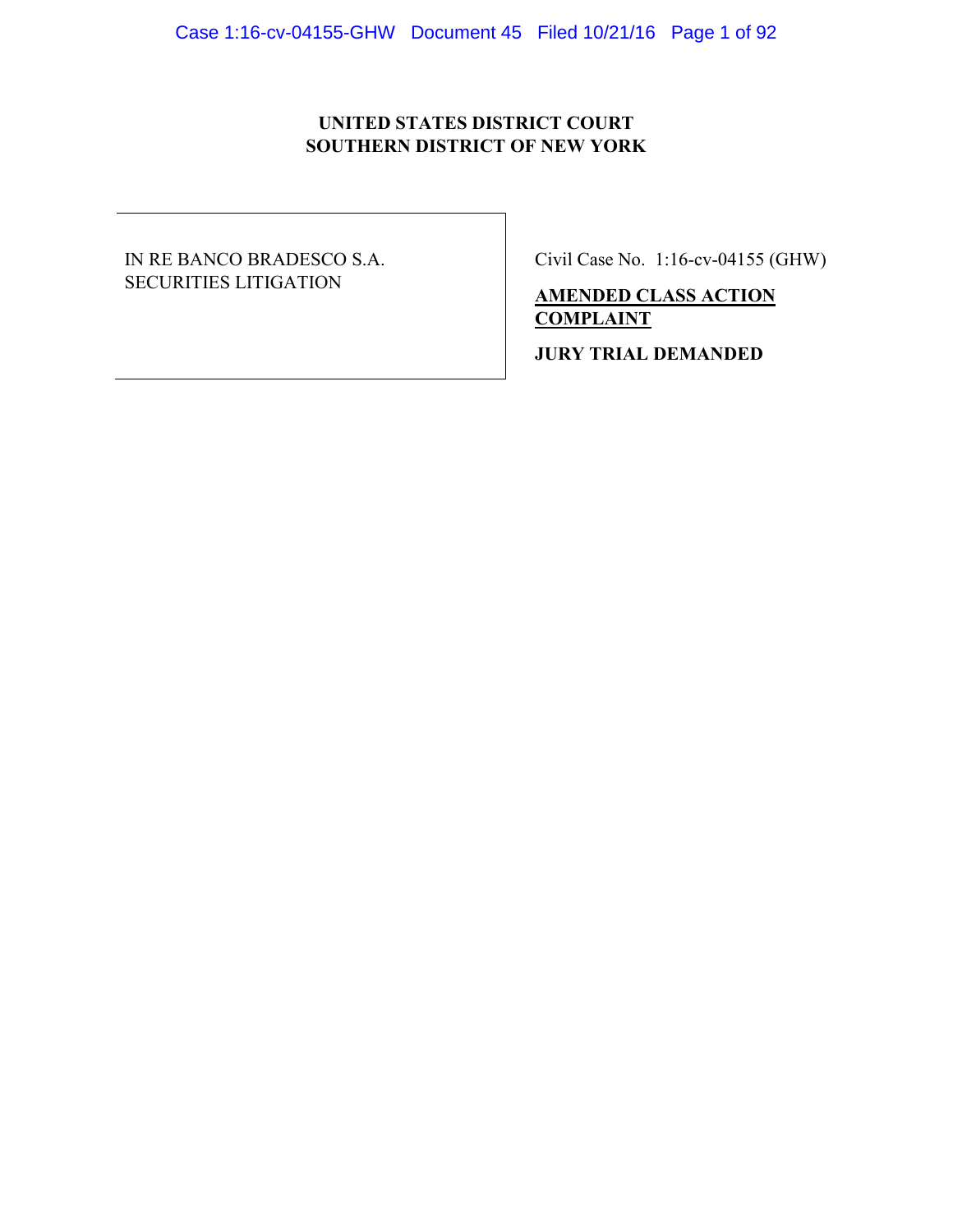# **UNITED STATES DISTRICT COURT SOUTHERN DISTRICT OF NEW YORK**

# IN RE BANCO BRADESCO S.A. SECURITIES LITIGATION

Civil Case No. 1:16-cv-04155 (GHW)

**AMENDED CLASS ACTION COMPLAINT**

**JURY TRIAL DEMANDED**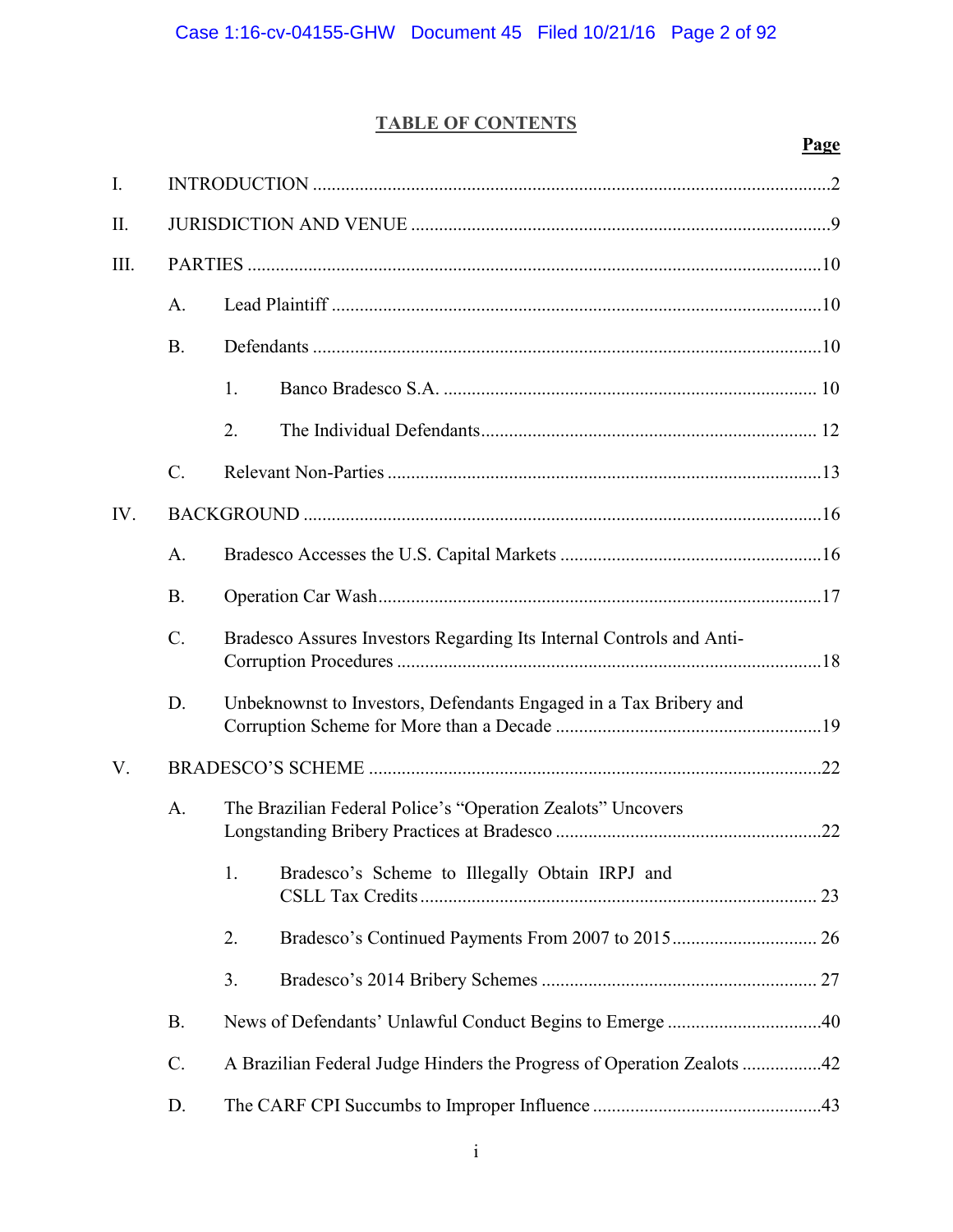# **TABLE OF CONTENTS**

**Page**

| $\mathbf{I}$ . |                 |                                                                      |  |
|----------------|-----------------|----------------------------------------------------------------------|--|
| П.             |                 |                                                                      |  |
| Ш.             |                 |                                                                      |  |
|                | A.              |                                                                      |  |
|                | B.              |                                                                      |  |
|                |                 | 1.                                                                   |  |
|                |                 | 2.                                                                   |  |
|                | $\mathcal{C}$ . |                                                                      |  |
| IV.            |                 |                                                                      |  |
|                | A.              |                                                                      |  |
|                | <b>B.</b>       |                                                                      |  |
|                | $C$ .           | Bradesco Assures Investors Regarding Its Internal Controls and Anti- |  |
|                | D.              | Unbeknownst to Investors, Defendants Engaged in a Tax Bribery and    |  |
| V.             |                 |                                                                      |  |
|                | A.              | The Brazilian Federal Police's "Operation Zealots" Uncovers          |  |
|                |                 | 1.<br>Bradesco's Scheme to Illegally Obtain IRPJ and                 |  |
|                |                 | 2.                                                                   |  |
|                |                 | 3.                                                                   |  |
|                | <b>B.</b>       |                                                                      |  |
|                | $\mathcal{C}$ . |                                                                      |  |
|                | D.              |                                                                      |  |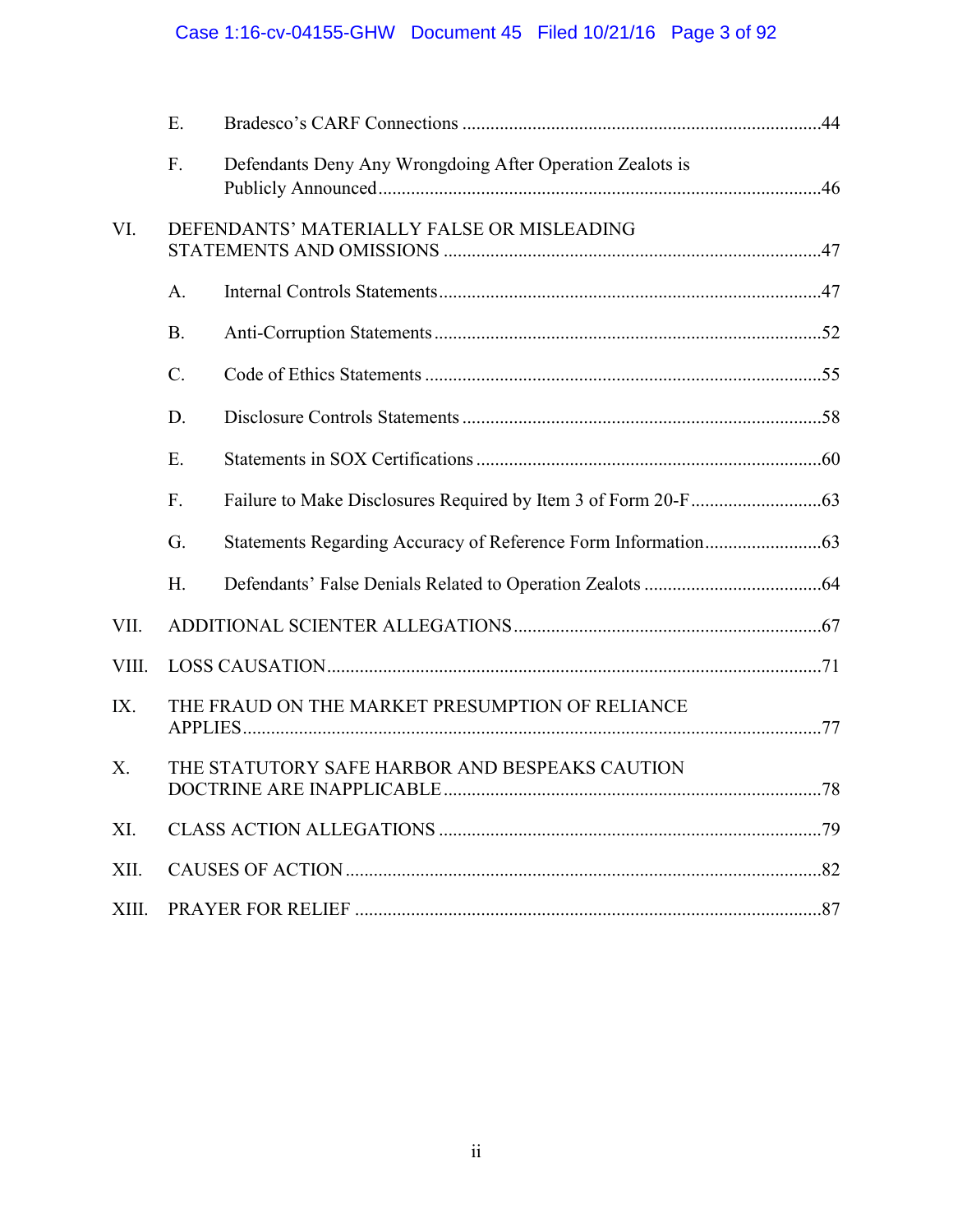# Case 1:16-cv-04155-GHW Document 45 Filed 10/21/16 Page 3 of 92

|       | E                                               |                                                           |  |
|-------|-------------------------------------------------|-----------------------------------------------------------|--|
|       | F.                                              | Defendants Deny Any Wrongdoing After Operation Zealots is |  |
| VI.   | DEFENDANTS' MATERIALLY FALSE OR MISLEADING      |                                                           |  |
|       | A.                                              |                                                           |  |
|       | B.                                              |                                                           |  |
|       | $C$ .                                           |                                                           |  |
|       | D.                                              |                                                           |  |
|       | E.                                              |                                                           |  |
|       | F.                                              |                                                           |  |
|       | G.                                              |                                                           |  |
|       | H.                                              |                                                           |  |
| VII.  |                                                 |                                                           |  |
| VIII. |                                                 |                                                           |  |
| IX.   | THE FRAUD ON THE MARKET PRESUMPTION OF RELIANCE |                                                           |  |
| X.    | THE STATUTORY SAFE HARBOR AND BESPEAKS CAUTION  |                                                           |  |
| XI.   |                                                 |                                                           |  |
| XII.  |                                                 |                                                           |  |
| XIII. |                                                 |                                                           |  |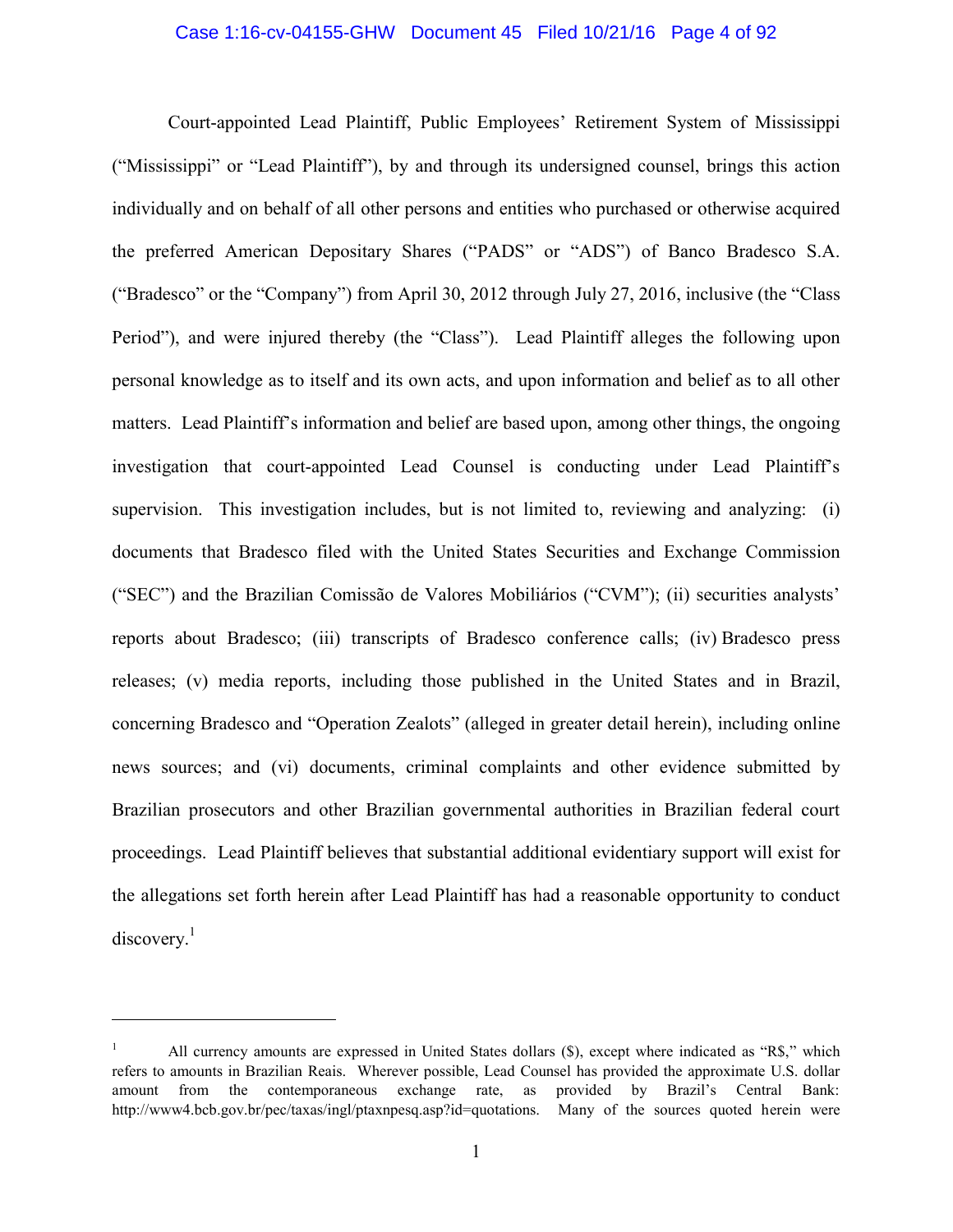### Case 1:16-cv-04155-GHW Document 45 Filed 10/21/16 Page 4 of 92

Court-appointed Lead Plaintiff, Public Employees' Retirement System of Mississippi ("Mississippi" or "Lead Plaintiff"), by and through its undersigned counsel, brings this action individually and on behalf of all other persons and entities who purchased or otherwise acquired the preferred American Depositary Shares ("PADS" or "ADS") of Banco Bradesco S.A. ("Bradesco" or the "Company") from April 30, 2012 through July 27, 2016, inclusive (the "Class Period"), and were injured thereby (the "Class"). Lead Plaintiff alleges the following upon personal knowledge as to itself and its own acts, and upon information and belief as to all other matters. Lead Plaintiff's information and belief are based upon, among other things, the ongoing investigation that court-appointed Lead Counsel is conducting under Lead Plaintiff's supervision. This investigation includes, but is not limited to, reviewing and analyzing: (i) documents that Bradesco filed with the United States Securities and Exchange Commission ("SEC") and the Brazilian Comissão de Valores Mobiliários ("CVM"); (ii) securities analysts' reports about Bradesco; (iii) transcripts of Bradesco conference calls; (iv) Bradesco press releases; (v) media reports, including those published in the United States and in Brazil, concerning Bradesco and "Operation Zealots" (alleged in greater detail herein), including online news sources; and (vi) documents, criminal complaints and other evidence submitted by Brazilian prosecutors and other Brazilian governmental authorities in Brazilian federal court proceedings. Lead Plaintiff believes that substantial additional evidentiary support will exist for the allegations set forth herein after Lead Plaintiff has had a reasonable opportunity to conduct  $discovery.<sup>1</sup>$ 

 $\overline{a}$ 

<sup>1</sup> All currency amounts are expressed in United States dollars (\$), except where indicated as "R\$," which refers to amounts in Brazilian Reais. Wherever possible, Lead Counsel has provided the approximate U.S. dollar amount from the contemporaneous exchange rate, as provided by Brazil's Central Bank: http://www4.bcb.gov.br/pec/taxas/ingl/ptaxnpesq.asp?id=quotations. Many of the sources quoted herein were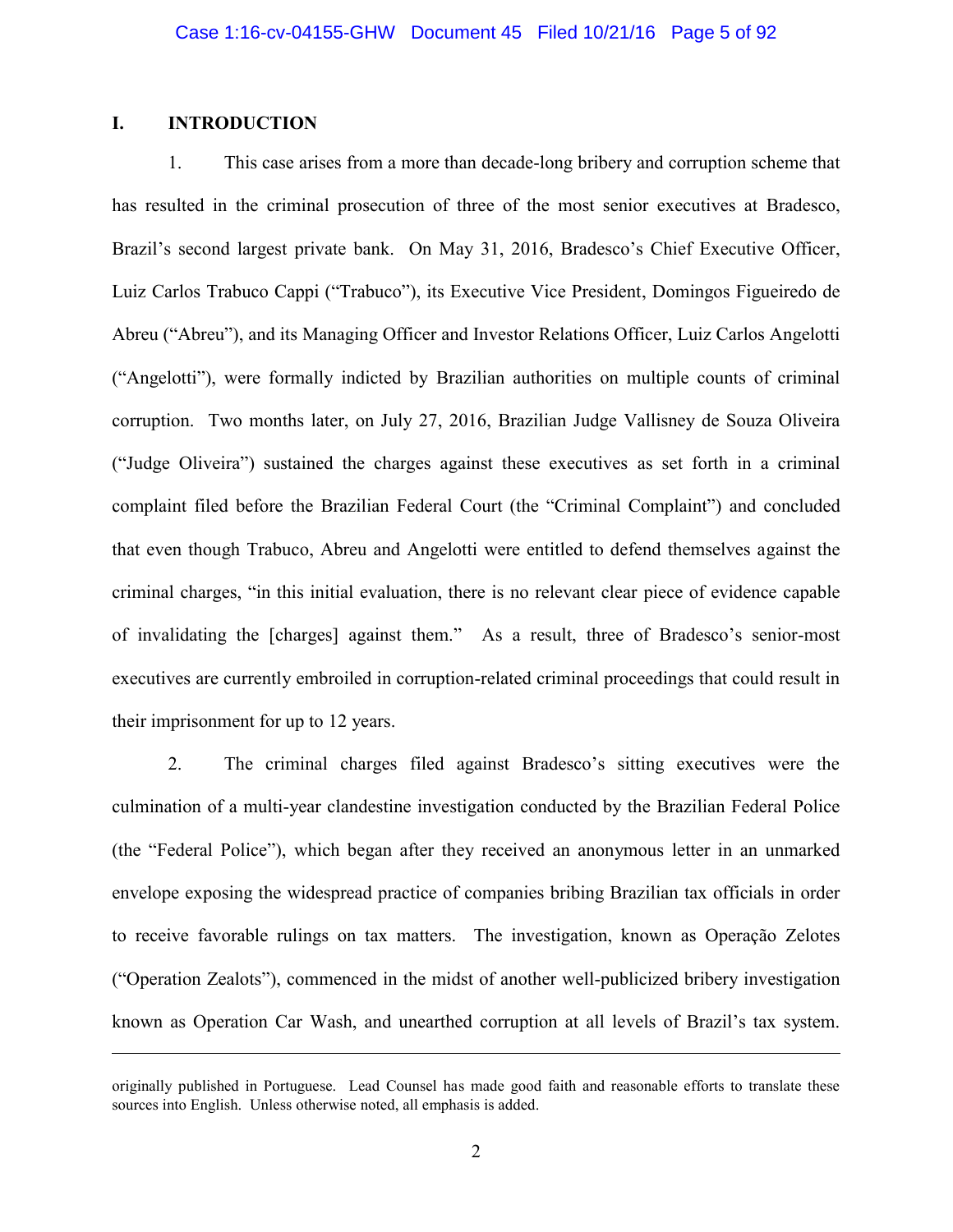# **I. INTRODUCTION**

 $\overline{a}$ 

1. This case arises from a more than decade-long bribery and corruption scheme that has resulted in the criminal prosecution of three of the most senior executives at Bradesco, Brazil's second largest private bank. On May 31, 2016, Bradesco's Chief Executive Officer, Luiz Carlos Trabuco Cappi ("Trabuco"), its Executive Vice President, Domingos Figueiredo de Abreu ("Abreu"), and its Managing Officer and Investor Relations Officer, Luiz Carlos Angelotti ("Angelotti"), were formally indicted by Brazilian authorities on multiple counts of criminal corruption. Two months later, on July 27, 2016, Brazilian Judge Vallisney de Souza Oliveira ("Judge Oliveira") sustained the charges against these executives as set forth in a criminal complaint filed before the Brazilian Federal Court (the "Criminal Complaint") and concluded that even though Trabuco, Abreu and Angelotti were entitled to defend themselves against the criminal charges, "in this initial evaluation, there is no relevant clear piece of evidence capable of invalidating the [charges] against them." As a result, three of Bradesco's senior-most executives are currently embroiled in corruption-related criminal proceedings that could result in their imprisonment for up to 12 years.

2. The criminal charges filed against Bradesco's sitting executives were the culmination of a multi-year clandestine investigation conducted by the Brazilian Federal Police (the "Federal Police"), which began after they received an anonymous letter in an unmarked envelope exposing the widespread practice of companies bribing Brazilian tax officials in order to receive favorable rulings on tax matters. The investigation, known as Operação Zelotes ("Operation Zealots"), commenced in the midst of another well-publicized bribery investigation known as Operation Car Wash, and unearthed corruption at all levels of Brazil's tax system.

originally published in Portuguese. Lead Counsel has made good faith and reasonable efforts to translate these sources into English. Unless otherwise noted, all emphasis is added.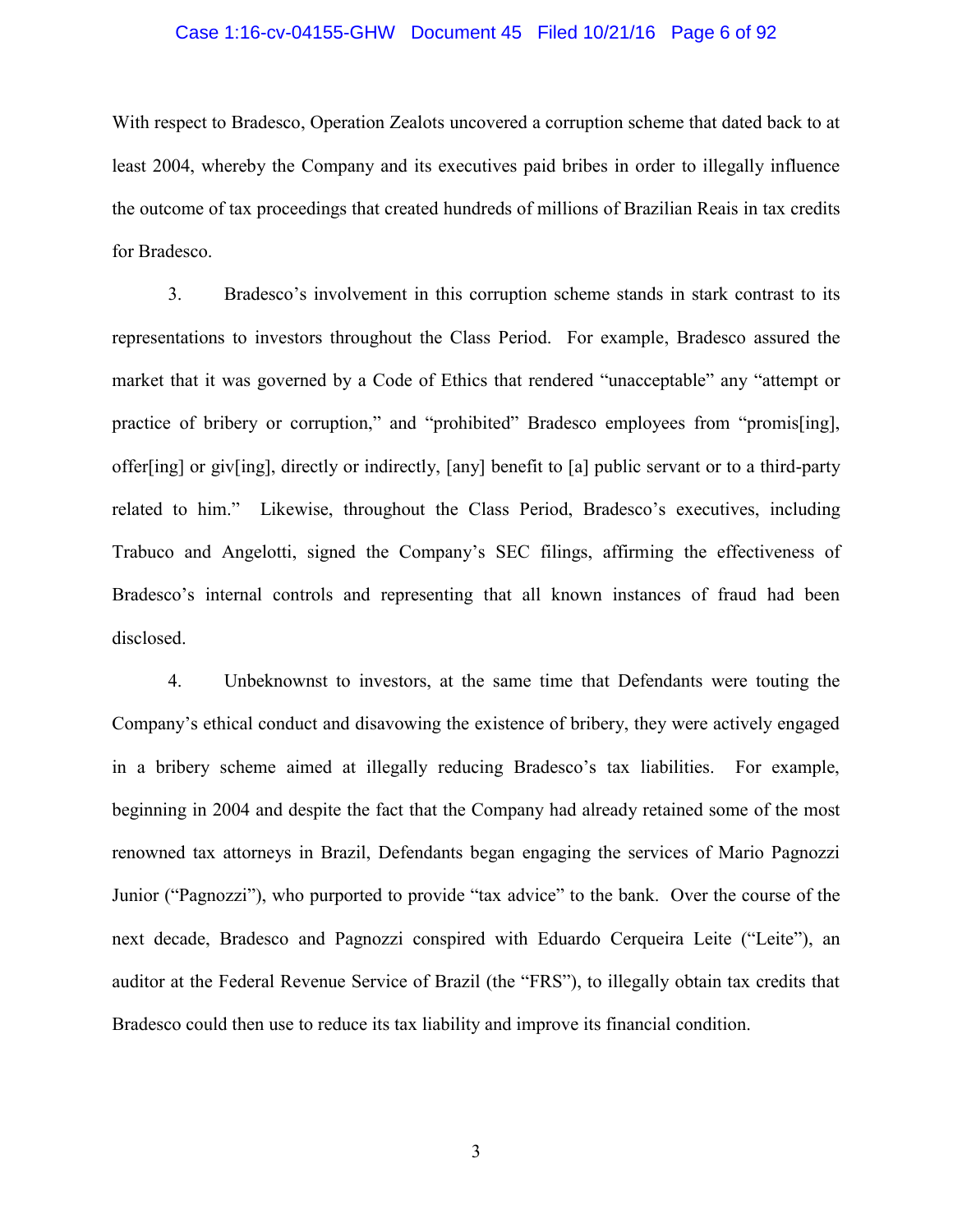### Case 1:16-cv-04155-GHW Document 45 Filed 10/21/16 Page 6 of 92

With respect to Bradesco, Operation Zealots uncovered a corruption scheme that dated back to at least 2004, whereby the Company and its executives paid bribes in order to illegally influence the outcome of tax proceedings that created hundreds of millions of Brazilian Reais in tax credits for Bradesco.

3. Bradesco's involvement in this corruption scheme stands in stark contrast to its representations to investors throughout the Class Period. For example, Bradesco assured the market that it was governed by a Code of Ethics that rendered "unacceptable" any "attempt or practice of bribery or corruption," and "prohibited" Bradesco employees from "promis[ing], offer[ing] or giv[ing], directly or indirectly, [any] benefit to [a] public servant or to a third-party related to him." Likewise, throughout the Class Period, Bradesco's executives, including Trabuco and Angelotti, signed the Company's SEC filings, affirming the effectiveness of Bradesco's internal controls and representing that all known instances of fraud had been disclosed.

4. Unbeknownst to investors, at the same time that Defendants were touting the Company's ethical conduct and disavowing the existence of bribery, they were actively engaged in a bribery scheme aimed at illegally reducing Bradesco's tax liabilities. For example, beginning in 2004 and despite the fact that the Company had already retained some of the most renowned tax attorneys in Brazil, Defendants began engaging the services of Mario Pagnozzi Junior ("Pagnozzi"), who purported to provide "tax advice" to the bank. Over the course of the next decade, Bradesco and Pagnozzi conspired with Eduardo Cerqueira Leite ("Leite"), an auditor at the Federal Revenue Service of Brazil (the "FRS"), to illegally obtain tax credits that Bradesco could then use to reduce its tax liability and improve its financial condition.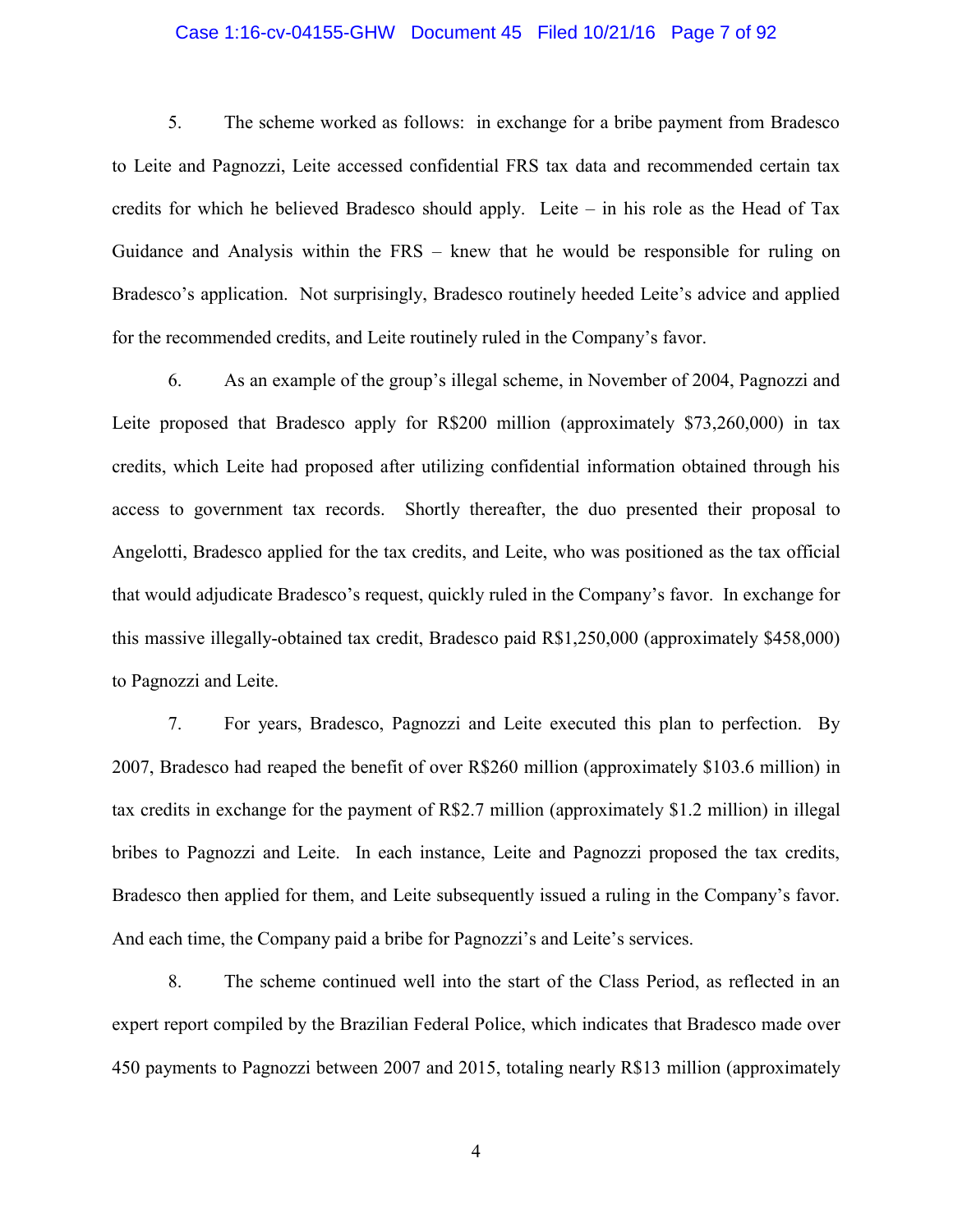### Case 1:16-cv-04155-GHW Document 45 Filed 10/21/16 Page 7 of 92

5. The scheme worked as follows: in exchange for a bribe payment from Bradesco to Leite and Pagnozzi, Leite accessed confidential FRS tax data and recommended certain tax credits for which he believed Bradesco should apply. Leite – in his role as the Head of Tax Guidance and Analysis within the FRS – knew that he would be responsible for ruling on Bradesco's application. Not surprisingly, Bradesco routinely heeded Leite's advice and applied for the recommended credits, and Leite routinely ruled in the Company's favor.

6. As an example of the group's illegal scheme, in November of 2004, Pagnozzi and Leite proposed that Bradesco apply for R\$200 million (approximately \$73,260,000) in tax credits, which Leite had proposed after utilizing confidential information obtained through his access to government tax records. Shortly thereafter, the duo presented their proposal to Angelotti, Bradesco applied for the tax credits, and Leite, who was positioned as the tax official that would adjudicate Bradesco's request, quickly ruled in the Company's favor. In exchange for this massive illegally-obtained tax credit, Bradesco paid R\$1,250,000 (approximately \$458,000) to Pagnozzi and Leite.

7. For years, Bradesco, Pagnozzi and Leite executed this plan to perfection. By 2007, Bradesco had reaped the benefit of over R\$260 million (approximately \$103.6 million) in tax credits in exchange for the payment of R\$2.7 million (approximately \$1.2 million) in illegal bribes to Pagnozzi and Leite. In each instance, Leite and Pagnozzi proposed the tax credits, Bradesco then applied for them, and Leite subsequently issued a ruling in the Company's favor. And each time, the Company paid a bribe for Pagnozzi's and Leite's services.

8. The scheme continued well into the start of the Class Period, as reflected in an expert report compiled by the Brazilian Federal Police, which indicates that Bradesco made over 450 payments to Pagnozzi between 2007 and 2015, totaling nearly R\$13 million (approximately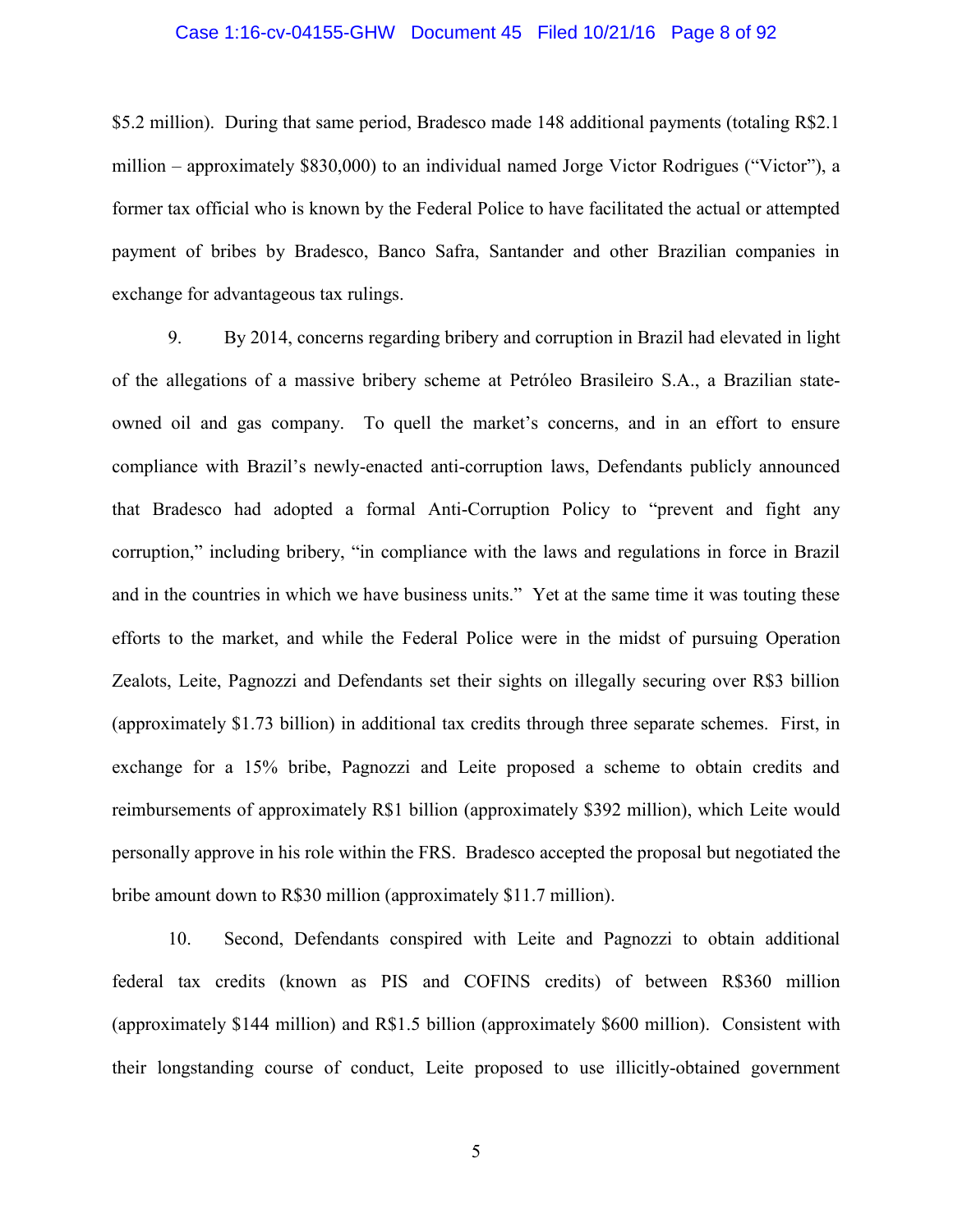#### Case 1:16-cv-04155-GHW Document 45 Filed 10/21/16 Page 8 of 92

\$5.2 million). During that same period, Bradesco made 148 additional payments (totaling R\$2.1 million – approximately \$830,000) to an individual named Jorge Victor Rodrigues ("Victor"), a former tax official who is known by the Federal Police to have facilitated the actual or attempted payment of bribes by Bradesco, Banco Safra, Santander and other Brazilian companies in exchange for advantageous tax rulings.

9. By 2014, concerns regarding bribery and corruption in Brazil had elevated in light of the allegations of a massive bribery scheme at Petróleo Brasileiro S.A., a Brazilian stateowned oil and gas company. To quell the market's concerns, and in an effort to ensure compliance with Brazil's newly-enacted anti-corruption laws, Defendants publicly announced that Bradesco had adopted a formal Anti-Corruption Policy to "prevent and fight any corruption," including bribery, "in compliance with the laws and regulations in force in Brazil and in the countries in which we have business units." Yet at the same time it was touting these efforts to the market, and while the Federal Police were in the midst of pursuing Operation Zealots, Leite, Pagnozzi and Defendants set their sights on illegally securing over R\$3 billion (approximately \$1.73 billion) in additional tax credits through three separate schemes. First, in exchange for a 15% bribe, Pagnozzi and Leite proposed a scheme to obtain credits and reimbursements of approximately R\$1 billion (approximately \$392 million), which Leite would personally approve in his role within the FRS. Bradesco accepted the proposal but negotiated the bribe amount down to R\$30 million (approximately \$11.7 million).

10. Second, Defendants conspired with Leite and Pagnozzi to obtain additional federal tax credits (known as PIS and COFINS credits) of between R\$360 million (approximately \$144 million) and R\$1.5 billion (approximately \$600 million). Consistent with their longstanding course of conduct, Leite proposed to use illicitly-obtained government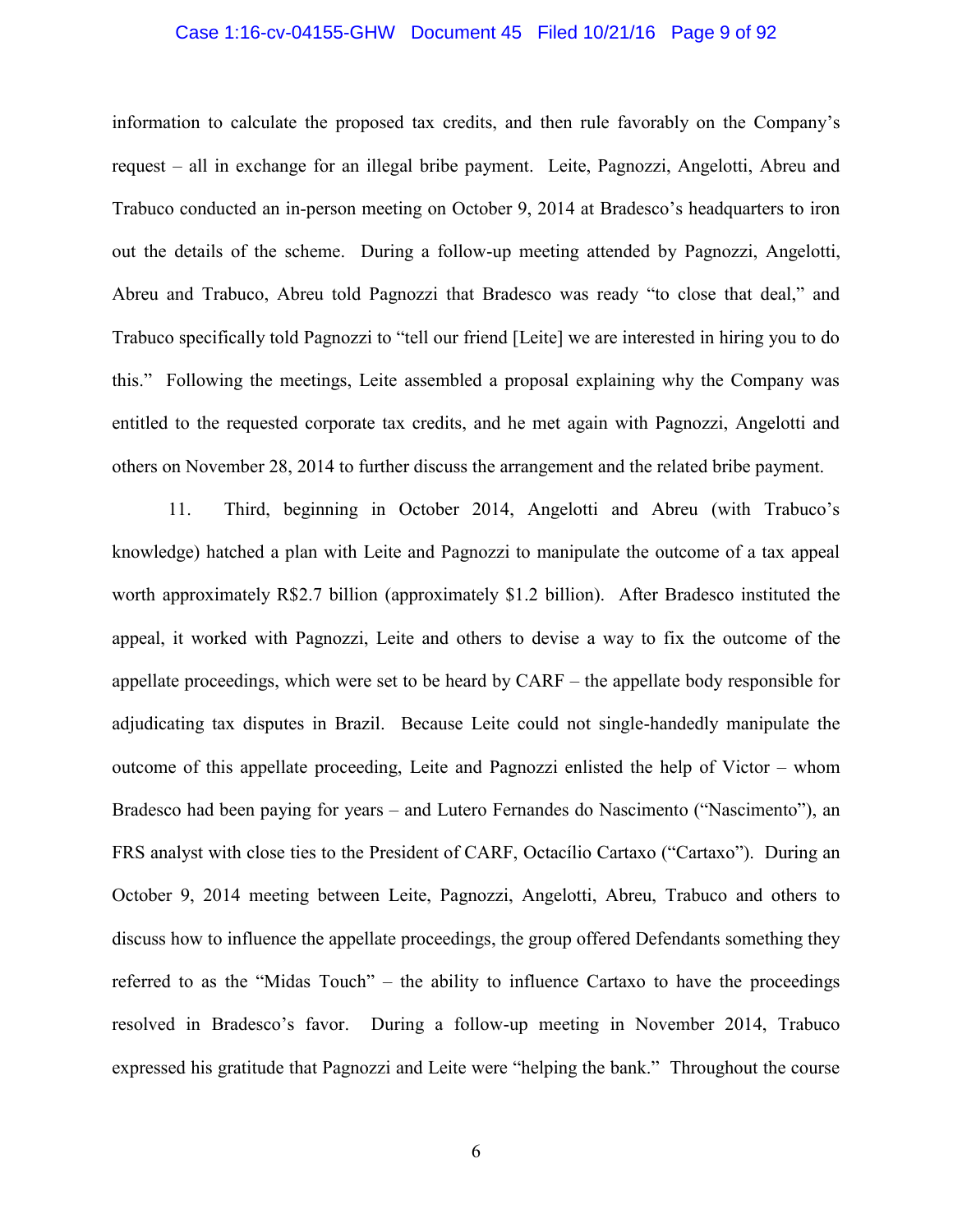### Case 1:16-cv-04155-GHW Document 45 Filed 10/21/16 Page 9 of 92

information to calculate the proposed tax credits, and then rule favorably on the Company's request – all in exchange for an illegal bribe payment. Leite, Pagnozzi, Angelotti, Abreu and Trabuco conducted an in-person meeting on October 9, 2014 at Bradesco's headquarters to iron out the details of the scheme. During a follow-up meeting attended by Pagnozzi, Angelotti, Abreu and Trabuco, Abreu told Pagnozzi that Bradesco was ready "to close that deal," and Trabuco specifically told Pagnozzi to "tell our friend [Leite] we are interested in hiring you to do this." Following the meetings, Leite assembled a proposal explaining why the Company was entitled to the requested corporate tax credits, and he met again with Pagnozzi, Angelotti and others on November 28, 2014 to further discuss the arrangement and the related bribe payment.

11. Third, beginning in October 2014, Angelotti and Abreu (with Trabuco's knowledge) hatched a plan with Leite and Pagnozzi to manipulate the outcome of a tax appeal worth approximately R\$2.7 billion (approximately \$1.2 billion). After Bradesco instituted the appeal, it worked with Pagnozzi, Leite and others to devise a way to fix the outcome of the appellate proceedings, which were set to be heard by CARF – the appellate body responsible for adjudicating tax disputes in Brazil. Because Leite could not single-handedly manipulate the outcome of this appellate proceeding, Leite and Pagnozzi enlisted the help of Victor – whom Bradesco had been paying for years – and Lutero Fernandes do Nascimento ("Nascimento"), an FRS analyst with close ties to the President of CARF, Octacílio Cartaxo ("Cartaxo"). During an October 9, 2014 meeting between Leite, Pagnozzi, Angelotti, Abreu, Trabuco and others to discuss how to influence the appellate proceedings, the group offered Defendants something they referred to as the "Midas Touch" – the ability to influence Cartaxo to have the proceedings resolved in Bradesco's favor. During a follow-up meeting in November 2014, Trabuco expressed his gratitude that Pagnozzi and Leite were "helping the bank." Throughout the course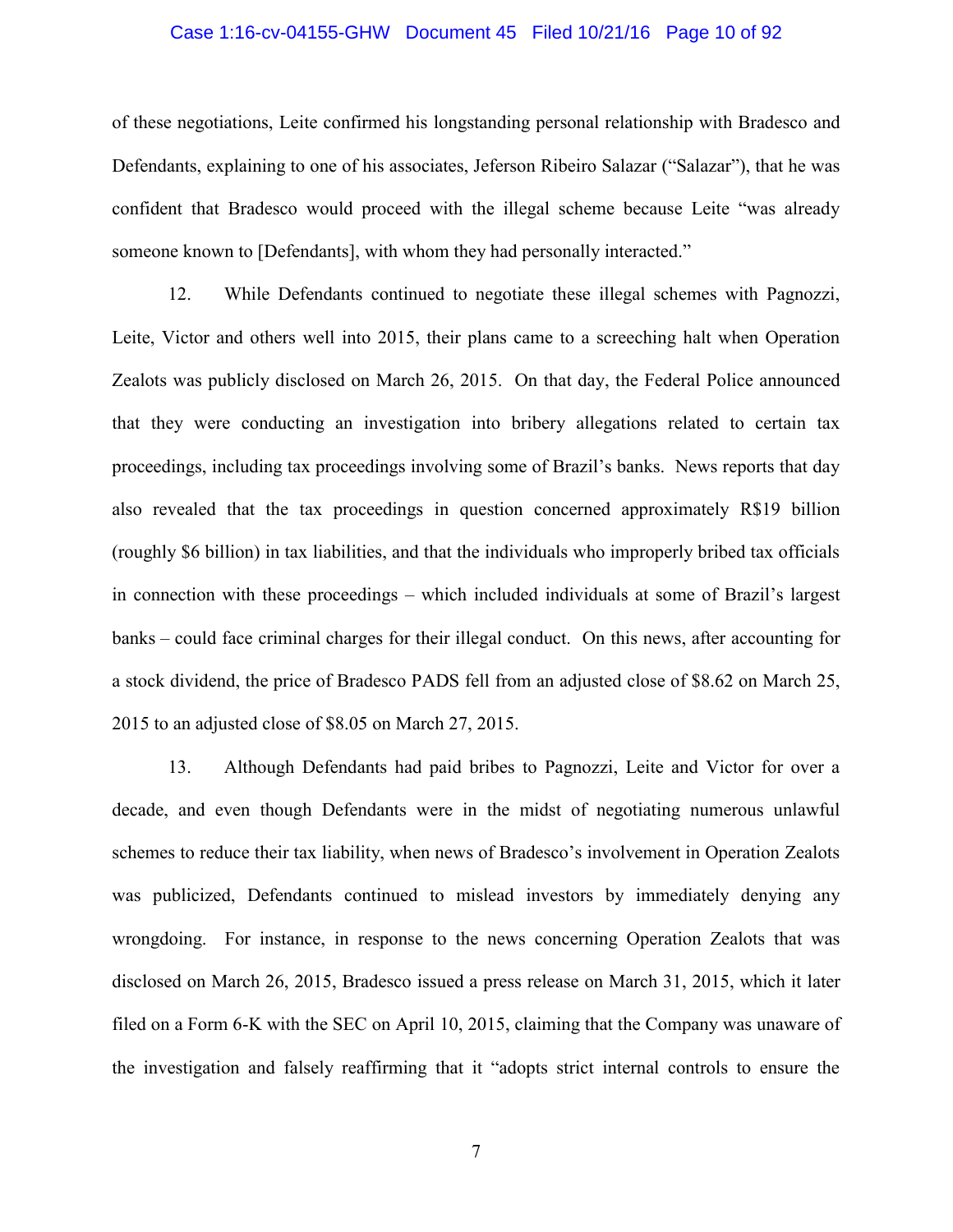### Case 1:16-cv-04155-GHW Document 45 Filed 10/21/16 Page 10 of 92

of these negotiations, Leite confirmed his longstanding personal relationship with Bradesco and Defendants, explaining to one of his associates, Jeferson Ribeiro Salazar ("Salazar"), that he was confident that Bradesco would proceed with the illegal scheme because Leite "was already someone known to [Defendants], with whom they had personally interacted."

12. While Defendants continued to negotiate these illegal schemes with Pagnozzi, Leite, Victor and others well into 2015, their plans came to a screeching halt when Operation Zealots was publicly disclosed on March 26, 2015. On that day, the Federal Police announced that they were conducting an investigation into bribery allegations related to certain tax proceedings, including tax proceedings involving some of Brazil's banks. News reports that day also revealed that the tax proceedings in question concerned approximately R\$19 billion (roughly \$6 billion) in tax liabilities, and that the individuals who improperly bribed tax officials in connection with these proceedings – which included individuals at some of Brazil's largest banks – could face criminal charges for their illegal conduct. On this news, after accounting for a stock dividend, the price of Bradesco PADS fell from an adjusted close of \$8.62 on March 25, 2015 to an adjusted close of \$8.05 on March 27, 2015.

13. Although Defendants had paid bribes to Pagnozzi, Leite and Victor for over a decade, and even though Defendants were in the midst of negotiating numerous unlawful schemes to reduce their tax liability, when news of Bradesco's involvement in Operation Zealots was publicized, Defendants continued to mislead investors by immediately denying any wrongdoing. For instance, in response to the news concerning Operation Zealots that was disclosed on March 26, 2015, Bradesco issued a press release on March 31, 2015, which it later filed on a Form 6-K with the SEC on April 10, 2015, claiming that the Company was unaware of the investigation and falsely reaffirming that it "adopts strict internal controls to ensure the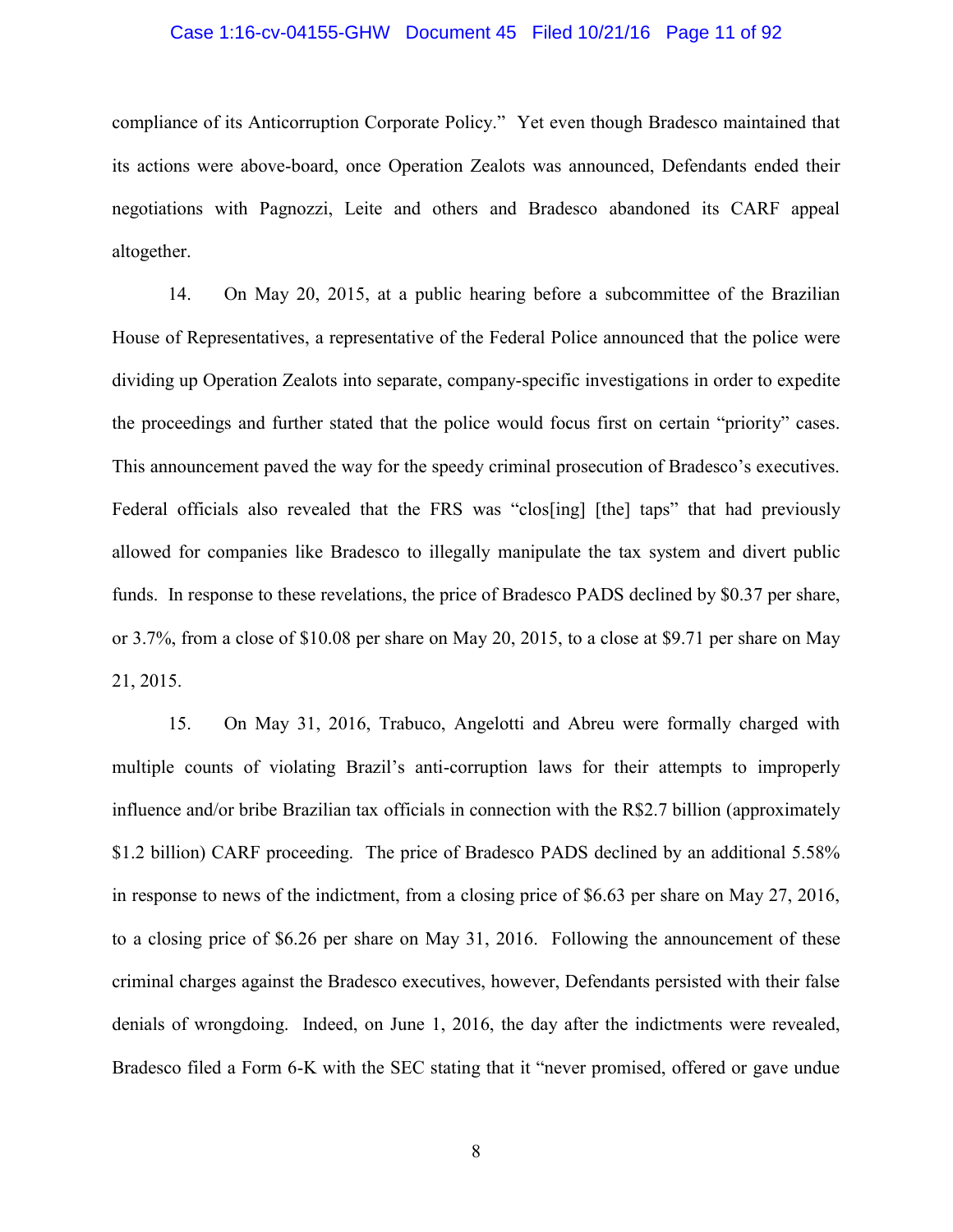### Case 1:16-cv-04155-GHW Document 45 Filed 10/21/16 Page 11 of 92

compliance of its Anticorruption Corporate Policy." Yet even though Bradesco maintained that its actions were above-board, once Operation Zealots was announced, Defendants ended their negotiations with Pagnozzi, Leite and others and Bradesco abandoned its CARF appeal altogether.

14. On May 20, 2015, at a public hearing before a subcommittee of the Brazilian House of Representatives, a representative of the Federal Police announced that the police were dividing up Operation Zealots into separate, company-specific investigations in order to expedite the proceedings and further stated that the police would focus first on certain "priority" cases. This announcement paved the way for the speedy criminal prosecution of Bradesco's executives. Federal officials also revealed that the FRS was "clos[ing] [the] taps" that had previously allowed for companies like Bradesco to illegally manipulate the tax system and divert public funds. In response to these revelations, the price of Bradesco PADS declined by \$0.37 per share, or 3.7%, from a close of \$10.08 per share on May 20, 2015, to a close at \$9.71 per share on May 21, 2015.

15. On May 31, 2016, Trabuco, Angelotti and Abreu were formally charged with multiple counts of violating Brazil's anti-corruption laws for their attempts to improperly influence and/or bribe Brazilian tax officials in connection with the R\$2.7 billion (approximately \$1.2 billion) CARF proceeding. The price of Bradesco PADS declined by an additional 5.58% in response to news of the indictment, from a closing price of \$6.63 per share on May 27, 2016, to a closing price of \$6.26 per share on May 31, 2016. Following the announcement of these criminal charges against the Bradesco executives, however, Defendants persisted with their false denials of wrongdoing. Indeed, on June 1, 2016, the day after the indictments were revealed, Bradesco filed a Form 6-K with the SEC stating that it "never promised, offered or gave undue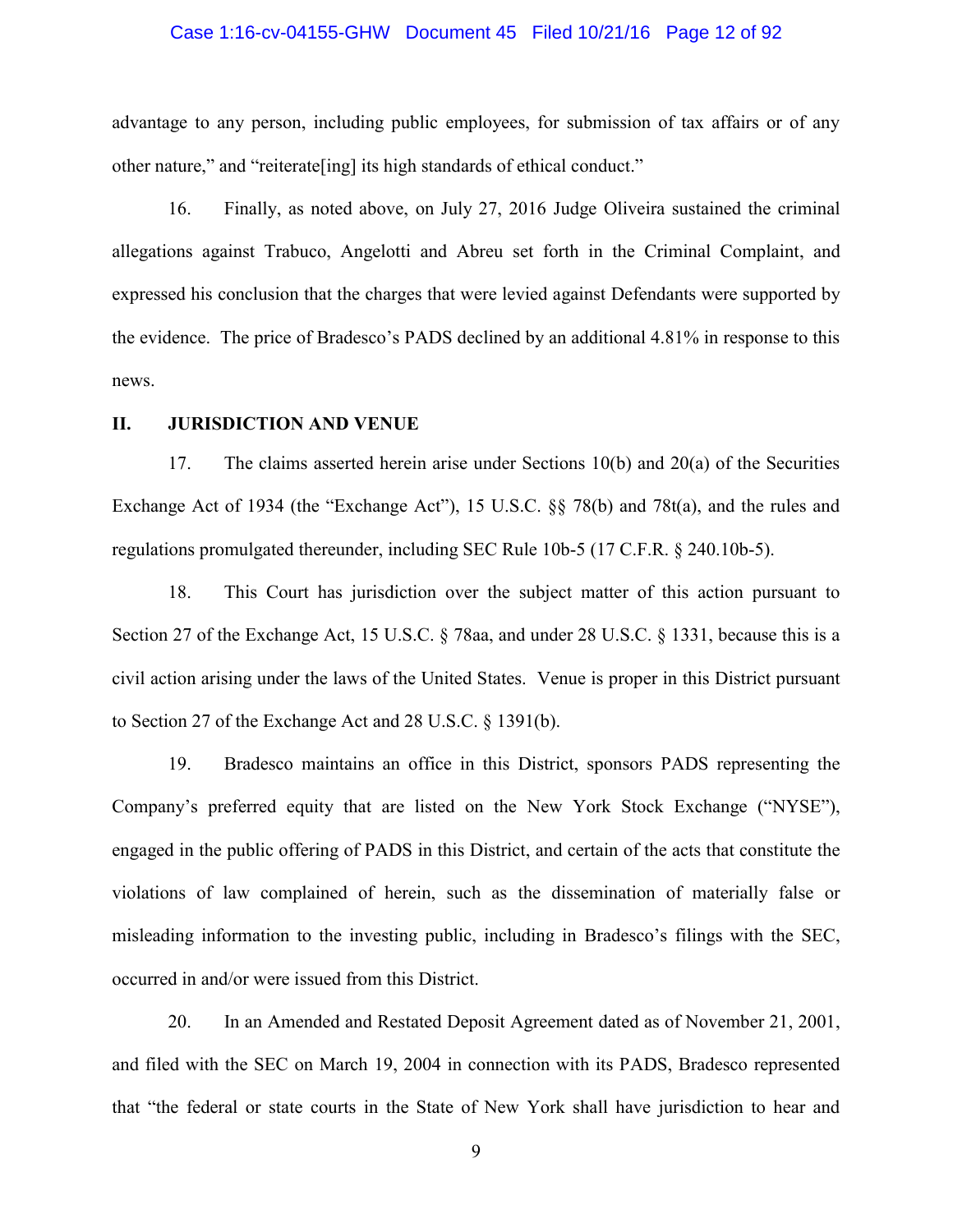### Case 1:16-cv-04155-GHW Document 45 Filed 10/21/16 Page 12 of 92

advantage to any person, including public employees, for submission of tax affairs or of any other nature," and "reiterate[ing] its high standards of ethical conduct."

16. Finally, as noted above, on July 27, 2016 Judge Oliveira sustained the criminal allegations against Trabuco, Angelotti and Abreu set forth in the Criminal Complaint, and expressed his conclusion that the charges that were levied against Defendants were supported by the evidence. The price of Bradesco's PADS declined by an additional 4.81% in response to this news.

### **II. JURISDICTION AND VENUE**

17. The claims asserted herein arise under Sections 10(b) and 20(a) of the Securities Exchange Act of 1934 (the "Exchange Act"), 15 U.S.C. §§ 78(b) and 78t(a), and the rules and regulations promulgated thereunder, including SEC Rule 10b-5 (17 C.F.R. § 240.10b-5).

18. This Court has jurisdiction over the subject matter of this action pursuant to Section 27 of the Exchange Act, 15 U.S.C. § 78aa, and under 28 U.S.C. § 1331, because this is a civil action arising under the laws of the United States. Venue is proper in this District pursuant to Section 27 of the Exchange Act and 28 U.S.C. § 1391(b).

19. Bradesco maintains an office in this District, sponsors PADS representing the Company's preferred equity that are listed on the New York Stock Exchange ("NYSE"), engaged in the public offering of PADS in this District, and certain of the acts that constitute the violations of law complained of herein, such as the dissemination of materially false or misleading information to the investing public, including in Bradesco's filings with the SEC, occurred in and/or were issued from this District.

20. In an Amended and Restated Deposit Agreement dated as of November 21, 2001, and filed with the SEC on March 19, 2004 in connection with its PADS, Bradesco represented that "the federal or state courts in the State of New York shall have jurisdiction to hear and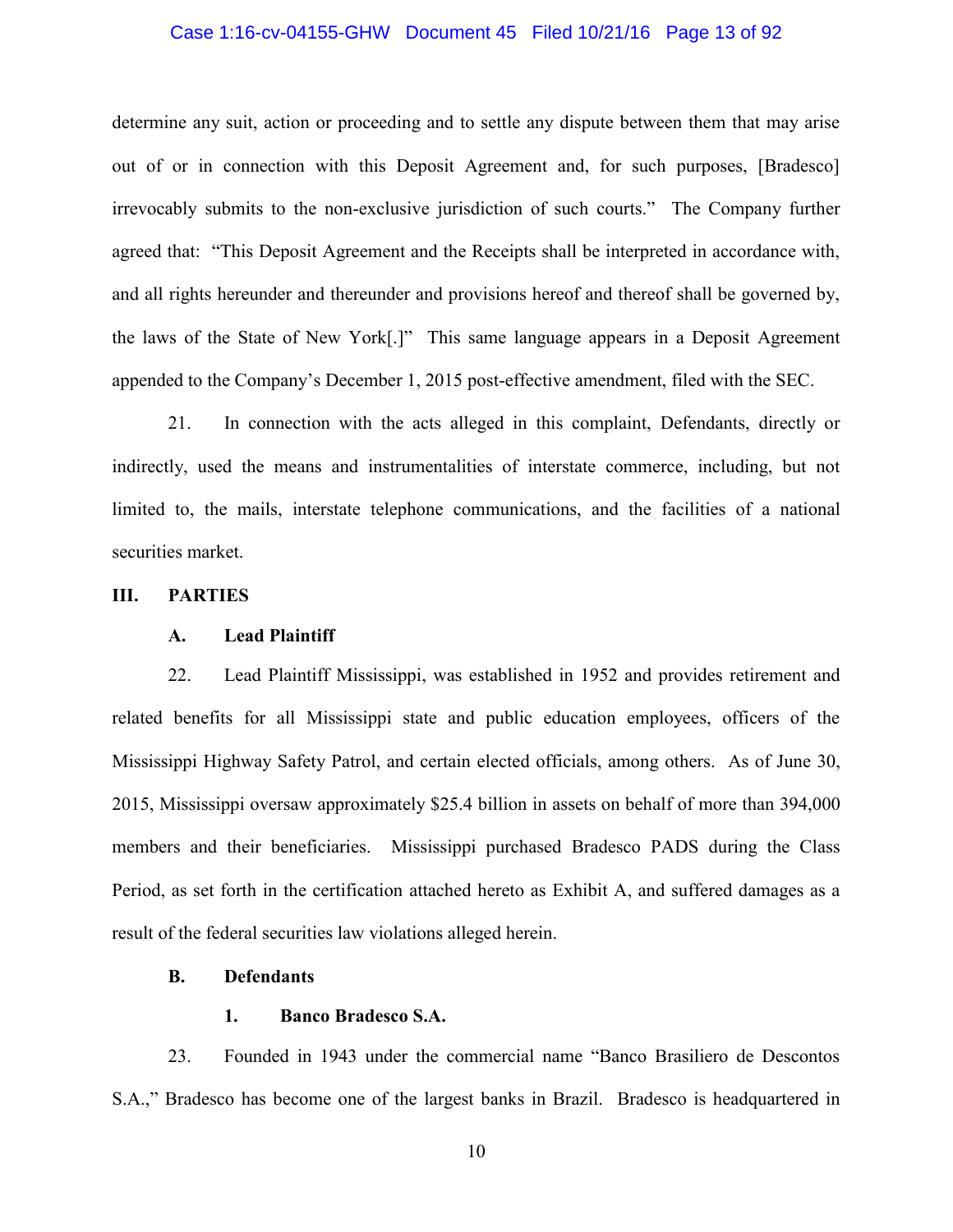### Case 1:16-cv-04155-GHW Document 45 Filed 10/21/16 Page 13 of 92

determine any suit, action or proceeding and to settle any dispute between them that may arise out of or in connection with this Deposit Agreement and, for such purposes, [Bradesco] irrevocably submits to the non-exclusive jurisdiction of such courts." The Company further agreed that: "This Deposit Agreement and the Receipts shall be interpreted in accordance with, and all rights hereunder and thereunder and provisions hereof and thereof shall be governed by, the laws of the State of New York[.]" This same language appears in a Deposit Agreement appended to the Company's December 1, 2015 post-effective amendment, filed with the SEC.

21. In connection with the acts alleged in this complaint, Defendants, directly or indirectly, used the means and instrumentalities of interstate commerce, including, but not limited to, the mails, interstate telephone communications, and the facilities of a national securities market.

### **III. PARTIES**

### **A. Lead Plaintiff**

22. Lead Plaintiff Mississippi, was established in 1952 and provides retirement and related benefits for all Mississippi state and public education employees, officers of the Mississippi Highway Safety Patrol, and certain elected officials, among others. As of June 30, 2015, Mississippi oversaw approximately \$25.4 billion in assets on behalf of more than 394,000 members and their beneficiaries. Mississippi purchased Bradesco PADS during the Class Period, as set forth in the certification attached hereto as Exhibit A, and suffered damages as a result of the federal securities law violations alleged herein.

### **B. Defendants**

### **1. Banco Bradesco S.A.**

23. Founded in 1943 under the commercial name "Banco Brasiliero de Descontos S.A.," Bradesco has become one of the largest banks in Brazil. Bradesco is headquartered in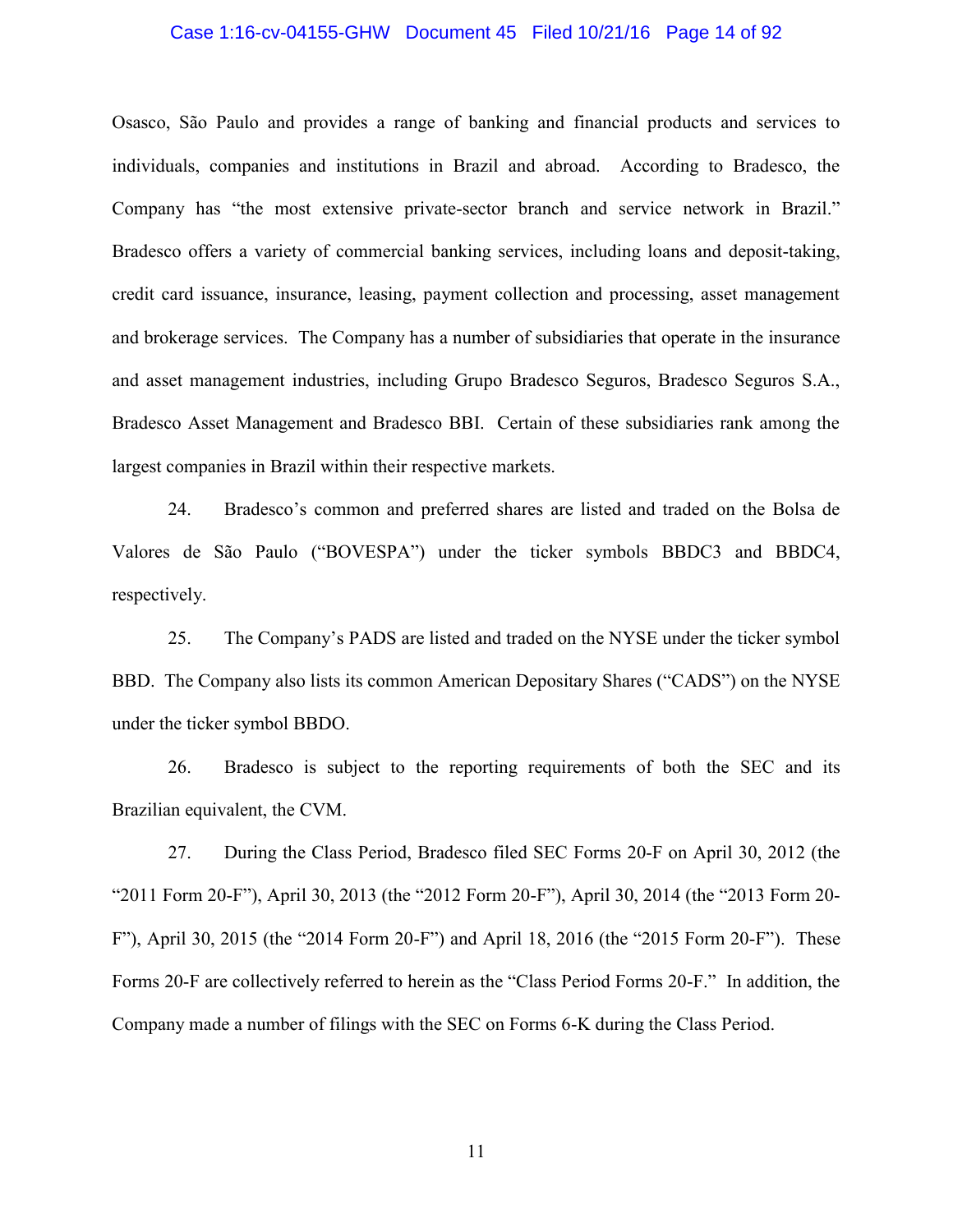### Case 1:16-cv-04155-GHW Document 45 Filed 10/21/16 Page 14 of 92

Osasco, São Paulo and provides a range of banking and financial products and services to individuals, companies and institutions in Brazil and abroad. According to Bradesco, the Company has "the most extensive private-sector branch and service network in Brazil." Bradesco offers a variety of commercial banking services, including loans and deposit-taking, credit card issuance, insurance, leasing, payment collection and processing, asset management and brokerage services. The Company has a number of subsidiaries that operate in the insurance and asset management industries, including Grupo Bradesco Seguros, Bradesco Seguros S.A., Bradesco Asset Management and Bradesco BBI. Certain of these subsidiaries rank among the largest companies in Brazil within their respective markets.

24. Bradesco's common and preferred shares are listed and traded on the Bolsa de Valores de São Paulo ("BOVESPA") under the ticker symbols BBDC3 and BBDC4, respectively.

25. The Company's PADS are listed and traded on the NYSE under the ticker symbol BBD. The Company also lists its common American Depositary Shares ("CADS") on the NYSE under the ticker symbol BBDO.

26. Bradesco is subject to the reporting requirements of both the SEC and its Brazilian equivalent, the CVM.

27. During the Class Period, Bradesco filed SEC Forms 20-F on April 30, 2012 (the "2011 Form 20-F"), April 30, 2013 (the "2012 Form 20-F"), April 30, 2014 (the "2013 Form 20- F"), April 30, 2015 (the "2014 Form 20-F") and April 18, 2016 (the "2015 Form 20-F"). These Forms 20-F are collectively referred to herein as the "Class Period Forms 20-F." In addition, the Company made a number of filings with the SEC on Forms 6-K during the Class Period.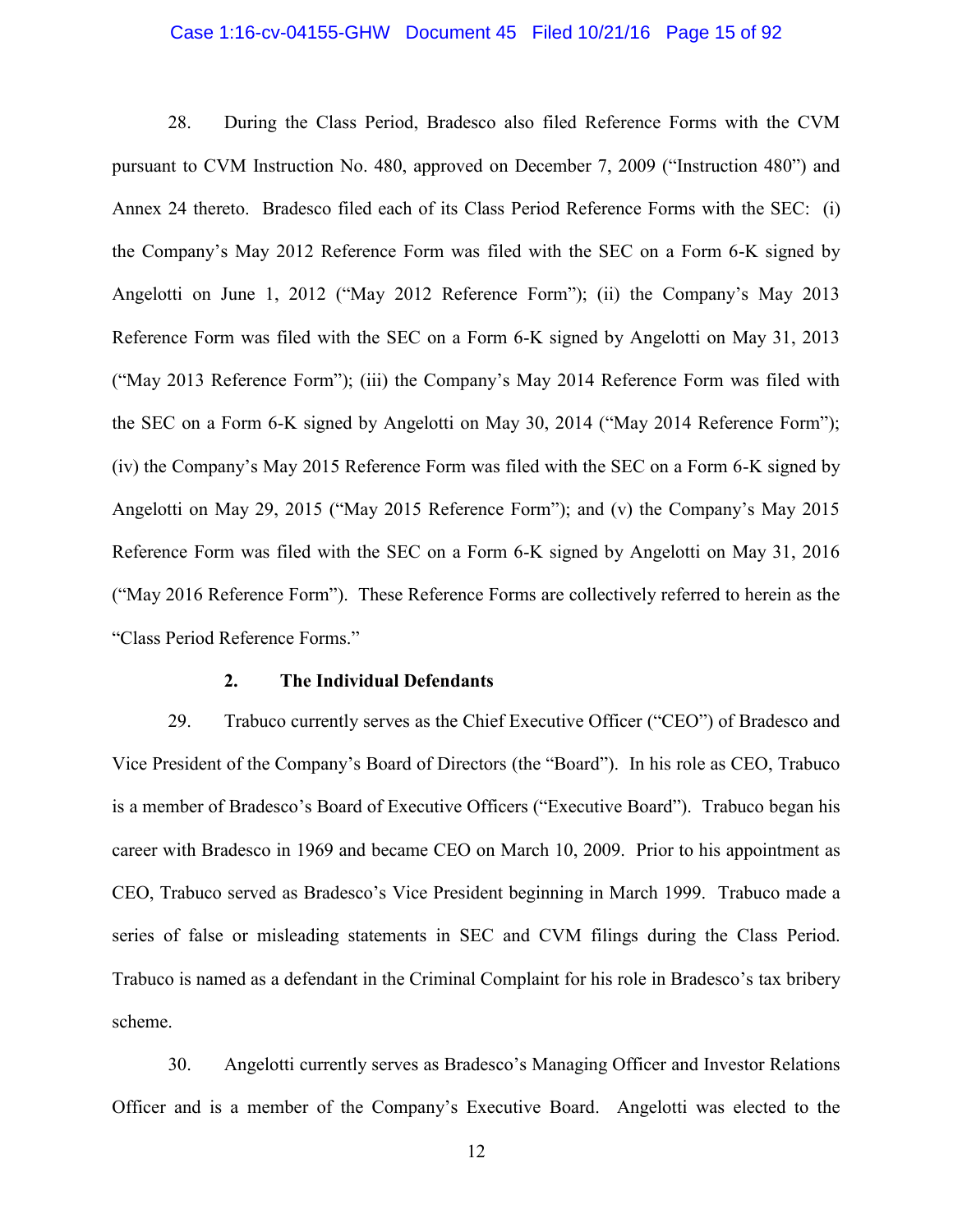### Case 1:16-cv-04155-GHW Document 45 Filed 10/21/16 Page 15 of 92

28. During the Class Period, Bradesco also filed Reference Forms with the CVM pursuant to CVM Instruction No. 480, approved on December 7, 2009 ("Instruction 480") and Annex 24 thereto. Bradesco filed each of its Class Period Reference Forms with the SEC: (i) the Company's May 2012 Reference Form was filed with the SEC on a Form 6-K signed by Angelotti on June 1, 2012 ("May 2012 Reference Form"); (ii) the Company's May 2013 Reference Form was filed with the SEC on a Form 6-K signed by Angelotti on May 31, 2013 ("May 2013 Reference Form"); (iii) the Company's May 2014 Reference Form was filed with the SEC on a Form 6-K signed by Angelotti on May 30, 2014 ("May 2014 Reference Form"); (iv) the Company's May 2015 Reference Form was filed with the SEC on a Form 6-K signed by Angelotti on May 29, 2015 ("May 2015 Reference Form"); and (v) the Company's May 2015 Reference Form was filed with the SEC on a Form 6-K signed by Angelotti on May 31, 2016 ("May 2016 Reference Form"). These Reference Forms are collectively referred to herein as the "Class Period Reference Forms."

#### **2. The Individual Defendants**

29. Trabuco currently serves as the Chief Executive Officer ("CEO") of Bradesco and Vice President of the Company's Board of Directors (the "Board"). In his role as CEO, Trabuco is a member of Bradesco's Board of Executive Officers ("Executive Board"). Trabuco began his career with Bradesco in 1969 and became CEO on March 10, 2009. Prior to his appointment as CEO, Trabuco served as Bradesco's Vice President beginning in March 1999. Trabuco made a series of false or misleading statements in SEC and CVM filings during the Class Period. Trabuco is named as a defendant in the Criminal Complaint for his role in Bradesco's tax bribery scheme.

30. Angelotti currently serves as Bradesco's Managing Officer and Investor Relations Officer and is a member of the Company's Executive Board. Angelotti was elected to the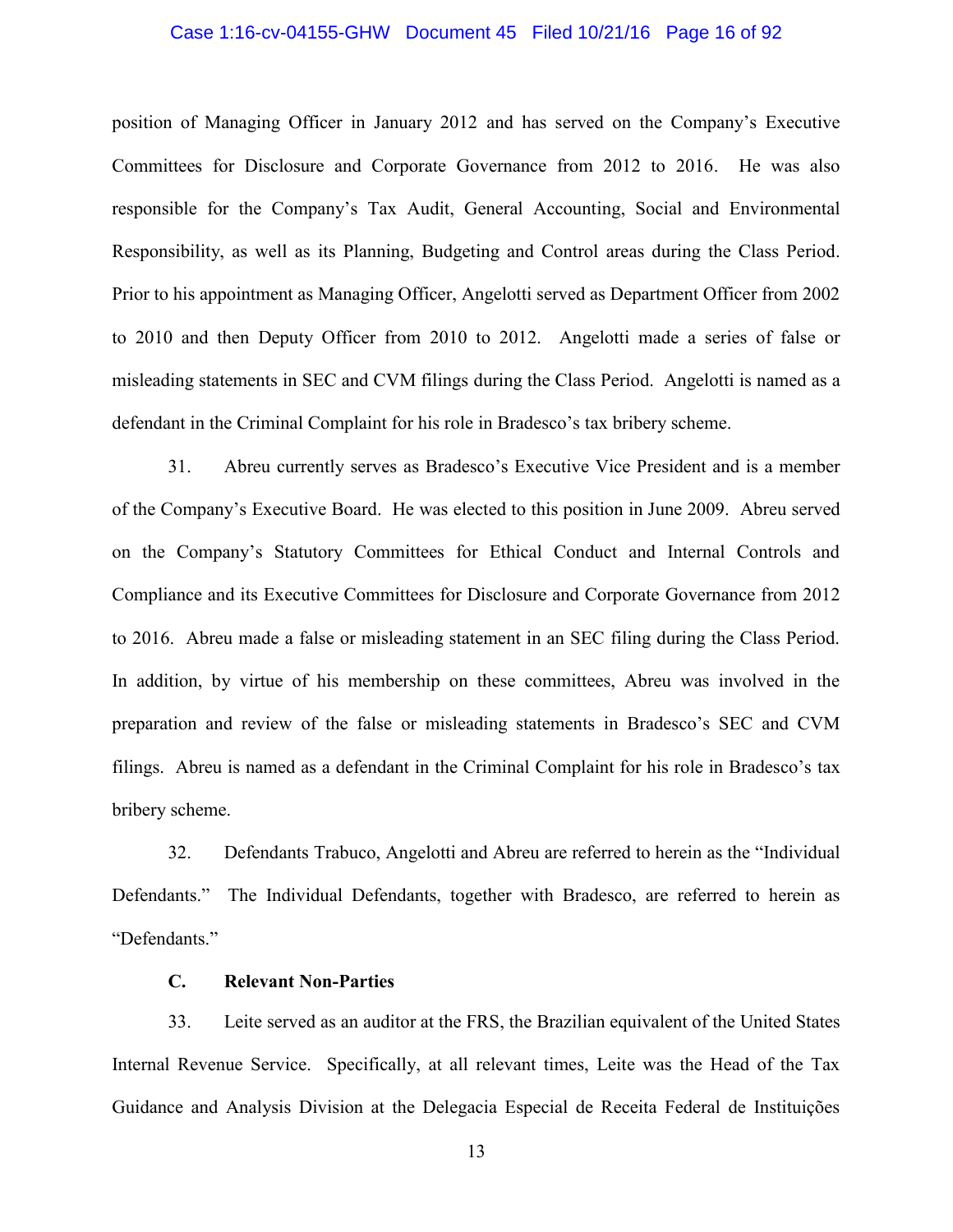### Case 1:16-cv-04155-GHW Document 45 Filed 10/21/16 Page 16 of 92

position of Managing Officer in January 2012 and has served on the Company's Executive Committees for Disclosure and Corporate Governance from 2012 to 2016. He was also responsible for the Company's Tax Audit, General Accounting, Social and Environmental Responsibility, as well as its Planning, Budgeting and Control areas during the Class Period. Prior to his appointment as Managing Officer, Angelotti served as Department Officer from 2002 to 2010 and then Deputy Officer from 2010 to 2012. Angelotti made a series of false or misleading statements in SEC and CVM filings during the Class Period. Angelotti is named as a defendant in the Criminal Complaint for his role in Bradesco's tax bribery scheme.

31. Abreu currently serves as Bradesco's Executive Vice President and is a member of the Company's Executive Board. He was elected to this position in June 2009. Abreu served on the Company's Statutory Committees for Ethical Conduct and Internal Controls and Compliance and its Executive Committees for Disclosure and Corporate Governance from 2012 to 2016. Abreu made a false or misleading statement in an SEC filing during the Class Period. In addition, by virtue of his membership on these committees, Abreu was involved in the preparation and review of the false or misleading statements in Bradesco's SEC and CVM filings. Abreu is named as a defendant in the Criminal Complaint for his role in Bradesco's tax bribery scheme.

32. Defendants Trabuco, Angelotti and Abreu are referred to herein as the "Individual Defendants." The Individual Defendants, together with Bradesco, are referred to herein as "Defendants."

### **C. Relevant Non-Parties**

33. Leite served as an auditor at the FRS, the Brazilian equivalent of the United States Internal Revenue Service. Specifically, at all relevant times, Leite was the Head of the Tax Guidance and Analysis Division at the Delegacia Especial de Receita Federal de Instituições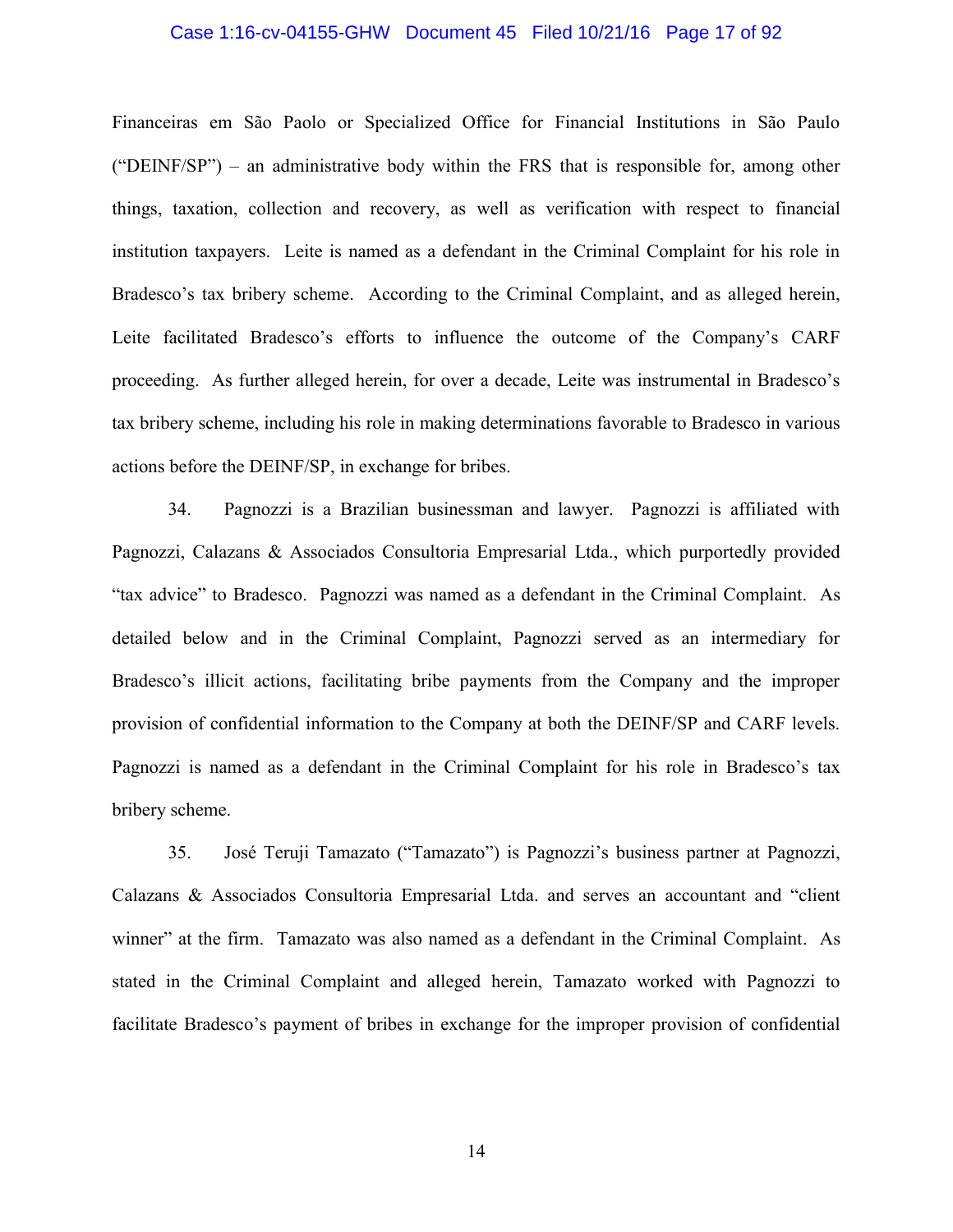### Case 1:16-cv-04155-GHW Document 45 Filed 10/21/16 Page 17 of 92

Financeiras em São Paolo or Specialized Office for Financial Institutions in São Paulo ("DEINF/SP") – an administrative body within the FRS that is responsible for, among other things, taxation, collection and recovery, as well as verification with respect to financial institution taxpayers. Leite is named as a defendant in the Criminal Complaint for his role in Bradesco's tax bribery scheme. According to the Criminal Complaint, and as alleged herein, Leite facilitated Bradesco's efforts to influence the outcome of the Company's CARF proceeding. As further alleged herein, for over a decade, Leite was instrumental in Bradesco's tax bribery scheme, including his role in making determinations favorable to Bradesco in various actions before the DEINF/SP, in exchange for bribes.

34. Pagnozzi is a Brazilian businessman and lawyer. Pagnozzi is affiliated with Pagnozzi, Calazans & Associados Consultoria Empresarial Ltda., which purportedly provided "tax advice" to Bradesco. Pagnozzi was named as a defendant in the Criminal Complaint. As detailed below and in the Criminal Complaint, Pagnozzi served as an intermediary for Bradesco's illicit actions, facilitating bribe payments from the Company and the improper provision of confidential information to the Company at both the DEINF/SP and CARF levels. Pagnozzi is named as a defendant in the Criminal Complaint for his role in Bradesco's tax bribery scheme.

35. José Teruji Tamazato ("Tamazato") is Pagnozzi's business partner at Pagnozzi, Calazans & Associados Consultoria Empresarial Ltda. and serves an accountant and "client winner" at the firm. Tamazato was also named as a defendant in the Criminal Complaint. As stated in the Criminal Complaint and alleged herein, Tamazato worked with Pagnozzi to facilitate Bradesco's payment of bribes in exchange for the improper provision of confidential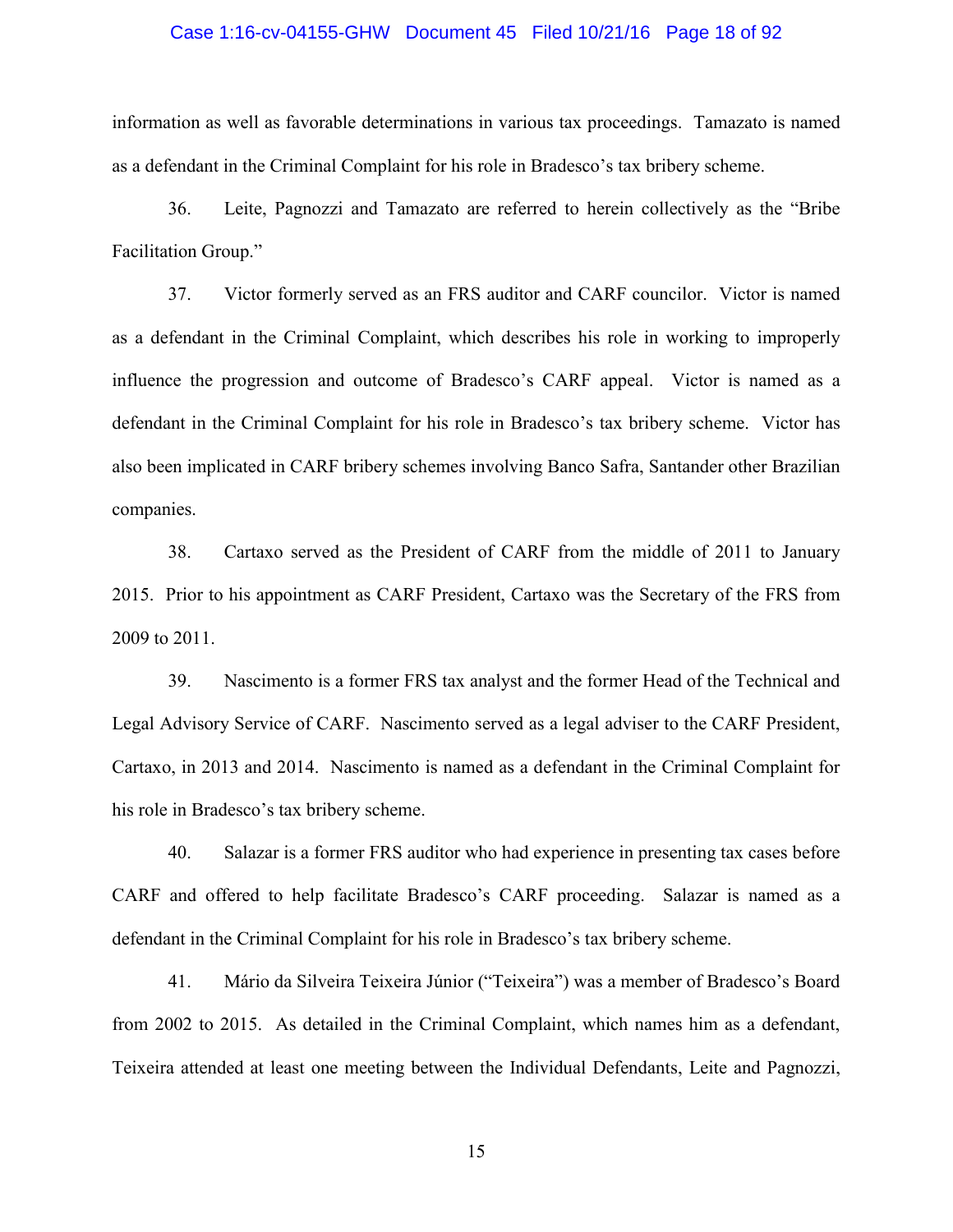#### Case 1:16-cv-04155-GHW Document 45 Filed 10/21/16 Page 18 of 92

information as well as favorable determinations in various tax proceedings. Tamazato is named as a defendant in the Criminal Complaint for his role in Bradesco's tax bribery scheme.

36. Leite, Pagnozzi and Tamazato are referred to herein collectively as the "Bribe Facilitation Group."

37. Victor formerly served as an FRS auditor and CARF councilor. Victor is named as a defendant in the Criminal Complaint, which describes his role in working to improperly influence the progression and outcome of Bradesco's CARF appeal. Victor is named as a defendant in the Criminal Complaint for his role in Bradesco's tax bribery scheme. Victor has also been implicated in CARF bribery schemes involving Banco Safra, Santander other Brazilian companies.

38. Cartaxo served as the President of CARF from the middle of 2011 to January 2015. Prior to his appointment as CARF President, Cartaxo was the Secretary of the FRS from 2009 to 2011.

39. Nascimento is a former FRS tax analyst and the former Head of the Technical and Legal Advisory Service of CARF. Nascimento served as a legal adviser to the CARF President, Cartaxo, in 2013 and 2014. Nascimento is named as a defendant in the Criminal Complaint for his role in Bradesco's tax bribery scheme.

40. Salazar is a former FRS auditor who had experience in presenting tax cases before CARF and offered to help facilitate Bradesco's CARF proceeding. Salazar is named as a defendant in the Criminal Complaint for his role in Bradesco's tax bribery scheme.

41. Mário da Silveira Teixeira Júnior ("Teixeira") was a member of Bradesco's Board from 2002 to 2015. As detailed in the Criminal Complaint, which names him as a defendant, Teixeira attended at least one meeting between the Individual Defendants, Leite and Pagnozzi,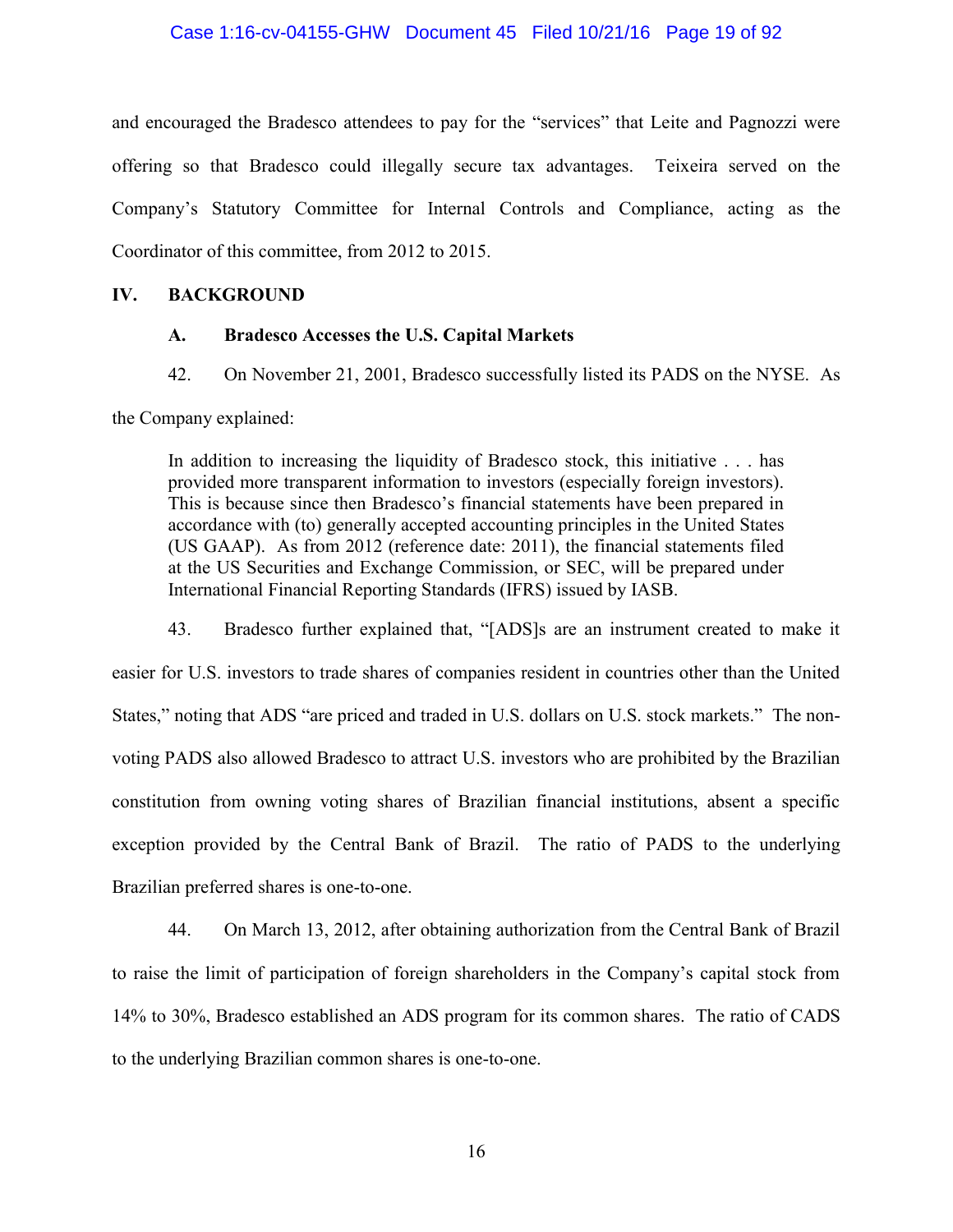### Case 1:16-cv-04155-GHW Document 45 Filed 10/21/16 Page 19 of 92

and encouraged the Bradesco attendees to pay for the "services" that Leite and Pagnozzi were offering so that Bradesco could illegally secure tax advantages. Teixeira served on the Company's Statutory Committee for Internal Controls and Compliance, acting as the Coordinator of this committee, from 2012 to 2015.

### **IV. BACKGROUND**

### **A. Bradesco Accesses the U.S. Capital Markets**

42. On November 21, 2001, Bradesco successfully listed its PADS on the NYSE. As

the Company explained:

In addition to increasing the liquidity of Bradesco stock, this initiative . . . has provided more transparent information to investors (especially foreign investors). This is because since then Bradesco's financial statements have been prepared in accordance with (to) generally accepted accounting principles in the United States (US GAAP). As from 2012 (reference date: 2011), the financial statements filed at the US Securities and Exchange Commission, or SEC, will be prepared under International Financial Reporting Standards (IFRS) issued by IASB.

43. Bradesco further explained that, "[ADS]s are an instrument created to make it easier for U.S. investors to trade shares of companies resident in countries other than the United States," noting that ADS "are priced and traded in U.S. dollars on U.S. stock markets." The nonvoting PADS also allowed Bradesco to attract U.S. investors who are prohibited by the Brazilian constitution from owning voting shares of Brazilian financial institutions, absent a specific exception provided by the Central Bank of Brazil. The ratio of PADS to the underlying Brazilian preferred shares is one-to-one.

44. On March 13, 2012, after obtaining authorization from the Central Bank of Brazil to raise the limit of participation of foreign shareholders in the Company's capital stock from 14% to 30%, Bradesco established an ADS program for its common shares. The ratio of CADS to the underlying Brazilian common shares is one-to-one.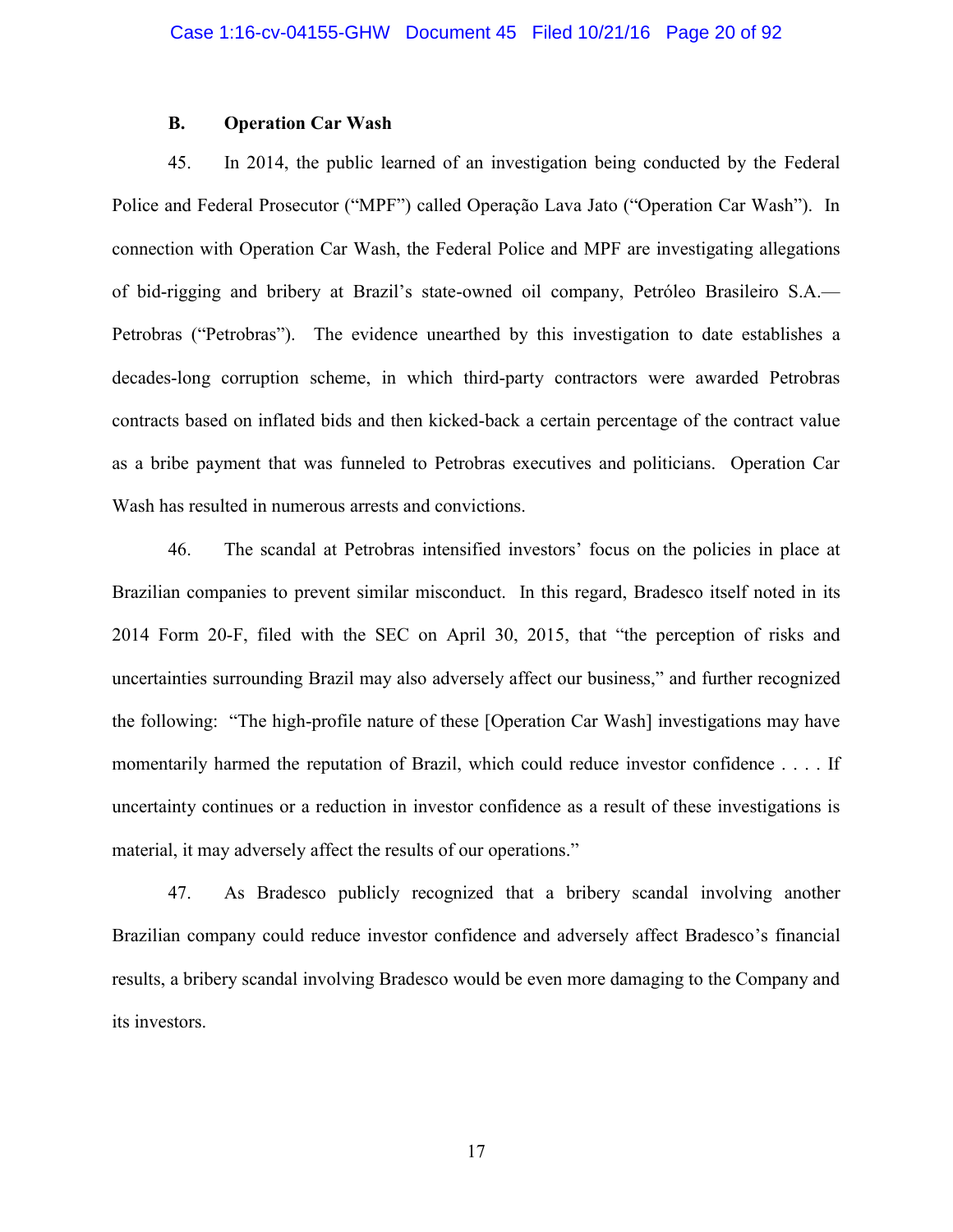### **B. Operation Car Wash**

45. In 2014, the public learned of an investigation being conducted by the Federal Police and Federal Prosecutor ("MPF") called Operação Lava Jato ("Operation Car Wash"). In connection with Operation Car Wash, the Federal Police and MPF are investigating allegations of bid-rigging and bribery at Brazil's state-owned oil company, Petróleo Brasileiro S.A.— Petrobras ("Petrobras"). The evidence unearthed by this investigation to date establishes a decades-long corruption scheme, in which third-party contractors were awarded Petrobras contracts based on inflated bids and then kicked-back a certain percentage of the contract value as a bribe payment that was funneled to Petrobras executives and politicians. Operation Car Wash has resulted in numerous arrests and convictions.

46. The scandal at Petrobras intensified investors' focus on the policies in place at Brazilian companies to prevent similar misconduct. In this regard, Bradesco itself noted in its 2014 Form 20-F, filed with the SEC on April 30, 2015, that "the perception of risks and uncertainties surrounding Brazil may also adversely affect our business," and further recognized the following: "The high-profile nature of these [Operation Car Wash] investigations may have momentarily harmed the reputation of Brazil, which could reduce investor confidence . . . . If uncertainty continues or a reduction in investor confidence as a result of these investigations is material, it may adversely affect the results of our operations."

47. As Bradesco publicly recognized that a bribery scandal involving another Brazilian company could reduce investor confidence and adversely affect Bradesco's financial results, a bribery scandal involving Bradesco would be even more damaging to the Company and its investors.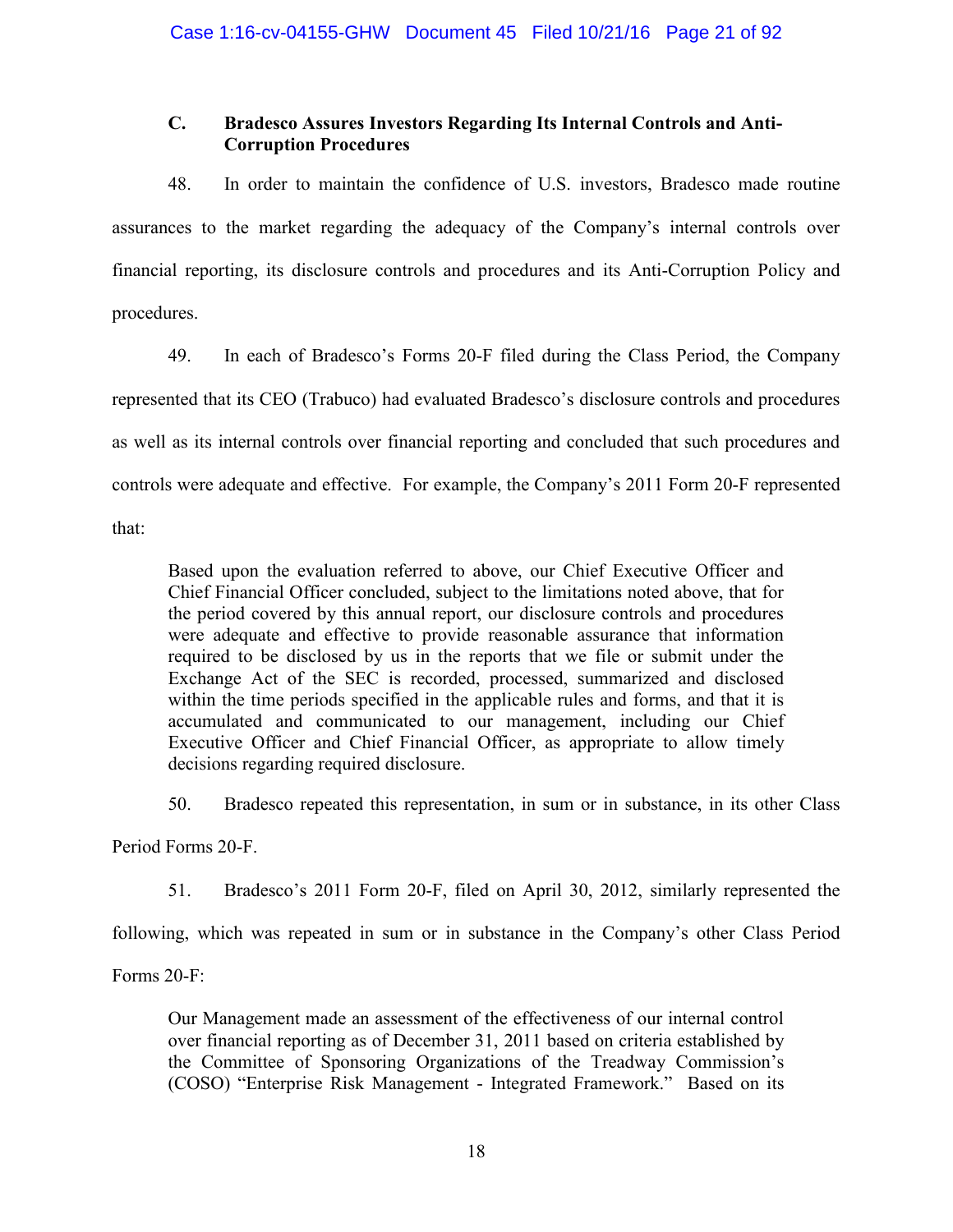# **C. Bradesco Assures Investors Regarding Its Internal Controls and Anti-Corruption Procedures**

48. In order to maintain the confidence of U.S. investors, Bradesco made routine assurances to the market regarding the adequacy of the Company's internal controls over financial reporting, its disclosure controls and procedures and its Anti-Corruption Policy and procedures.

49. In each of Bradesco's Forms 20-F filed during the Class Period, the Company represented that its CEO (Trabuco) had evaluated Bradesco's disclosure controls and procedures as well as its internal controls over financial reporting and concluded that such procedures and controls were adequate and effective. For example, the Company's 2011 Form 20-F represented that:

Based upon the evaluation referred to above, our Chief Executive Officer and Chief Financial Officer concluded, subject to the limitations noted above, that for the period covered by this annual report, our disclosure controls and procedures were adequate and effective to provide reasonable assurance that information required to be disclosed by us in the reports that we file or submit under the Exchange Act of the SEC is recorded, processed, summarized and disclosed within the time periods specified in the applicable rules and forms, and that it is accumulated and communicated to our management, including our Chief Executive Officer and Chief Financial Officer, as appropriate to allow timely decisions regarding required disclosure.

50. Bradesco repeated this representation, in sum or in substance, in its other Class

Period Forms 20-F.

51. Bradesco's 2011 Form 20-F, filed on April 30, 2012, similarly represented the

following, which was repeated in sum or in substance in the Company's other Class Period

Forms 20-F:

Our Management made an assessment of the effectiveness of our internal control over financial reporting as of December 31, 2011 based on criteria established by the Committee of Sponsoring Organizations of the Treadway Commission's (COSO) "Enterprise Risk Management - Integrated Framework." Based on its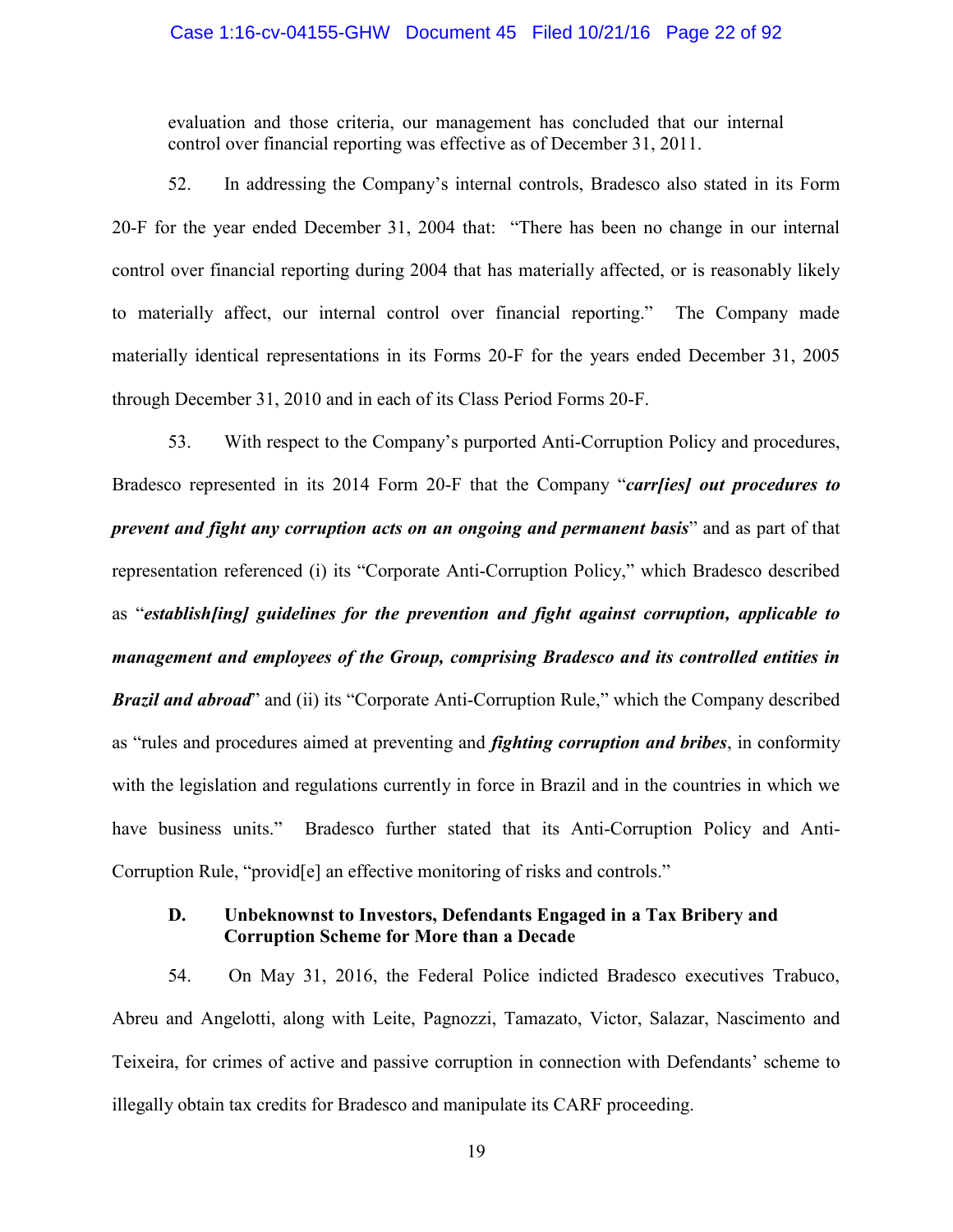### Case 1:16-cv-04155-GHW Document 45 Filed 10/21/16 Page 22 of 92

evaluation and those criteria, our management has concluded that our internal control over financial reporting was effective as of December 31, 2011.

52. In addressing the Company's internal controls, Bradesco also stated in its Form 20-F for the year ended December 31, 2004 that: "There has been no change in our internal control over financial reporting during 2004 that has materially affected, or is reasonably likely to materially affect, our internal control over financial reporting." The Company made materially identical representations in its Forms 20-F for the years ended December 31, 2005 through December 31, 2010 and in each of its Class Period Forms 20-F.

53. With respect to the Company's purported Anti-Corruption Policy and procedures, Bradesco represented in its 2014 Form 20-F that the Company "*carr[ies] out procedures to prevent and fight any corruption acts on an ongoing and permanent basis*" and as part of that representation referenced (i) its "Corporate Anti-Corruption Policy," which Bradesco described as "*establish[ing] guidelines for the prevention and fight against corruption, applicable to management and employees of the Group, comprising Bradesco and its controlled entities in Brazil and abroad* and (ii) its "Corporate Anti-Corruption Rule," which the Company described as "rules and procedures aimed at preventing and *fighting corruption and bribes*, in conformity with the legislation and regulations currently in force in Brazil and in the countries in which we have business units." Bradesco further stated that its Anti-Corruption Policy and Anti-Corruption Rule, "provid[e] an effective monitoring of risks and controls."

# **D. Unbeknownst to Investors, Defendants Engaged in a Tax Bribery and Corruption Scheme for More than a Decade**

54. On May 31, 2016, the Federal Police indicted Bradesco executives Trabuco, Abreu and Angelotti, along with Leite, Pagnozzi, Tamazato, Victor, Salazar, Nascimento and Teixeira, for crimes of active and passive corruption in connection with Defendants' scheme to illegally obtain tax credits for Bradesco and manipulate its CARF proceeding.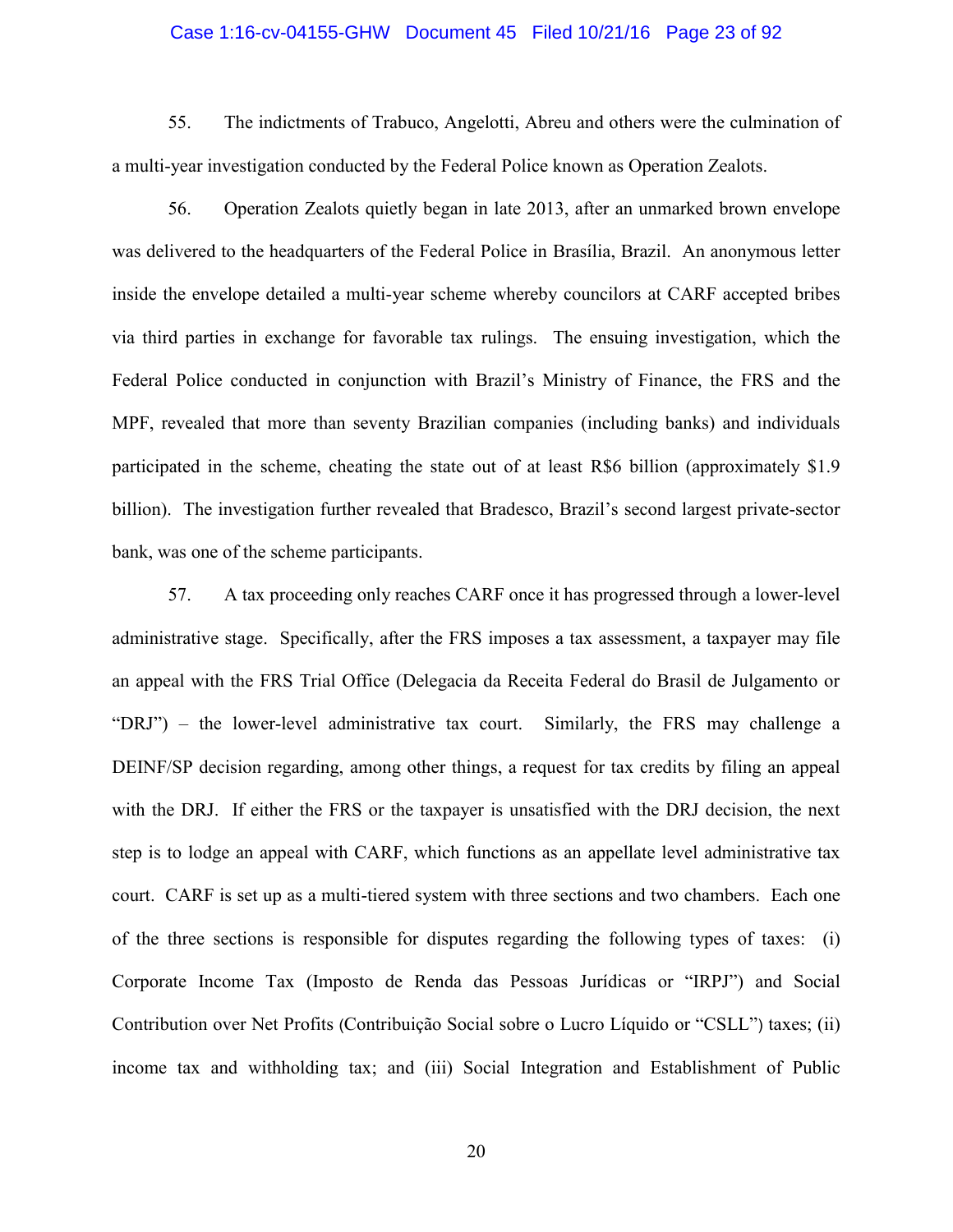### Case 1:16-cv-04155-GHW Document 45 Filed 10/21/16 Page 23 of 92

55. The indictments of Trabuco, Angelotti, Abreu and others were the culmination of a multi-year investigation conducted by the Federal Police known as Operation Zealots.

56. Operation Zealots quietly began in late 2013, after an unmarked brown envelope was delivered to the headquarters of the Federal Police in Brasília, Brazil. An anonymous letter inside the envelope detailed a multi-year scheme whereby councilors at CARF accepted bribes via third parties in exchange for favorable tax rulings. The ensuing investigation, which the Federal Police conducted in conjunction with Brazil's Ministry of Finance, the FRS and the MPF, revealed that more than seventy Brazilian companies (including banks) and individuals participated in the scheme, cheating the state out of at least R\$6 billion (approximately \$1.9 billion). The investigation further revealed that Bradesco, Brazil's second largest private-sector bank, was one of the scheme participants.

57. A tax proceeding only reaches CARF once it has progressed through a lower-level administrative stage. Specifically, after the FRS imposes a tax assessment, a taxpayer may file an appeal with the FRS Trial Office (Delegacia da Receita Federal do Brasil de Julgamento or "DRJ") – the lower-level administrative tax court. Similarly, the FRS may challenge a DEINF/SP decision regarding, among other things, a request for tax credits by filing an appeal with the DRJ. If either the FRS or the taxpayer is unsatisfied with the DRJ decision, the next step is to lodge an appeal with CARF, which functions as an appellate level administrative tax court. CARF is set up as a multi-tiered system with three sections and two chambers. Each one of the three sections is responsible for disputes regarding the following types of taxes: (i) Corporate Income Tax (Imposto de Renda das Pessoas Jurídicas or "IRPJ") and Social Contribution over Net Profits (Contribuição Social sobre o Lucro Líquido or "CSLL") taxes; (ii) income tax and withholding tax; and (iii) Social Integration and Establishment of Public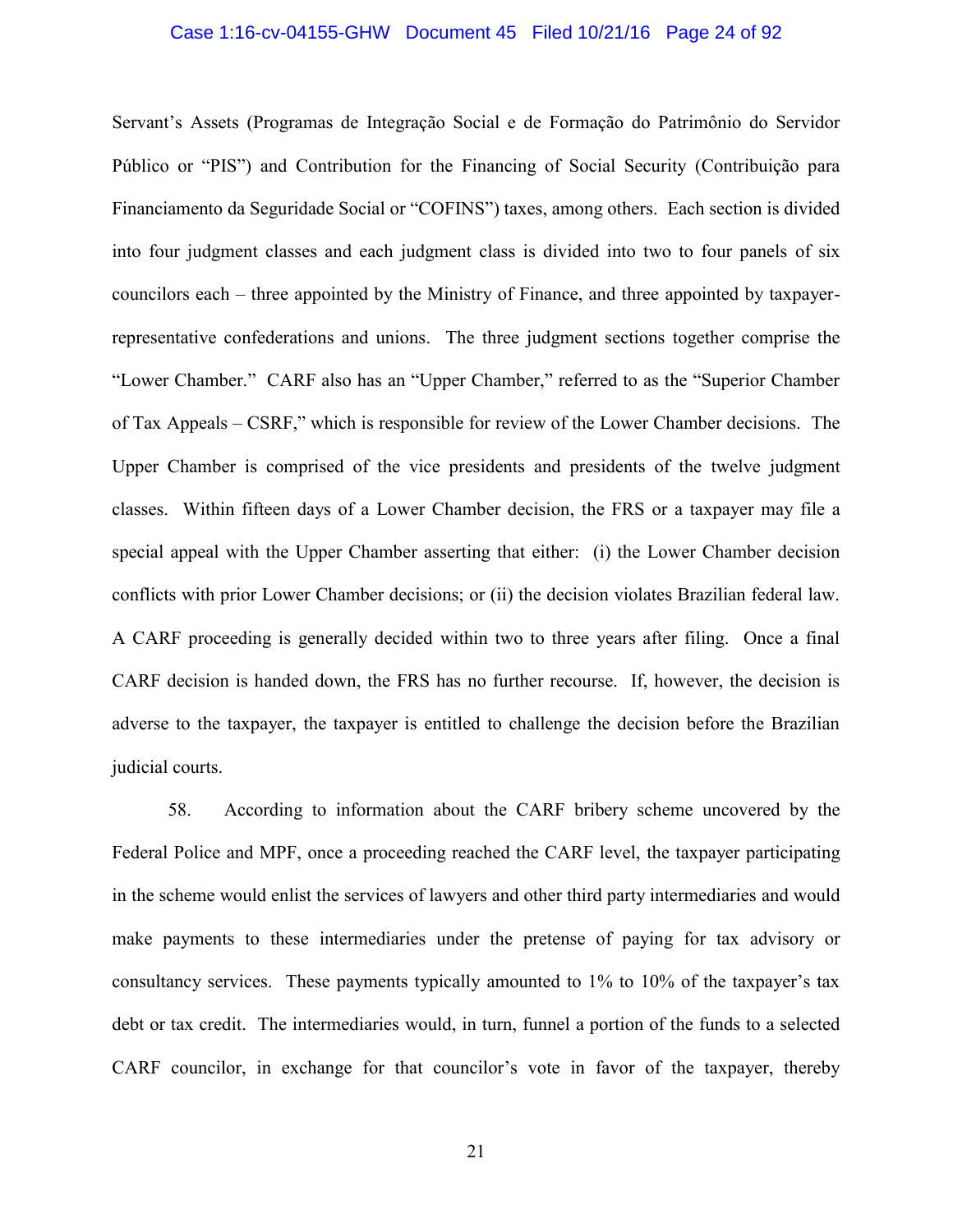### Case 1:16-cv-04155-GHW Document 45 Filed 10/21/16 Page 24 of 92

Servant's Assets (Programas de Integração Social e de Formação do Patrimônio do Servidor Público or "PIS") and Contribution for the Financing of Social Security (Contribuição para Financiamento da Seguridade Social or "COFINS") taxes, among others. Each section is divided into four judgment classes and each judgment class is divided into two to four panels of six councilors each – three appointed by the Ministry of Finance, and three appointed by taxpayerrepresentative confederations and unions. The three judgment sections together comprise the "Lower Chamber." CARF also has an "Upper Chamber," referred to as the "Superior Chamber of Tax Appeals – CSRF," which is responsible for review of the Lower Chamber decisions. The Upper Chamber is comprised of the vice presidents and presidents of the twelve judgment classes. Within fifteen days of a Lower Chamber decision, the FRS or a taxpayer may file a special appeal with the Upper Chamber asserting that either: (i) the Lower Chamber decision conflicts with prior Lower Chamber decisions; or (ii) the decision violates Brazilian federal law. A CARF proceeding is generally decided within two to three years after filing. Once a final CARF decision is handed down, the FRS has no further recourse. If, however, the decision is adverse to the taxpayer, the taxpayer is entitled to challenge the decision before the Brazilian judicial courts.

58. According to information about the CARF bribery scheme uncovered by the Federal Police and MPF, once a proceeding reached the CARF level, the taxpayer participating in the scheme would enlist the services of lawyers and other third party intermediaries and would make payments to these intermediaries under the pretense of paying for tax advisory or consultancy services. These payments typically amounted to 1% to 10% of the taxpayer's tax debt or tax credit. The intermediaries would, in turn, funnel a portion of the funds to a selected CARF councilor, in exchange for that councilor's vote in favor of the taxpayer, thereby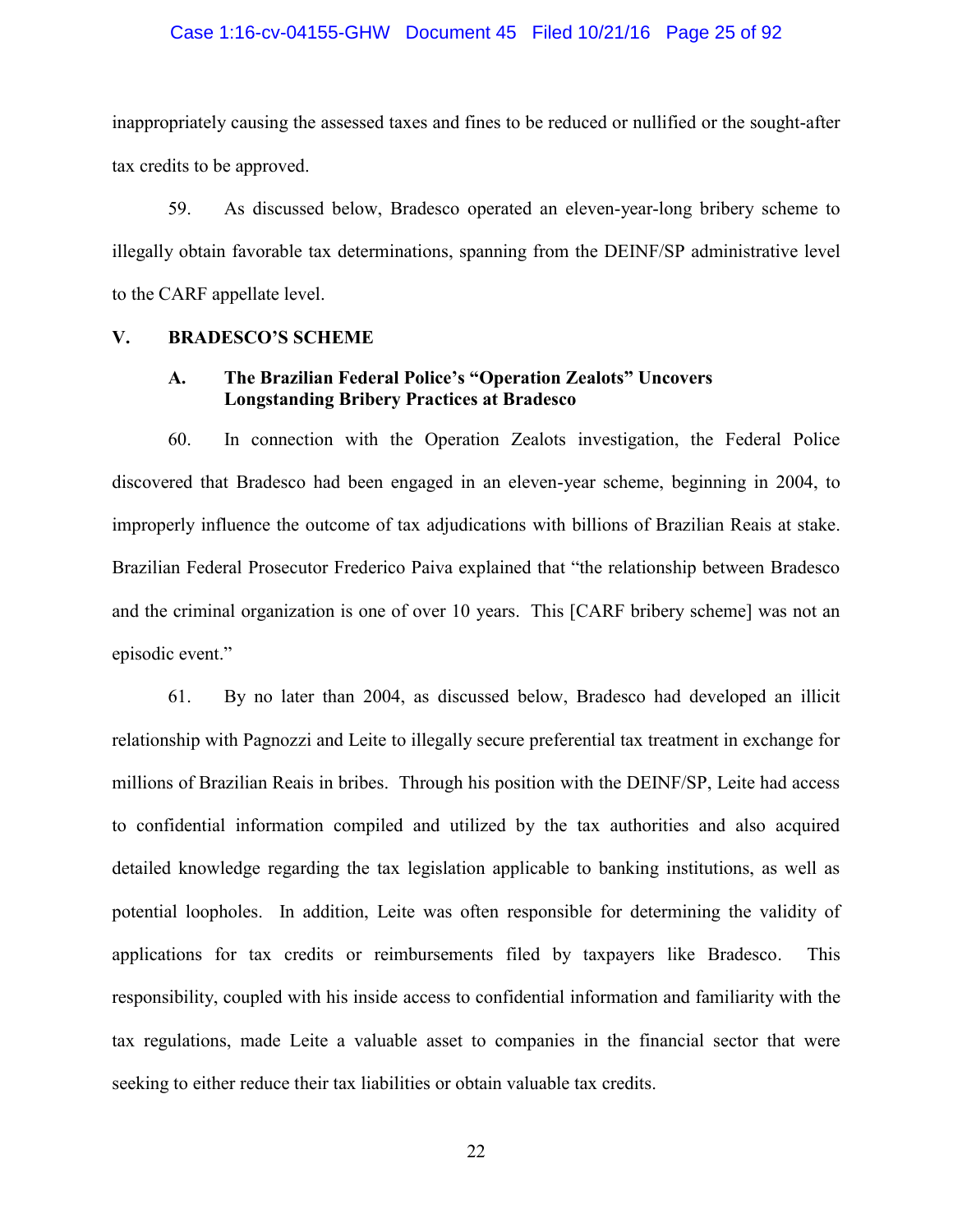### Case 1:16-cv-04155-GHW Document 45 Filed 10/21/16 Page 25 of 92

inappropriately causing the assessed taxes and fines to be reduced or nullified or the sought-after tax credits to be approved.

59. As discussed below, Bradesco operated an eleven-year-long bribery scheme to illegally obtain favorable tax determinations, spanning from the DEINF/SP administrative level to the CARF appellate level.

### **V. BRADESCO'S SCHEME**

# **A. The Brazilian Federal Police's "Operation Zealots" Uncovers Longstanding Bribery Practices at Bradesco**

60. In connection with the Operation Zealots investigation, the Federal Police discovered that Bradesco had been engaged in an eleven-year scheme, beginning in 2004, to improperly influence the outcome of tax adjudications with billions of Brazilian Reais at stake. Brazilian Federal Prosecutor Frederico Paiva explained that "the relationship between Bradesco and the criminal organization is one of over 10 years. This [CARF bribery scheme] was not an episodic event."

61. By no later than 2004, as discussed below, Bradesco had developed an illicit relationship with Pagnozzi and Leite to illegally secure preferential tax treatment in exchange for millions of Brazilian Reais in bribes. Through his position with the DEINF/SP, Leite had access to confidential information compiled and utilized by the tax authorities and also acquired detailed knowledge regarding the tax legislation applicable to banking institutions, as well as potential loopholes. In addition, Leite was often responsible for determining the validity of applications for tax credits or reimbursements filed by taxpayers like Bradesco. This responsibility, coupled with his inside access to confidential information and familiarity with the tax regulations, made Leite a valuable asset to companies in the financial sector that were seeking to either reduce their tax liabilities or obtain valuable tax credits.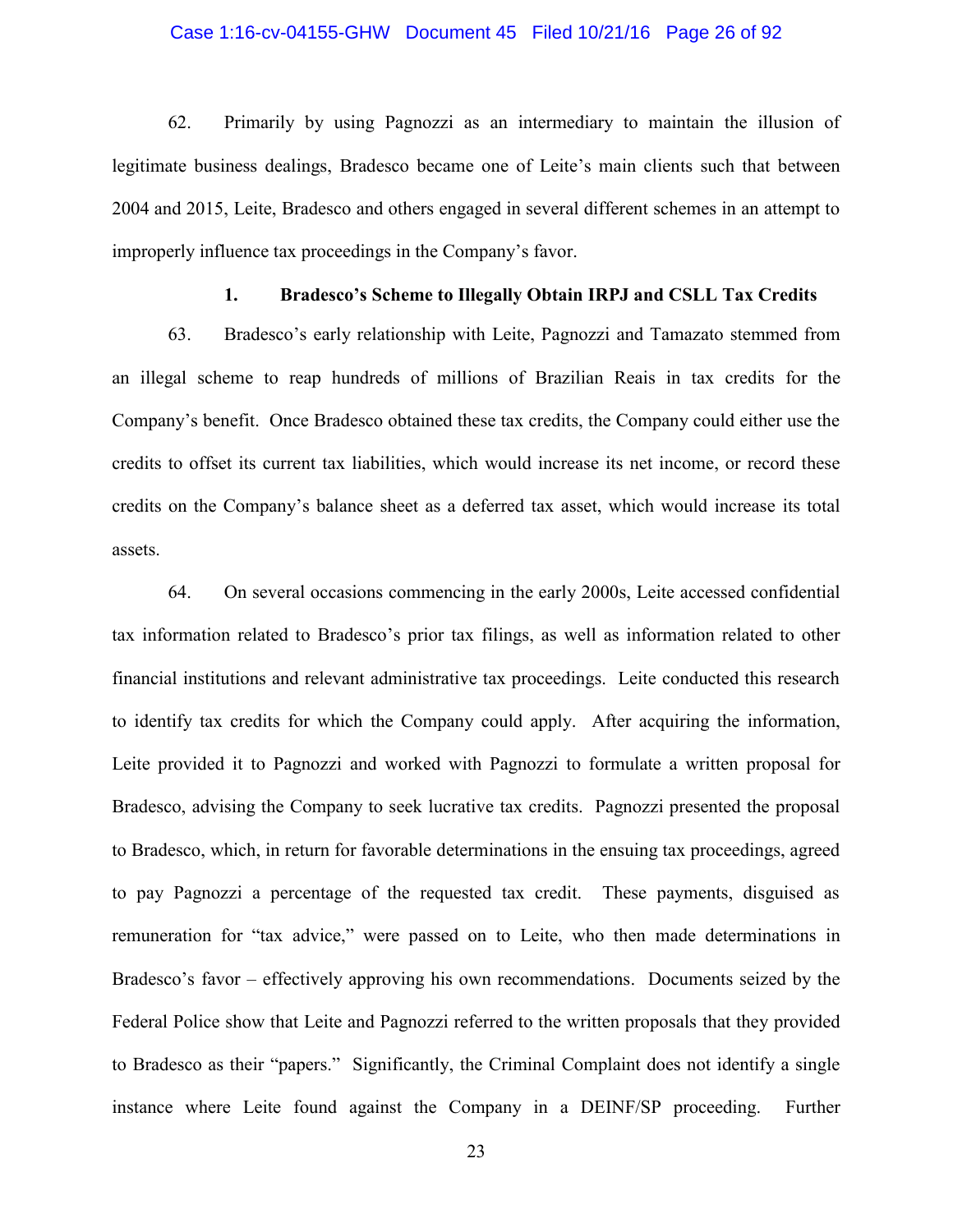### Case 1:16-cv-04155-GHW Document 45 Filed 10/21/16 Page 26 of 92

62. Primarily by using Pagnozzi as an intermediary to maintain the illusion of legitimate business dealings, Bradesco became one of Leite's main clients such that between 2004 and 2015, Leite, Bradesco and others engaged in several different schemes in an attempt to improperly influence tax proceedings in the Company's favor.

### **1. Bradesco's Scheme to Illegally Obtain IRPJ and CSLL Tax Credits**

63. Bradesco's early relationship with Leite, Pagnozzi and Tamazato stemmed from an illegal scheme to reap hundreds of millions of Brazilian Reais in tax credits for the Company's benefit. Once Bradesco obtained these tax credits, the Company could either use the credits to offset its current tax liabilities, which would increase its net income, or record these credits on the Company's balance sheet as a deferred tax asset, which would increase its total assets.

64. On several occasions commencing in the early 2000s, Leite accessed confidential tax information related to Bradesco's prior tax filings, as well as information related to other financial institutions and relevant administrative tax proceedings. Leite conducted this research to identify tax credits for which the Company could apply. After acquiring the information, Leite provided it to Pagnozzi and worked with Pagnozzi to formulate a written proposal for Bradesco, advising the Company to seek lucrative tax credits. Pagnozzi presented the proposal to Bradesco, which, in return for favorable determinations in the ensuing tax proceedings, agreed to pay Pagnozzi a percentage of the requested tax credit. These payments, disguised as remuneration for "tax advice," were passed on to Leite, who then made determinations in Bradesco's favor – effectively approving his own recommendations. Documents seized by the Federal Police show that Leite and Pagnozzi referred to the written proposals that they provided to Bradesco as their "papers." Significantly, the Criminal Complaint does not identify a single instance where Leite found against the Company in a DEINF/SP proceeding. Further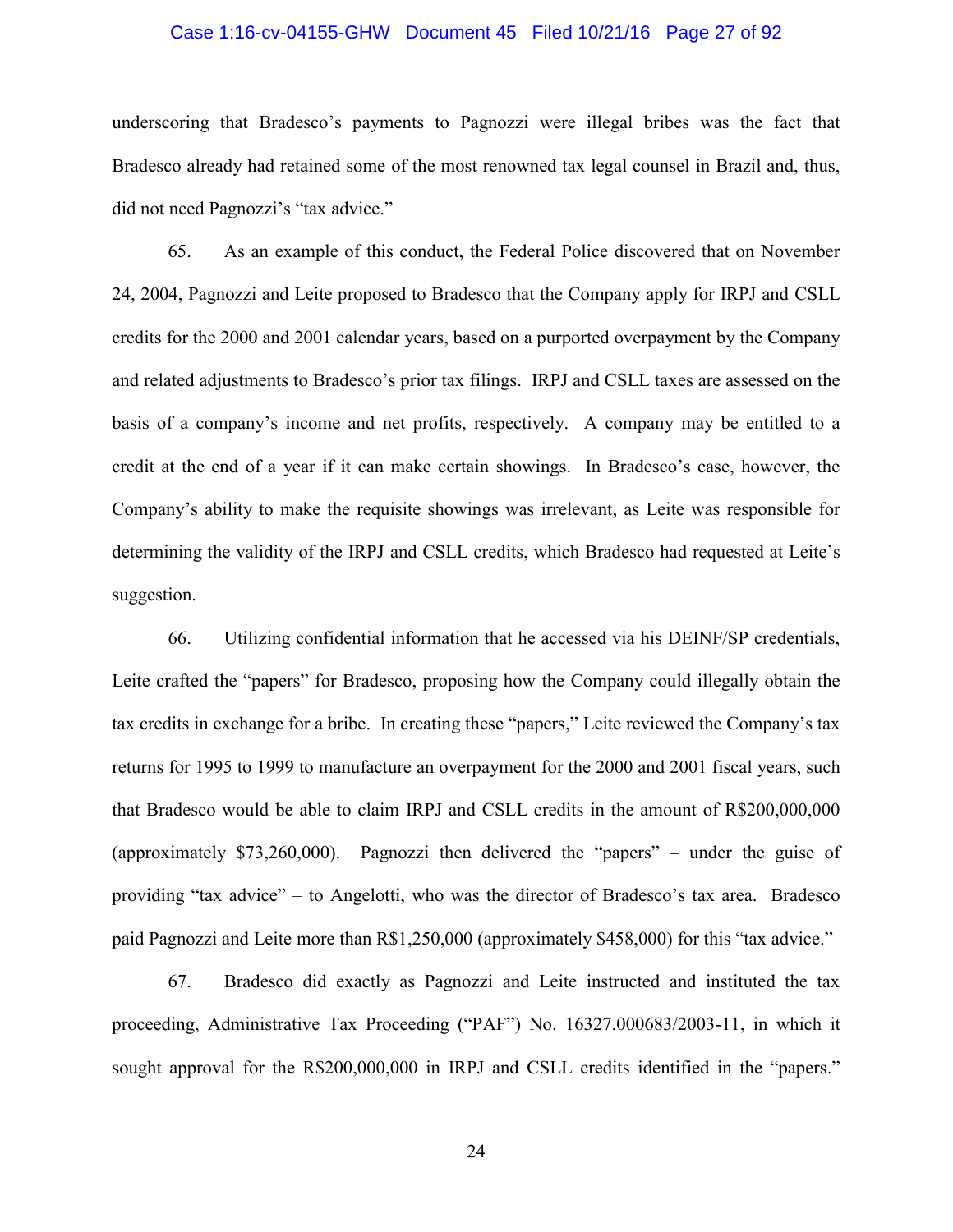### Case 1:16-cv-04155-GHW Document 45 Filed 10/21/16 Page 27 of 92

underscoring that Bradesco's payments to Pagnozzi were illegal bribes was the fact that Bradesco already had retained some of the most renowned tax legal counsel in Brazil and, thus, did not need Pagnozzi's "tax advice."

65. As an example of this conduct, the Federal Police discovered that on November 24, 2004, Pagnozzi and Leite proposed to Bradesco that the Company apply for IRPJ and CSLL credits for the 2000 and 2001 calendar years, based on a purported overpayment by the Company and related adjustments to Bradesco's prior tax filings. IRPJ and CSLL taxes are assessed on the basis of a company's income and net profits, respectively. A company may be entitled to a credit at the end of a year if it can make certain showings. In Bradesco's case, however, the Company's ability to make the requisite showings was irrelevant, as Leite was responsible for determining the validity of the IRPJ and CSLL credits, which Bradesco had requested at Leite's suggestion.

66. Utilizing confidential information that he accessed via his DEINF/SP credentials, Leite crafted the "papers" for Bradesco, proposing how the Company could illegally obtain the tax credits in exchange for a bribe. In creating these "papers," Leite reviewed the Company's tax returns for 1995 to 1999 to manufacture an overpayment for the 2000 and 2001 fiscal years, such that Bradesco would be able to claim IRPJ and CSLL credits in the amount of R\$200,000,000 (approximately \$73,260,000). Pagnozzi then delivered the "papers" – under the guise of providing "tax advice" – to Angelotti, who was the director of Bradesco's tax area. Bradesco paid Pagnozzi and Leite more than R\$1,250,000 (approximately \$458,000) for this "tax advice."

67. Bradesco did exactly as Pagnozzi and Leite instructed and instituted the tax proceeding, Administrative Tax Proceeding ("PAF") No. 16327.000683/2003-11, in which it sought approval for the R\$200,000,000 in IRPJ and CSLL credits identified in the "papers."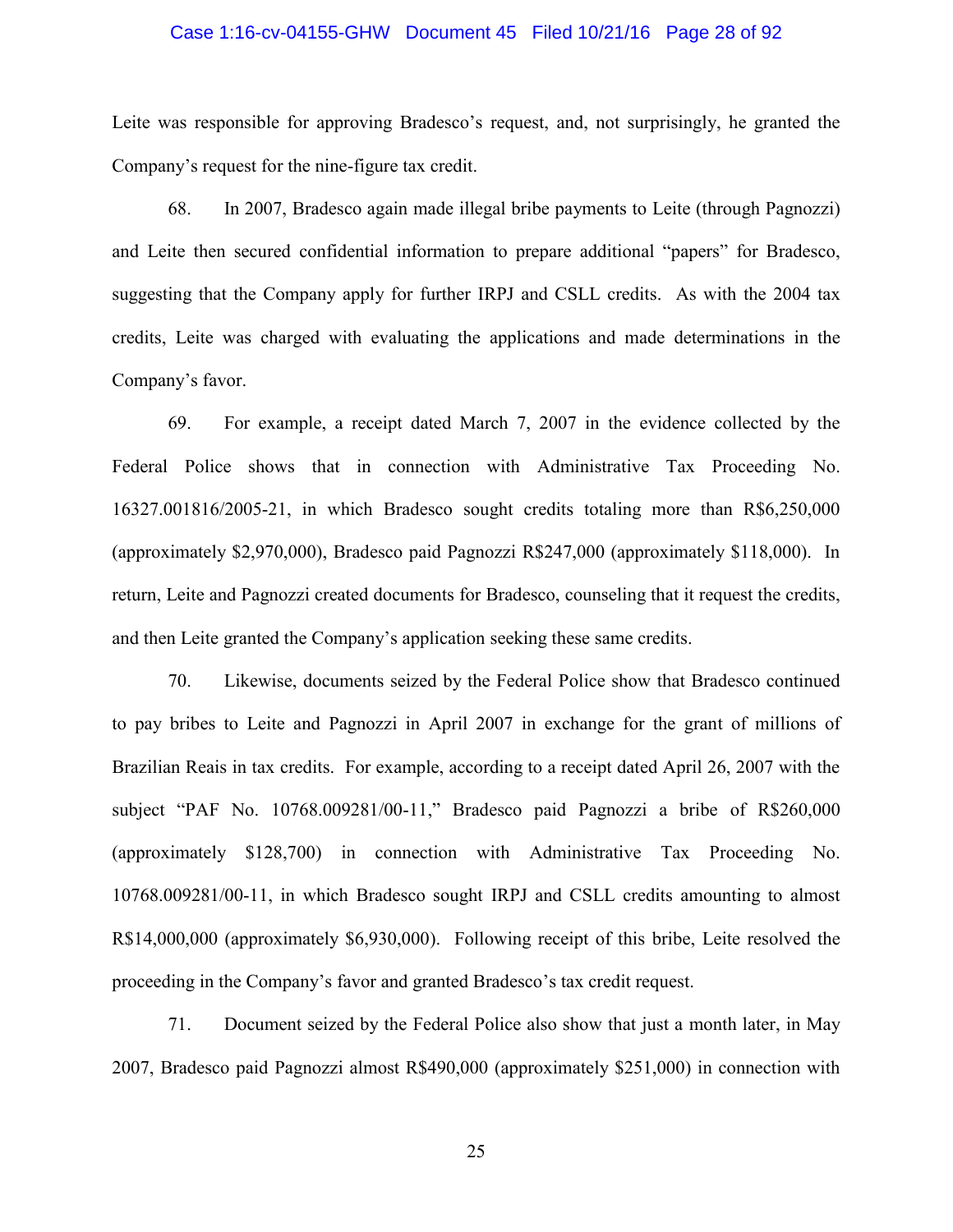### Case 1:16-cv-04155-GHW Document 45 Filed 10/21/16 Page 28 of 92

Leite was responsible for approving Bradesco's request, and, not surprisingly, he granted the Company's request for the nine-figure tax credit.

68. In 2007, Bradesco again made illegal bribe payments to Leite (through Pagnozzi) and Leite then secured confidential information to prepare additional "papers" for Bradesco, suggesting that the Company apply for further IRPJ and CSLL credits. As with the 2004 tax credits, Leite was charged with evaluating the applications and made determinations in the Company's favor.

69. For example, a receipt dated March 7, 2007 in the evidence collected by the Federal Police shows that in connection with Administrative Tax Proceeding No. 16327.001816/2005-21, in which Bradesco sought credits totaling more than R\$6,250,000 (approximately \$2,970,000), Bradesco paid Pagnozzi R\$247,000 (approximately \$118,000). In return, Leite and Pagnozzi created documents for Bradesco, counseling that it request the credits, and then Leite granted the Company's application seeking these same credits.

70. Likewise, documents seized by the Federal Police show that Bradesco continued to pay bribes to Leite and Pagnozzi in April 2007 in exchange for the grant of millions of Brazilian Reais in tax credits. For example, according to a receipt dated April 26, 2007 with the subject "PAF No. 10768.009281/00-11," Bradesco paid Pagnozzi a bribe of R\$260,000 (approximately \$128,700) in connection with Administrative Tax Proceeding No. 10768.009281/00-11, in which Bradesco sought IRPJ and CSLL credits amounting to almost R\$14,000,000 (approximately \$6,930,000). Following receipt of this bribe, Leite resolved the proceeding in the Company's favor and granted Bradesco's tax credit request.

71. Document seized by the Federal Police also show that just a month later, in May 2007, Bradesco paid Pagnozzi almost R\$490,000 (approximately \$251,000) in connection with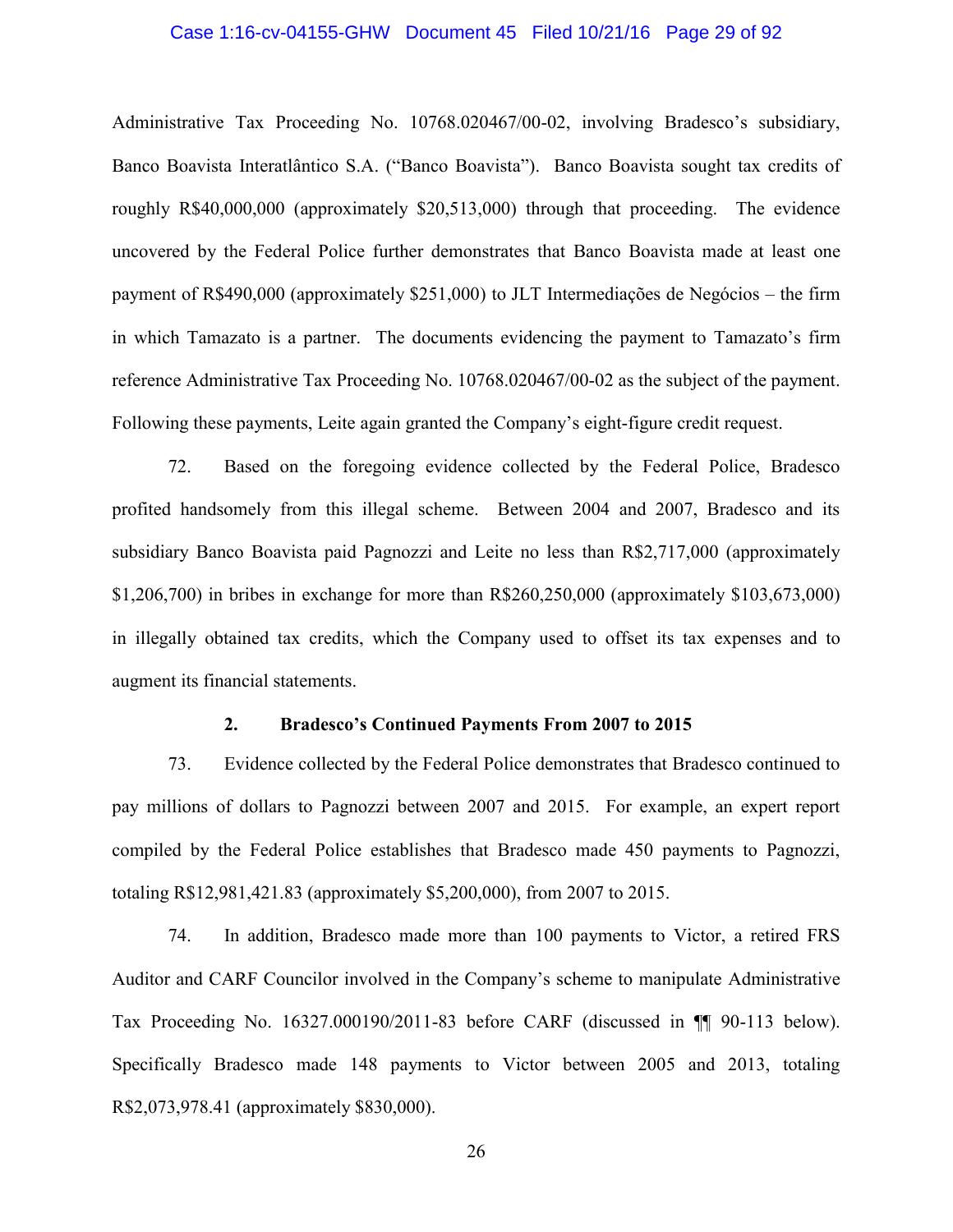### Case 1:16-cv-04155-GHW Document 45 Filed 10/21/16 Page 29 of 92

Administrative Tax Proceeding No. 10768.020467/00-02, involving Bradesco's subsidiary, Banco Boavista Interatlântico S.A. ("Banco Boavista"). Banco Boavista sought tax credits of roughly R\$40,000,000 (approximately \$20,513,000) through that proceeding. The evidence uncovered by the Federal Police further demonstrates that Banco Boavista made at least one payment of R\$490,000 (approximately \$251,000) to JLT Intermediações de Negócios – the firm in which Tamazato is a partner. The documents evidencing the payment to Tamazato's firm reference Administrative Tax Proceeding No. 10768.020467/00-02 as the subject of the payment. Following these payments, Leite again granted the Company's eight-figure credit request.

72. Based on the foregoing evidence collected by the Federal Police, Bradesco profited handsomely from this illegal scheme. Between 2004 and 2007, Bradesco and its subsidiary Banco Boavista paid Pagnozzi and Leite no less than R\$2,717,000 (approximately \$1,206,700) in bribes in exchange for more than R\$260,250,000 (approximately \$103,673,000) in illegally obtained tax credits, which the Company used to offset its tax expenses and to augment its financial statements.

#### **2. Bradesco's Continued Payments From 2007 to 2015**

73. Evidence collected by the Federal Police demonstrates that Bradesco continued to pay millions of dollars to Pagnozzi between 2007 and 2015. For example, an expert report compiled by the Federal Police establishes that Bradesco made 450 payments to Pagnozzi, totaling R\$12,981,421.83 (approximately \$5,200,000), from 2007 to 2015.

74. In addition, Bradesco made more than 100 payments to Victor, a retired FRS Auditor and CARF Councilor involved in the Company's scheme to manipulate Administrative Tax Proceeding No. 16327.000190/2011-83 before CARF (discussed in ¶¶ 90-113 below). Specifically Bradesco made 148 payments to Victor between 2005 and 2013, totaling R\$2,073,978.41 (approximately \$830,000).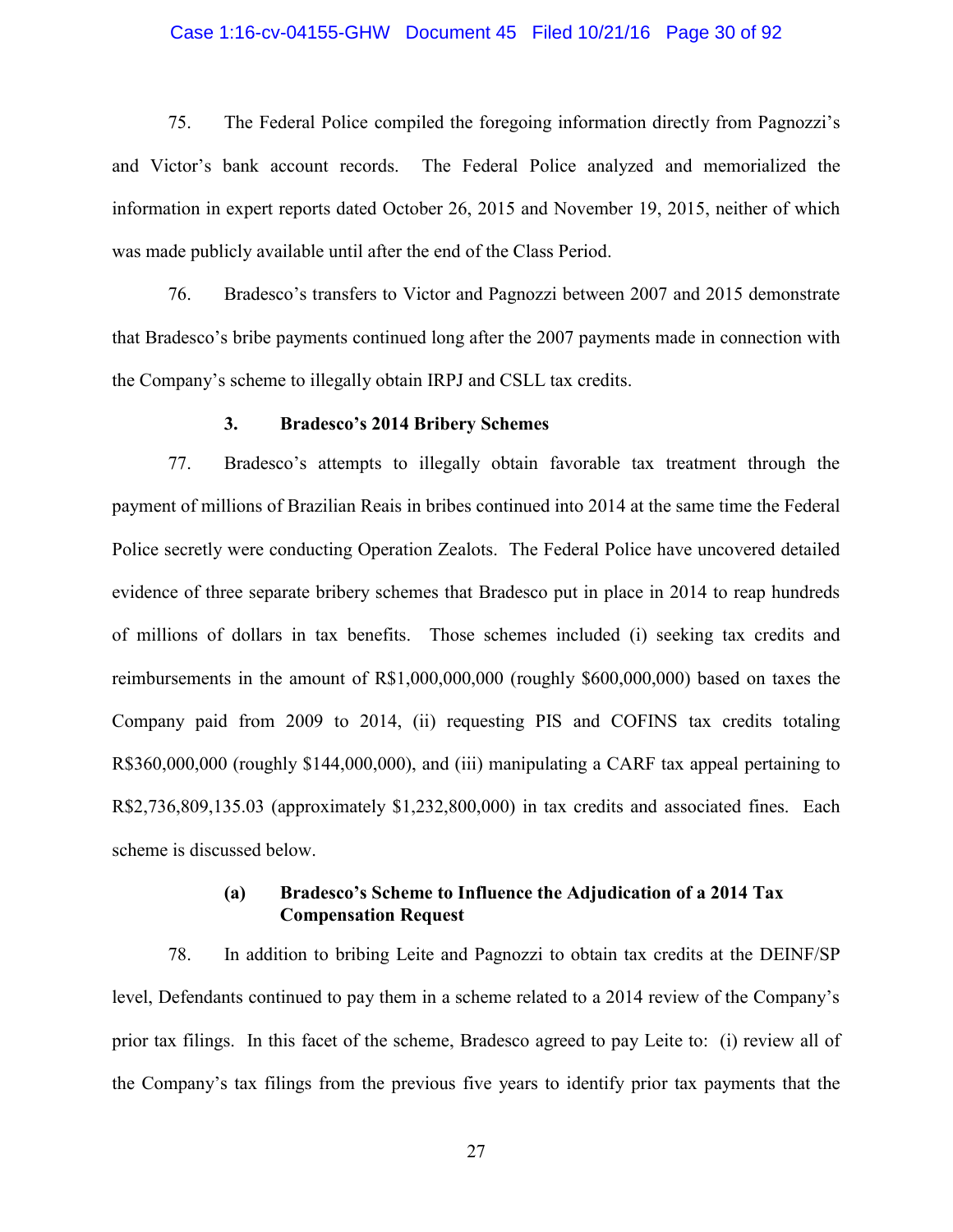### Case 1:16-cv-04155-GHW Document 45 Filed 10/21/16 Page 30 of 92

75. The Federal Police compiled the foregoing information directly from Pagnozzi's and Victor's bank account records. The Federal Police analyzed and memorialized the information in expert reports dated October 26, 2015 and November 19, 2015, neither of which was made publicly available until after the end of the Class Period.

76. Bradesco's transfers to Victor and Pagnozzi between 2007 and 2015 demonstrate that Bradesco's bribe payments continued long after the 2007 payments made in connection with the Company's scheme to illegally obtain IRPJ and CSLL tax credits.

#### **3. Bradesco's 2014 Bribery Schemes**

77. Bradesco's attempts to illegally obtain favorable tax treatment through the payment of millions of Brazilian Reais in bribes continued into 2014 at the same time the Federal Police secretly were conducting Operation Zealots. The Federal Police have uncovered detailed evidence of three separate bribery schemes that Bradesco put in place in 2014 to reap hundreds of millions of dollars in tax benefits. Those schemes included (i) seeking tax credits and reimbursements in the amount of R\$1,000,000,000 (roughly \$600,000,000) based on taxes the Company paid from 2009 to 2014, (ii) requesting PIS and COFINS tax credits totaling R\$360,000,000 (roughly \$144,000,000), and (iii) manipulating a CARF tax appeal pertaining to R\$2,736,809,135.03 (approximately \$1,232,800,000) in tax credits and associated fines. Each scheme is discussed below.

# **(a) Bradesco's Scheme to Influence the Adjudication of a 2014 Tax Compensation Request**

78. In addition to bribing Leite and Pagnozzi to obtain tax credits at the DEINF/SP level, Defendants continued to pay them in a scheme related to a 2014 review of the Company's prior tax filings. In this facet of the scheme, Bradesco agreed to pay Leite to: (i) review all of the Company's tax filings from the previous five years to identify prior tax payments that the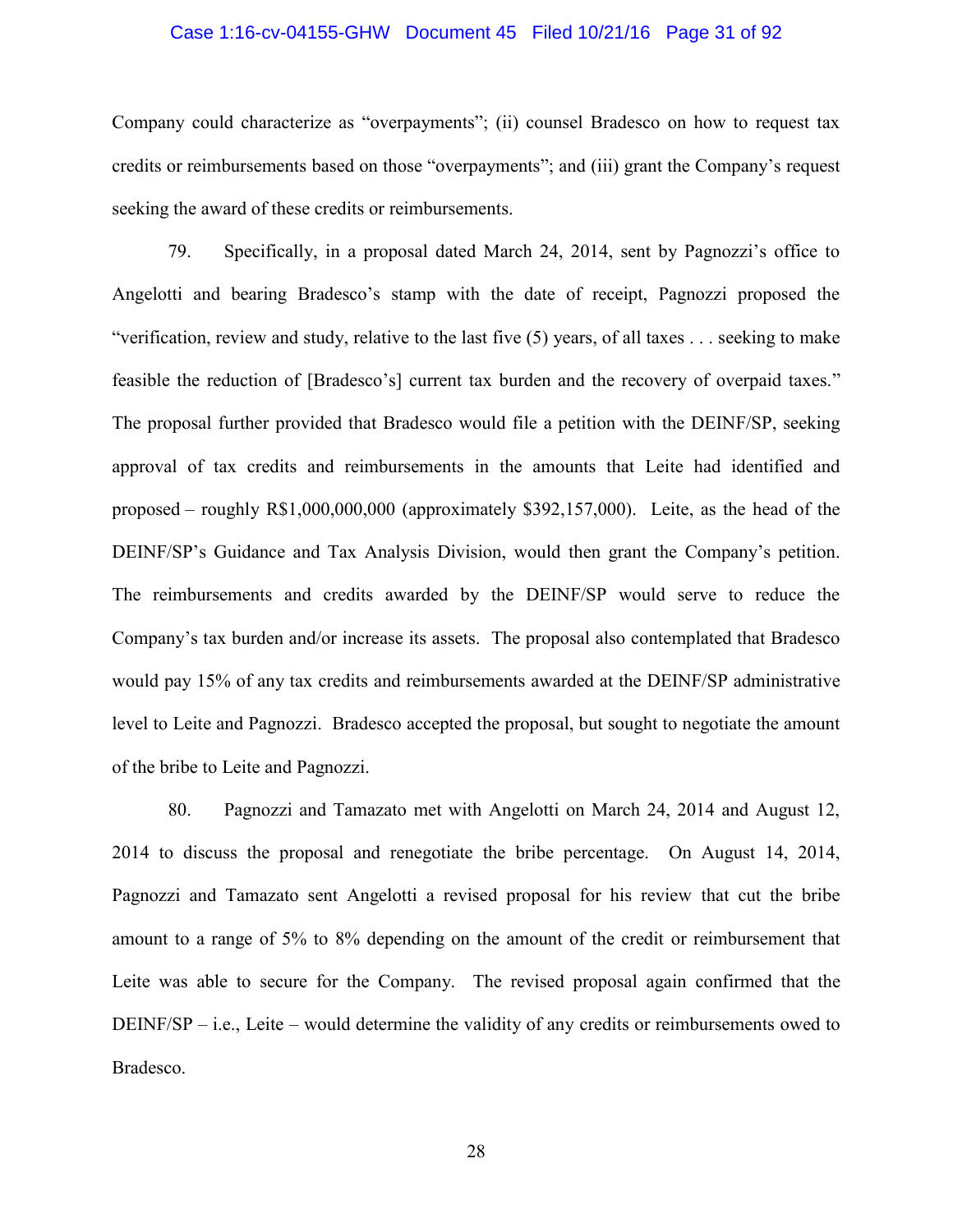### Case 1:16-cv-04155-GHW Document 45 Filed 10/21/16 Page 31 of 92

Company could characterize as "overpayments"; (ii) counsel Bradesco on how to request tax credits or reimbursements based on those "overpayments"; and (iii) grant the Company's request seeking the award of these credits or reimbursements.

79. Specifically, in a proposal dated March 24, 2014, sent by Pagnozzi's office to Angelotti and bearing Bradesco's stamp with the date of receipt, Pagnozzi proposed the "verification, review and study, relative to the last five (5) years, of all taxes . . . seeking to make feasible the reduction of [Bradesco's] current tax burden and the recovery of overpaid taxes." The proposal further provided that Bradesco would file a petition with the DEINF/SP, seeking approval of tax credits and reimbursements in the amounts that Leite had identified and proposed – roughly R\$1,000,000,000 (approximately \$392,157,000). Leite, as the head of the DEINF/SP's Guidance and Tax Analysis Division, would then grant the Company's petition. The reimbursements and credits awarded by the DEINF/SP would serve to reduce the Company's tax burden and/or increase its assets. The proposal also contemplated that Bradesco would pay 15% of any tax credits and reimbursements awarded at the DEINF/SP administrative level to Leite and Pagnozzi. Bradesco accepted the proposal, but sought to negotiate the amount of the bribe to Leite and Pagnozzi.

80. Pagnozzi and Tamazato met with Angelotti on March 24, 2014 and August 12, 2014 to discuss the proposal and renegotiate the bribe percentage. On August 14, 2014, Pagnozzi and Tamazato sent Angelotti a revised proposal for his review that cut the bribe amount to a range of 5% to 8% depending on the amount of the credit or reimbursement that Leite was able to secure for the Company. The revised proposal again confirmed that the DEINF/SP – i.e., Leite – would determine the validity of any credits or reimbursements owed to Bradesco.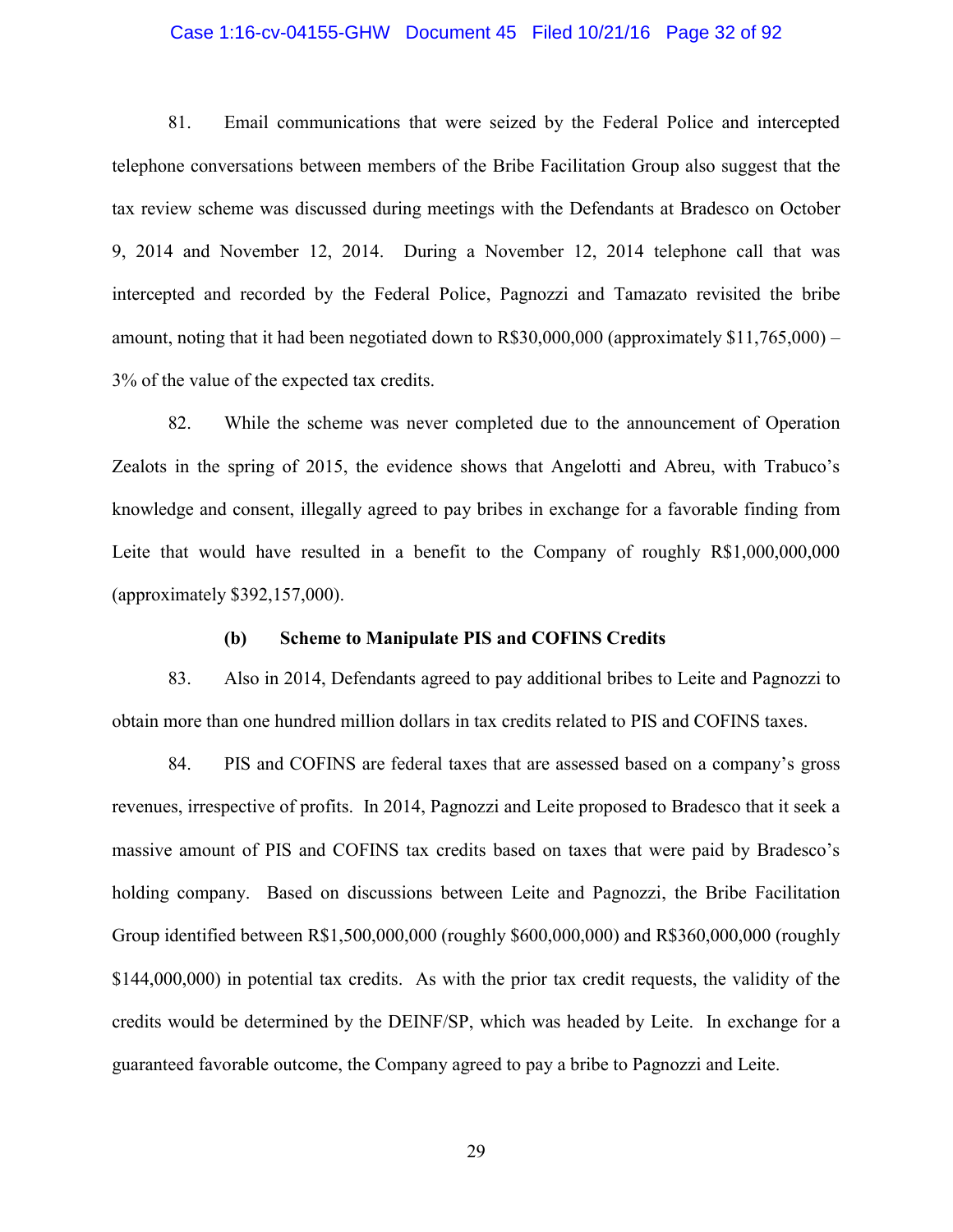### Case 1:16-cv-04155-GHW Document 45 Filed 10/21/16 Page 32 of 92

81. Email communications that were seized by the Federal Police and intercepted telephone conversations between members of the Bribe Facilitation Group also suggest that the tax review scheme was discussed during meetings with the Defendants at Bradesco on October 9, 2014 and November 12, 2014. During a November 12, 2014 telephone call that was intercepted and recorded by the Federal Police, Pagnozzi and Tamazato revisited the bribe amount, noting that it had been negotiated down to R\$30,000,000 (approximately \$11,765,000) – 3% of the value of the expected tax credits.

82. While the scheme was never completed due to the announcement of Operation Zealots in the spring of 2015, the evidence shows that Angelotti and Abreu, with Trabuco's knowledge and consent, illegally agreed to pay bribes in exchange for a favorable finding from Leite that would have resulted in a benefit to the Company of roughly R\$1,000,000,000 (approximately \$392,157,000).

### **(b) Scheme to Manipulate PIS and COFINS Credits**

83. Also in 2014, Defendants agreed to pay additional bribes to Leite and Pagnozzi to obtain more than one hundred million dollars in tax credits related to PIS and COFINS taxes.

84. PIS and COFINS are federal taxes that are assessed based on a company's gross revenues, irrespective of profits. In 2014, Pagnozzi and Leite proposed to Bradesco that it seek a massive amount of PIS and COFINS tax credits based on taxes that were paid by Bradesco's holding company. Based on discussions between Leite and Pagnozzi, the Bribe Facilitation Group identified between R\$1,500,000,000 (roughly \$600,000,000) and R\$360,000,000 (roughly \$144,000,000) in potential tax credits. As with the prior tax credit requests, the validity of the credits would be determined by the DEINF/SP, which was headed by Leite. In exchange for a guaranteed favorable outcome, the Company agreed to pay a bribe to Pagnozzi and Leite.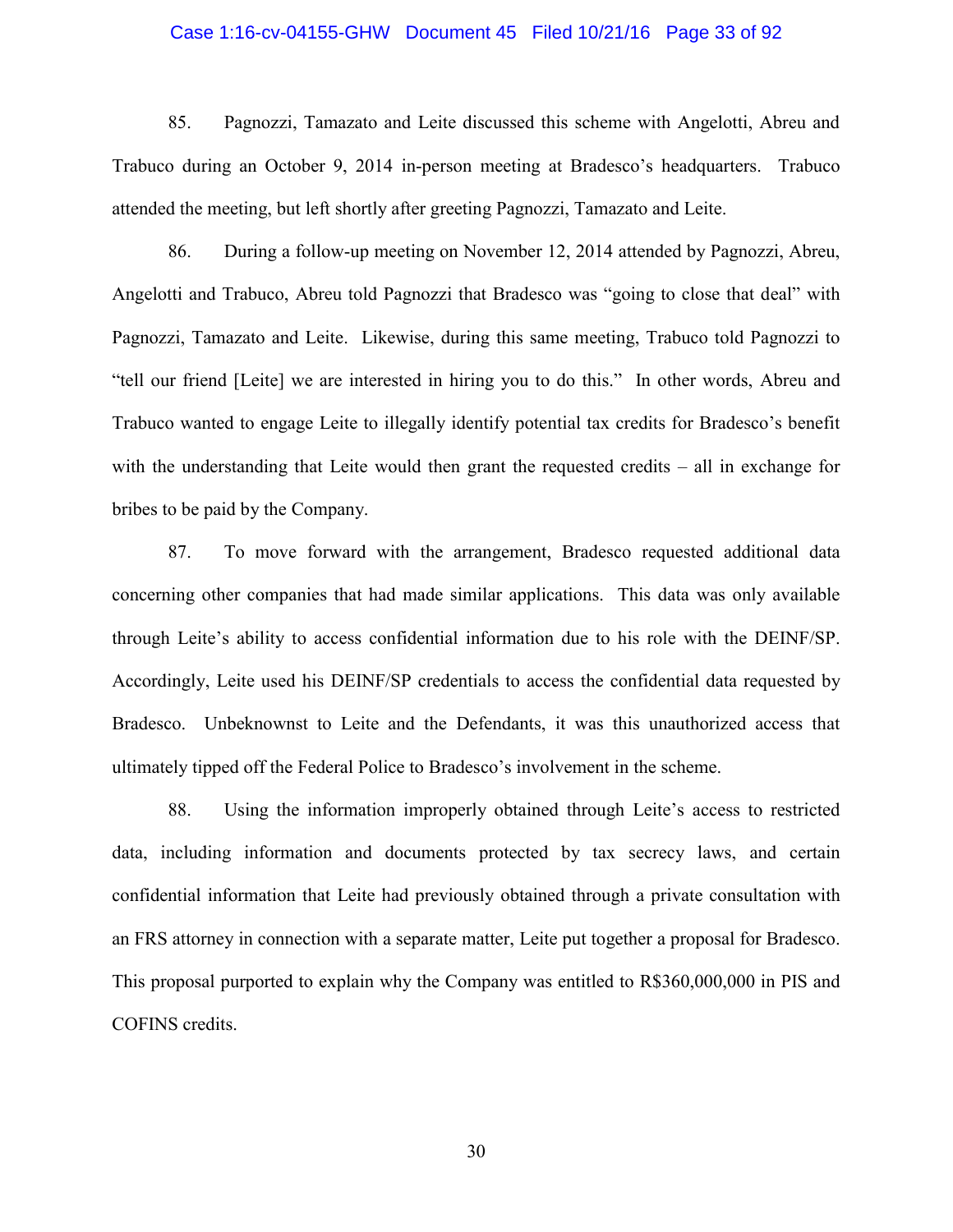### Case 1:16-cv-04155-GHW Document 45 Filed 10/21/16 Page 33 of 92

85. Pagnozzi, Tamazato and Leite discussed this scheme with Angelotti, Abreu and Trabuco during an October 9, 2014 in-person meeting at Bradesco's headquarters. Trabuco attended the meeting, but left shortly after greeting Pagnozzi, Tamazato and Leite.

86. During a follow-up meeting on November 12, 2014 attended by Pagnozzi, Abreu, Angelotti and Trabuco, Abreu told Pagnozzi that Bradesco was "going to close that deal" with Pagnozzi, Tamazato and Leite. Likewise, during this same meeting, Trabuco told Pagnozzi to "tell our friend [Leite] we are interested in hiring you to do this." In other words, Abreu and Trabuco wanted to engage Leite to illegally identify potential tax credits for Bradesco's benefit with the understanding that Leite would then grant the requested credits – all in exchange for bribes to be paid by the Company.

87. To move forward with the arrangement, Bradesco requested additional data concerning other companies that had made similar applications. This data was only available through Leite's ability to access confidential information due to his role with the DEINF/SP. Accordingly, Leite used his DEINF/SP credentials to access the confidential data requested by Bradesco. Unbeknownst to Leite and the Defendants, it was this unauthorized access that ultimately tipped off the Federal Police to Bradesco's involvement in the scheme.

88. Using the information improperly obtained through Leite's access to restricted data, including information and documents protected by tax secrecy laws, and certain confidential information that Leite had previously obtained through a private consultation with an FRS attorney in connection with a separate matter, Leite put together a proposal for Bradesco. This proposal purported to explain why the Company was entitled to R\$360,000,000 in PIS and COFINS credits.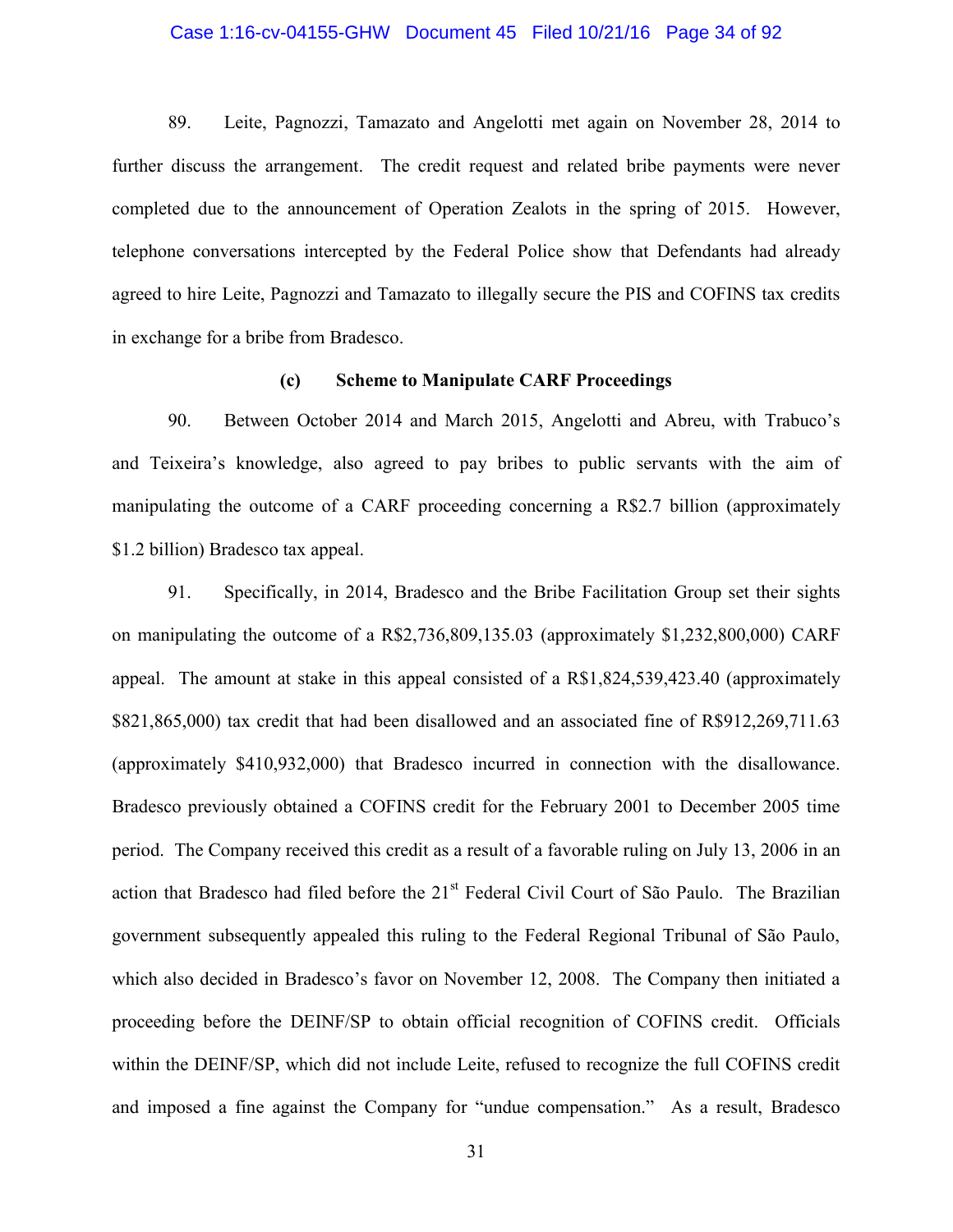### Case 1:16-cv-04155-GHW Document 45 Filed 10/21/16 Page 34 of 92

89. Leite, Pagnozzi, Tamazato and Angelotti met again on November 28, 2014 to further discuss the arrangement. The credit request and related bribe payments were never completed due to the announcement of Operation Zealots in the spring of 2015. However, telephone conversations intercepted by the Federal Police show that Defendants had already agreed to hire Leite, Pagnozzi and Tamazato to illegally secure the PIS and COFINS tax credits in exchange for a bribe from Bradesco.

### **(c) Scheme to Manipulate CARF Proceedings**

90. Between October 2014 and March 2015, Angelotti and Abreu, with Trabuco's and Teixeira's knowledge, also agreed to pay bribes to public servants with the aim of manipulating the outcome of a CARF proceeding concerning a R\$2.7 billion (approximately \$1.2 billion) Bradesco tax appeal.

91. Specifically, in 2014, Bradesco and the Bribe Facilitation Group set their sights on manipulating the outcome of a R\$2,736,809,135.03 (approximately \$1,232,800,000) CARF appeal. The amount at stake in this appeal consisted of a R\$1,824,539,423.40 (approximately \$821,865,000) tax credit that had been disallowed and an associated fine of R\$912,269,711.63 (approximately \$410,932,000) that Bradesco incurred in connection with the disallowance. Bradesco previously obtained a COFINS credit for the February 2001 to December 2005 time period. The Company received this credit as a result of a favorable ruling on July 13, 2006 in an action that Bradesco had filed before the 21<sup>st</sup> Federal Civil Court of São Paulo. The Brazilian government subsequently appealed this ruling to the Federal Regional Tribunal of São Paulo, which also decided in Bradesco's favor on November 12, 2008. The Company then initiated a proceeding before the DEINF/SP to obtain official recognition of COFINS credit. Officials within the DEINF/SP, which did not include Leite, refused to recognize the full COFINS credit and imposed a fine against the Company for "undue compensation." As a result, Bradesco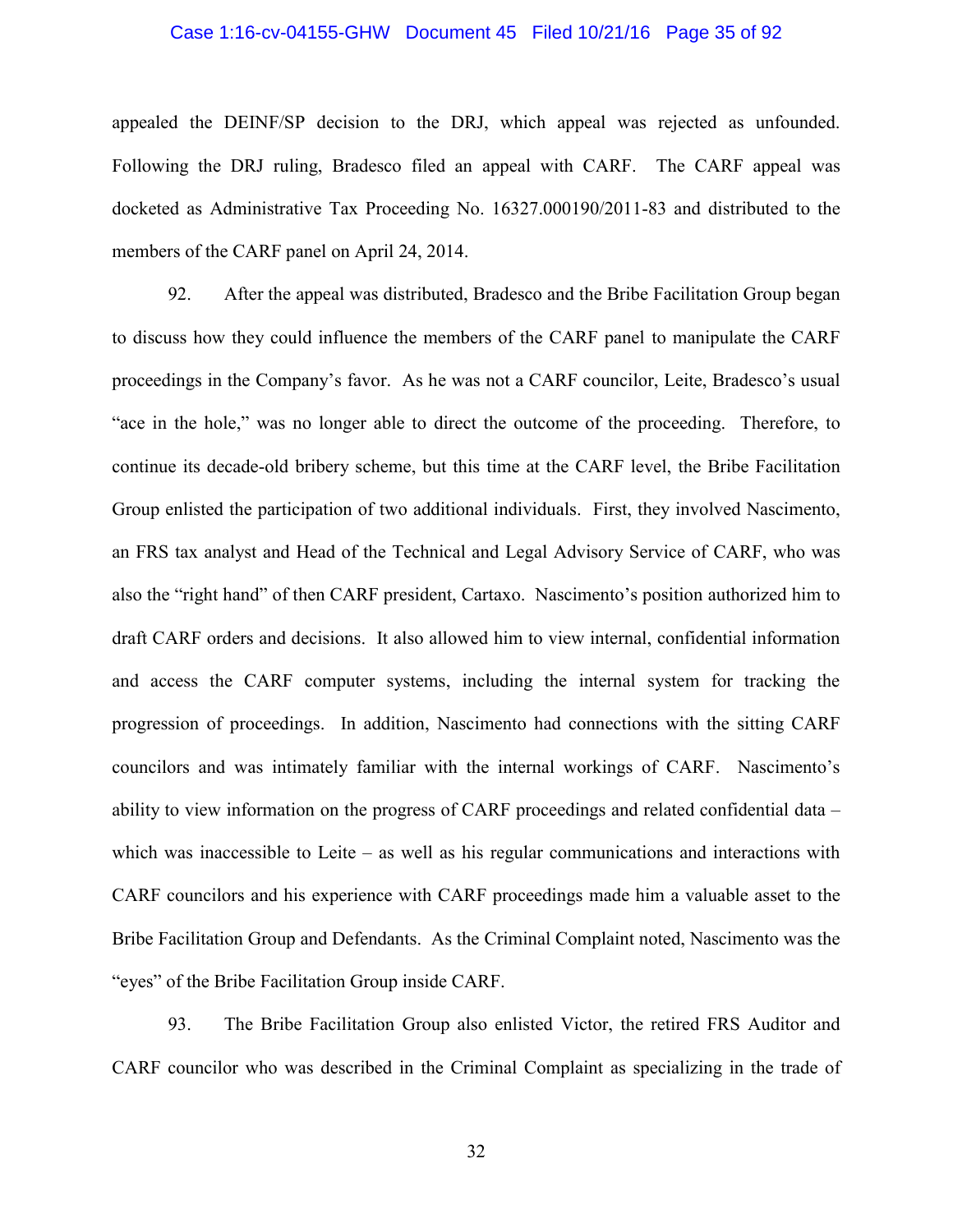### Case 1:16-cv-04155-GHW Document 45 Filed 10/21/16 Page 35 of 92

appealed the DEINF/SP decision to the DRJ, which appeal was rejected as unfounded. Following the DRJ ruling, Bradesco filed an appeal with CARF. The CARF appeal was docketed as Administrative Tax Proceeding No. 16327.000190/2011-83 and distributed to the members of the CARF panel on April 24, 2014.

92. After the appeal was distributed, Bradesco and the Bribe Facilitation Group began to discuss how they could influence the members of the CARF panel to manipulate the CARF proceedings in the Company's favor. As he was not a CARF councilor, Leite, Bradesco's usual "ace in the hole," was no longer able to direct the outcome of the proceeding. Therefore, to continue its decade-old bribery scheme, but this time at the CARF level, the Bribe Facilitation Group enlisted the participation of two additional individuals. First, they involved Nascimento, an FRS tax analyst and Head of the Technical and Legal Advisory Service of CARF, who was also the "right hand" of then CARF president, Cartaxo. Nascimento's position authorized him to draft CARF orders and decisions. It also allowed him to view internal, confidential information and access the CARF computer systems, including the internal system for tracking the progression of proceedings. In addition, Nascimento had connections with the sitting CARF councilors and was intimately familiar with the internal workings of CARF. Nascimento's ability to view information on the progress of CARF proceedings and related confidential data – which was inaccessible to Leite – as well as his regular communications and interactions with CARF councilors and his experience with CARF proceedings made him a valuable asset to the Bribe Facilitation Group and Defendants. As the Criminal Complaint noted, Nascimento was the "eyes" of the Bribe Facilitation Group inside CARF.

93. The Bribe Facilitation Group also enlisted Victor, the retired FRS Auditor and CARF councilor who was described in the Criminal Complaint as specializing in the trade of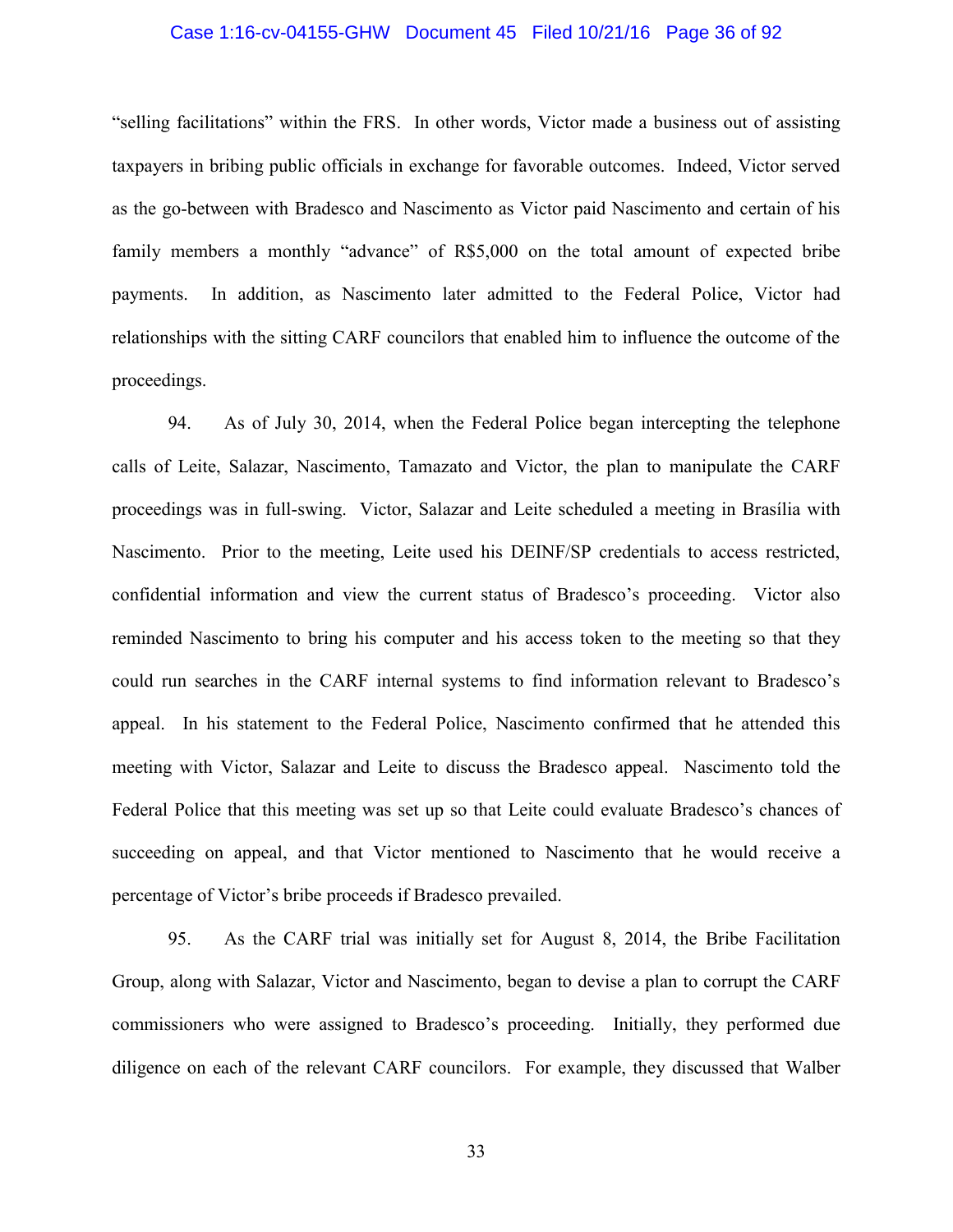### Case 1:16-cv-04155-GHW Document 45 Filed 10/21/16 Page 36 of 92

"selling facilitations" within the FRS. In other words, Victor made a business out of assisting taxpayers in bribing public officials in exchange for favorable outcomes. Indeed, Victor served as the go-between with Bradesco and Nascimento as Victor paid Nascimento and certain of his family members a monthly "advance" of R\$5,000 on the total amount of expected bribe payments. In addition, as Nascimento later admitted to the Federal Police, Victor had relationships with the sitting CARF councilors that enabled him to influence the outcome of the proceedings.

94. As of July 30, 2014, when the Federal Police began intercepting the telephone calls of Leite, Salazar, Nascimento, Tamazato and Victor, the plan to manipulate the CARF proceedings was in full-swing. Victor, Salazar and Leite scheduled a meeting in Brasília with Nascimento. Prior to the meeting, Leite used his DEINF/SP credentials to access restricted, confidential information and view the current status of Bradesco's proceeding. Victor also reminded Nascimento to bring his computer and his access token to the meeting so that they could run searches in the CARF internal systems to find information relevant to Bradesco's appeal. In his statement to the Federal Police, Nascimento confirmed that he attended this meeting with Victor, Salazar and Leite to discuss the Bradesco appeal. Nascimento told the Federal Police that this meeting was set up so that Leite could evaluate Bradesco's chances of succeeding on appeal, and that Victor mentioned to Nascimento that he would receive a percentage of Victor's bribe proceeds if Bradesco prevailed.

95. As the CARF trial was initially set for August 8, 2014, the Bribe Facilitation Group, along with Salazar, Victor and Nascimento, began to devise a plan to corrupt the CARF commissioners who were assigned to Bradesco's proceeding. Initially, they performed due diligence on each of the relevant CARF councilors. For example, they discussed that Walber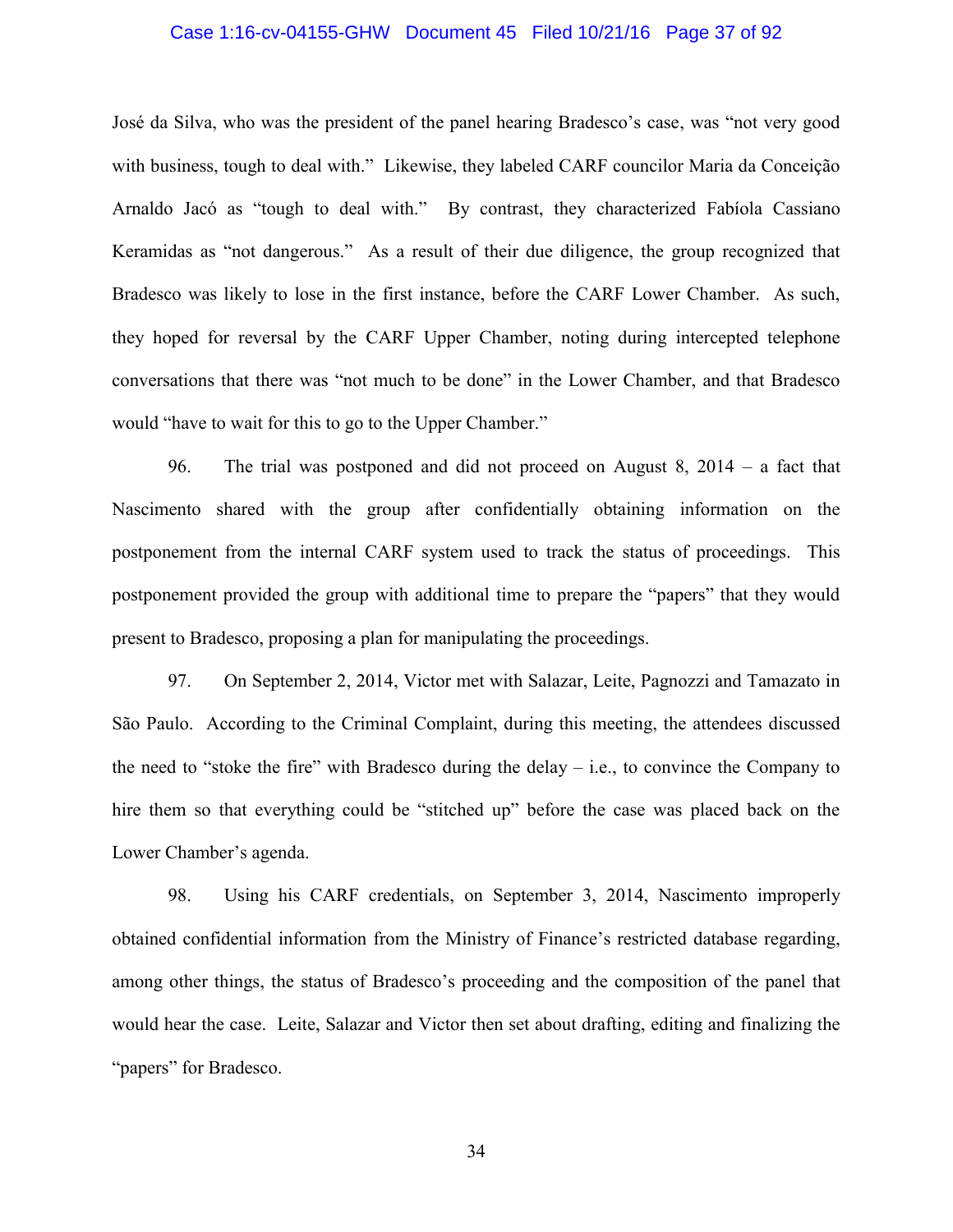### Case 1:16-cv-04155-GHW Document 45 Filed 10/21/16 Page 37 of 92

José da Silva, who was the president of the panel hearing Bradesco's case, was "not very good with business, tough to deal with." Likewise, they labeled CARF councilor Maria da Conceição Arnaldo Jacó as "tough to deal with." By contrast, they characterized Fabíola Cassiano Keramidas as "not dangerous." As a result of their due diligence, the group recognized that Bradesco was likely to lose in the first instance, before the CARF Lower Chamber. As such, they hoped for reversal by the CARF Upper Chamber, noting during intercepted telephone conversations that there was "not much to be done" in the Lower Chamber, and that Bradesco would "have to wait for this to go to the Upper Chamber."

96. The trial was postponed and did not proceed on August 8, 2014 – a fact that Nascimento shared with the group after confidentially obtaining information on the postponement from the internal CARF system used to track the status of proceedings. This postponement provided the group with additional time to prepare the "papers" that they would present to Bradesco, proposing a plan for manipulating the proceedings.

97. On September 2, 2014, Victor met with Salazar, Leite, Pagnozzi and Tamazato in São Paulo. According to the Criminal Complaint, during this meeting, the attendees discussed the need to "stoke the fire" with Bradesco during the delay  $-$  i.e., to convince the Company to hire them so that everything could be "stitched up" before the case was placed back on the Lower Chamber's agenda.

98. Using his CARF credentials, on September 3, 2014, Nascimento improperly obtained confidential information from the Ministry of Finance's restricted database regarding, among other things, the status of Bradesco's proceeding and the composition of the panel that would hear the case. Leite, Salazar and Victor then set about drafting, editing and finalizing the "papers" for Bradesco.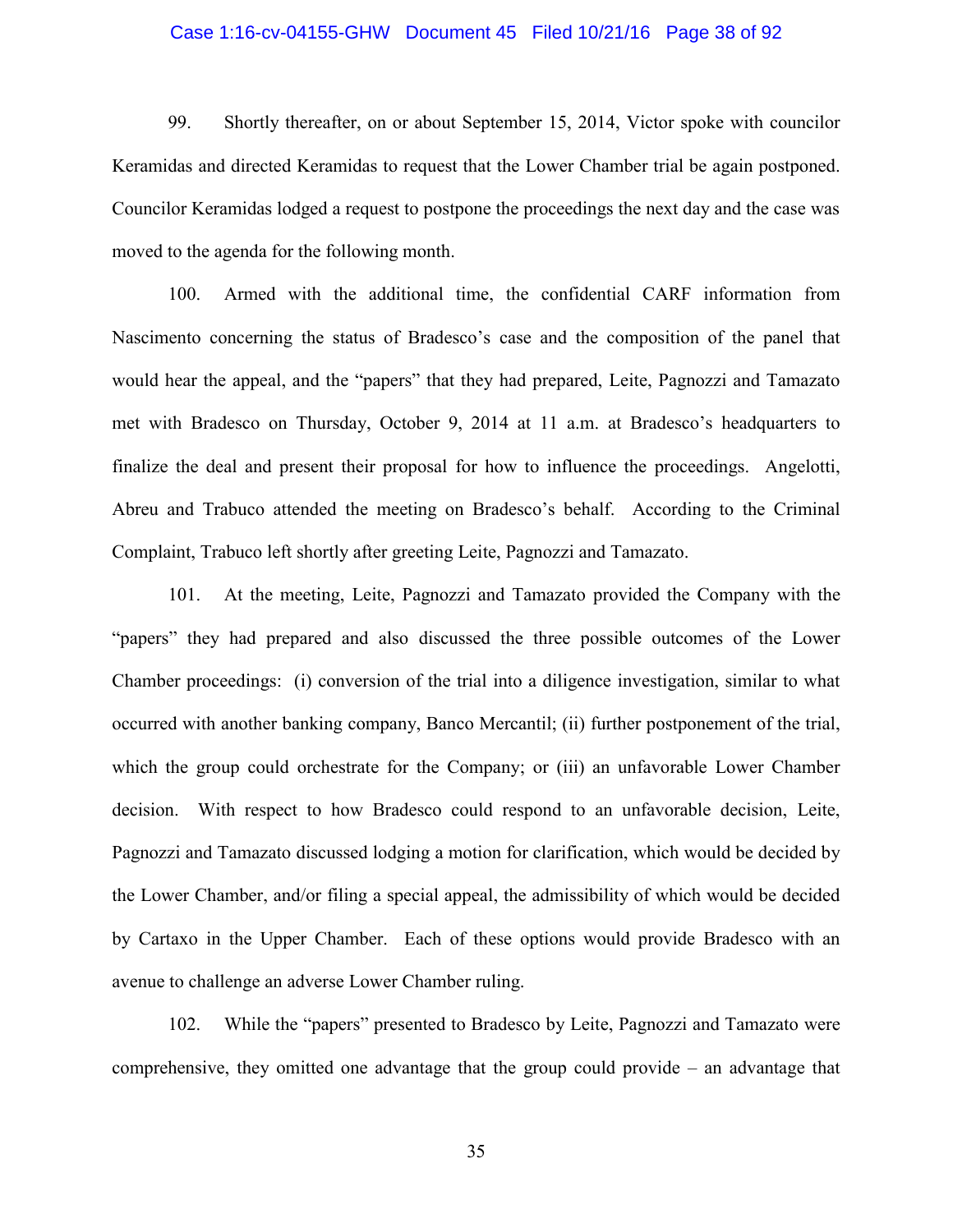### Case 1:16-cv-04155-GHW Document 45 Filed 10/21/16 Page 38 of 92

99. Shortly thereafter, on or about September 15, 2014, Victor spoke with councilor Keramidas and directed Keramidas to request that the Lower Chamber trial be again postponed. Councilor Keramidas lodged a request to postpone the proceedings the next day and the case was moved to the agenda for the following month.

100. Armed with the additional time, the confidential CARF information from Nascimento concerning the status of Bradesco's case and the composition of the panel that would hear the appeal, and the "papers" that they had prepared, Leite, Pagnozzi and Tamazato met with Bradesco on Thursday, October 9, 2014 at 11 a.m. at Bradesco's headquarters to finalize the deal and present their proposal for how to influence the proceedings. Angelotti, Abreu and Trabuco attended the meeting on Bradesco's behalf. According to the Criminal Complaint, Trabuco left shortly after greeting Leite, Pagnozzi and Tamazato.

101. At the meeting, Leite, Pagnozzi and Tamazato provided the Company with the "papers" they had prepared and also discussed the three possible outcomes of the Lower Chamber proceedings: (i) conversion of the trial into a diligence investigation, similar to what occurred with another banking company, Banco Mercantil; (ii) further postponement of the trial, which the group could orchestrate for the Company; or (iii) an unfavorable Lower Chamber decision. With respect to how Bradesco could respond to an unfavorable decision, Leite, Pagnozzi and Tamazato discussed lodging a motion for clarification, which would be decided by the Lower Chamber, and/or filing a special appeal, the admissibility of which would be decided by Cartaxo in the Upper Chamber. Each of these options would provide Bradesco with an avenue to challenge an adverse Lower Chamber ruling.

102. While the "papers" presented to Bradesco by Leite, Pagnozzi and Tamazato were comprehensive, they omitted one advantage that the group could provide – an advantage that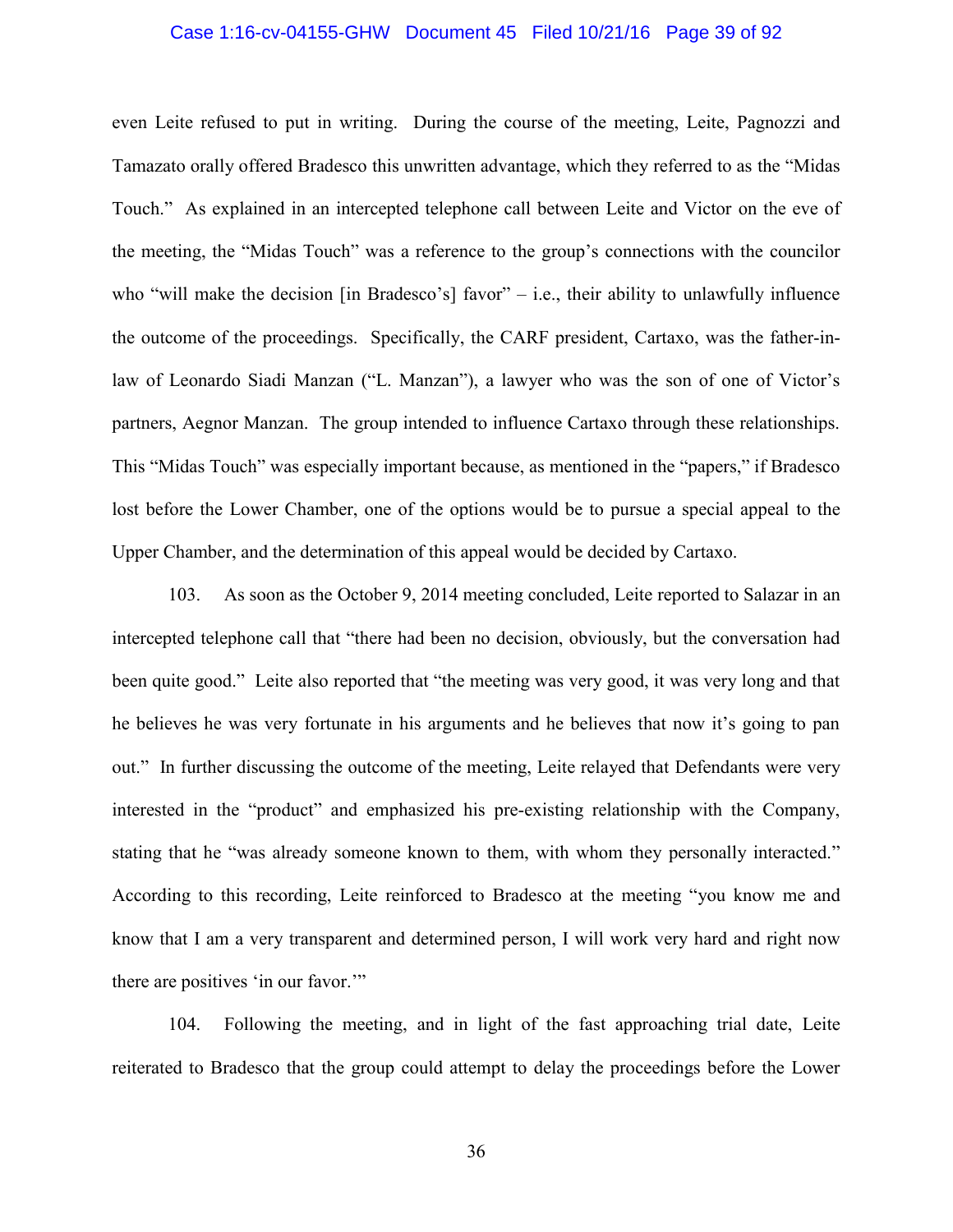### Case 1:16-cv-04155-GHW Document 45 Filed 10/21/16 Page 39 of 92

even Leite refused to put in writing. During the course of the meeting, Leite, Pagnozzi and Tamazato orally offered Bradesco this unwritten advantage, which they referred to as the "Midas Touch." As explained in an intercepted telephone call between Leite and Victor on the eve of the meeting, the "Midas Touch" was a reference to the group's connections with the councilor who "will make the decision [in Bradesco's] favor"  $-$  i.e., their ability to unlawfully influence the outcome of the proceedings. Specifically, the CARF president, Cartaxo, was the father-inlaw of Leonardo Siadi Manzan ("L. Manzan"), a lawyer who was the son of one of Victor's partners, Aegnor Manzan. The group intended to influence Cartaxo through these relationships. This "Midas Touch" was especially important because, as mentioned in the "papers," if Bradesco lost before the Lower Chamber, one of the options would be to pursue a special appeal to the Upper Chamber, and the determination of this appeal would be decided by Cartaxo.

103. As soon as the October 9, 2014 meeting concluded, Leite reported to Salazar in an intercepted telephone call that "there had been no decision, obviously, but the conversation had been quite good." Leite also reported that "the meeting was very good, it was very long and that he believes he was very fortunate in his arguments and he believes that now it's going to pan out." In further discussing the outcome of the meeting, Leite relayed that Defendants were very interested in the "product" and emphasized his pre-existing relationship with the Company, stating that he "was already someone known to them, with whom they personally interacted." According to this recording, Leite reinforced to Bradesco at the meeting "you know me and know that I am a very transparent and determined person, I will work very hard and right now there are positives 'in our favor.'"

104. Following the meeting, and in light of the fast approaching trial date, Leite reiterated to Bradesco that the group could attempt to delay the proceedings before the Lower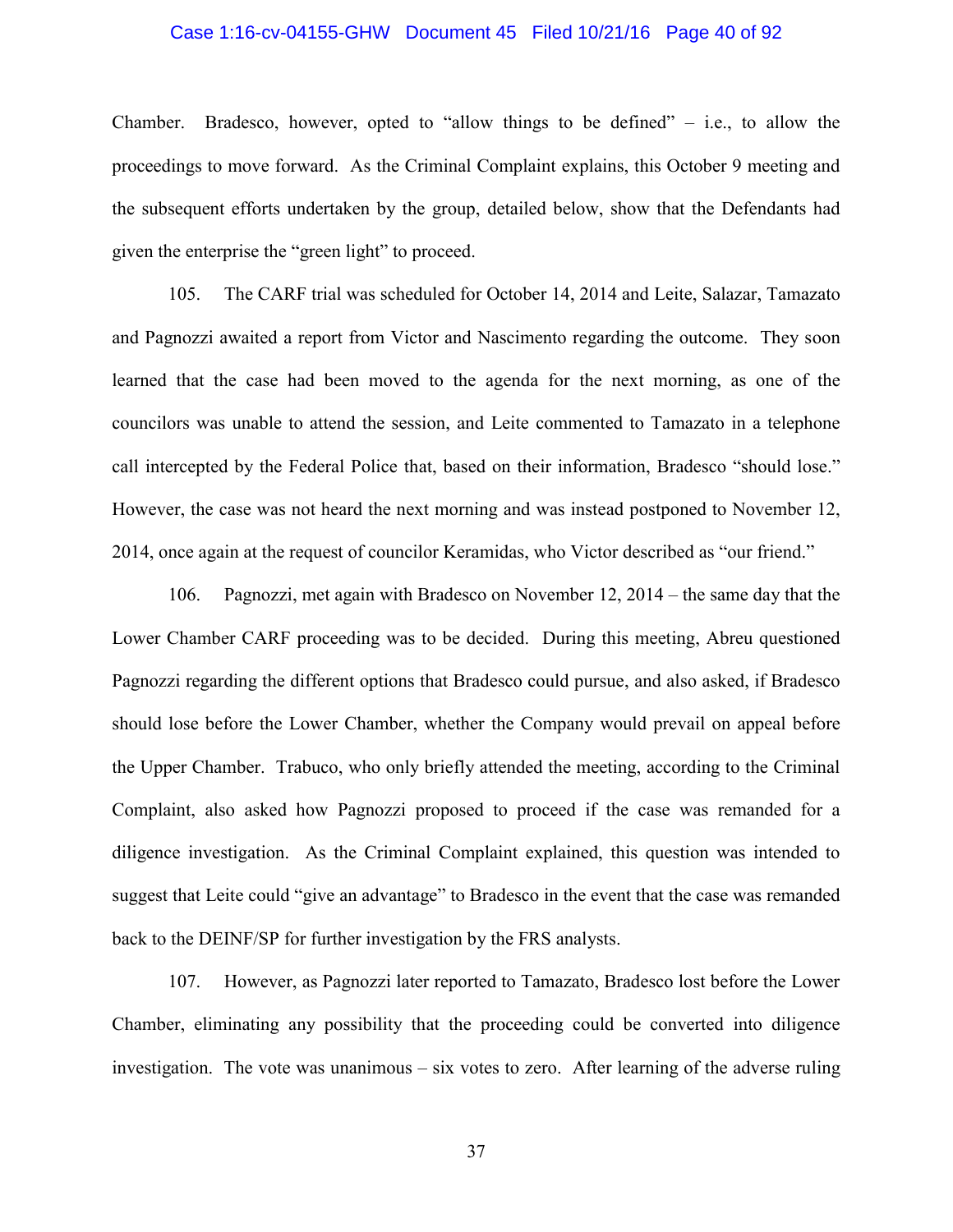### Case 1:16-cv-04155-GHW Document 45 Filed 10/21/16 Page 40 of 92

Chamber. Bradesco, however, opted to "allow things to be defined"  $-$  i.e., to allow the proceedings to move forward. As the Criminal Complaint explains, this October 9 meeting and the subsequent efforts undertaken by the group, detailed below, show that the Defendants had given the enterprise the "green light" to proceed.

105. The CARF trial was scheduled for October 14, 2014 and Leite, Salazar, Tamazato and Pagnozzi awaited a report from Victor and Nascimento regarding the outcome. They soon learned that the case had been moved to the agenda for the next morning, as one of the councilors was unable to attend the session, and Leite commented to Tamazato in a telephone call intercepted by the Federal Police that, based on their information, Bradesco "should lose." However, the case was not heard the next morning and was instead postponed to November 12, 2014, once again at the request of councilor Keramidas, who Victor described as "our friend."

106. Pagnozzi, met again with Bradesco on November 12, 2014 – the same day that the Lower Chamber CARF proceeding was to be decided. During this meeting, Abreu questioned Pagnozzi regarding the different options that Bradesco could pursue, and also asked, if Bradesco should lose before the Lower Chamber, whether the Company would prevail on appeal before the Upper Chamber. Trabuco, who only briefly attended the meeting, according to the Criminal Complaint, also asked how Pagnozzi proposed to proceed if the case was remanded for a diligence investigation. As the Criminal Complaint explained, this question was intended to suggest that Leite could "give an advantage" to Bradesco in the event that the case was remanded back to the DEINF/SP for further investigation by the FRS analysts.

107. However, as Pagnozzi later reported to Tamazato, Bradesco lost before the Lower Chamber, eliminating any possibility that the proceeding could be converted into diligence investigation. The vote was unanimous – six votes to zero. After learning of the adverse ruling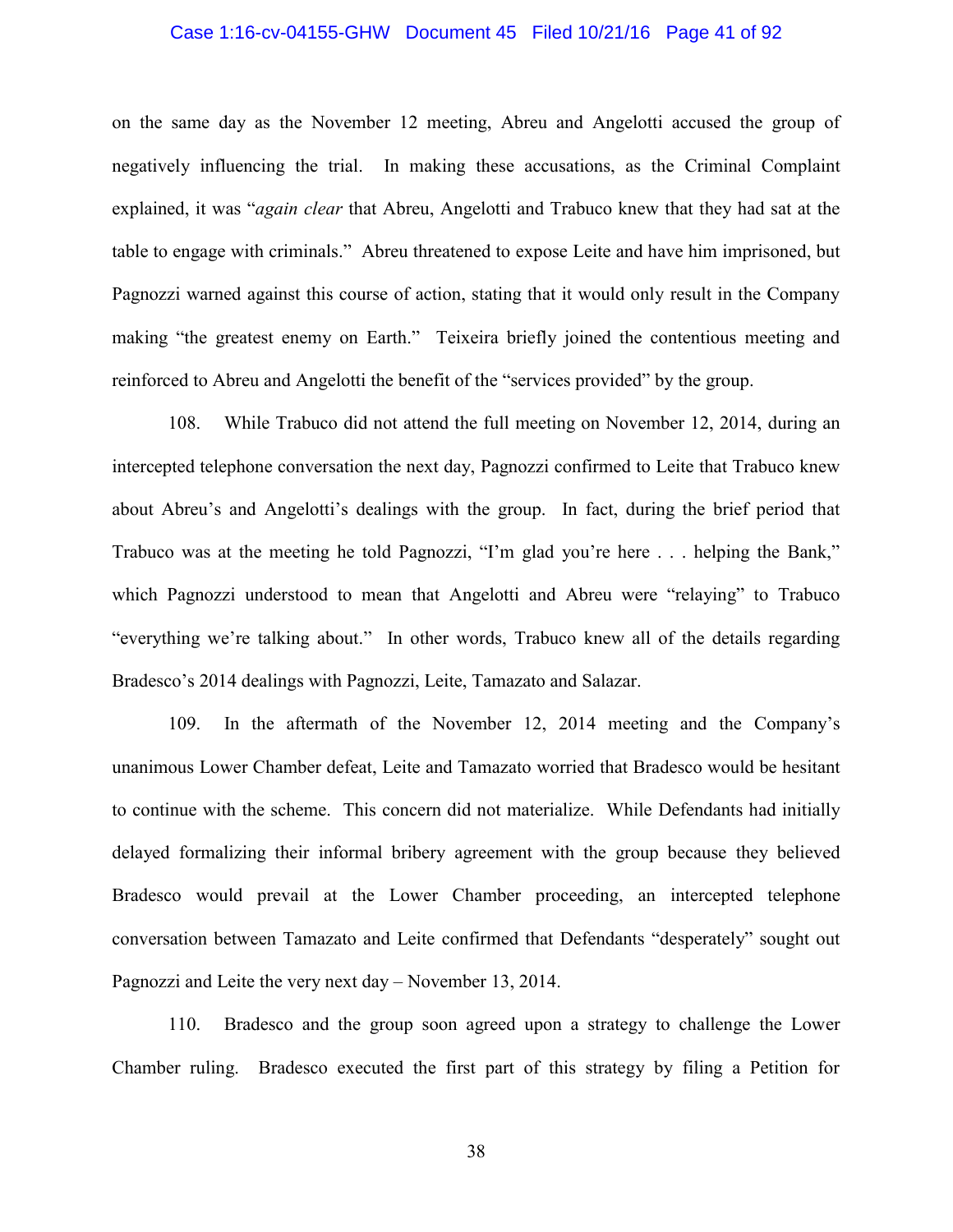### Case 1:16-cv-04155-GHW Document 45 Filed 10/21/16 Page 41 of 92

on the same day as the November 12 meeting, Abreu and Angelotti accused the group of negatively influencing the trial. In making these accusations, as the Criminal Complaint explained, it was "*again clear* that Abreu, Angelotti and Trabuco knew that they had sat at the table to engage with criminals." Abreu threatened to expose Leite and have him imprisoned, but Pagnozzi warned against this course of action, stating that it would only result in the Company making "the greatest enemy on Earth." Teixeira briefly joined the contentious meeting and reinforced to Abreu and Angelotti the benefit of the "services provided" by the group.

108. While Trabuco did not attend the full meeting on November 12, 2014, during an intercepted telephone conversation the next day, Pagnozzi confirmed to Leite that Trabuco knew about Abreu's and Angelotti's dealings with the group. In fact, during the brief period that Trabuco was at the meeting he told Pagnozzi, "I'm glad you're here . . . helping the Bank," which Pagnozzi understood to mean that Angelotti and Abreu were "relaying" to Trabuco "everything we're talking about." In other words, Trabuco knew all of the details regarding Bradesco's 2014 dealings with Pagnozzi, Leite, Tamazato and Salazar.

109. In the aftermath of the November 12, 2014 meeting and the Company's unanimous Lower Chamber defeat, Leite and Tamazato worried that Bradesco would be hesitant to continue with the scheme. This concern did not materialize. While Defendants had initially delayed formalizing their informal bribery agreement with the group because they believed Bradesco would prevail at the Lower Chamber proceeding, an intercepted telephone conversation between Tamazato and Leite confirmed that Defendants "desperately" sought out Pagnozzi and Leite the very next day – November 13, 2014.

110. Bradesco and the group soon agreed upon a strategy to challenge the Lower Chamber ruling. Bradesco executed the first part of this strategy by filing a Petition for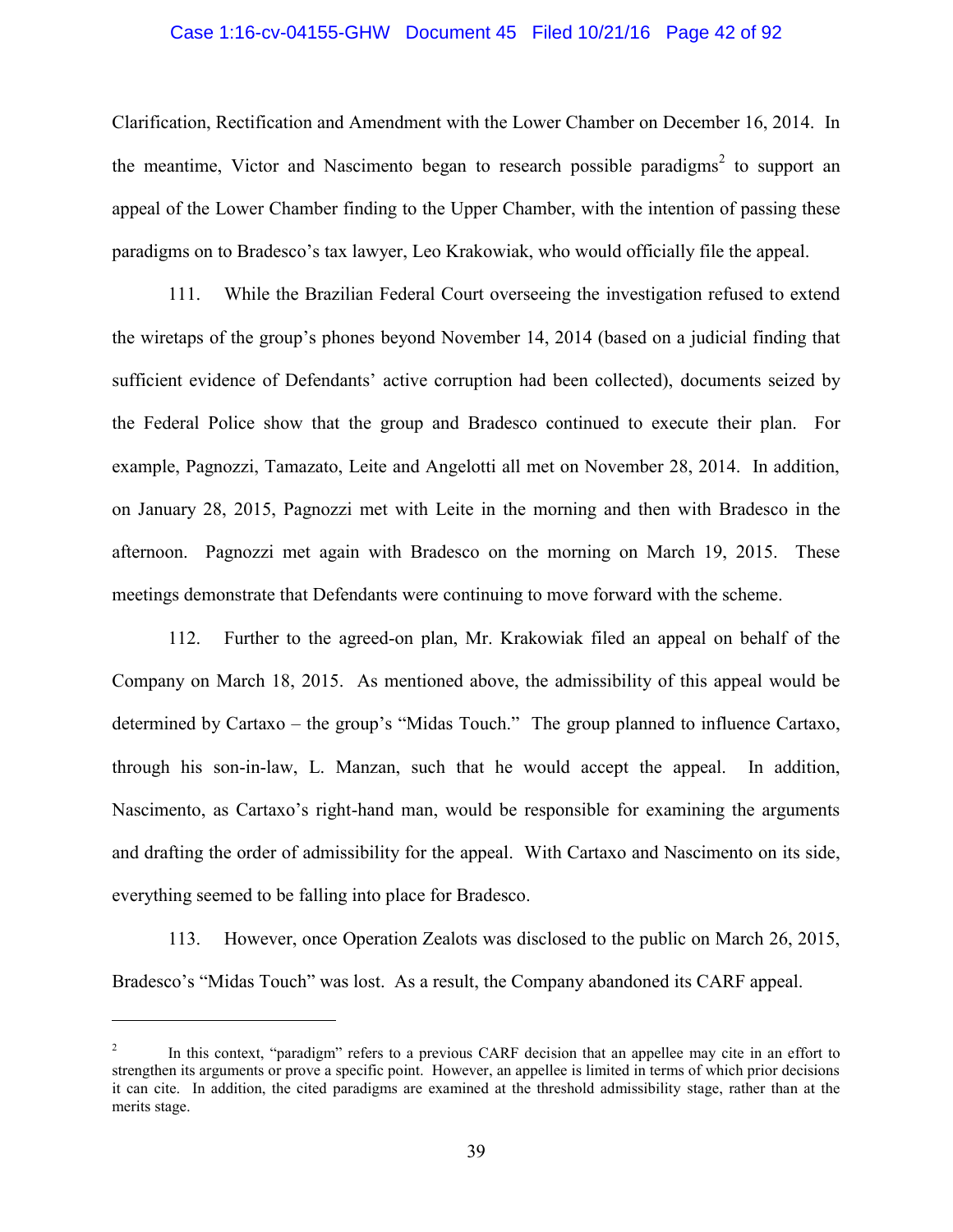### Case 1:16-cv-04155-GHW Document 45 Filed 10/21/16 Page 42 of 92

Clarification, Rectification and Amendment with the Lower Chamber on December 16, 2014. In the meantime, Victor and Nascimento began to research possible paradigms<sup>2</sup> to support an appeal of the Lower Chamber finding to the Upper Chamber, with the intention of passing these paradigms on to Bradesco's tax lawyer, Leo Krakowiak, who would officially file the appeal.

111. While the Brazilian Federal Court overseeing the investigation refused to extend the wiretaps of the group's phones beyond November 14, 2014 (based on a judicial finding that sufficient evidence of Defendants' active corruption had been collected), documents seized by the Federal Police show that the group and Bradesco continued to execute their plan. For example, Pagnozzi, Tamazato, Leite and Angelotti all met on November 28, 2014. In addition, on January 28, 2015, Pagnozzi met with Leite in the morning and then with Bradesco in the afternoon. Pagnozzi met again with Bradesco on the morning on March 19, 2015. These meetings demonstrate that Defendants were continuing to move forward with the scheme.

112. Further to the agreed-on plan, Mr. Krakowiak filed an appeal on behalf of the Company on March 18, 2015. As mentioned above, the admissibility of this appeal would be determined by Cartaxo – the group's "Midas Touch." The group planned to influence Cartaxo, through his son-in-law, L. Manzan, such that he would accept the appeal. In addition, Nascimento, as Cartaxo's right-hand man, would be responsible for examining the arguments and drafting the order of admissibility for the appeal. With Cartaxo and Nascimento on its side, everything seemed to be falling into place for Bradesco.

113. However, once Operation Zealots was disclosed to the public on March 26, 2015, Bradesco's "Midas Touch" was lost. As a result, the Company abandoned its CARF appeal.

 $\overline{a}$ 

<sup>2</sup> In this context, "paradigm" refers to a previous CARF decision that an appellee may cite in an effort to strengthen its arguments or prove a specific point. However, an appellee is limited in terms of which prior decisions it can cite. In addition, the cited paradigms are examined at the threshold admissibility stage, rather than at the merits stage.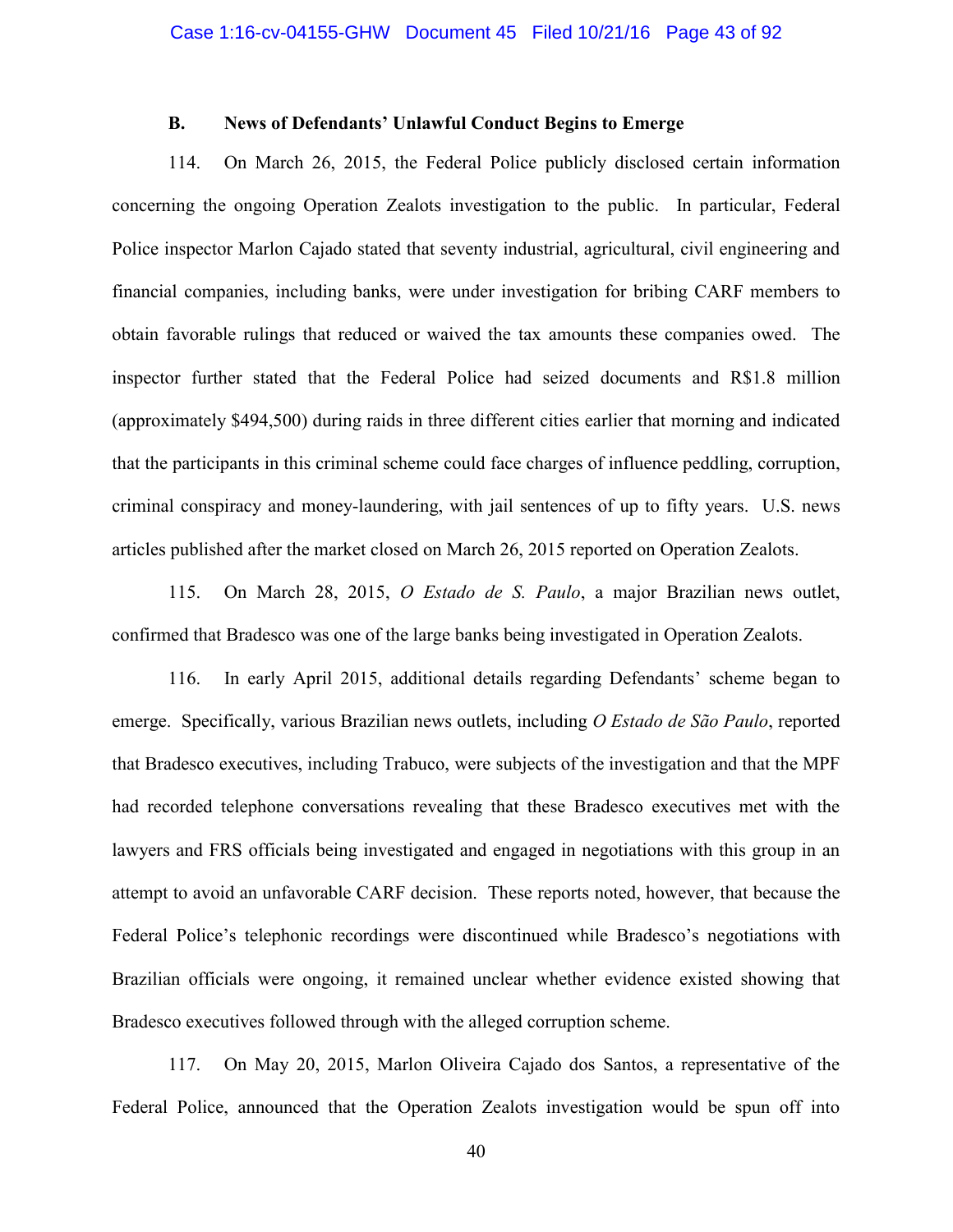## **B. News of Defendants' Unlawful Conduct Begins to Emerge**

114. On March 26, 2015, the Federal Police publicly disclosed certain information concerning the ongoing Operation Zealots investigation to the public. In particular, Federal Police inspector Marlon Cajado stated that seventy industrial, agricultural, civil engineering and financial companies, including banks, were under investigation for bribing CARF members to obtain favorable rulings that reduced or waived the tax amounts these companies owed. The inspector further stated that the Federal Police had seized documents and R\$1.8 million (approximately \$494,500) during raids in three different cities earlier that morning and indicated that the participants in this criminal scheme could face charges of influence peddling, corruption, criminal conspiracy and money-laundering, with jail sentences of up to fifty years. U.S. news articles published after the market closed on March 26, 2015 reported on Operation Zealots.

115. On March 28, 2015, *O Estado de S. Paulo*, a major Brazilian news outlet, confirmed that Bradesco was one of the large banks being investigated in Operation Zealots.

116. In early April 2015, additional details regarding Defendants' scheme began to emerge. Specifically, various Brazilian news outlets, including *O Estado de São Paulo*, reported that Bradesco executives, including Trabuco, were subjects of the investigation and that the MPF had recorded telephone conversations revealing that these Bradesco executives met with the lawyers and FRS officials being investigated and engaged in negotiations with this group in an attempt to avoid an unfavorable CARF decision. These reports noted, however, that because the Federal Police's telephonic recordings were discontinued while Bradesco's negotiations with Brazilian officials were ongoing, it remained unclear whether evidence existed showing that Bradesco executives followed through with the alleged corruption scheme.

117. On May 20, 2015, Marlon Oliveira Cajado dos Santos, a representative of the Federal Police, announced that the Operation Zealots investigation would be spun off into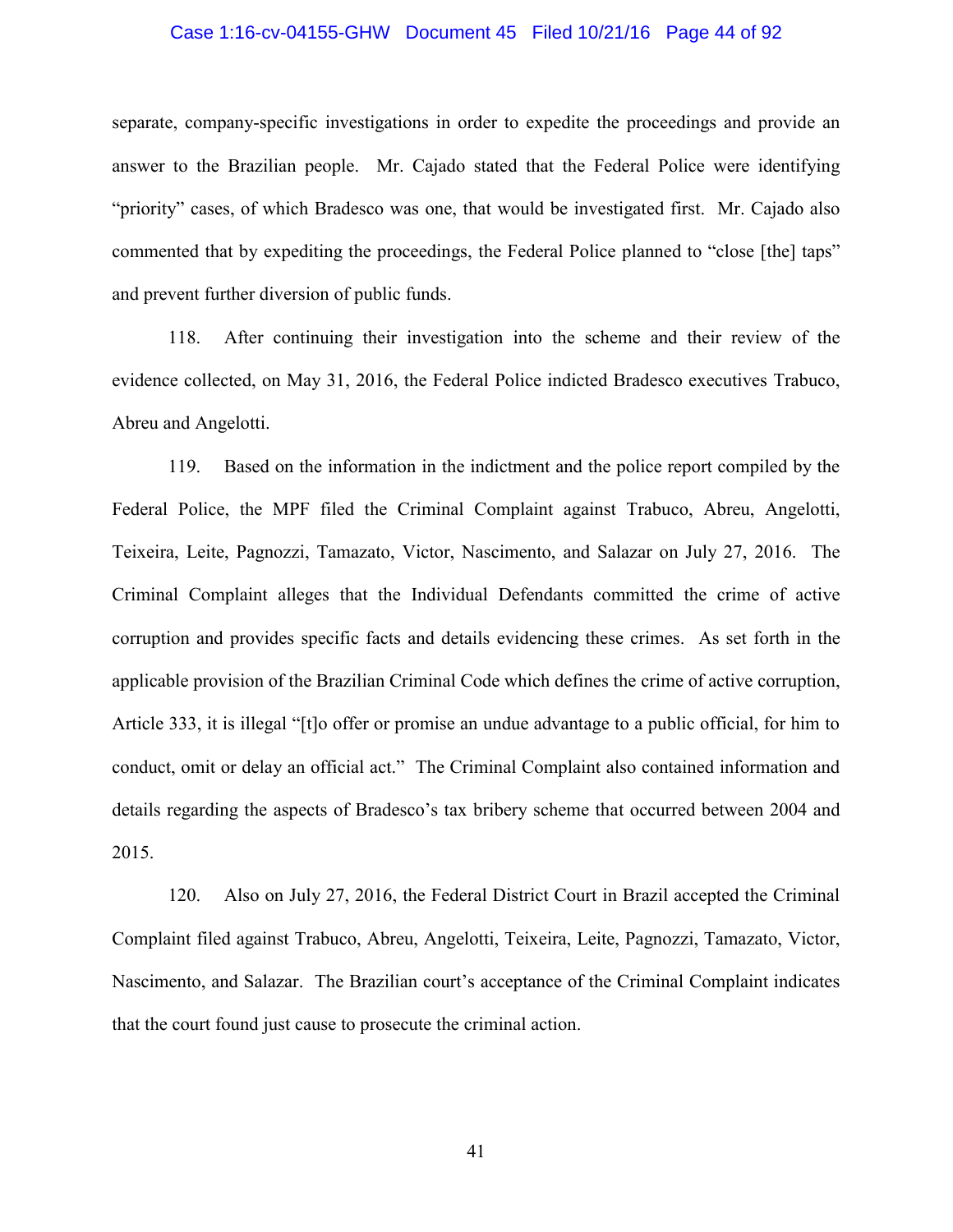### Case 1:16-cv-04155-GHW Document 45 Filed 10/21/16 Page 44 of 92

separate, company-specific investigations in order to expedite the proceedings and provide an answer to the Brazilian people. Mr. Cajado stated that the Federal Police were identifying "priority" cases, of which Bradesco was one, that would be investigated first. Mr. Cajado also commented that by expediting the proceedings, the Federal Police planned to "close [the] taps" and prevent further diversion of public funds.

118. After continuing their investigation into the scheme and their review of the evidence collected, on May 31, 2016, the Federal Police indicted Bradesco executives Trabuco, Abreu and Angelotti.

119. Based on the information in the indictment and the police report compiled by the Federal Police, the MPF filed the Criminal Complaint against Trabuco, Abreu, Angelotti, Teixeira, Leite, Pagnozzi, Tamazato, Victor, Nascimento, and Salazar on July 27, 2016. The Criminal Complaint alleges that the Individual Defendants committed the crime of active corruption and provides specific facts and details evidencing these crimes. As set forth in the applicable provision of the Brazilian Criminal Code which defines the crime of active corruption, Article 333, it is illegal "[t]o offer or promise an undue advantage to a public official, for him to conduct, omit or delay an official act." The Criminal Complaint also contained information and details regarding the aspects of Bradesco's tax bribery scheme that occurred between 2004 and 2015.

120. Also on July 27, 2016, the Federal District Court in Brazil accepted the Criminal Complaint filed against Trabuco, Abreu, Angelotti, Teixeira, Leite, Pagnozzi, Tamazato, Victor, Nascimento, and Salazar. The Brazilian court's acceptance of the Criminal Complaint indicates that the court found just cause to prosecute the criminal action.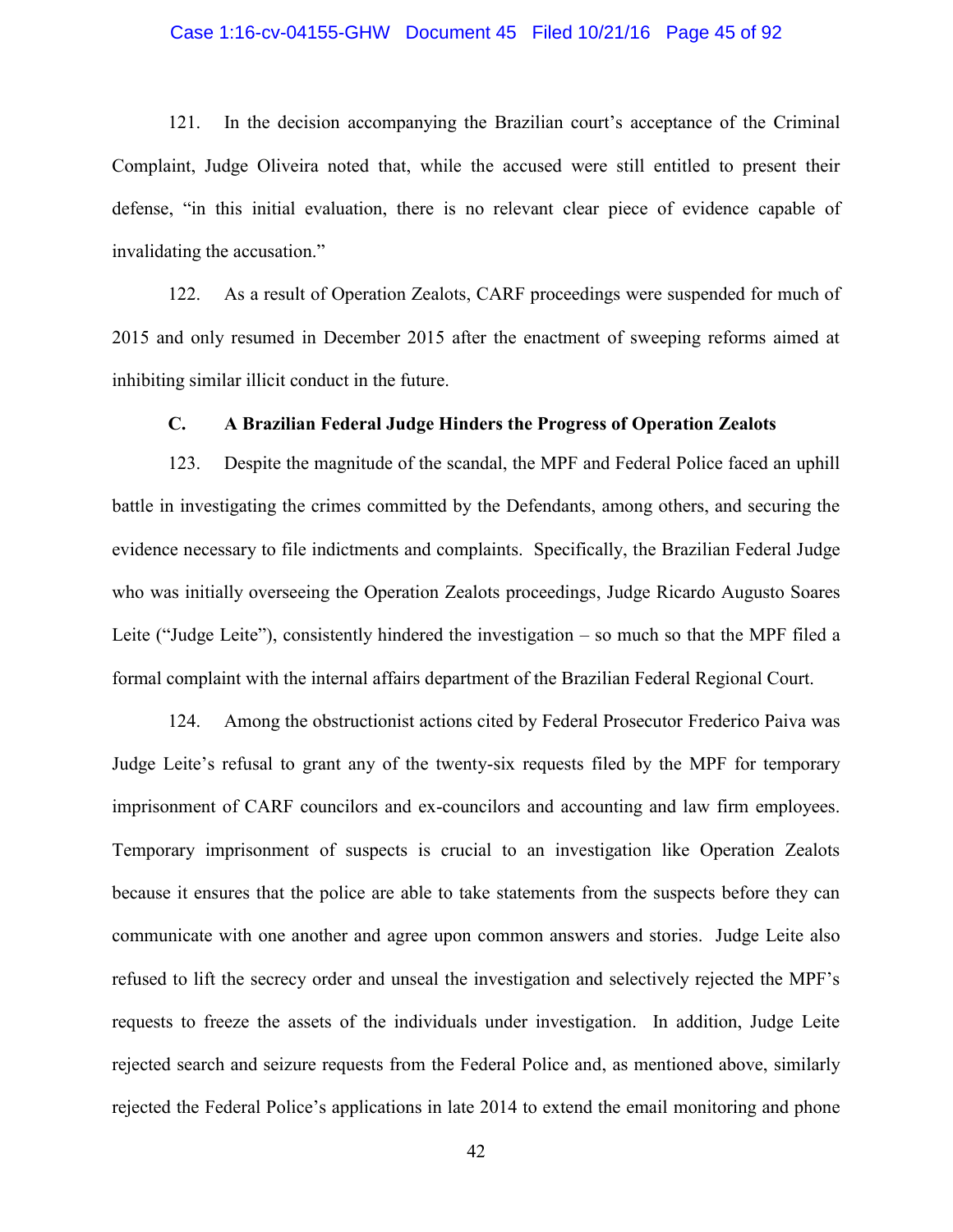### Case 1:16-cv-04155-GHW Document 45 Filed 10/21/16 Page 45 of 92

121. In the decision accompanying the Brazilian court's acceptance of the Criminal Complaint, Judge Oliveira noted that, while the accused were still entitled to present their defense, "in this initial evaluation, there is no relevant clear piece of evidence capable of invalidating the accusation."

122. As a result of Operation Zealots, CARF proceedings were suspended for much of 2015 and only resumed in December 2015 after the enactment of sweeping reforms aimed at inhibiting similar illicit conduct in the future.

## **C. A Brazilian Federal Judge Hinders the Progress of Operation Zealots**

123. Despite the magnitude of the scandal, the MPF and Federal Police faced an uphill battle in investigating the crimes committed by the Defendants, among others, and securing the evidence necessary to file indictments and complaints. Specifically, the Brazilian Federal Judge who was initially overseeing the Operation Zealots proceedings, Judge Ricardo Augusto Soares Leite ("Judge Leite"), consistently hindered the investigation – so much so that the MPF filed a formal complaint with the internal affairs department of the Brazilian Federal Regional Court.

124. Among the obstructionist actions cited by Federal Prosecutor Frederico Paiva was Judge Leite's refusal to grant any of the twenty-six requests filed by the MPF for temporary imprisonment of CARF councilors and ex-councilors and accounting and law firm employees. Temporary imprisonment of suspects is crucial to an investigation like Operation Zealots because it ensures that the police are able to take statements from the suspects before they can communicate with one another and agree upon common answers and stories. Judge Leite also refused to lift the secrecy order and unseal the investigation and selectively rejected the MPF's requests to freeze the assets of the individuals under investigation. In addition, Judge Leite rejected search and seizure requests from the Federal Police and, as mentioned above, similarly rejected the Federal Police's applications in late 2014 to extend the email monitoring and phone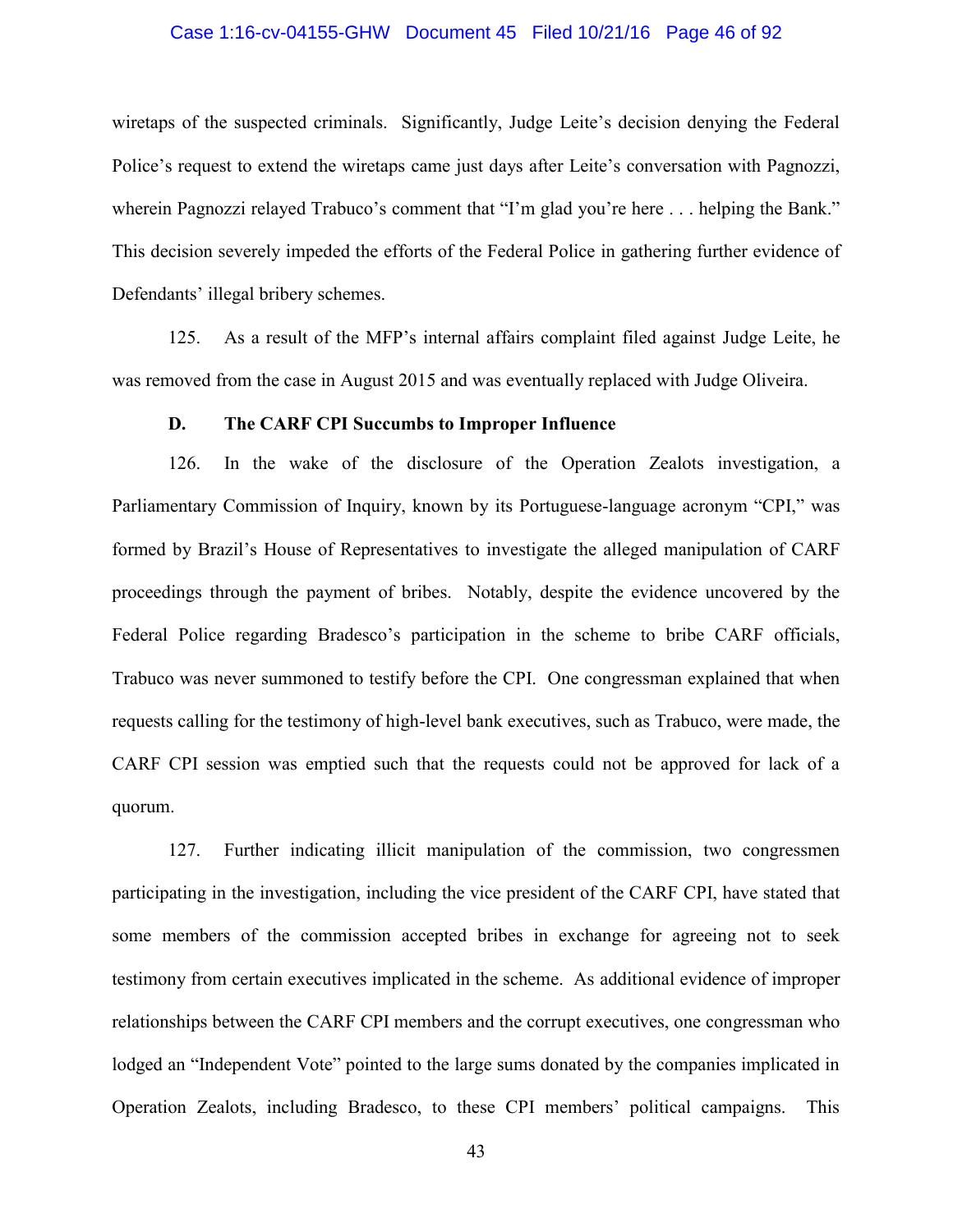### Case 1:16-cv-04155-GHW Document 45 Filed 10/21/16 Page 46 of 92

wiretaps of the suspected criminals. Significantly, Judge Leite's decision denying the Federal Police's request to extend the wiretaps came just days after Leite's conversation with Pagnozzi, wherein Pagnozzi relayed Trabuco's comment that "I'm glad you're here . . . helping the Bank." This decision severely impeded the efforts of the Federal Police in gathering further evidence of Defendants' illegal bribery schemes.

125. As a result of the MFP's internal affairs complaint filed against Judge Leite, he was removed from the case in August 2015 and was eventually replaced with Judge Oliveira.

### **D. The CARF CPI Succumbs to Improper Influence**

126. In the wake of the disclosure of the Operation Zealots investigation, a Parliamentary Commission of Inquiry, known by its Portuguese-language acronym "CPI," was formed by Brazil's House of Representatives to investigate the alleged manipulation of CARF proceedings through the payment of bribes. Notably, despite the evidence uncovered by the Federal Police regarding Bradesco's participation in the scheme to bribe CARF officials, Trabuco was never summoned to testify before the CPI. One congressman explained that when requests calling for the testimony of high-level bank executives, such as Trabuco, were made, the CARF CPI session was emptied such that the requests could not be approved for lack of a quorum.

127. Further indicating illicit manipulation of the commission, two congressmen participating in the investigation, including the vice president of the CARF CPI, have stated that some members of the commission accepted bribes in exchange for agreeing not to seek testimony from certain executives implicated in the scheme. As additional evidence of improper relationships between the CARF CPI members and the corrupt executives, one congressman who lodged an "Independent Vote" pointed to the large sums donated by the companies implicated in Operation Zealots, including Bradesco, to these CPI members' political campaigns. This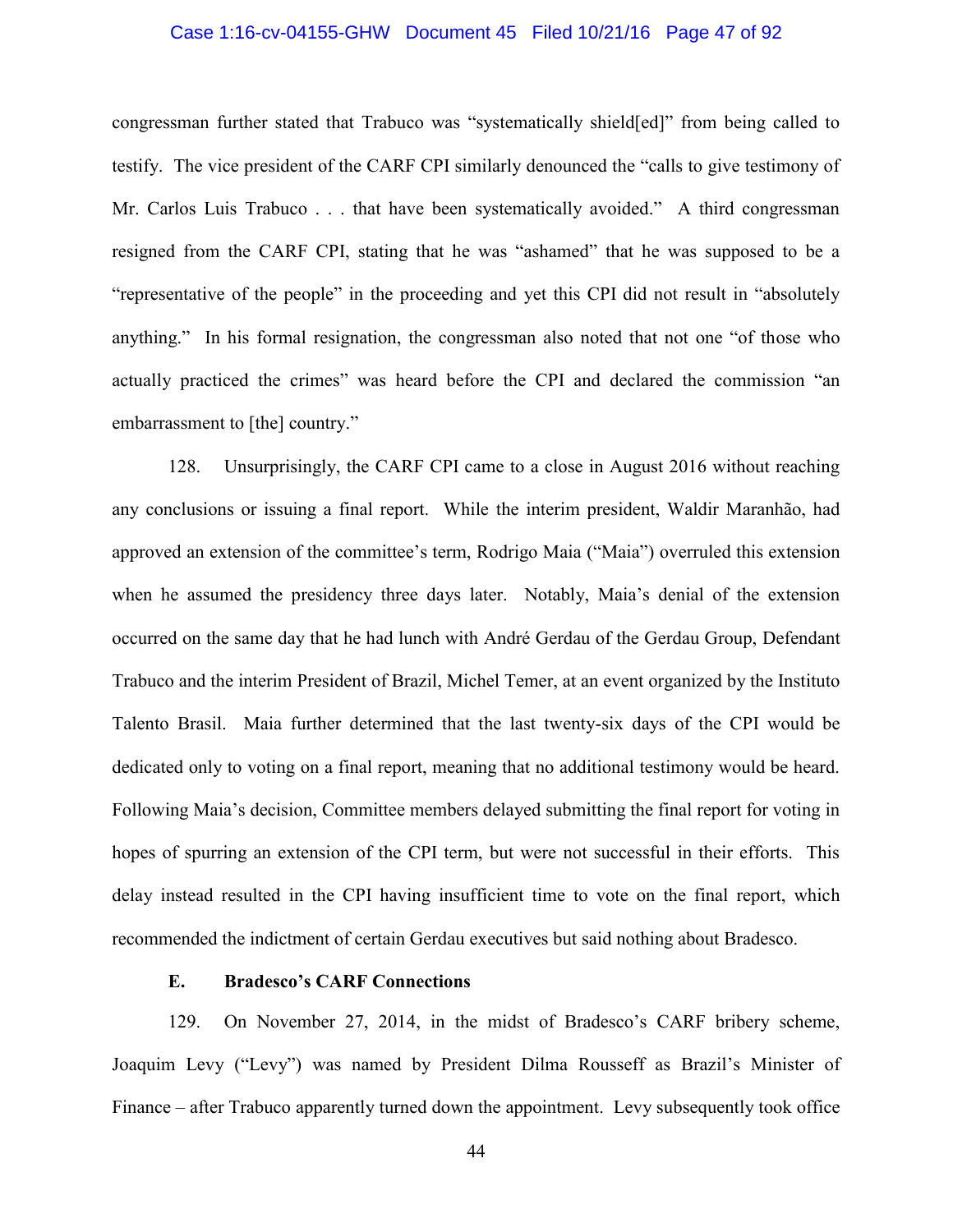### Case 1:16-cv-04155-GHW Document 45 Filed 10/21/16 Page 47 of 92

congressman further stated that Trabuco was "systematically shield[ed]" from being called to testify. The vice president of the CARF CPI similarly denounced the "calls to give testimony of Mr. Carlos Luis Trabuco . . . that have been systematically avoided." A third congressman resigned from the CARF CPI, stating that he was "ashamed" that he was supposed to be a "representative of the people" in the proceeding and yet this CPI did not result in "absolutely anything." In his formal resignation, the congressman also noted that not one "of those who actually practiced the crimes" was heard before the CPI and declared the commission "an embarrassment to [the] country."

128. Unsurprisingly, the CARF CPI came to a close in August 2016 without reaching any conclusions or issuing a final report. While the interim president, Waldir Maranhão, had approved an extension of the committee's term, Rodrigo Maia ("Maia") overruled this extension when he assumed the presidency three days later. Notably, Maia's denial of the extension occurred on the same day that he had lunch with André Gerdau of the Gerdau Group, Defendant Trabuco and the interim President of Brazil, Michel Temer, at an event organized by the Instituto Talento Brasil. Maia further determined that the last twenty-six days of the CPI would be dedicated only to voting on a final report, meaning that no additional testimony would be heard. Following Maia's decision, Committee members delayed submitting the final report for voting in hopes of spurring an extension of the CPI term, but were not successful in their efforts. This delay instead resulted in the CPI having insufficient time to vote on the final report, which recommended the indictment of certain Gerdau executives but said nothing about Bradesco.

### **E. Bradesco's CARF Connections**

129. On November 27, 2014, in the midst of Bradesco's CARF bribery scheme, Joaquim Levy ("Levy") was named by President Dilma Rousseff as Brazil's Minister of Finance – after Trabuco apparently turned down the appointment. Levy subsequently took office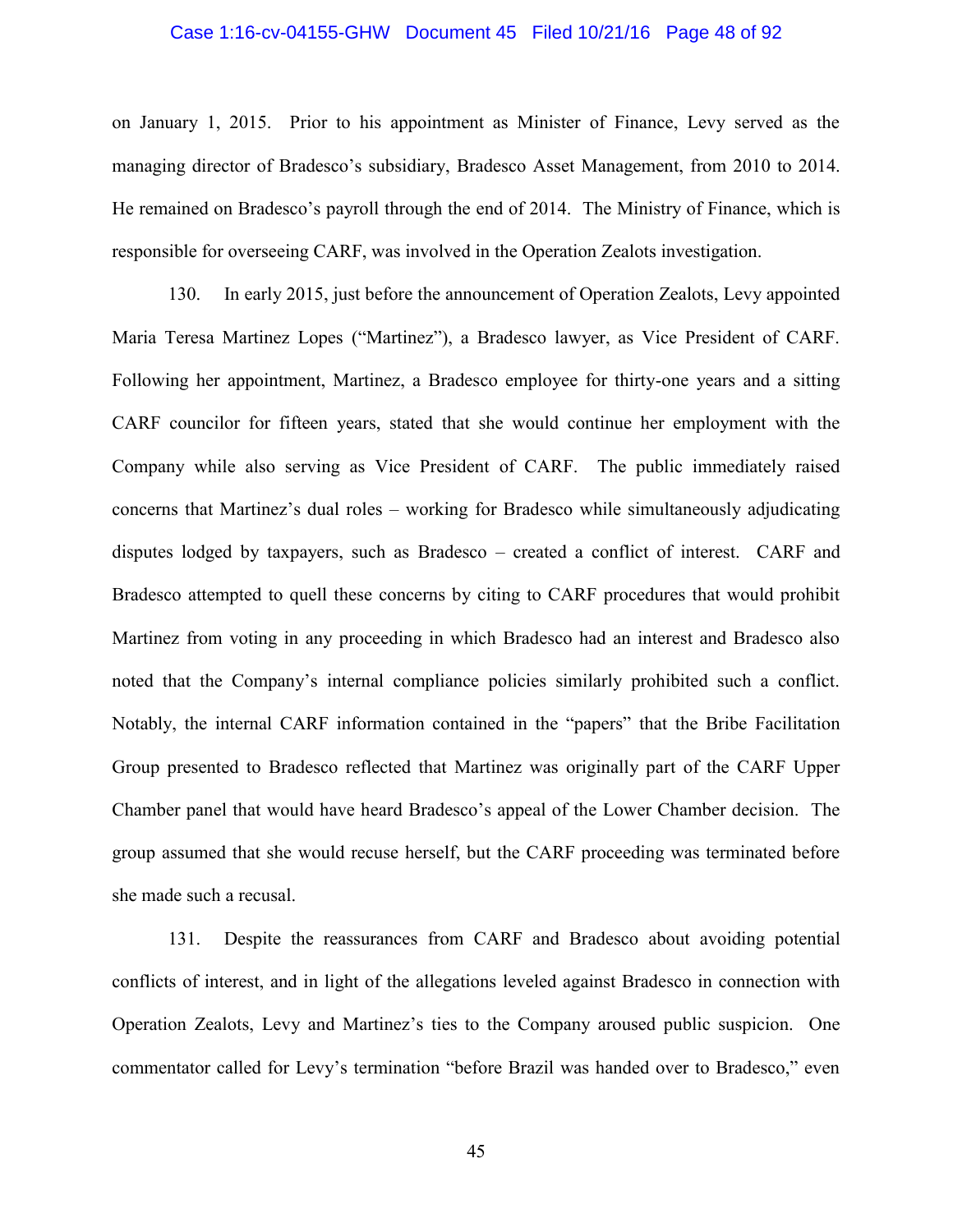### Case 1:16-cv-04155-GHW Document 45 Filed 10/21/16 Page 48 of 92

on January 1, 2015. Prior to his appointment as Minister of Finance, Levy served as the managing director of Bradesco's subsidiary, Bradesco Asset Management, from 2010 to 2014. He remained on Bradesco's payroll through the end of 2014. The Ministry of Finance, which is responsible for overseeing CARF, was involved in the Operation Zealots investigation.

130. In early 2015, just before the announcement of Operation Zealots, Levy appointed Maria Teresa Martinez Lopes ("Martinez"), a Bradesco lawyer, as Vice President of CARF. Following her appointment, Martinez, a Bradesco employee for thirty-one years and a sitting CARF councilor for fifteen years, stated that she would continue her employment with the Company while also serving as Vice President of CARF. The public immediately raised concerns that Martinez's dual roles – working for Bradesco while simultaneously adjudicating disputes lodged by taxpayers, such as Bradesco – created a conflict of interest. CARF and Bradesco attempted to quell these concerns by citing to CARF procedures that would prohibit Martinez from voting in any proceeding in which Bradesco had an interest and Bradesco also noted that the Company's internal compliance policies similarly prohibited such a conflict. Notably, the internal CARF information contained in the "papers" that the Bribe Facilitation Group presented to Bradesco reflected that Martinez was originally part of the CARF Upper Chamber panel that would have heard Bradesco's appeal of the Lower Chamber decision. The group assumed that she would recuse herself, but the CARF proceeding was terminated before she made such a recusal.

131. Despite the reassurances from CARF and Bradesco about avoiding potential conflicts of interest, and in light of the allegations leveled against Bradesco in connection with Operation Zealots, Levy and Martinez's ties to the Company aroused public suspicion. One commentator called for Levy's termination "before Brazil was handed over to Bradesco," even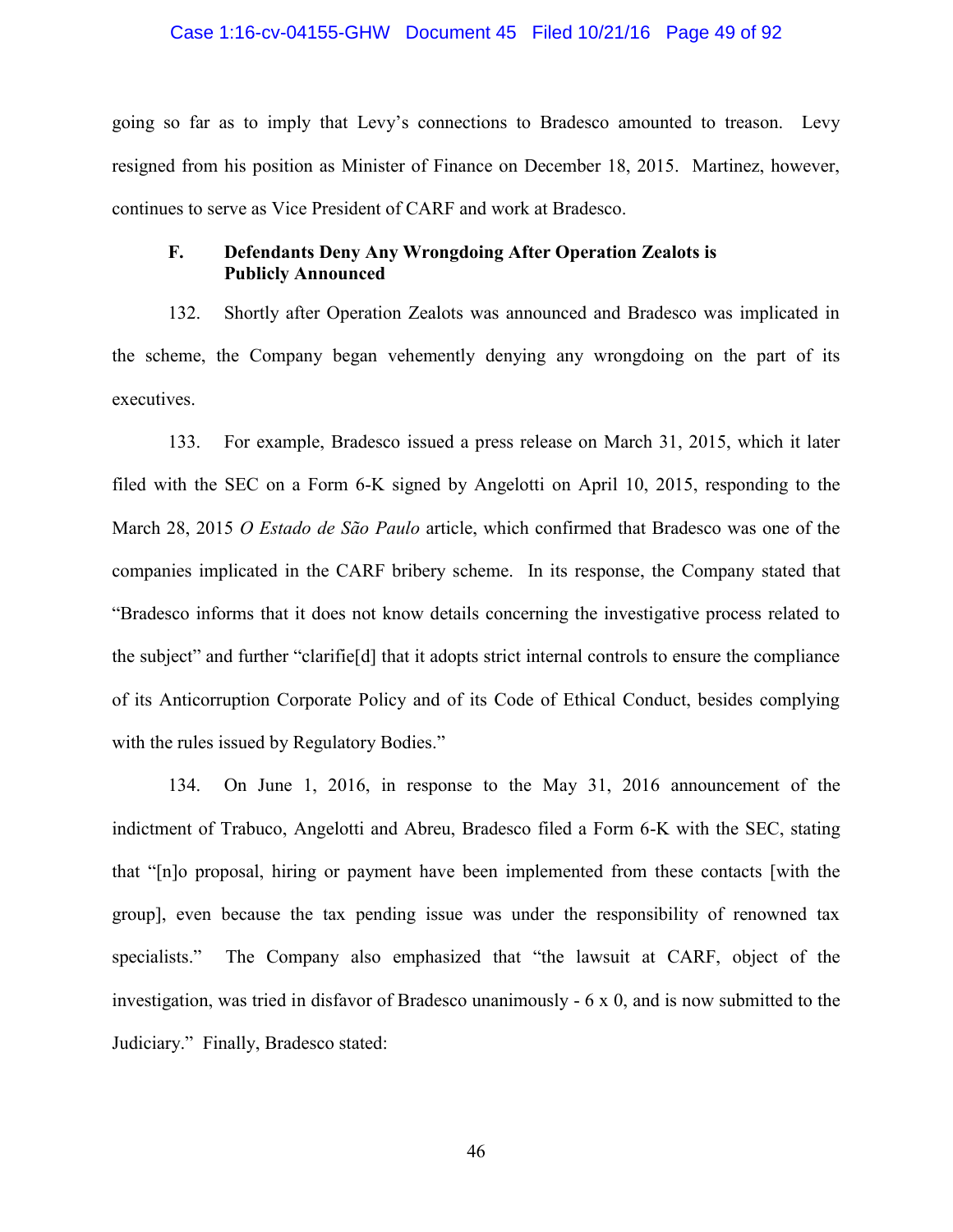### Case 1:16-cv-04155-GHW Document 45 Filed 10/21/16 Page 49 of 92

going so far as to imply that Levy's connections to Bradesco amounted to treason. Levy resigned from his position as Minister of Finance on December 18, 2015. Martinez, however, continues to serve as Vice President of CARF and work at Bradesco.

## **F. Defendants Deny Any Wrongdoing After Operation Zealots is Publicly Announced**

132. Shortly after Operation Zealots was announced and Bradesco was implicated in the scheme, the Company began vehemently denying any wrongdoing on the part of its executives.

133. For example, Bradesco issued a press release on March 31, 2015, which it later filed with the SEC on a Form 6-K signed by Angelotti on April 10, 2015, responding to the March 28, 2015 *O Estado de São Paulo* article, which confirmed that Bradesco was one of the companies implicated in the CARF bribery scheme. In its response, the Company stated that "Bradesco informs that it does not know details concerning the investigative process related to the subject" and further "clarifie[d] that it adopts strict internal controls to ensure the compliance of its Anticorruption Corporate Policy and of its Code of Ethical Conduct, besides complying with the rules issued by Regulatory Bodies."

134. On June 1, 2016, in response to the May 31, 2016 announcement of the indictment of Trabuco, Angelotti and Abreu, Bradesco filed a Form 6-K with the SEC, stating that "[n]o proposal, hiring or payment have been implemented from these contacts [with the group], even because the tax pending issue was under the responsibility of renowned tax specialists." The Company also emphasized that "the lawsuit at CARF, object of the investigation, was tried in disfavor of Bradesco unanimously - 6 x 0, and is now submitted to the Judiciary." Finally, Bradesco stated: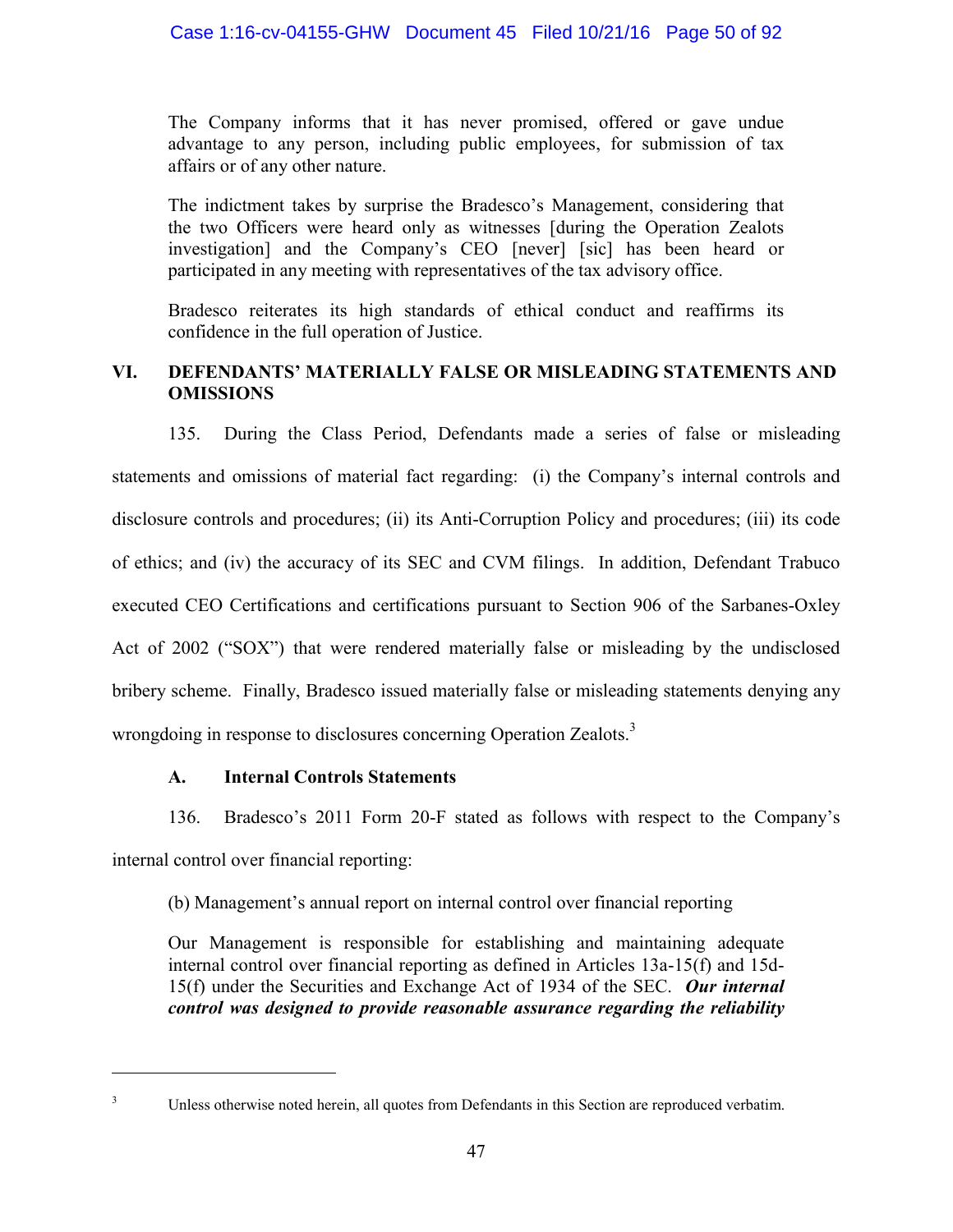The Company informs that it has never promised, offered or gave undue advantage to any person, including public employees, for submission of tax affairs or of any other nature.

The indictment takes by surprise the Bradesco's Management, considering that the two Officers were heard only as witnesses [during the Operation Zealots investigation] and the Company's CEO [never] [sic] has been heard or participated in any meeting with representatives of the tax advisory office.

Bradesco reiterates its high standards of ethical conduct and reaffirms its confidence in the full operation of Justice.

# **VI. DEFENDANTS' MATERIALLY FALSE OR MISLEADING STATEMENTS AND OMISSIONS**

135. During the Class Period, Defendants made a series of false or misleading statements and omissions of material fact regarding: (i) the Company's internal controls and disclosure controls and procedures; (ii) its Anti-Corruption Policy and procedures; (iii) its code of ethics; and (iv) the accuracy of its SEC and CVM filings. In addition, Defendant Trabuco executed CEO Certifications and certifications pursuant to Section 906 of the Sarbanes-Oxley Act of 2002 ("SOX") that were rendered materially false or misleading by the undisclosed bribery scheme. Finally, Bradesco issued materially false or misleading statements denying any wrongdoing in response to disclosures concerning Operation Zealots.<sup>3</sup>

# **A. Internal Controls Statements**

136. Bradesco's 2011 Form 20-F stated as follows with respect to the Company's internal control over financial reporting:

(b) Management's annual report on internal control over financial reporting

Our Management is responsible for establishing and maintaining adequate internal control over financial reporting as defined in Articles 13a-15(f) and 15d-15(f) under the Securities and Exchange Act of 1934 of the SEC. *Our internal control was designed to provide reasonable assurance regarding the reliability* 

 $\overline{a}$ 

<sup>&</sup>lt;sup>3</sup> Unless otherwise noted herein, all quotes from Defendants in this Section are reproduced verbatim.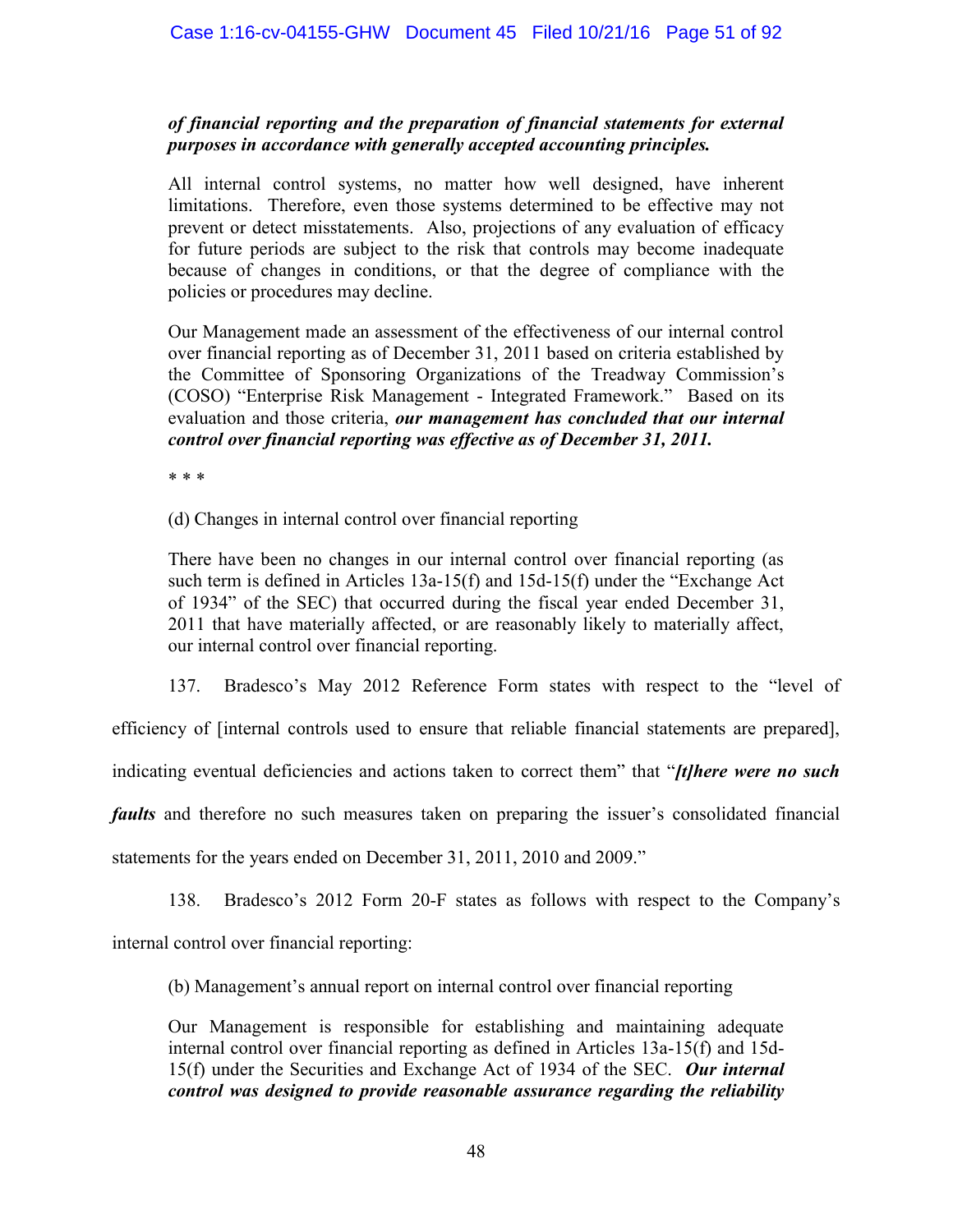# *of financial reporting and the preparation of financial statements for external purposes in accordance with generally accepted accounting principles.*

All internal control systems, no matter how well designed, have inherent limitations. Therefore, even those systems determined to be effective may not prevent or detect misstatements. Also, projections of any evaluation of efficacy for future periods are subject to the risk that controls may become inadequate because of changes in conditions, or that the degree of compliance with the policies or procedures may decline.

Our Management made an assessment of the effectiveness of our internal control over financial reporting as of December 31, 2011 based on criteria established by the Committee of Sponsoring Organizations of the Treadway Commission's (COSO) "Enterprise Risk Management - Integrated Framework." Based on its evaluation and those criteria, *our management has concluded that our internal control over financial reporting was effective as of December 31, 2011.*

\* \* \*

(d) Changes in internal control over financial reporting

There have been no changes in our internal control over financial reporting (as such term is defined in Articles 13a-15(f) and 15d-15(f) under the "Exchange Act of 1934" of the SEC) that occurred during the fiscal year ended December 31, 2011 that have materially affected, or are reasonably likely to materially affect, our internal control over financial reporting.

137. Bradesco's May 2012 Reference Form states with respect to the "level of

efficiency of [internal controls used to ensure that reliable financial statements are prepared],

indicating eventual deficiencies and actions taken to correct them" that "*[t]here were no such* 

*faults* and therefore no such measures taken on preparing the issuer's consolidated financial

statements for the years ended on December 31, 2011, 2010 and 2009."

138. Bradesco's 2012 Form 20-F states as follows with respect to the Company's internal control over financial reporting:

(b) Management's annual report on internal control over financial reporting

Our Management is responsible for establishing and maintaining adequate internal control over financial reporting as defined in Articles 13a-15(f) and 15d-15(f) under the Securities and Exchange Act of 1934 of the SEC. *Our internal control was designed to provide reasonable assurance regarding the reliability*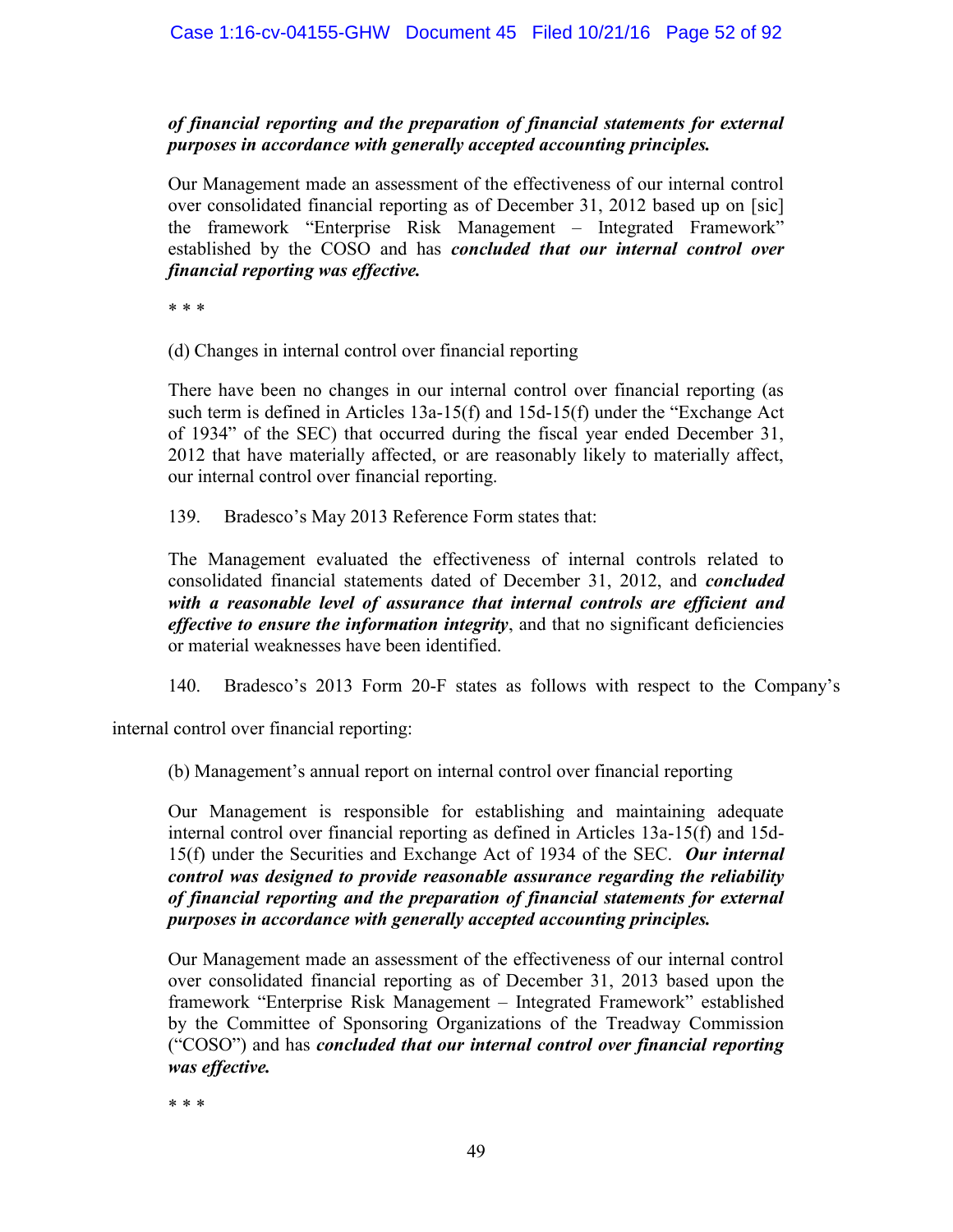# *of financial reporting and the preparation of financial statements for external purposes in accordance with generally accepted accounting principles.*

Our Management made an assessment of the effectiveness of our internal control over consolidated financial reporting as of December 31, 2012 based up on [sic] the framework "Enterprise Risk Management – Integrated Framework" established by the COSO and has *concluded that our internal control over financial reporting was effective.*

\* \* \*

(d) Changes in internal control over financial reporting

There have been no changes in our internal control over financial reporting (as such term is defined in Articles 13a-15(f) and 15d-15(f) under the "Exchange Act of 1934" of the SEC) that occurred during the fiscal year ended December 31, 2012 that have materially affected, or are reasonably likely to materially affect, our internal control over financial reporting.

139. Bradesco's May 2013 Reference Form states that:

The Management evaluated the effectiveness of internal controls related to consolidated financial statements dated of December 31, 2012, and *concluded with a reasonable level of assurance that internal controls are efficient and effective to ensure the information integrity*, and that no significant deficiencies or material weaknesses have been identified.

140. Bradesco's 2013 Form 20-F states as follows with respect to the Company's

internal control over financial reporting:

(b) Management's annual report on internal control over financial reporting

Our Management is responsible for establishing and maintaining adequate internal control over financial reporting as defined in Articles 13a-15(f) and 15d-15(f) under the Securities and Exchange Act of 1934 of the SEC. *Our internal control was designed to provide reasonable assurance regarding the reliability of financial reporting and the preparation of financial statements for external purposes in accordance with generally accepted accounting principles.*

Our Management made an assessment of the effectiveness of our internal control over consolidated financial reporting as of December 31, 2013 based upon the framework "Enterprise Risk Management – Integrated Framework" established by the Committee of Sponsoring Organizations of the Treadway Commission ("COSO") and has *concluded that our internal control over financial reporting was effective.*

\* \* \*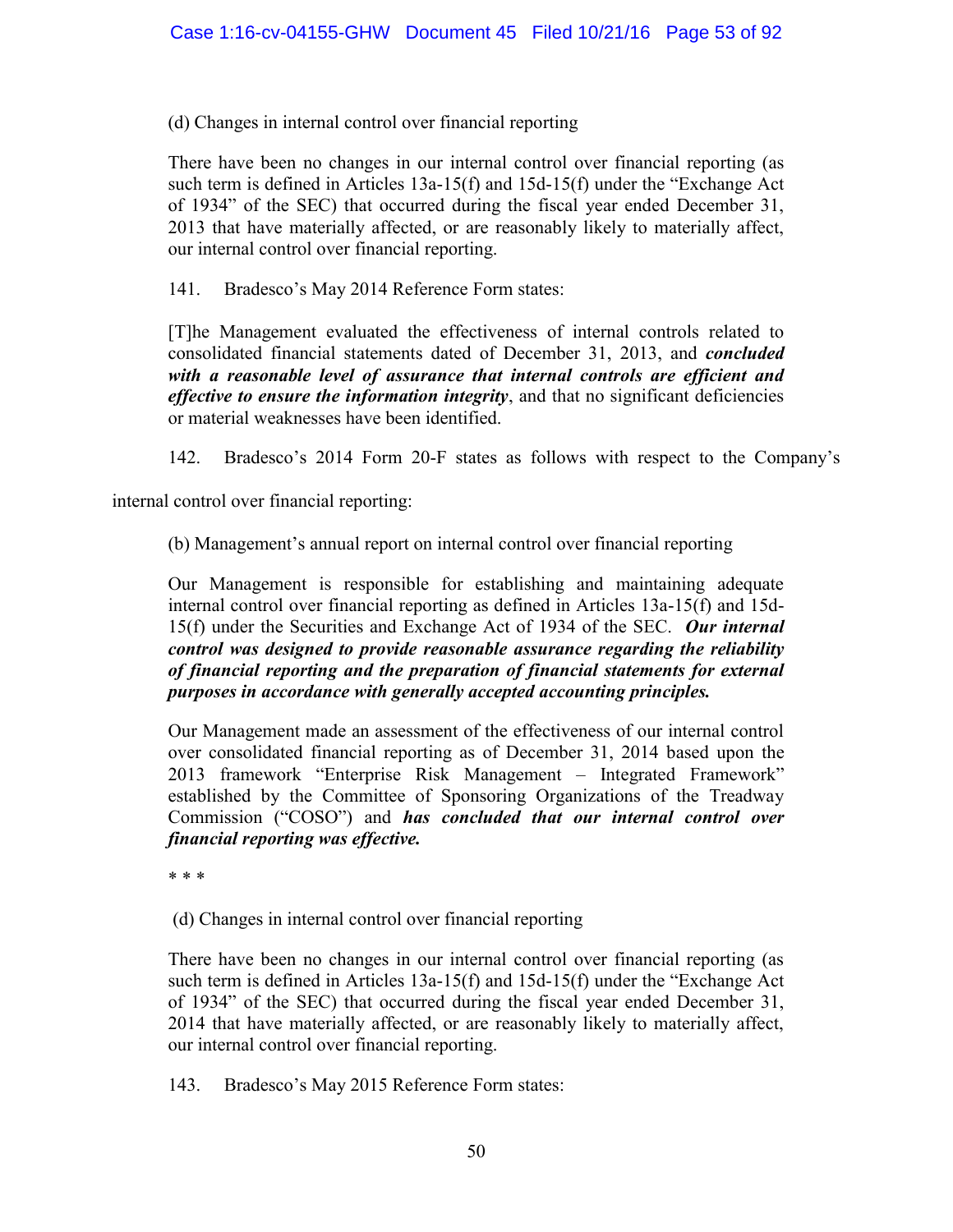(d) Changes in internal control over financial reporting

There have been no changes in our internal control over financial reporting (as such term is defined in Articles 13a-15(f) and 15d-15(f) under the "Exchange Act of 1934" of the SEC) that occurred during the fiscal year ended December 31, 2013 that have materially affected, or are reasonably likely to materially affect, our internal control over financial reporting.

141. Bradesco's May 2014 Reference Form states:

[T]he Management evaluated the effectiveness of internal controls related to consolidated financial statements dated of December 31, 2013, and *concluded with a reasonable level of assurance that internal controls are efficient and effective to ensure the information integrity*, and that no significant deficiencies or material weaknesses have been identified.

142. Bradesco's 2014 Form 20-F states as follows with respect to the Company's

internal control over financial reporting:

(b) Management's annual report on internal control over financial reporting

Our Management is responsible for establishing and maintaining adequate internal control over financial reporting as defined in Articles 13a-15(f) and 15d-15(f) under the Securities and Exchange Act of 1934 of the SEC. *Our internal control was designed to provide reasonable assurance regarding the reliability of financial reporting and the preparation of financial statements for external purposes in accordance with generally accepted accounting principles.*

Our Management made an assessment of the effectiveness of our internal control over consolidated financial reporting as of December 31, 2014 based upon the 2013 framework "Enterprise Risk Management – Integrated Framework" established by the Committee of Sponsoring Organizations of the Treadway Commission ("COSO") and *has concluded that our internal control over financial reporting was effective.*

\* \* \*

(d) Changes in internal control over financial reporting

There have been no changes in our internal control over financial reporting (as such term is defined in Articles 13a-15(f) and 15d-15(f) under the "Exchange Act of 1934" of the SEC) that occurred during the fiscal year ended December 31, 2014 that have materially affected, or are reasonably likely to materially affect, our internal control over financial reporting.

143. Bradesco's May 2015 Reference Form states: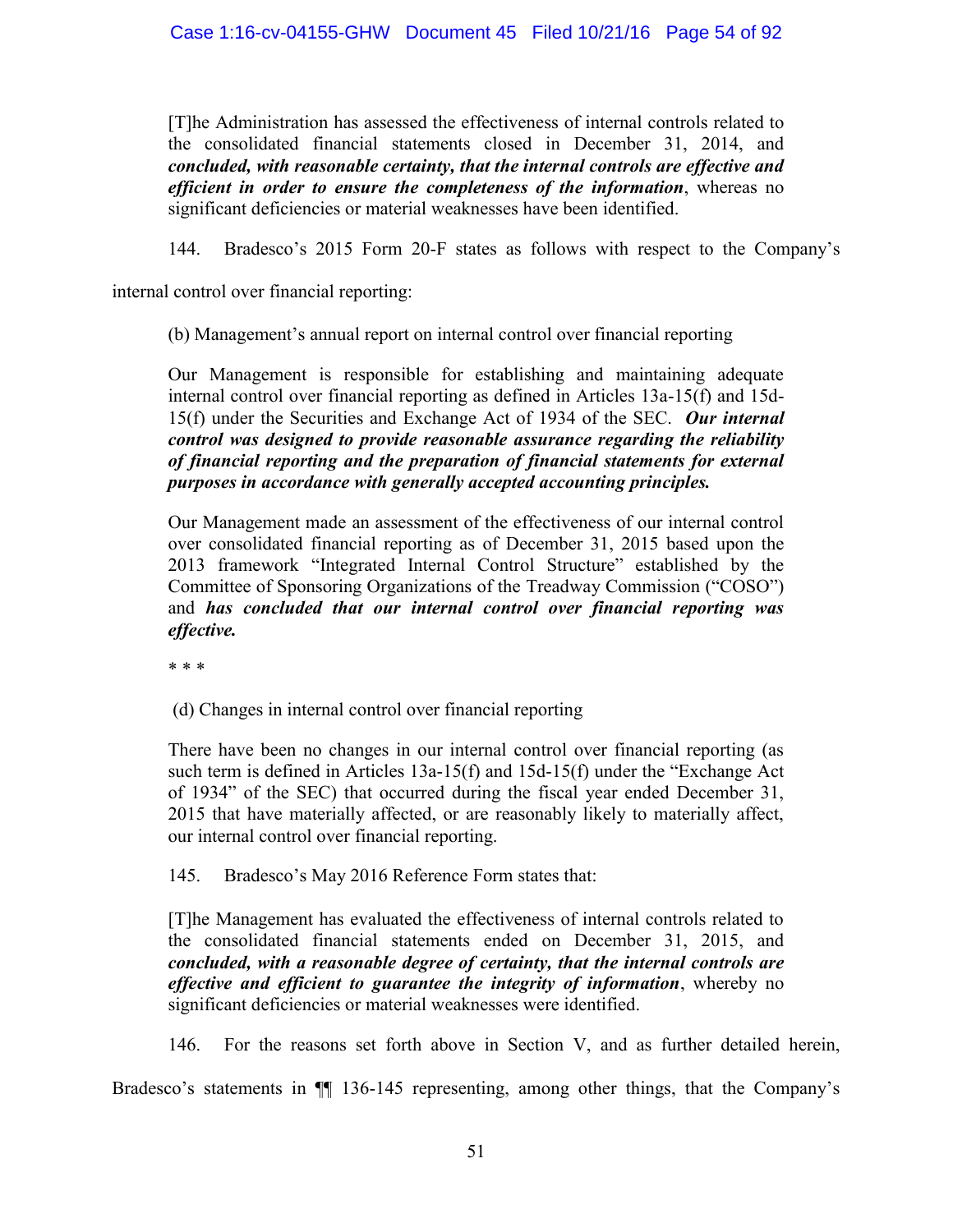[T]he Administration has assessed the effectiveness of internal controls related to the consolidated financial statements closed in December 31, 2014, and *concluded, with reasonable certainty, that the internal controls are effective and efficient in order to ensure the completeness of the information*, whereas no significant deficiencies or material weaknesses have been identified.

144. Bradesco's 2015 Form 20-F states as follows with respect to the Company's

internal control over financial reporting:

(b) Management's annual report on internal control over financial reporting

Our Management is responsible for establishing and maintaining adequate internal control over financial reporting as defined in Articles 13a-15(f) and 15d-15(f) under the Securities and Exchange Act of 1934 of the SEC. *Our internal control was designed to provide reasonable assurance regarding the reliability of financial reporting and the preparation of financial statements for external purposes in accordance with generally accepted accounting principles.*

Our Management made an assessment of the effectiveness of our internal control over consolidated financial reporting as of December 31, 2015 based upon the 2013 framework "Integrated Internal Control Structure" established by the Committee of Sponsoring Organizations of the Treadway Commission ("COSO") and *has concluded that our internal control over financial reporting was effective.*

\* \* \*

(d) Changes in internal control over financial reporting

There have been no changes in our internal control over financial reporting (as such term is defined in Articles 13a-15(f) and 15d-15(f) under the "Exchange Act of 1934" of the SEC) that occurred during the fiscal year ended December 31, 2015 that have materially affected, or are reasonably likely to materially affect, our internal control over financial reporting.

145. Bradesco's May 2016 Reference Form states that:

[T]he Management has evaluated the effectiveness of internal controls related to the consolidated financial statements ended on December 31, 2015, and *concluded, with a reasonable degree of certainty, that the internal controls are effective and efficient to guarantee the integrity of information*, whereby no significant deficiencies or material weaknesses were identified.

146. For the reasons set forth above in Section V, and as further detailed herein,

Bradesco's statements in ¶¶ 136-145 representing, among other things, that the Company's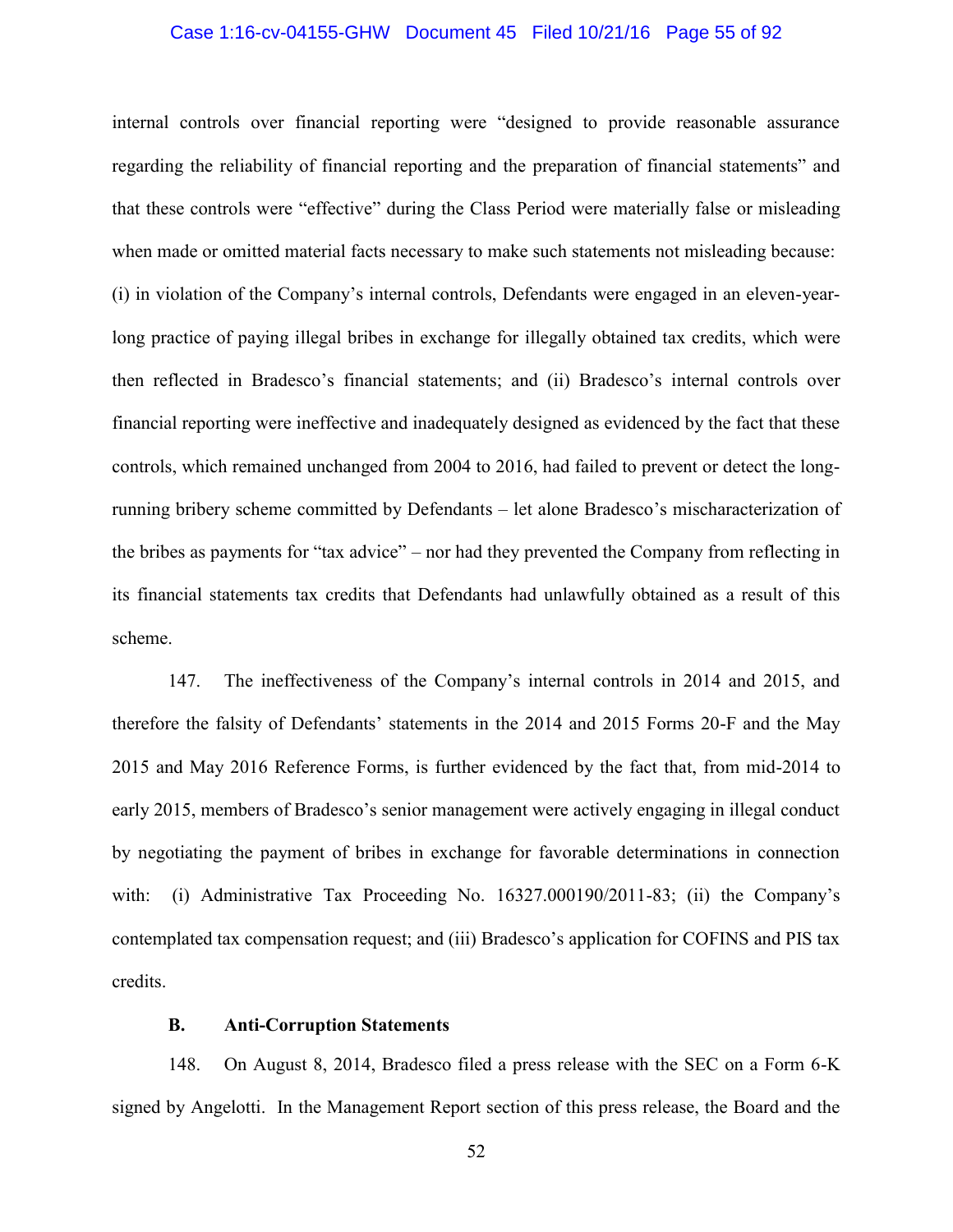### Case 1:16-cv-04155-GHW Document 45 Filed 10/21/16 Page 55 of 92

internal controls over financial reporting were "designed to provide reasonable assurance regarding the reliability of financial reporting and the preparation of financial statements" and that these controls were "effective" during the Class Period were materially false or misleading when made or omitted material facts necessary to make such statements not misleading because: (i) in violation of the Company's internal controls, Defendants were engaged in an eleven-yearlong practice of paying illegal bribes in exchange for illegally obtained tax credits, which were then reflected in Bradesco's financial statements; and (ii) Bradesco's internal controls over financial reporting were ineffective and inadequately designed as evidenced by the fact that these controls, which remained unchanged from 2004 to 2016, had failed to prevent or detect the longrunning bribery scheme committed by Defendants – let alone Bradesco's mischaracterization of the bribes as payments for "tax advice" – nor had they prevented the Company from reflecting in its financial statements tax credits that Defendants had unlawfully obtained as a result of this scheme.

147. The ineffectiveness of the Company's internal controls in 2014 and 2015, and therefore the falsity of Defendants' statements in the 2014 and 2015 Forms 20-F and the May 2015 and May 2016 Reference Forms, is further evidenced by the fact that, from mid-2014 to early 2015, members of Bradesco's senior management were actively engaging in illegal conduct by negotiating the payment of bribes in exchange for favorable determinations in connection with: (i) Administrative Tax Proceeding No. 16327.000190/2011-83; (ii) the Company's contemplated tax compensation request; and (iii) Bradesco's application for COFINS and PIS tax credits.

### **B. Anti-Corruption Statements**

148. On August 8, 2014, Bradesco filed a press release with the SEC on a Form 6-K signed by Angelotti. In the Management Report section of this press release, the Board and the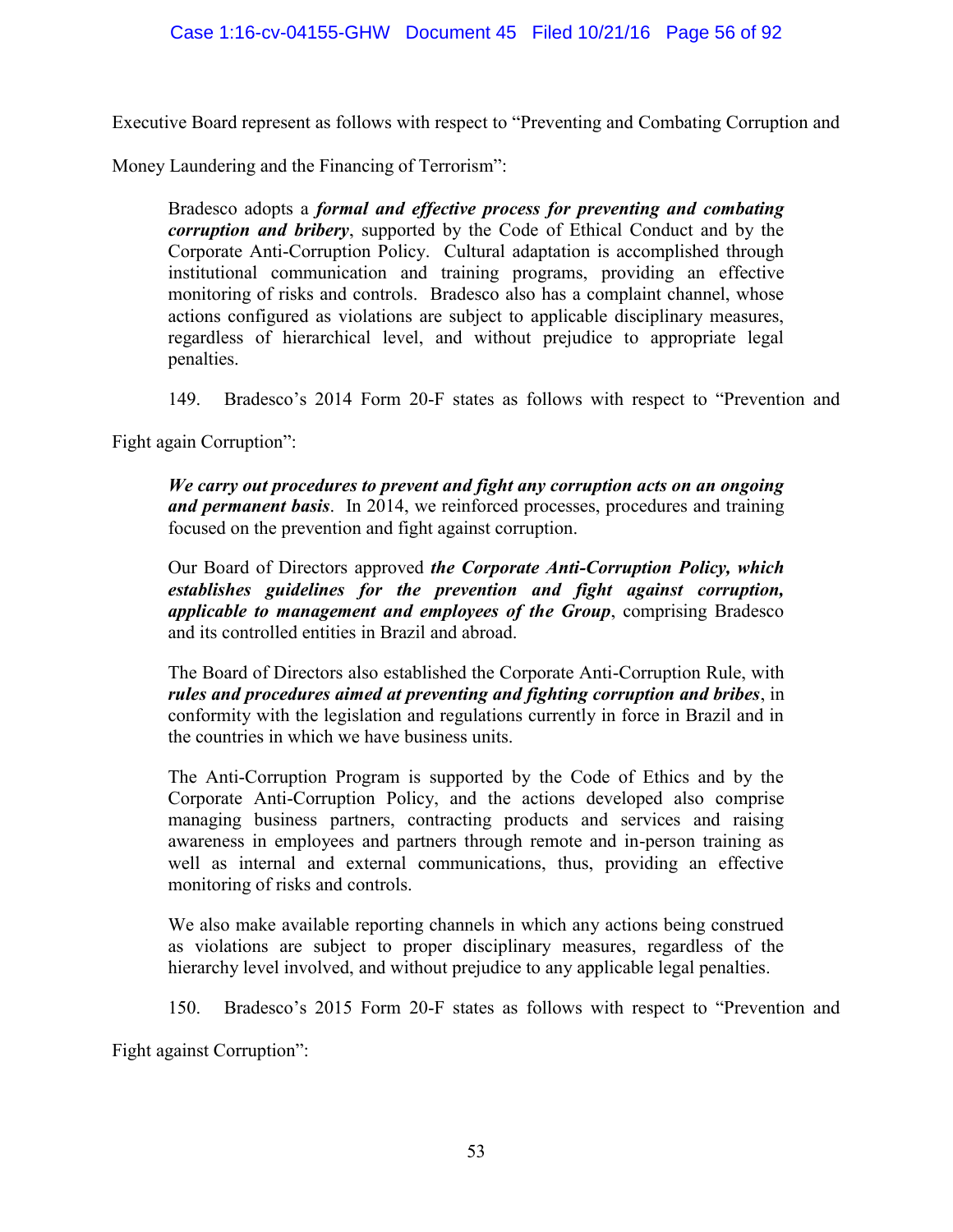Executive Board represent as follows with respect to "Preventing and Combating Corruption and

Money Laundering and the Financing of Terrorism":

Bradesco adopts a *formal and effective process for preventing and combating corruption and bribery*, supported by the Code of Ethical Conduct and by the Corporate Anti-Corruption Policy. Cultural adaptation is accomplished through institutional communication and training programs, providing an effective monitoring of risks and controls. Bradesco also has a complaint channel, whose actions configured as violations are subject to applicable disciplinary measures, regardless of hierarchical level, and without prejudice to appropriate legal penalties.

149. Bradesco's 2014 Form 20-F states as follows with respect to "Prevention and

Fight again Corruption":

*We carry out procedures to prevent and fight any corruption acts on an ongoing and permanent basis*. In 2014, we reinforced processes, procedures and training focused on the prevention and fight against corruption.

Our Board of Directors approved *the Corporate Anti-Corruption Policy, which establishes guidelines for the prevention and fight against corruption, applicable to management and employees of the Group*, comprising Bradesco and its controlled entities in Brazil and abroad.

The Board of Directors also established the Corporate Anti-Corruption Rule, with *rules and procedures aimed at preventing and fighting corruption and bribes*, in conformity with the legislation and regulations currently in force in Brazil and in the countries in which we have business units.

The Anti-Corruption Program is supported by the Code of Ethics and by the Corporate Anti-Corruption Policy, and the actions developed also comprise managing business partners, contracting products and services and raising awareness in employees and partners through remote and in-person training as well as internal and external communications, thus, providing an effective monitoring of risks and controls.

We also make available reporting channels in which any actions being construed as violations are subject to proper disciplinary measures, regardless of the hierarchy level involved, and without prejudice to any applicable legal penalties.

150. Bradesco's 2015 Form 20-F states as follows with respect to "Prevention and

Fight against Corruption":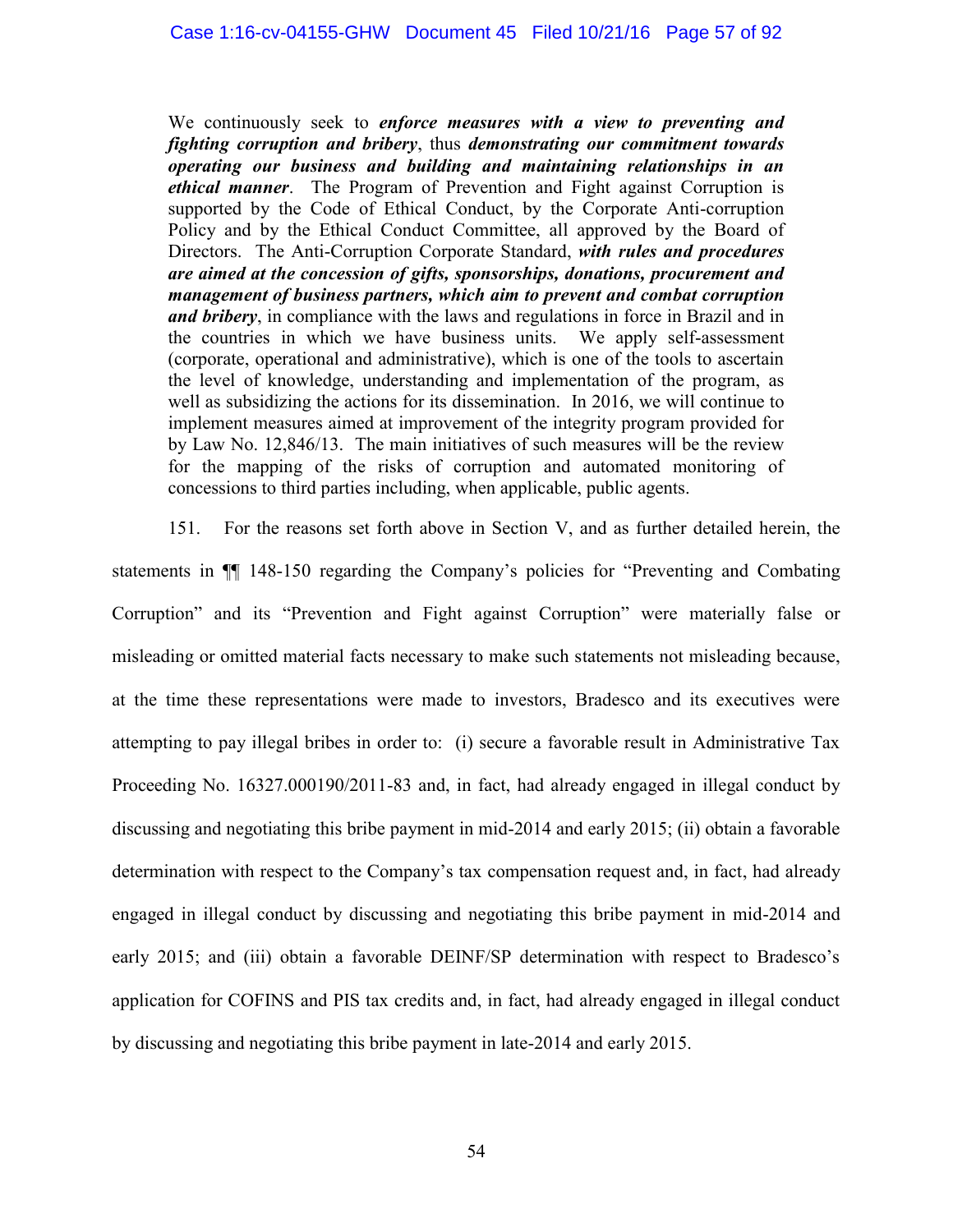We continuously seek to *enforce measures with a view to preventing and fighting corruption and bribery*, thus *demonstrating our commitment towards operating our business and building and maintaining relationships in an ethical manner*. The Program of Prevention and Fight against Corruption is supported by the Code of Ethical Conduct, by the Corporate Anti-corruption Policy and by the Ethical Conduct Committee, all approved by the Board of Directors. The Anti-Corruption Corporate Standard, *with rules and procedures are aimed at the concession of gifts, sponsorships, donations, procurement and management of business partners, which aim to prevent and combat corruption and bribery*, in compliance with the laws and regulations in force in Brazil and in the countries in which we have business units. We apply self-assessment (corporate, operational and administrative), which is one of the tools to ascertain the level of knowledge, understanding and implementation of the program, as well as subsidizing the actions for its dissemination. In 2016, we will continue to implement measures aimed at improvement of the integrity program provided for by Law No. 12,846/13. The main initiatives of such measures will be the review for the mapping of the risks of corruption and automated monitoring of concessions to third parties including, when applicable, public agents.

151. For the reasons set forth above in Section V, and as further detailed herein, the statements in ¶¶ 148-150 regarding the Company's policies for "Preventing and Combating Corruption" and its "Prevention and Fight against Corruption" were materially false or misleading or omitted material facts necessary to make such statements not misleading because, at the time these representations were made to investors, Bradesco and its executives were attempting to pay illegal bribes in order to: (i) secure a favorable result in Administrative Tax Proceeding No. 16327.000190/2011-83 and, in fact, had already engaged in illegal conduct by discussing and negotiating this bribe payment in mid-2014 and early 2015; (ii) obtain a favorable determination with respect to the Company's tax compensation request and, in fact, had already engaged in illegal conduct by discussing and negotiating this bribe payment in mid-2014 and early 2015; and (iii) obtain a favorable DEINF/SP determination with respect to Bradesco's application for COFINS and PIS tax credits and, in fact, had already engaged in illegal conduct by discussing and negotiating this bribe payment in late-2014 and early 2015.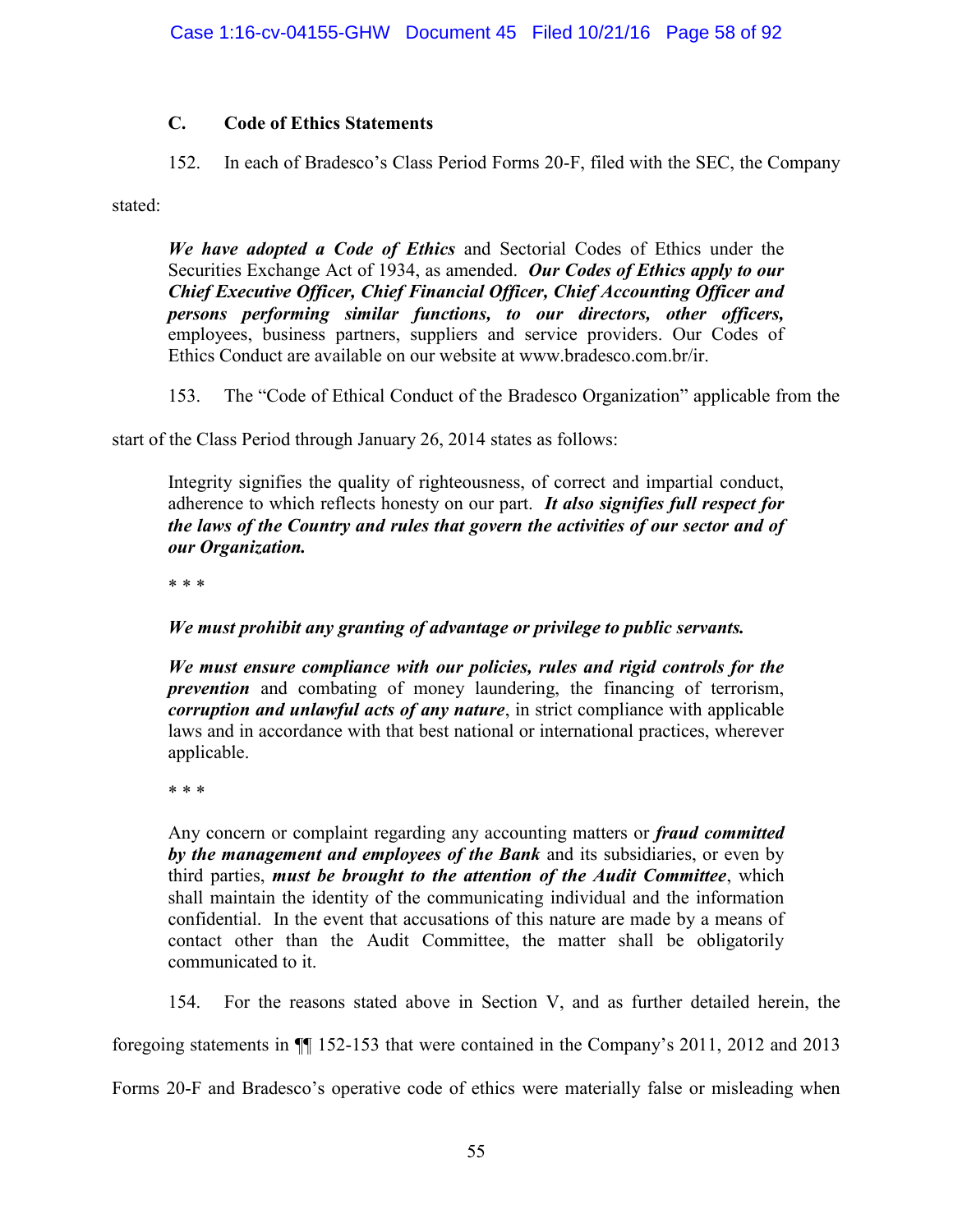# **C. Code of Ethics Statements**

152. In each of Bradesco's Class Period Forms 20-F, filed with the SEC, the Company

stated:

*We have adopted a Code of Ethics* and Sectorial Codes of Ethics under the Securities Exchange Act of 1934, as amended. *Our Codes of Ethics apply to our Chief Executive Officer, Chief Financial Officer, Chief Accounting Officer and persons performing similar functions, to our directors, other officers,*  employees, business partners, suppliers and service providers. Our Codes of Ethics Conduct are available on our website at www.bradesco.com.br/ir.

153. The "Code of Ethical Conduct of the Bradesco Organization" applicable from the

start of the Class Period through January 26, 2014 states as follows:

Integrity signifies the quality of righteousness, of correct and impartial conduct, adherence to which reflects honesty on our part. *It also signifies full respect for the laws of the Country and rules that govern the activities of our sector and of our Organization.*

\* \* \*

# *We must prohibit any granting of advantage or privilege to public servants.*

*We must ensure compliance with our policies, rules and rigid controls for the prevention* and combating of money laundering, the financing of terrorism, *corruption and unlawful acts of any nature*, in strict compliance with applicable laws and in accordance with that best national or international practices, wherever applicable.

\* \* \*

Any concern or complaint regarding any accounting matters or *fraud committed by the management and employees of the Bank* and its subsidiaries, or even by third parties, *must be brought to the attention of the Audit Committee*, which shall maintain the identity of the communicating individual and the information confidential. In the event that accusations of this nature are made by a means of contact other than the Audit Committee, the matter shall be obligatorily communicated to it.

154. For the reasons stated above in Section V, and as further detailed herein, the

foregoing statements in ¶¶ 152-153 that were contained in the Company's 2011, 2012 and 2013

Forms 20-F and Bradesco's operative code of ethics were materially false or misleading when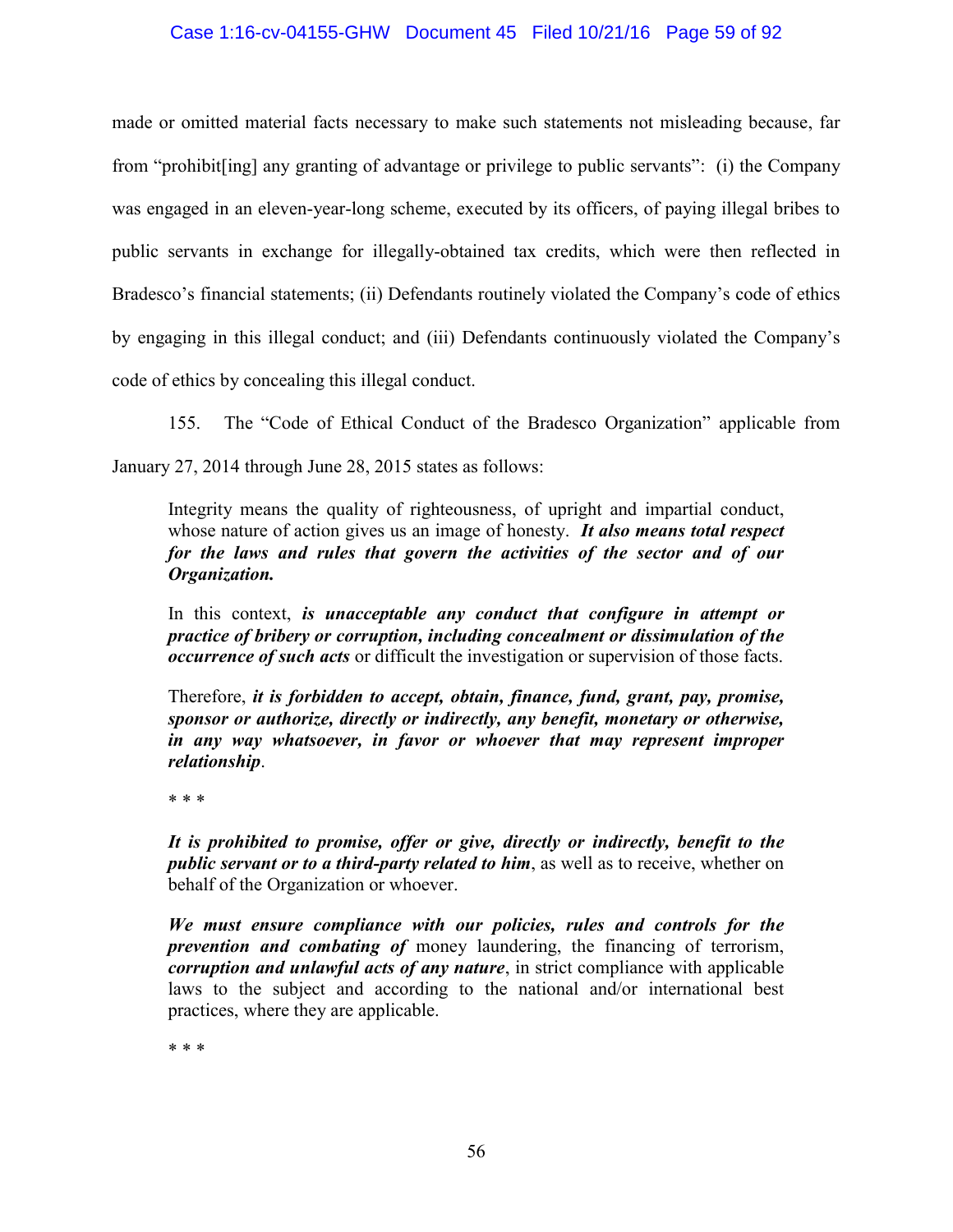## Case 1:16-cv-04155-GHW Document 45 Filed 10/21/16 Page 59 of 92

made or omitted material facts necessary to make such statements not misleading because, far from "prohibit[ing] any granting of advantage or privilege to public servants": (i) the Company was engaged in an eleven-year-long scheme, executed by its officers, of paying illegal bribes to public servants in exchange for illegally-obtained tax credits, which were then reflected in Bradesco's financial statements; (ii) Defendants routinely violated the Company's code of ethics by engaging in this illegal conduct; and (iii) Defendants continuously violated the Company's code of ethics by concealing this illegal conduct.

155. The "Code of Ethical Conduct of the Bradesco Organization" applicable from

January 27, 2014 through June 28, 2015 states as follows:

Integrity means the quality of righteousness, of upright and impartial conduct, whose nature of action gives us an image of honesty. *It also means total respect for the laws and rules that govern the activities of the sector and of our Organization.*

In this context, *is unacceptable any conduct that configure in attempt or practice of bribery or corruption, including concealment or dissimulation of the occurrence of such acts* or difficult the investigation or supervision of those facts.

Therefore, *it is forbidden to accept, obtain, finance, fund, grant, pay, promise, sponsor or authorize, directly or indirectly, any benefit, monetary or otherwise, in any way whatsoever, in favor or whoever that may represent improper relationship*.

\* \* \*

*It is prohibited to promise, offer or give, directly or indirectly, benefit to the public servant or to a third-party related to him*, as well as to receive, whether on behalf of the Organization or whoever.

*We must ensure compliance with our policies, rules and controls for the prevention and combating of* money laundering, the financing of terrorism, *corruption and unlawful acts of any nature*, in strict compliance with applicable laws to the subject and according to the national and/or international best practices, where they are applicable.

\* \* \*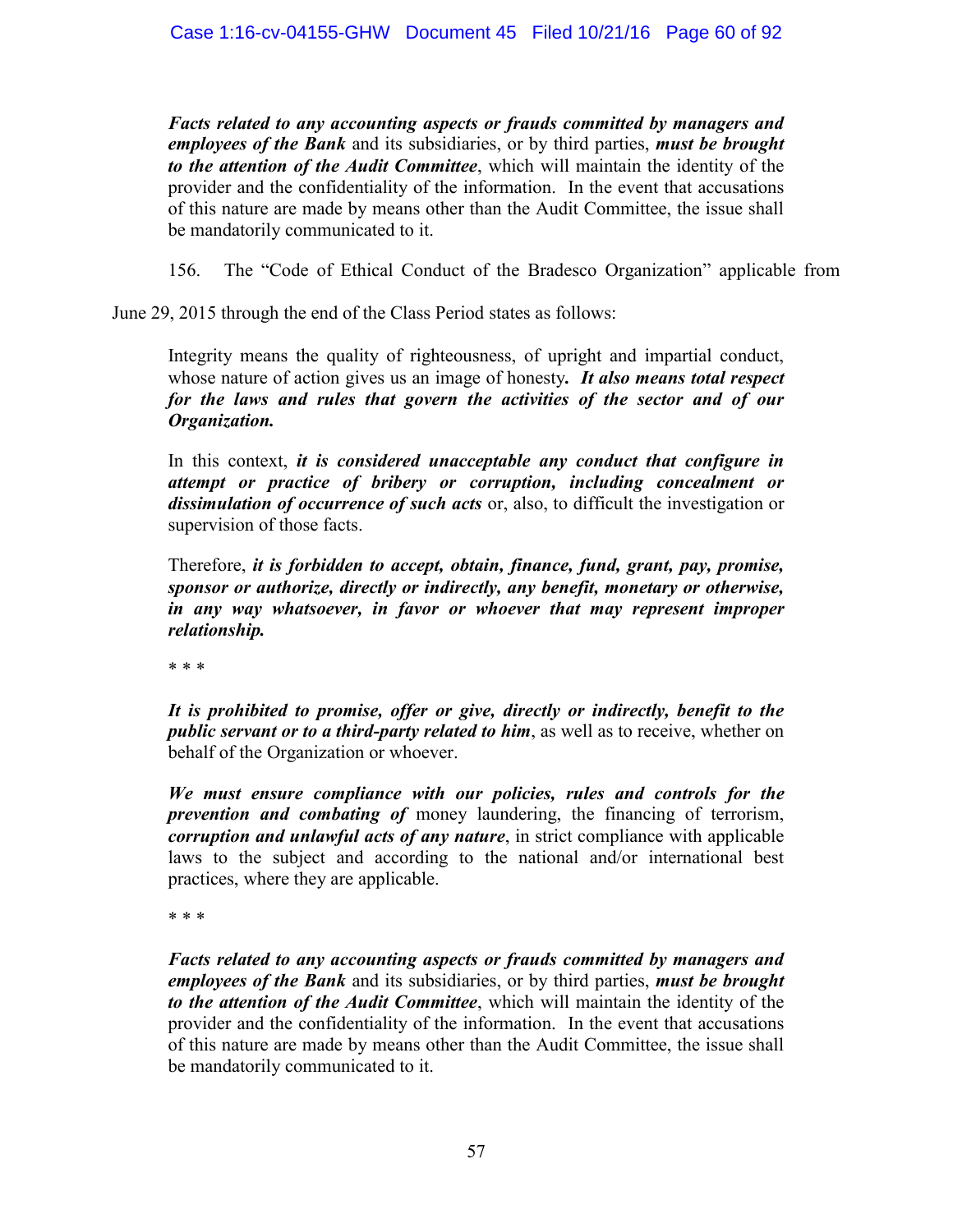*Facts related to any accounting aspects or frauds committed by managers and employees of the Bank* and its subsidiaries, or by third parties, *must be brought to the attention of the Audit Committee*, which will maintain the identity of the provider and the confidentiality of the information. In the event that accusations of this nature are made by means other than the Audit Committee, the issue shall be mandatorily communicated to it.

156. The "Code of Ethical Conduct of the Bradesco Organization" applicable from

June 29, 2015 through the end of the Class Period states as follows:

Integrity means the quality of righteousness, of upright and impartial conduct, whose nature of action gives us an image of honesty*. It also means total respect for the laws and rules that govern the activities of the sector and of our Organization.*

In this context, *it is considered unacceptable any conduct that configure in attempt or practice of bribery or corruption, including concealment or dissimulation of occurrence of such acts* or, also, to difficult the investigation or supervision of those facts.

Therefore, *it is forbidden to accept, obtain, finance, fund, grant, pay, promise, sponsor or authorize, directly or indirectly, any benefit, monetary or otherwise, in any way whatsoever, in favor or whoever that may represent improper relationship.*

\* \* \*

*It is prohibited to promise, offer or give, directly or indirectly, benefit to the public servant or to a third-party related to him*, as well as to receive, whether on behalf of the Organization or whoever.

*We must ensure compliance with our policies, rules and controls for the prevention and combating of* money laundering, the financing of terrorism, *corruption and unlawful acts of any nature*, in strict compliance with applicable laws to the subject and according to the national and/or international best practices, where they are applicable.

\* \* \*

*Facts related to any accounting aspects or frauds committed by managers and employees of the Bank* and its subsidiaries, or by third parties, *must be brought to the attention of the Audit Committee*, which will maintain the identity of the provider and the confidentiality of the information. In the event that accusations of this nature are made by means other than the Audit Committee, the issue shall be mandatorily communicated to it.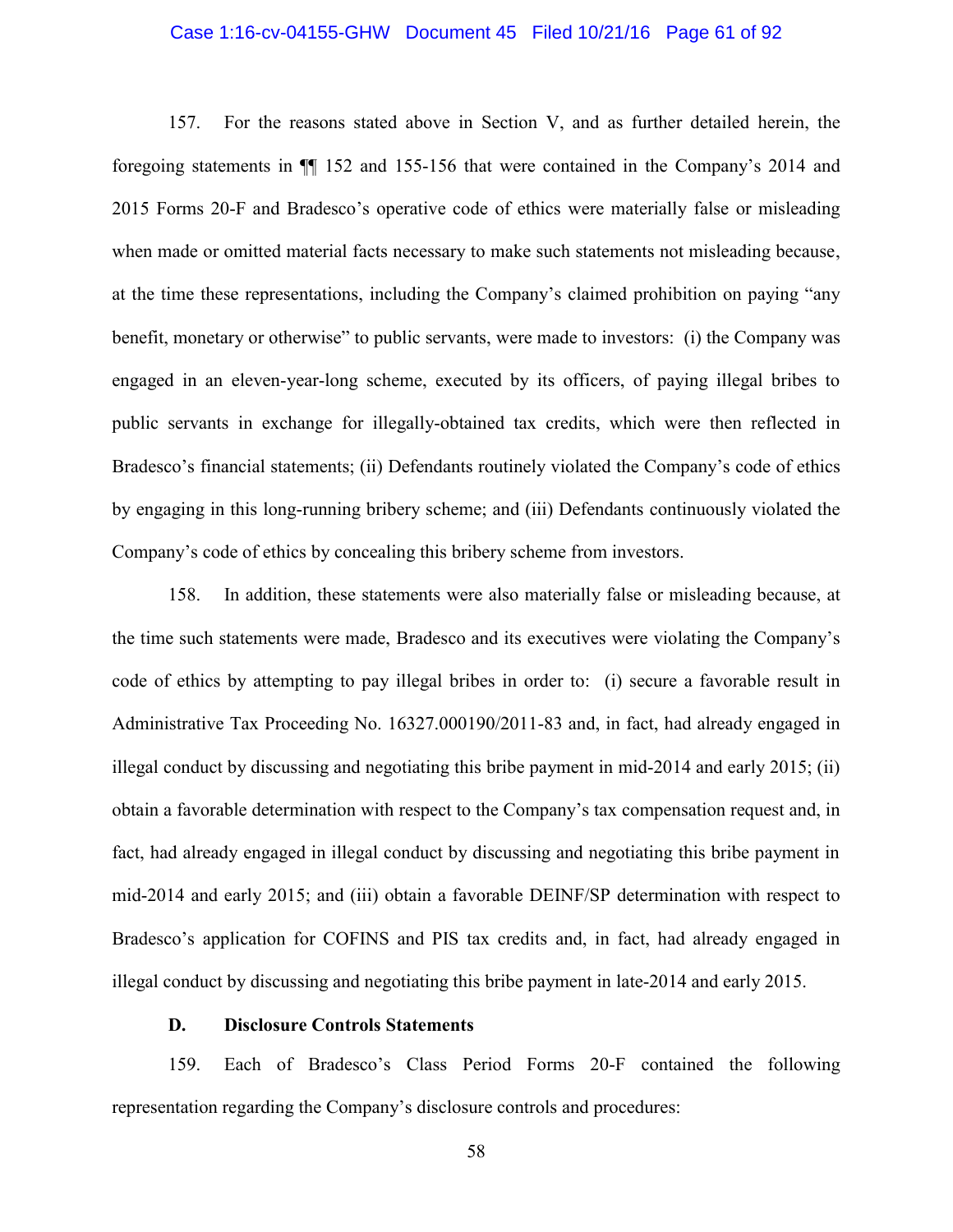### Case 1:16-cv-04155-GHW Document 45 Filed 10/21/16 Page 61 of 92

157. For the reasons stated above in Section V, and as further detailed herein, the foregoing statements in ¶¶ 152 and 155-156 that were contained in the Company's 2014 and 2015 Forms 20-F and Bradesco's operative code of ethics were materially false or misleading when made or omitted material facts necessary to make such statements not misleading because, at the time these representations, including the Company's claimed prohibition on paying "any benefit, monetary or otherwise" to public servants, were made to investors: (i) the Company was engaged in an eleven-year-long scheme, executed by its officers, of paying illegal bribes to public servants in exchange for illegally-obtained tax credits, which were then reflected in Bradesco's financial statements; (ii) Defendants routinely violated the Company's code of ethics by engaging in this long-running bribery scheme; and (iii) Defendants continuously violated the Company's code of ethics by concealing this bribery scheme from investors.

158. In addition, these statements were also materially false or misleading because, at the time such statements were made, Bradesco and its executives were violating the Company's code of ethics by attempting to pay illegal bribes in order to: (i) secure a favorable result in Administrative Tax Proceeding No. 16327.000190/2011-83 and, in fact, had already engaged in illegal conduct by discussing and negotiating this bribe payment in mid-2014 and early 2015; (ii) obtain a favorable determination with respect to the Company's tax compensation request and, in fact, had already engaged in illegal conduct by discussing and negotiating this bribe payment in mid-2014 and early 2015; and (iii) obtain a favorable DEINF/SP determination with respect to Bradesco's application for COFINS and PIS tax credits and, in fact, had already engaged in illegal conduct by discussing and negotiating this bribe payment in late-2014 and early 2015.

### **D. Disclosure Controls Statements**

159. Each of Bradesco's Class Period Forms 20-F contained the following representation regarding the Company's disclosure controls and procedures: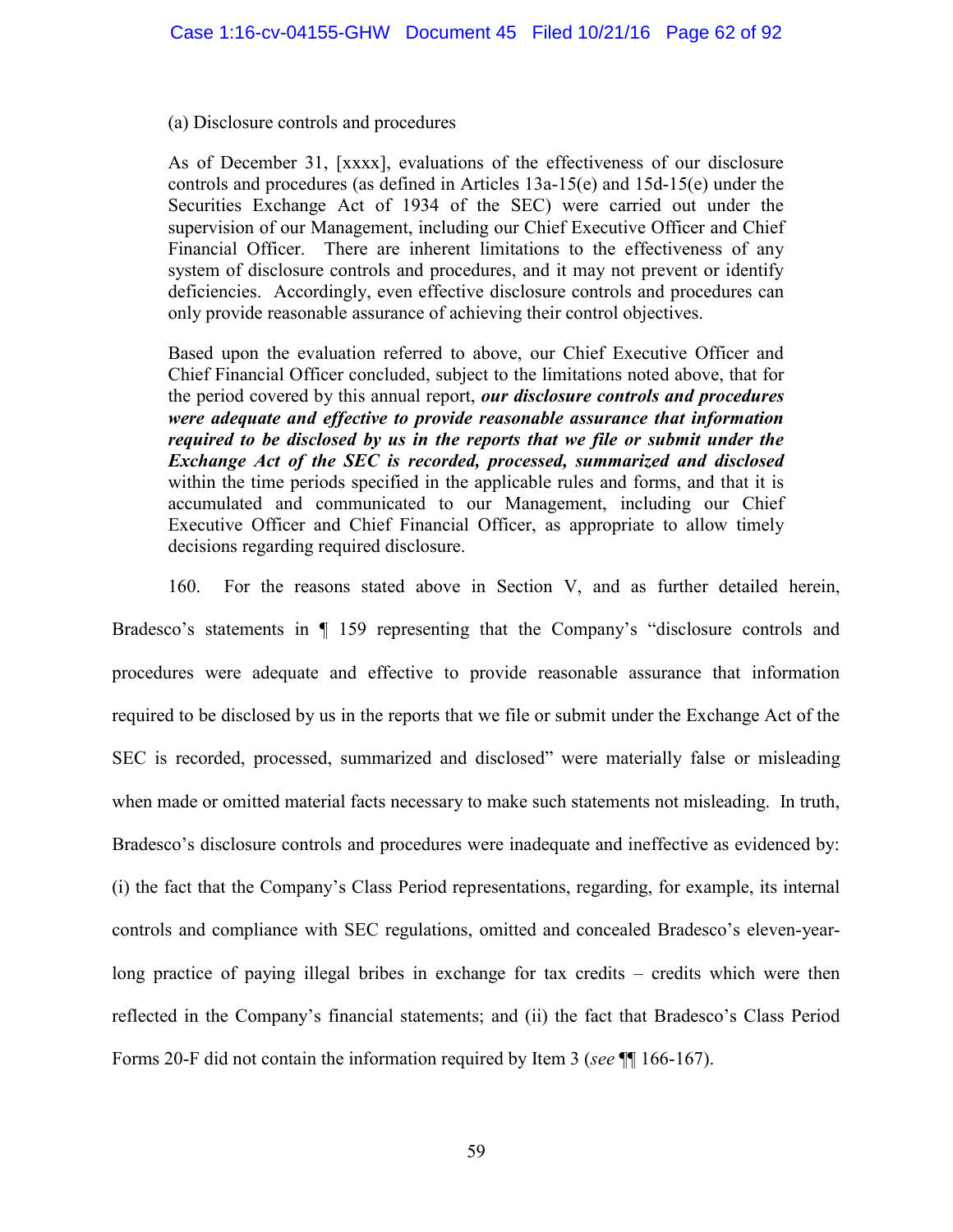(a) Disclosure controls and procedures

As of December 31, [xxxx], evaluations of the effectiveness of our disclosure controls and procedures (as defined in Articles 13a-15(e) and 15d-15(e) under the Securities Exchange Act of 1934 of the SEC) were carried out under the supervision of our Management, including our Chief Executive Officer and Chief Financial Officer. There are inherent limitations to the effectiveness of any system of disclosure controls and procedures, and it may not prevent or identify deficiencies. Accordingly, even effective disclosure controls and procedures can only provide reasonable assurance of achieving their control objectives.

Based upon the evaluation referred to above, our Chief Executive Officer and Chief Financial Officer concluded, subject to the limitations noted above, that for the period covered by this annual report, *our disclosure controls and procedures were adequate and effective to provide reasonable assurance that information required to be disclosed by us in the reports that we file or submit under the Exchange Act of the SEC is recorded, processed, summarized and disclosed*  within the time periods specified in the applicable rules and forms, and that it is accumulated and communicated to our Management, including our Chief Executive Officer and Chief Financial Officer, as appropriate to allow timely decisions regarding required disclosure.

160. For the reasons stated above in Section V, and as further detailed herein, Bradesco's statements in  $\P$  159 representing that the Company's "disclosure controls and procedures were adequate and effective to provide reasonable assurance that information required to be disclosed by us in the reports that we file or submit under the Exchange Act of the SEC is recorded, processed, summarized and disclosed" were materially false or misleading when made or omitted material facts necessary to make such statements not misleading. In truth, Bradesco's disclosure controls and procedures were inadequate and ineffective as evidenced by: (i) the fact that the Company's Class Period representations, regarding, for example, its internal controls and compliance with SEC regulations, omitted and concealed Bradesco's eleven-yearlong practice of paying illegal bribes in exchange for tax credits – credits which were then reflected in the Company's financial statements; and (ii) the fact that Bradesco's Class Period Forms 20-F did not contain the information required by Item 3 (*see* ¶¶ 166-167).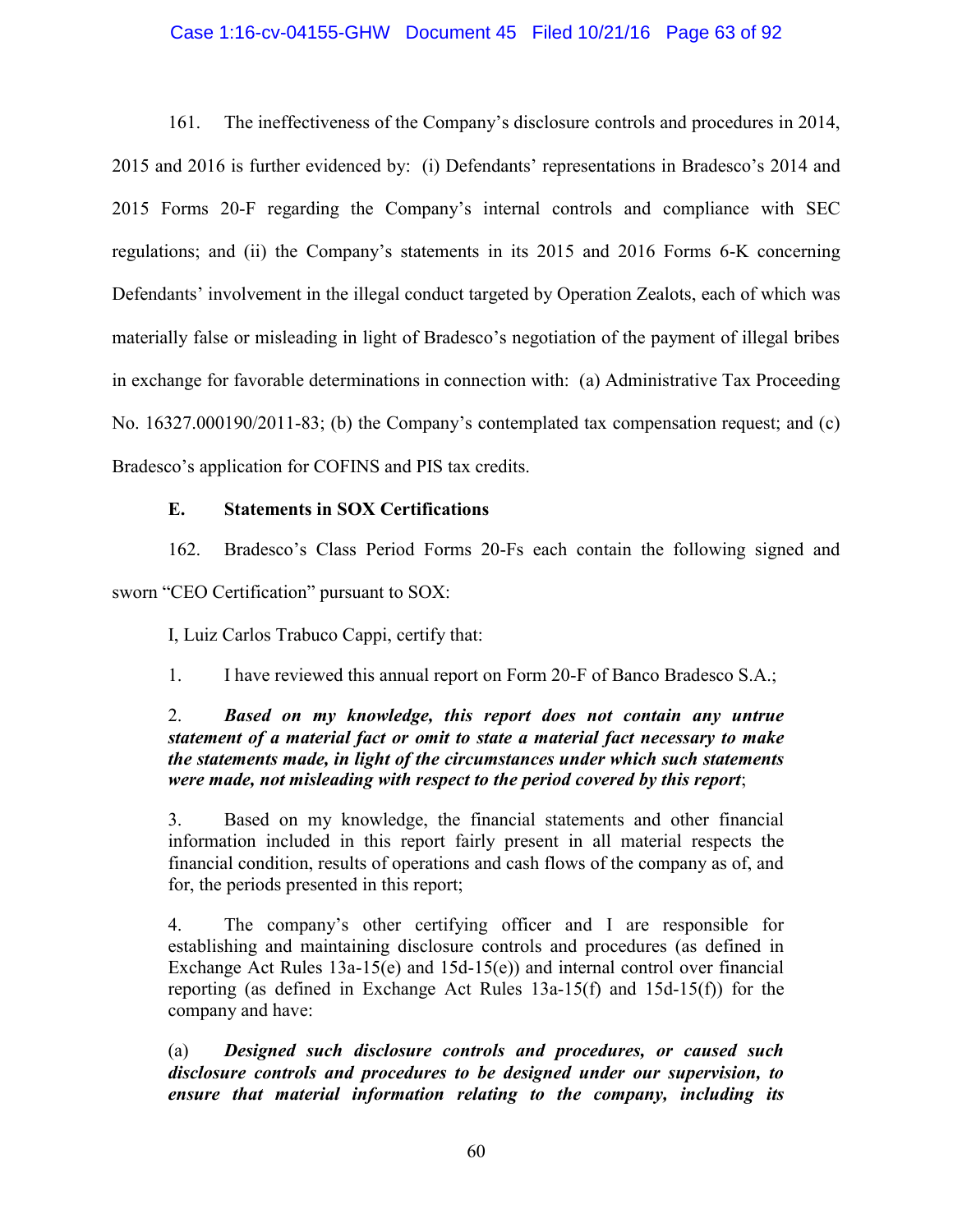### Case 1:16-cv-04155-GHW Document 45 Filed 10/21/16 Page 63 of 92

161. The ineffectiveness of the Company's disclosure controls and procedures in 2014, 2015 and 2016 is further evidenced by: (i) Defendants' representations in Bradesco's 2014 and 2015 Forms 20-F regarding the Company's internal controls and compliance with SEC regulations; and (ii) the Company's statements in its 2015 and 2016 Forms 6-K concerning Defendants' involvement in the illegal conduct targeted by Operation Zealots, each of which was materially false or misleading in light of Bradesco's negotiation of the payment of illegal bribes in exchange for favorable determinations in connection with: (a) Administrative Tax Proceeding No. 16327.000190/2011-83; (b) the Company's contemplated tax compensation request; and (c) Bradesco's application for COFINS and PIS tax credits.

## **E. Statements in SOX Certifications**

162. Bradesco's Class Period Forms 20-Fs each contain the following signed and

sworn "CEO Certification" pursuant to SOX:

I, Luiz Carlos Trabuco Cappi, certify that:

1. I have reviewed this annual report on Form 20-F of Banco Bradesco S.A.;

## 2. *Based on my knowledge, this report does not contain any untrue statement of a material fact or omit to state a material fact necessary to make the statements made, in light of the circumstances under which such statements were made, not misleading with respect to the period covered by this report*;

3. Based on my knowledge, the financial statements and other financial information included in this report fairly present in all material respects the financial condition, results of operations and cash flows of the company as of, and for, the periods presented in this report;

4. The company's other certifying officer and I are responsible for establishing and maintaining disclosure controls and procedures (as defined in Exchange Act Rules 13a-15(e) and 15d-15(e)) and internal control over financial reporting (as defined in Exchange Act Rules 13a-15(f) and 15d-15(f)) for the company and have:

(a) *Designed such disclosure controls and procedures, or caused such disclosure controls and procedures to be designed under our supervision, to ensure that material information relating to the company, including its*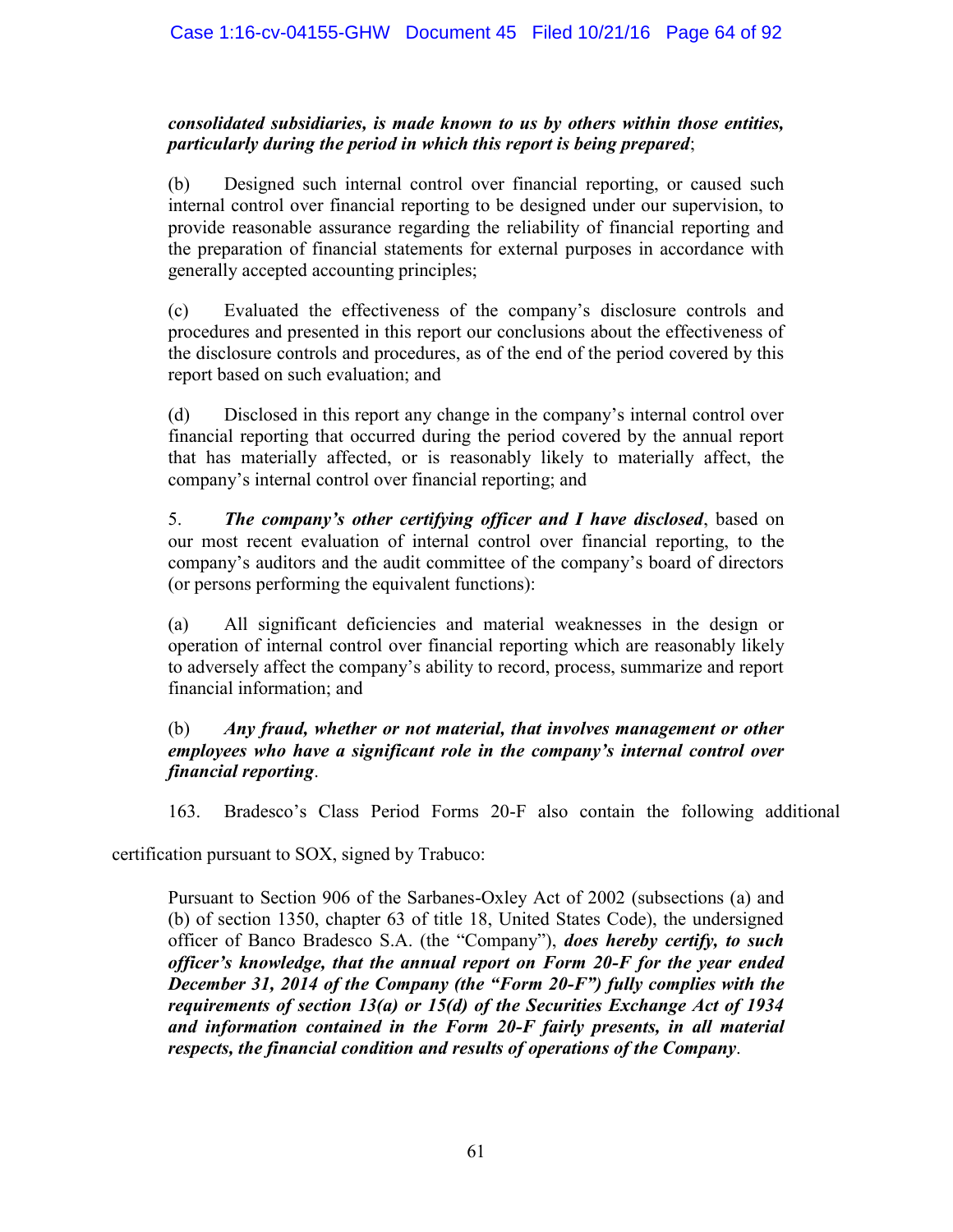# *consolidated subsidiaries, is made known to us by others within those entities, particularly during the period in which this report is being prepared*;

(b) Designed such internal control over financial reporting, or caused such internal control over financial reporting to be designed under our supervision, to provide reasonable assurance regarding the reliability of financial reporting and the preparation of financial statements for external purposes in accordance with generally accepted accounting principles;

(c) Evaluated the effectiveness of the company's disclosure controls and procedures and presented in this report our conclusions about the effectiveness of the disclosure controls and procedures, as of the end of the period covered by this report based on such evaluation; and

(d) Disclosed in this report any change in the company's internal control over financial reporting that occurred during the period covered by the annual report that has materially affected, or is reasonably likely to materially affect, the company's internal control over financial reporting; and

5. *The company's other certifying officer and I have disclosed*, based on our most recent evaluation of internal control over financial reporting, to the company's auditors and the audit committee of the company's board of directors (or persons performing the equivalent functions):

(a) All significant deficiencies and material weaknesses in the design or operation of internal control over financial reporting which are reasonably likely to adversely affect the company's ability to record, process, summarize and report financial information; and

# (b) *Any fraud, whether or not material, that involves management or other employees who have a significant role in the company's internal control over financial reporting*.

163. Bradesco's Class Period Forms 20-F also contain the following additional

certification pursuant to SOX, signed by Trabuco:

Pursuant to Section 906 of the Sarbanes-Oxley Act of 2002 (subsections (a) and (b) of section 1350, chapter 63 of title 18, United States Code), the undersigned officer of Banco Bradesco S.A. (the "Company"), *does hereby certify, to such officer's knowledge, that the annual report on Form 20-F for the year ended December 31, 2014 of the Company (the "Form 20-F") fully complies with the requirements of section 13(a) or 15(d) of the Securities Exchange Act of 1934 and information contained in the Form 20-F fairly presents, in all material respects, the financial condition and results of operations of the Company*.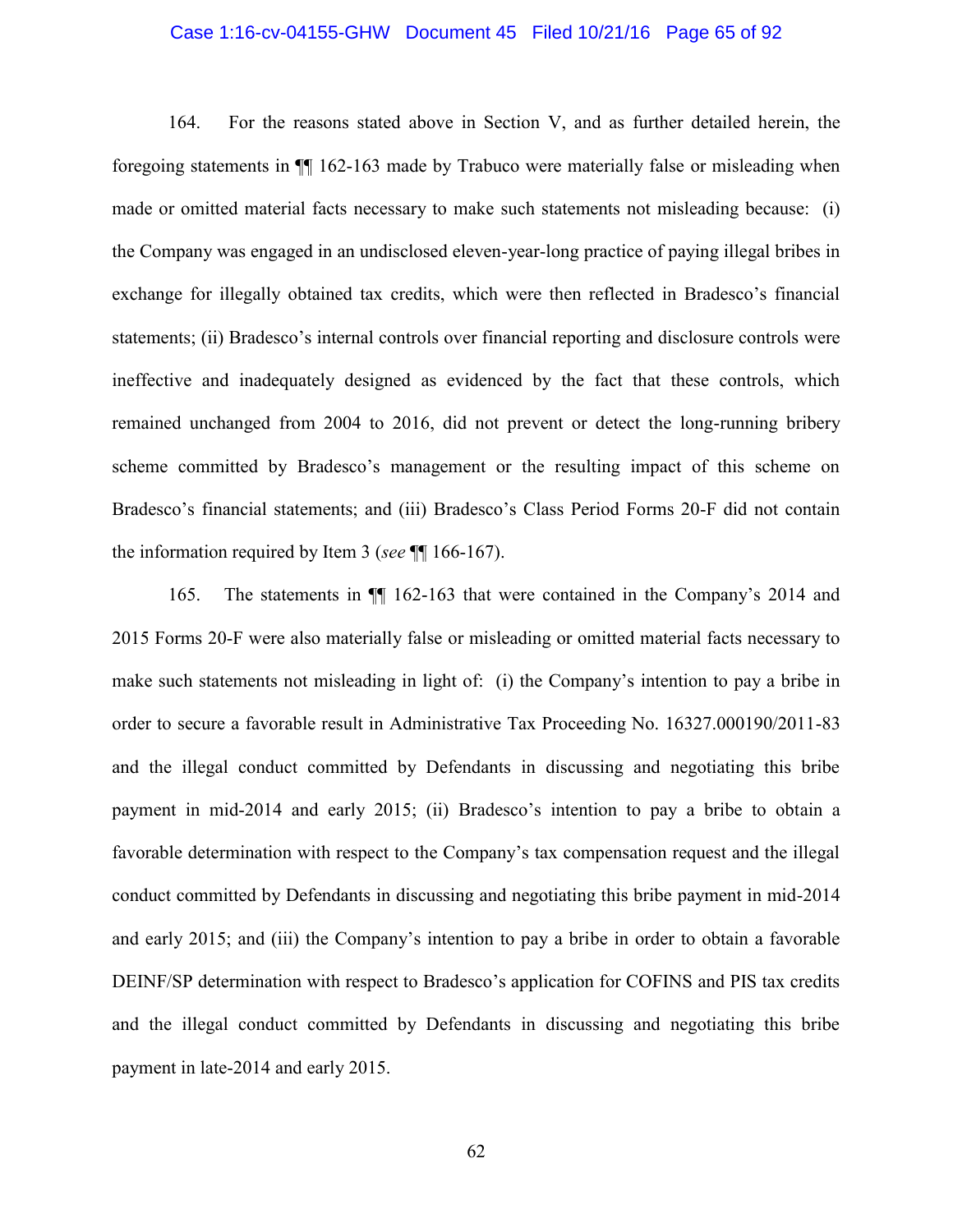### Case 1:16-cv-04155-GHW Document 45 Filed 10/21/16 Page 65 of 92

164. For the reasons stated above in Section V, and as further detailed herein, the foregoing statements in ¶¶ 162-163 made by Trabuco were materially false or misleading when made or omitted material facts necessary to make such statements not misleading because: (i) the Company was engaged in an undisclosed eleven-year-long practice of paying illegal bribes in exchange for illegally obtained tax credits, which were then reflected in Bradesco's financial statements; (ii) Bradesco's internal controls over financial reporting and disclosure controls were ineffective and inadequately designed as evidenced by the fact that these controls, which remained unchanged from 2004 to 2016, did not prevent or detect the long-running bribery scheme committed by Bradesco's management or the resulting impact of this scheme on Bradesco's financial statements; and (iii) Bradesco's Class Period Forms 20-F did not contain the information required by Item 3 (*see* ¶¶ 166-167).

165. The statements in ¶¶ 162-163 that were contained in the Company's 2014 and 2015 Forms 20-F were also materially false or misleading or omitted material facts necessary to make such statements not misleading in light of: (i) the Company's intention to pay a bribe in order to secure a favorable result in Administrative Tax Proceeding No. 16327.000190/2011-83 and the illegal conduct committed by Defendants in discussing and negotiating this bribe payment in mid-2014 and early 2015; (ii) Bradesco's intention to pay a bribe to obtain a favorable determination with respect to the Company's tax compensation request and the illegal conduct committed by Defendants in discussing and negotiating this bribe payment in mid-2014 and early 2015; and (iii) the Company's intention to pay a bribe in order to obtain a favorable DEINF/SP determination with respect to Bradesco's application for COFINS and PIS tax credits and the illegal conduct committed by Defendants in discussing and negotiating this bribe payment in late-2014 and early 2015.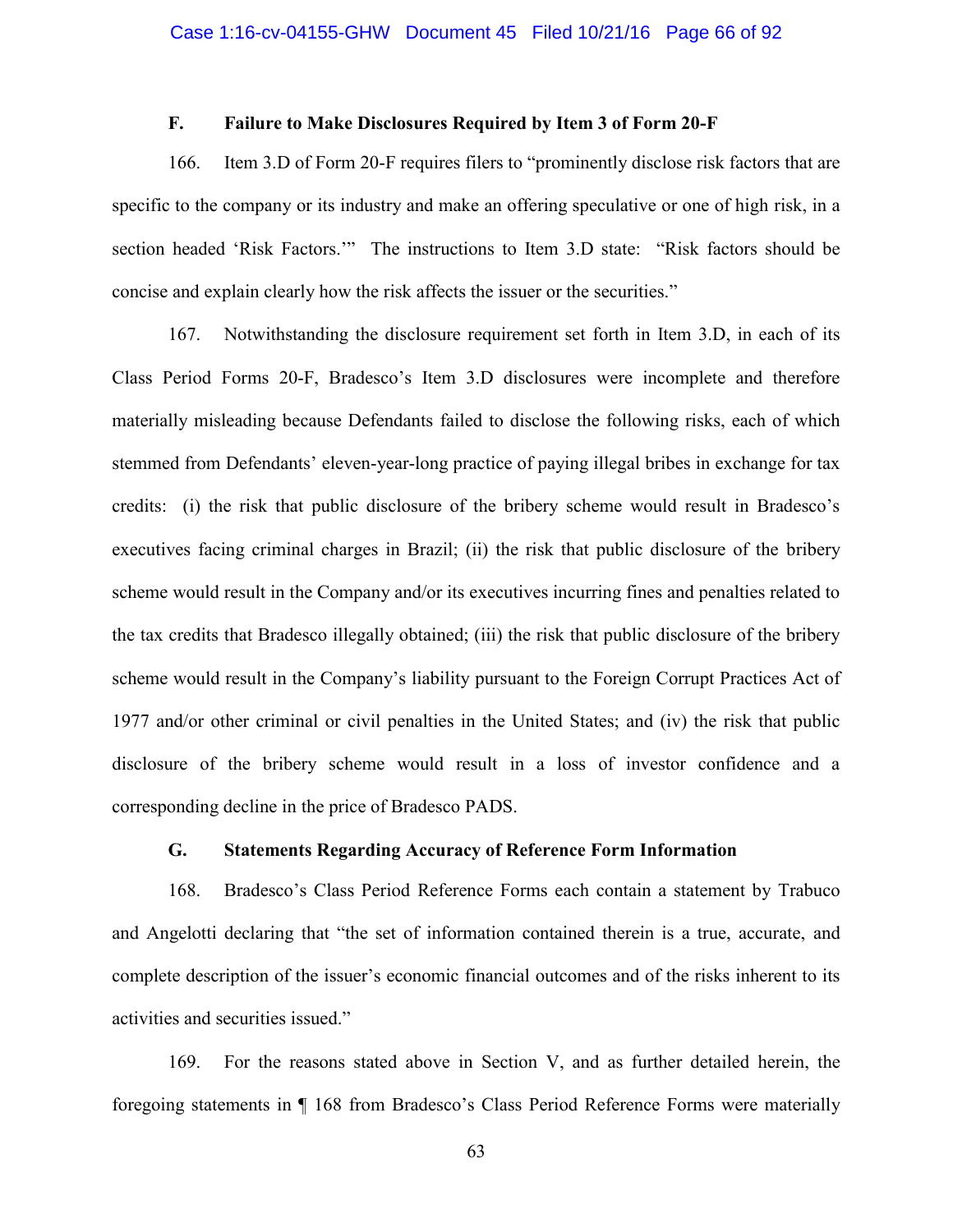## **F. Failure to Make Disclosures Required by Item 3 of Form 20-F**

166. Item 3.D of Form 20-F requires filers to "prominently disclose risk factors that are specific to the company or its industry and make an offering speculative or one of high risk, in a section headed 'Risk Factors.'" The instructions to Item 3.D state: "Risk factors should be concise and explain clearly how the risk affects the issuer or the securities."

167. Notwithstanding the disclosure requirement set forth in Item 3.D, in each of its Class Period Forms 20-F, Bradesco's Item 3.D disclosures were incomplete and therefore materially misleading because Defendants failed to disclose the following risks, each of which stemmed from Defendants' eleven-year-long practice of paying illegal bribes in exchange for tax credits: (i) the risk that public disclosure of the bribery scheme would result in Bradesco's executives facing criminal charges in Brazil; (ii) the risk that public disclosure of the bribery scheme would result in the Company and/or its executives incurring fines and penalties related to the tax credits that Bradesco illegally obtained; (iii) the risk that public disclosure of the bribery scheme would result in the Company's liability pursuant to the Foreign Corrupt Practices Act of 1977 and/or other criminal or civil penalties in the United States; and (iv) the risk that public disclosure of the bribery scheme would result in a loss of investor confidence and a corresponding decline in the price of Bradesco PADS.

# **G. Statements Regarding Accuracy of Reference Form Information**

168. Bradesco's Class Period Reference Forms each contain a statement by Trabuco and Angelotti declaring that "the set of information contained therein is a true, accurate, and complete description of the issuer's economic financial outcomes and of the risks inherent to its activities and securities issued."

169. For the reasons stated above in Section V, and as further detailed herein, the foregoing statements in ¶ 168 from Bradesco's Class Period Reference Forms were materially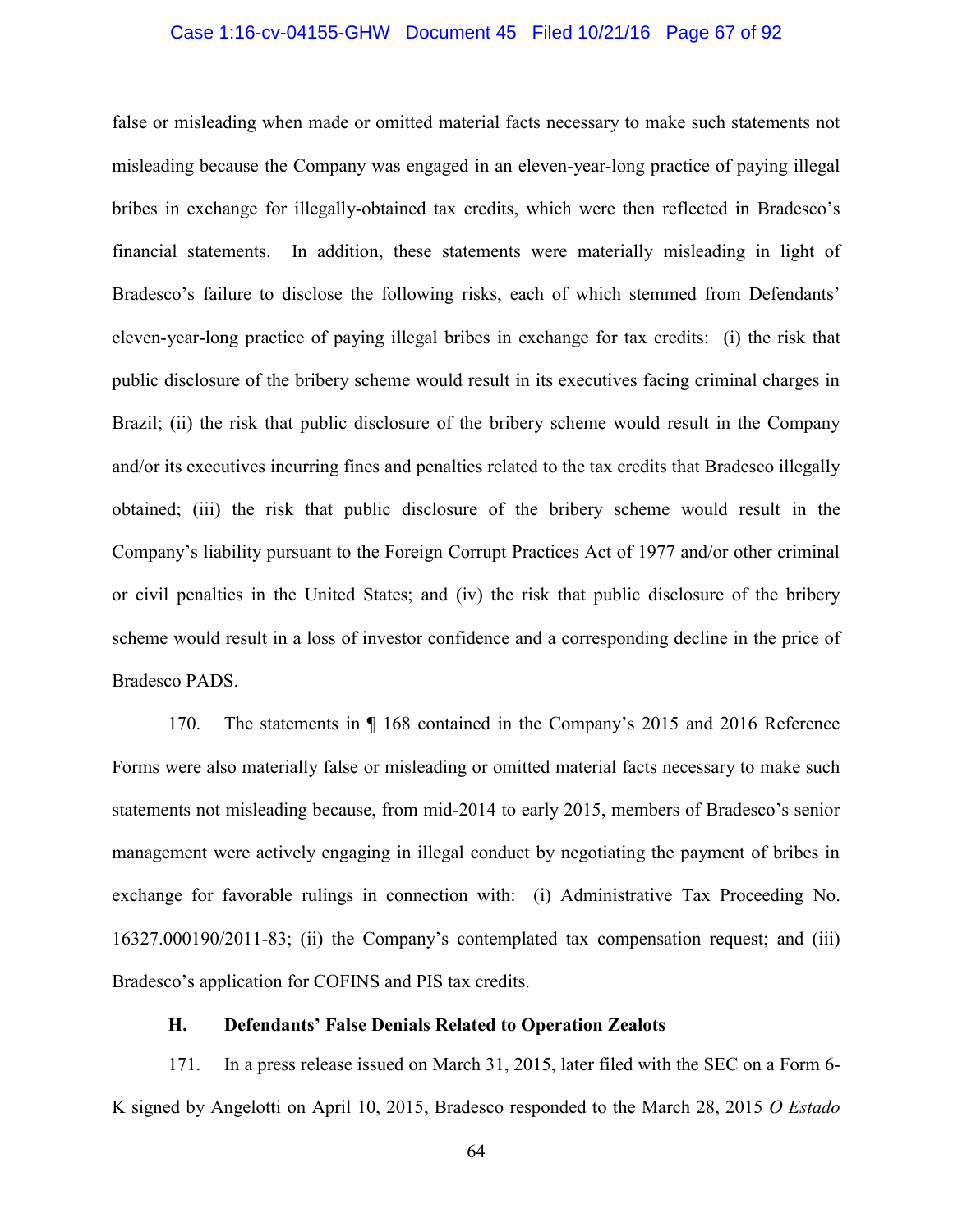### Case 1:16-cv-04155-GHW Document 45 Filed 10/21/16 Page 67 of 92

false or misleading when made or omitted material facts necessary to make such statements not misleading because the Company was engaged in an eleven-year-long practice of paying illegal bribes in exchange for illegally-obtained tax credits, which were then reflected in Bradesco's financial statements. In addition, these statements were materially misleading in light of Bradesco's failure to disclose the following risks, each of which stemmed from Defendants' eleven-year-long practice of paying illegal bribes in exchange for tax credits: (i) the risk that public disclosure of the bribery scheme would result in its executives facing criminal charges in Brazil; (ii) the risk that public disclosure of the bribery scheme would result in the Company and/or its executives incurring fines and penalties related to the tax credits that Bradesco illegally obtained; (iii) the risk that public disclosure of the bribery scheme would result in the Company's liability pursuant to the Foreign Corrupt Practices Act of 1977 and/or other criminal or civil penalties in the United States; and (iv) the risk that public disclosure of the bribery scheme would result in a loss of investor confidence and a corresponding decline in the price of Bradesco PADS.

170. The statements in ¶ 168 contained in the Company's 2015 and 2016 Reference Forms were also materially false or misleading or omitted material facts necessary to make such statements not misleading because, from mid-2014 to early 2015, members of Bradesco's senior management were actively engaging in illegal conduct by negotiating the payment of bribes in exchange for favorable rulings in connection with: (i) Administrative Tax Proceeding No. 16327.000190/2011-83; (ii) the Company's contemplated tax compensation request; and (iii) Bradesco's application for COFINS and PIS tax credits.

### **H. Defendants' False Denials Related to Operation Zealots**

171. In a press release issued on March 31, 2015, later filed with the SEC on a Form 6- K signed by Angelotti on April 10, 2015, Bradesco responded to the March 28, 2015 *O Estado*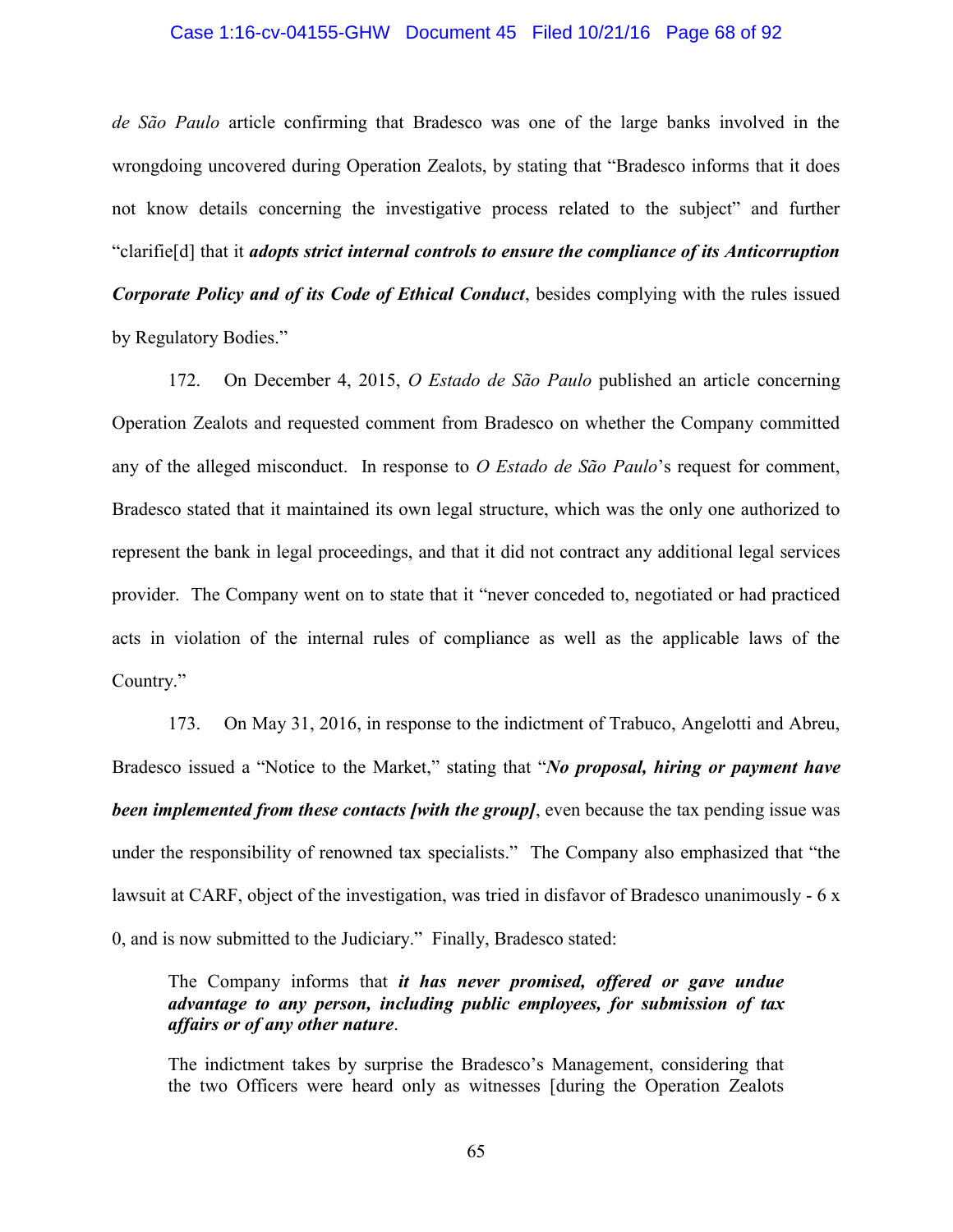### Case 1:16-cv-04155-GHW Document 45 Filed 10/21/16 Page 68 of 92

*de São Paulo* article confirming that Bradesco was one of the large banks involved in the wrongdoing uncovered during Operation Zealots, by stating that "Bradesco informs that it does not know details concerning the investigative process related to the subject" and further "clarifie[d] that it *adopts strict internal controls to ensure the compliance of its Anticorruption Corporate Policy and of its Code of Ethical Conduct*, besides complying with the rules issued by Regulatory Bodies."

172. On December 4, 2015, *O Estado de São Paulo* published an article concerning Operation Zealots and requested comment from Bradesco on whether the Company committed any of the alleged misconduct. In response to *O Estado de São Paulo*'s request for comment, Bradesco stated that it maintained its own legal structure, which was the only one authorized to represent the bank in legal proceedings, and that it did not contract any additional legal services provider. The Company went on to state that it "never conceded to, negotiated or had practiced acts in violation of the internal rules of compliance as well as the applicable laws of the Country."

173. On May 31, 2016, in response to the indictment of Trabuco, Angelotti and Abreu, Bradesco issued a "Notice to the Market," stating that "*No proposal, hiring or payment have been implemented from these contacts [with the group]*, even because the tax pending issue was under the responsibility of renowned tax specialists." The Company also emphasized that "the lawsuit at CARF, object of the investigation, was tried in disfavor of Bradesco unanimously - 6 x 0, and is now submitted to the Judiciary." Finally, Bradesco stated:

The Company informs that *it has never promised, offered or gave undue advantage to any person, including public employees, for submission of tax affairs or of any other nature*.

The indictment takes by surprise the Bradesco's Management, considering that the two Officers were heard only as witnesses [during the Operation Zealots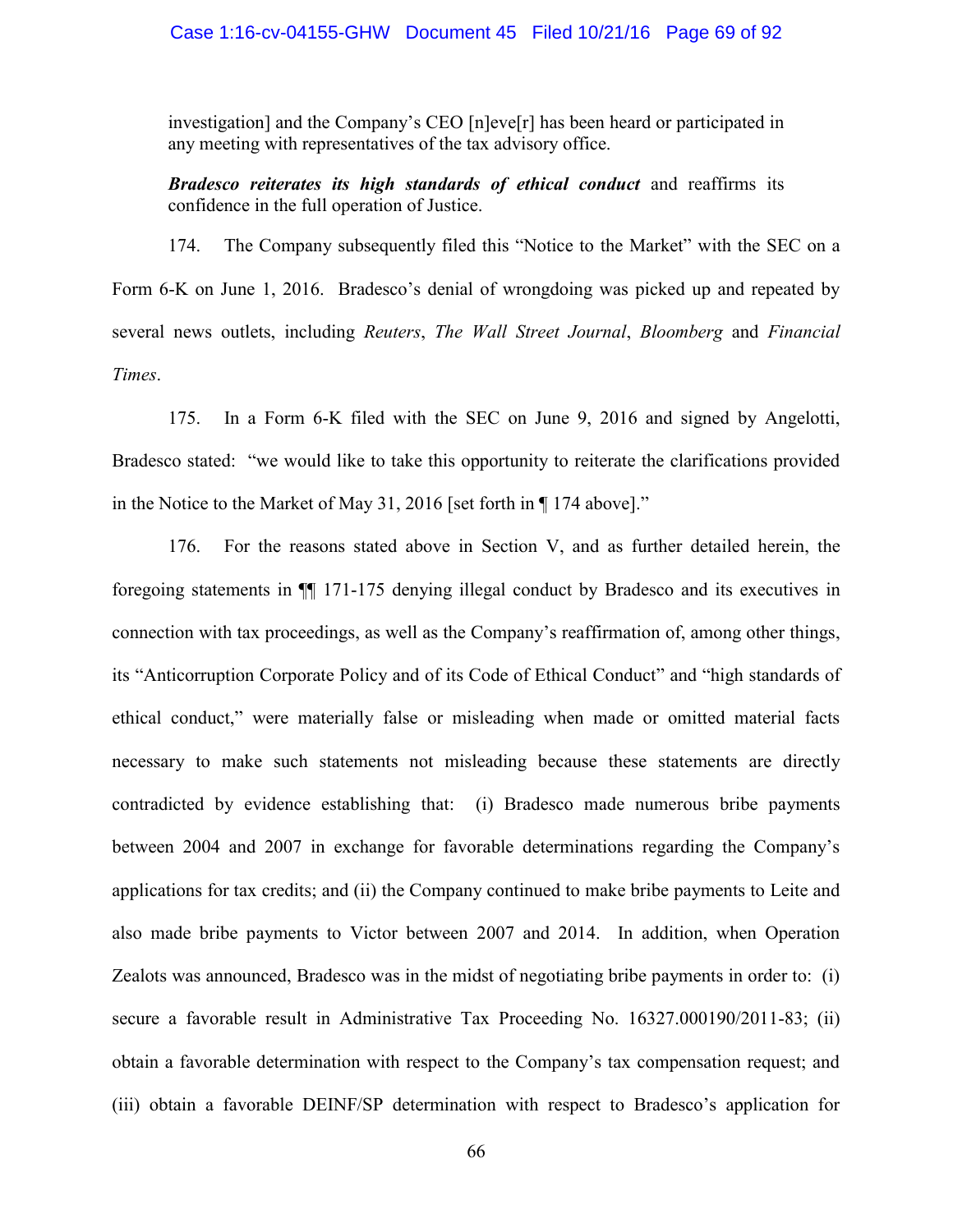### Case 1:16-cv-04155-GHW Document 45 Filed 10/21/16 Page 69 of 92

investigation] and the Company's CEO [n]eve[r] has been heard or participated in any meeting with representatives of the tax advisory office.

*Bradesco reiterates its high standards of ethical conduct* and reaffirms its confidence in the full operation of Justice.

174. The Company subsequently filed this "Notice to the Market" with the SEC on a Form 6-K on June 1, 2016. Bradesco's denial of wrongdoing was picked up and repeated by several news outlets, including *Reuters*, *The Wall Street Journal*, *Bloomberg* and *Financial Times*.

175. In a Form 6-K filed with the SEC on June 9, 2016 and signed by Angelotti, Bradesco stated: "we would like to take this opportunity to reiterate the clarifications provided in the Notice to the Market of May 31, 2016 [set forth in ¶ 174 above]."

176. For the reasons stated above in Section V, and as further detailed herein, the foregoing statements in ¶¶ 171-175 denying illegal conduct by Bradesco and its executives in connection with tax proceedings, as well as the Company's reaffirmation of, among other things, its "Anticorruption Corporate Policy and of its Code of Ethical Conduct" and "high standards of ethical conduct," were materially false or misleading when made or omitted material facts necessary to make such statements not misleading because these statements are directly contradicted by evidence establishing that: (i) Bradesco made numerous bribe payments between 2004 and 2007 in exchange for favorable determinations regarding the Company's applications for tax credits; and (ii) the Company continued to make bribe payments to Leite and also made bribe payments to Victor between 2007 and 2014. In addition, when Operation Zealots was announced, Bradesco was in the midst of negotiating bribe payments in order to: (i) secure a favorable result in Administrative Tax Proceeding No.  $16327.000190/2011-83$ ; (ii) obtain a favorable determination with respect to the Company's tax compensation request; and (iii) obtain a favorable DEINF/SP determination with respect to Bradesco's application for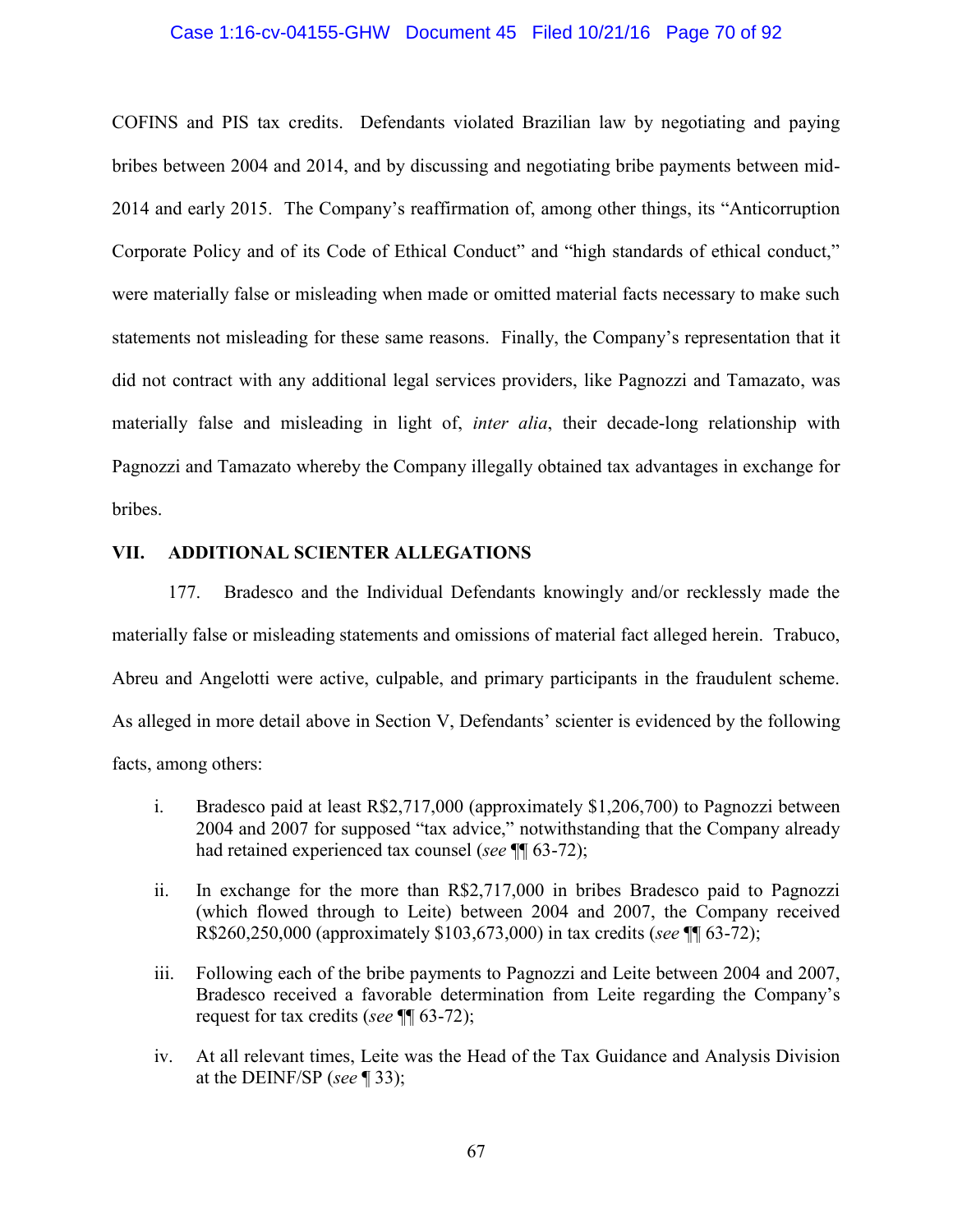## Case 1:16-cv-04155-GHW Document 45 Filed 10/21/16 Page 70 of 92

COFINS and PIS tax credits. Defendants violated Brazilian law by negotiating and paying bribes between 2004 and 2014, and by discussing and negotiating bribe payments between mid-2014 and early 2015. The Company's reaffirmation of, among other things, its "Anticorruption Corporate Policy and of its Code of Ethical Conduct" and "high standards of ethical conduct," were materially false or misleading when made or omitted material facts necessary to make such statements not misleading for these same reasons. Finally, the Company's representation that it did not contract with any additional legal services providers, like Pagnozzi and Tamazato, was materially false and misleading in light of, *inter alia*, their decade-long relationship with Pagnozzi and Tamazato whereby the Company illegally obtained tax advantages in exchange for bribes.

## **VII. ADDITIONAL SCIENTER ALLEGATIONS**

177. Bradesco and the Individual Defendants knowingly and/or recklessly made the materially false or misleading statements and omissions of material fact alleged herein. Trabuco, Abreu and Angelotti were active, culpable, and primary participants in the fraudulent scheme. As alleged in more detail above in Section V, Defendants' scienter is evidenced by the following facts, among others:

- i. Bradesco paid at least R\$2,717,000 (approximately \$1,206,700) to Pagnozzi between 2004 and 2007 for supposed "tax advice," notwithstanding that the Company already had retained experienced tax counsel (*see* ¶¶ 63-72);
- ii. In exchange for the more than R\$2,717,000 in bribes Bradesco paid to Pagnozzi (which flowed through to Leite) between 2004 and 2007, the Company received R\$260,250,000 (approximately \$103,673,000) in tax credits (*see* ¶¶ 63-72);
- iii. Following each of the bribe payments to Pagnozzi and Leite between 2004 and 2007, Bradesco received a favorable determination from Leite regarding the Company's request for tax credits (*see* ¶¶ 63-72);
- iv. At all relevant times, Leite was the Head of the Tax Guidance and Analysis Division at the DEINF/SP (*see* ¶ 33);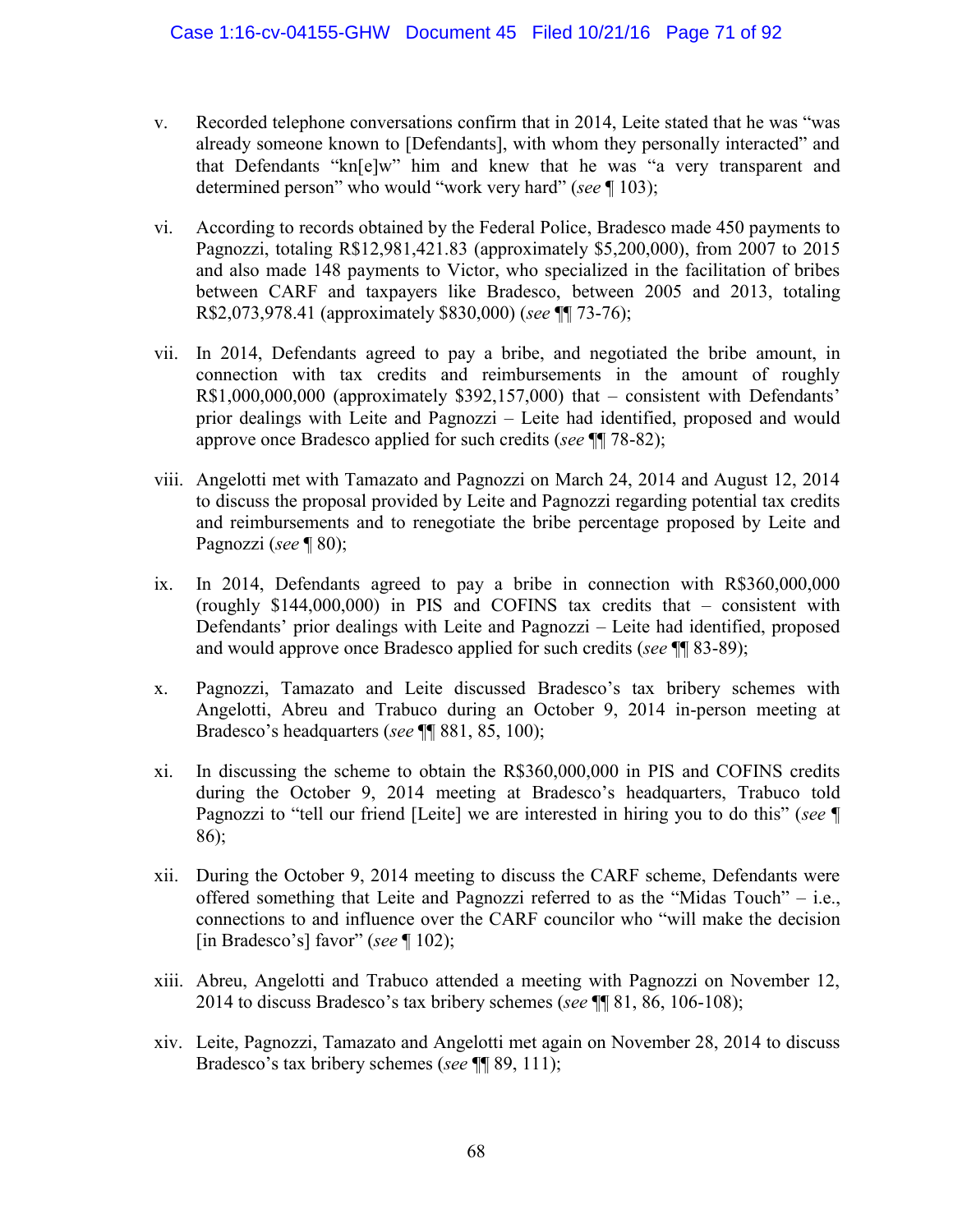- v. Recorded telephone conversations confirm that in 2014, Leite stated that he was "was already someone known to [Defendants], with whom they personally interacted" and that Defendants "kn[e]w" him and knew that he was "a very transparent and determined person" who would "work very hard" (*see* ¶ 103);
- vi. According to records obtained by the Federal Police, Bradesco made 450 payments to Pagnozzi, totaling R\$12,981,421.83 (approximately \$5,200,000), from 2007 to 2015 and also made 148 payments to Victor, who specialized in the facilitation of bribes between CARF and taxpayers like Bradesco, between 2005 and 2013, totaling R\$2,073,978.41 (approximately \$830,000) (*see* ¶¶ 73-76);
- vii. In 2014, Defendants agreed to pay a bribe, and negotiated the bribe amount, in connection with tax credits and reimbursements in the amount of roughly R\$1,000,000,000 (approximately \$392,157,000) that – consistent with Defendants' prior dealings with Leite and Pagnozzi – Leite had identified, proposed and would approve once Bradesco applied for such credits (*see* ¶¶ 78-82);
- viii. Angelotti met with Tamazato and Pagnozzi on March 24, 2014 and August 12, 2014 to discuss the proposal provided by Leite and Pagnozzi regarding potential tax credits and reimbursements and to renegotiate the bribe percentage proposed by Leite and Pagnozzi (see ¶ 80);
- ix. In 2014, Defendants agreed to pay a bribe in connection with R\$360,000,000 (roughly \$144,000,000) in PIS and COFINS tax credits that – consistent with Defendants' prior dealings with Leite and Pagnozzi – Leite had identified, proposed and would approve once Bradesco applied for such credits (*see* ¶¶ 83-89);
- x. Pagnozzi, Tamazato and Leite discussed Bradesco's tax bribery schemes with Angelotti, Abreu and Trabuco during an October 9, 2014 in-person meeting at Bradesco's headquarters (*see* ¶¶ 881, 85, 100);
- xi. In discussing the scheme to obtain the R\$360,000,000 in PIS and COFINS credits during the October 9, 2014 meeting at Bradesco's headquarters, Trabuco told Pagnozzi to "tell our friend [Leite] we are interested in hiring you to do this" (*see* ¶ 86);
- xii. During the October 9, 2014 meeting to discuss the CARF scheme, Defendants were offered something that Leite and Pagnozzi referred to as the "Midas Touch" – i.e., connections to and influence over the CARF councilor who "will make the decision [in Bradesco's] favor" (*see* ¶ 102);
- xiii. Abreu, Angelotti and Trabuco attended a meeting with Pagnozzi on November 12, 2014 to discuss Bradesco's tax bribery schemes (*see* ¶¶ 81, 86, 106-108);
- xiv. Leite, Pagnozzi, Tamazato and Angelotti met again on November 28, 2014 to discuss Bradesco's tax bribery schemes (*see* ¶¶ 89, 111);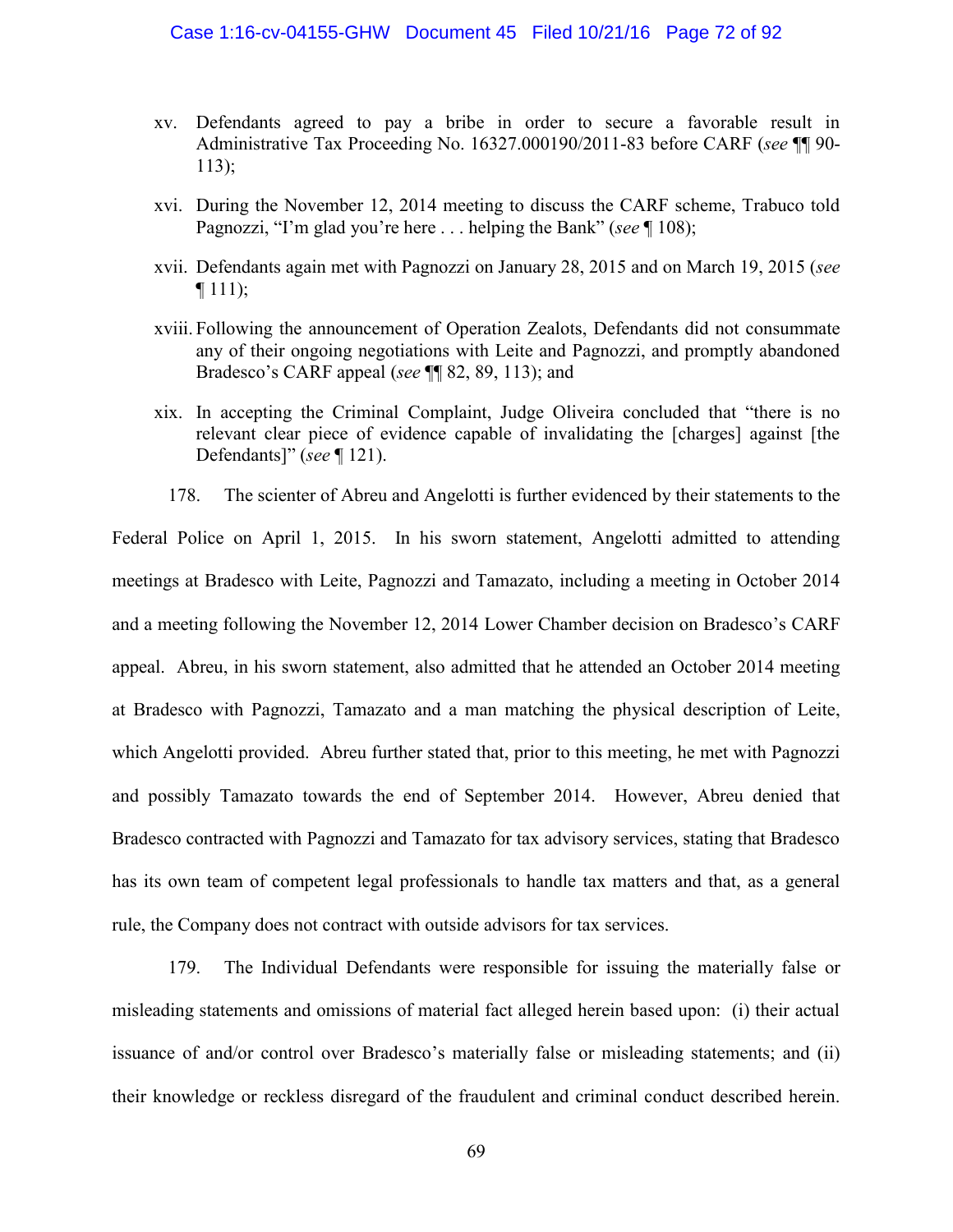### Case 1:16-cv-04155-GHW Document 45 Filed 10/21/16 Page 72 of 92

- xv. Defendants agreed to pay a bribe in order to secure a favorable result in Administrative Tax Proceeding No. 16327.000190/2011-83 before CARF (*see* ¶¶ 90- 113);
- xvi. During the November 12, 2014 meeting to discuss the CARF scheme, Trabuco told Pagnozzi, "I'm glad you're here . . . helping the Bank" (*see* ¶ 108);
- xvii. Defendants again met with Pagnozzi on January 28, 2015 and on March 19, 2015 (*see*   $\P$  111);
- xviii. Following the announcement of Operation Zealots, Defendants did not consummate any of their ongoing negotiations with Leite and Pagnozzi, and promptly abandoned Bradesco's CARF appeal (*see* ¶¶ 82, 89, 113); and
- xix. In accepting the Criminal Complaint, Judge Oliveira concluded that "there is no relevant clear piece of evidence capable of invalidating the [charges] against [the Defendants]" (*see* ¶ 121).
- 178. The scienter of Abreu and Angelotti is further evidenced by their statements to the Federal Police on April 1, 2015. In his sworn statement, Angelotti admitted to attending meetings at Bradesco with Leite, Pagnozzi and Tamazato, including a meeting in October 2014 and a meeting following the November 12, 2014 Lower Chamber decision on Bradesco's CARF appeal. Abreu, in his sworn statement, also admitted that he attended an October 2014 meeting at Bradesco with Pagnozzi, Tamazato and a man matching the physical description of Leite, which Angelotti provided. Abreu further stated that, prior to this meeting, he met with Pagnozzi and possibly Tamazato towards the end of September 2014. However, Abreu denied that Bradesco contracted with Pagnozzi and Tamazato for tax advisory services, stating that Bradesco has its own team of competent legal professionals to handle tax matters and that, as a general rule, the Company does not contract with outside advisors for tax services.

179. The Individual Defendants were responsible for issuing the materially false or misleading statements and omissions of material fact alleged herein based upon: (i) their actual issuance of and/or control over Bradesco's materially false or misleading statements; and (ii) their knowledge or reckless disregard of the fraudulent and criminal conduct described herein.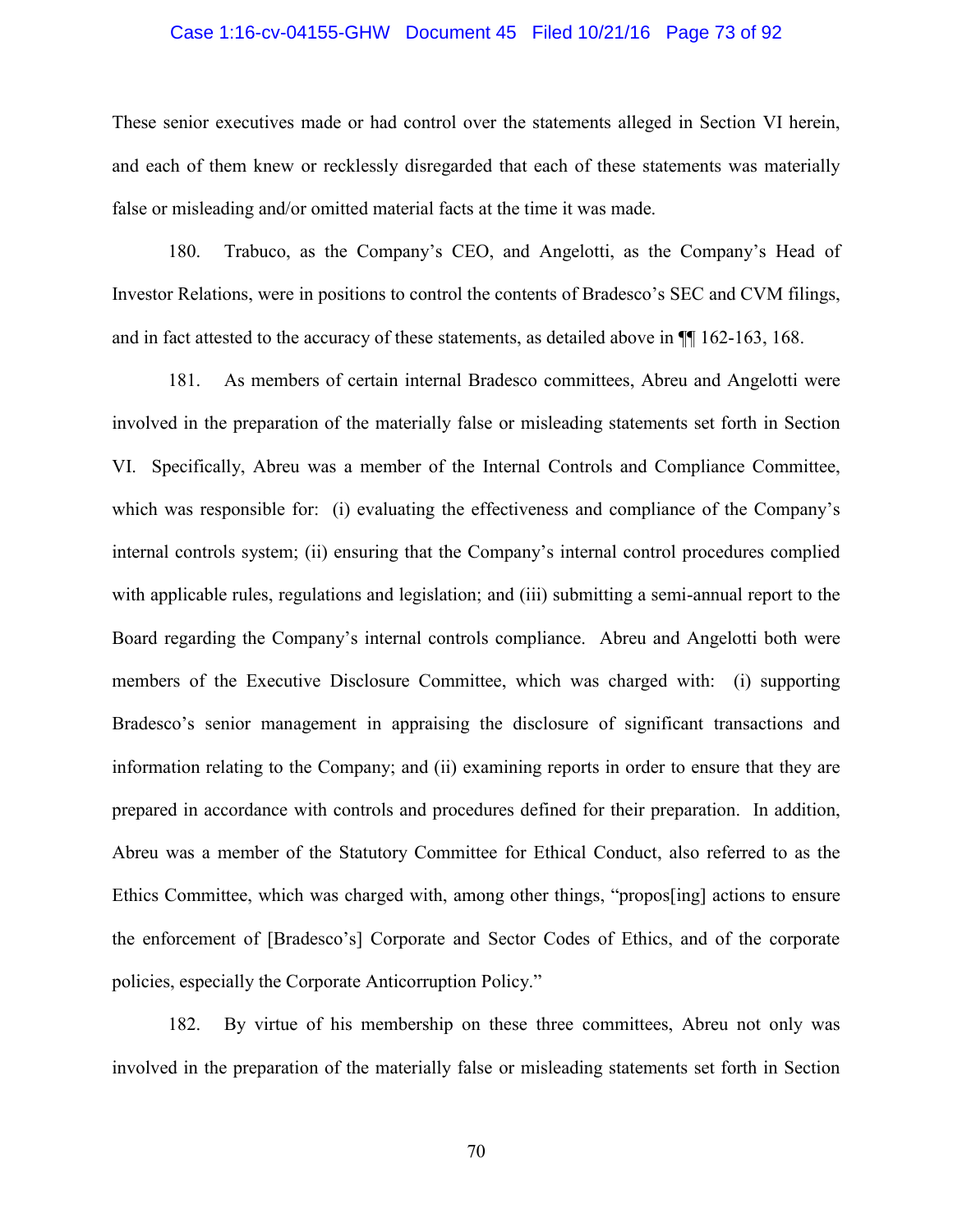#### Case 1:16-cv-04155-GHW Document 45 Filed 10/21/16 Page 73 of 92

These senior executives made or had control over the statements alleged in Section VI herein, and each of them knew or recklessly disregarded that each of these statements was materially false or misleading and/or omitted material facts at the time it was made.

180. Trabuco, as the Company's CEO, and Angelotti, as the Company's Head of Investor Relations, were in positions to control the contents of Bradesco's SEC and CVM filings, and in fact attested to the accuracy of these statements, as detailed above in ¶¶ 162-163, 168.

181. As members of certain internal Bradesco committees, Abreu and Angelotti were involved in the preparation of the materially false or misleading statements set forth in Section VI. Specifically, Abreu was a member of the Internal Controls and Compliance Committee, which was responsible for: (i) evaluating the effectiveness and compliance of the Company's internal controls system; (ii) ensuring that the Company's internal control procedures complied with applicable rules, regulations and legislation; and (iii) submitting a semi-annual report to the Board regarding the Company's internal controls compliance. Abreu and Angelotti both were members of the Executive Disclosure Committee, which was charged with: (i) supporting Bradesco's senior management in appraising the disclosure of significant transactions and information relating to the Company; and (ii) examining reports in order to ensure that they are prepared in accordance with controls and procedures defined for their preparation. In addition, Abreu was a member of the Statutory Committee for Ethical Conduct, also referred to as the Ethics Committee, which was charged with, among other things, "propos[ing] actions to ensure the enforcement of [Bradesco's] Corporate and Sector Codes of Ethics, and of the corporate policies, especially the Corporate Anticorruption Policy."

182. By virtue of his membership on these three committees, Abreu not only was involved in the preparation of the materially false or misleading statements set forth in Section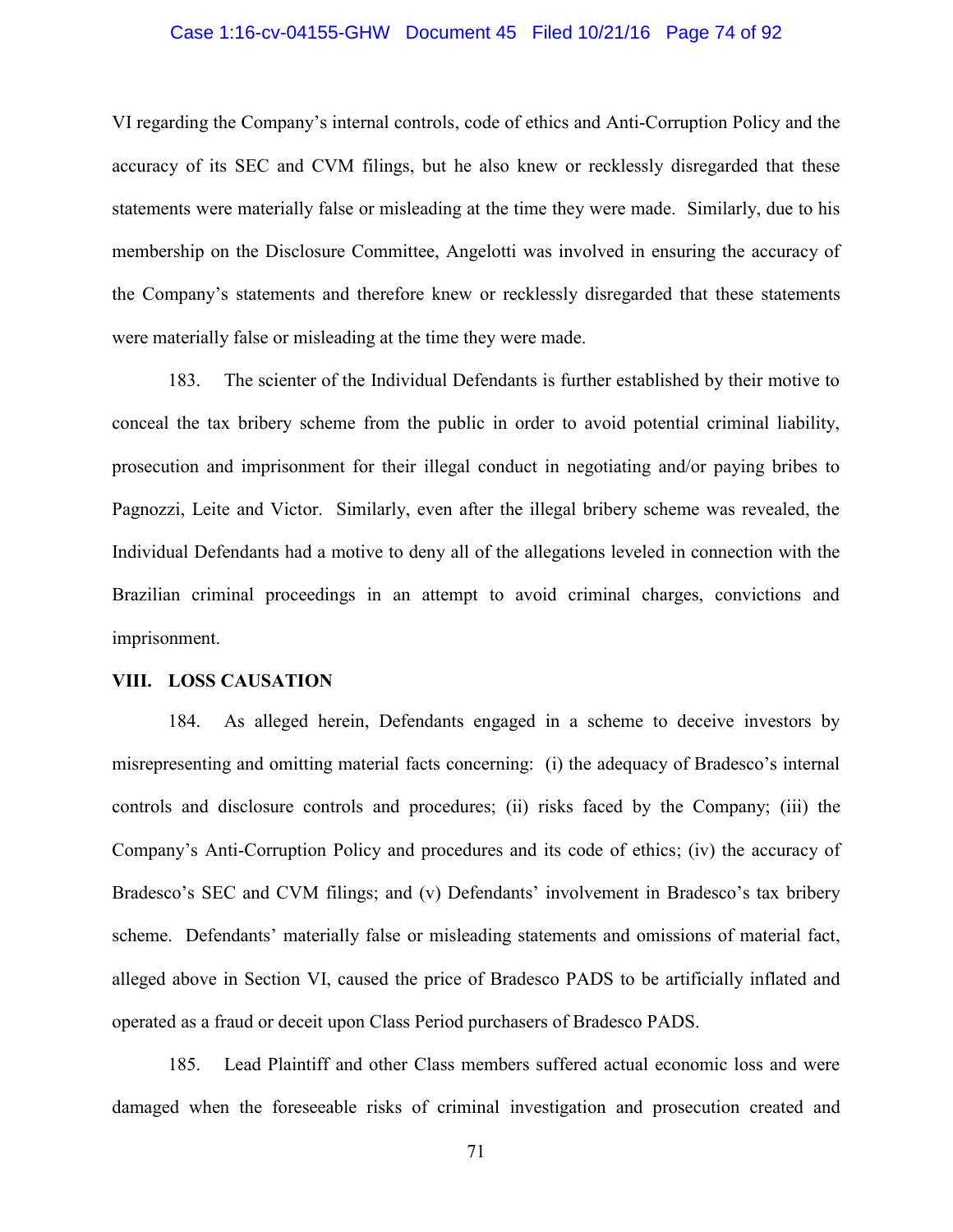#### Case 1:16-cv-04155-GHW Document 45 Filed 10/21/16 Page 74 of 92

VI regarding the Company's internal controls, code of ethics and Anti-Corruption Policy and the accuracy of its SEC and CVM filings, but he also knew or recklessly disregarded that these statements were materially false or misleading at the time they were made. Similarly, due to his membership on the Disclosure Committee, Angelotti was involved in ensuring the accuracy of the Company's statements and therefore knew or recklessly disregarded that these statements were materially false or misleading at the time they were made.

183. The scienter of the Individual Defendants is further established by their motive to conceal the tax bribery scheme from the public in order to avoid potential criminal liability, prosecution and imprisonment for their illegal conduct in negotiating and/or paying bribes to Pagnozzi, Leite and Victor. Similarly, even after the illegal bribery scheme was revealed, the Individual Defendants had a motive to deny all of the allegations leveled in connection with the Brazilian criminal proceedings in an attempt to avoid criminal charges, convictions and imprisonment.

#### **VIII. LOSS CAUSATION**

184. As alleged herein, Defendants engaged in a scheme to deceive investors by misrepresenting and omitting material facts concerning: (i) the adequacy of Bradesco's internal controls and disclosure controls and procedures; (ii) risks faced by the Company; (iii) the Company's Anti-Corruption Policy and procedures and its code of ethics; (iv) the accuracy of Bradesco's SEC and CVM filings; and (v) Defendants' involvement in Bradesco's tax bribery scheme. Defendants' materially false or misleading statements and omissions of material fact, alleged above in Section VI, caused the price of Bradesco PADS to be artificially inflated and operated as a fraud or deceit upon Class Period purchasers of Bradesco PADS.

185. Lead Plaintiff and other Class members suffered actual economic loss and were damaged when the foreseeable risks of criminal investigation and prosecution created and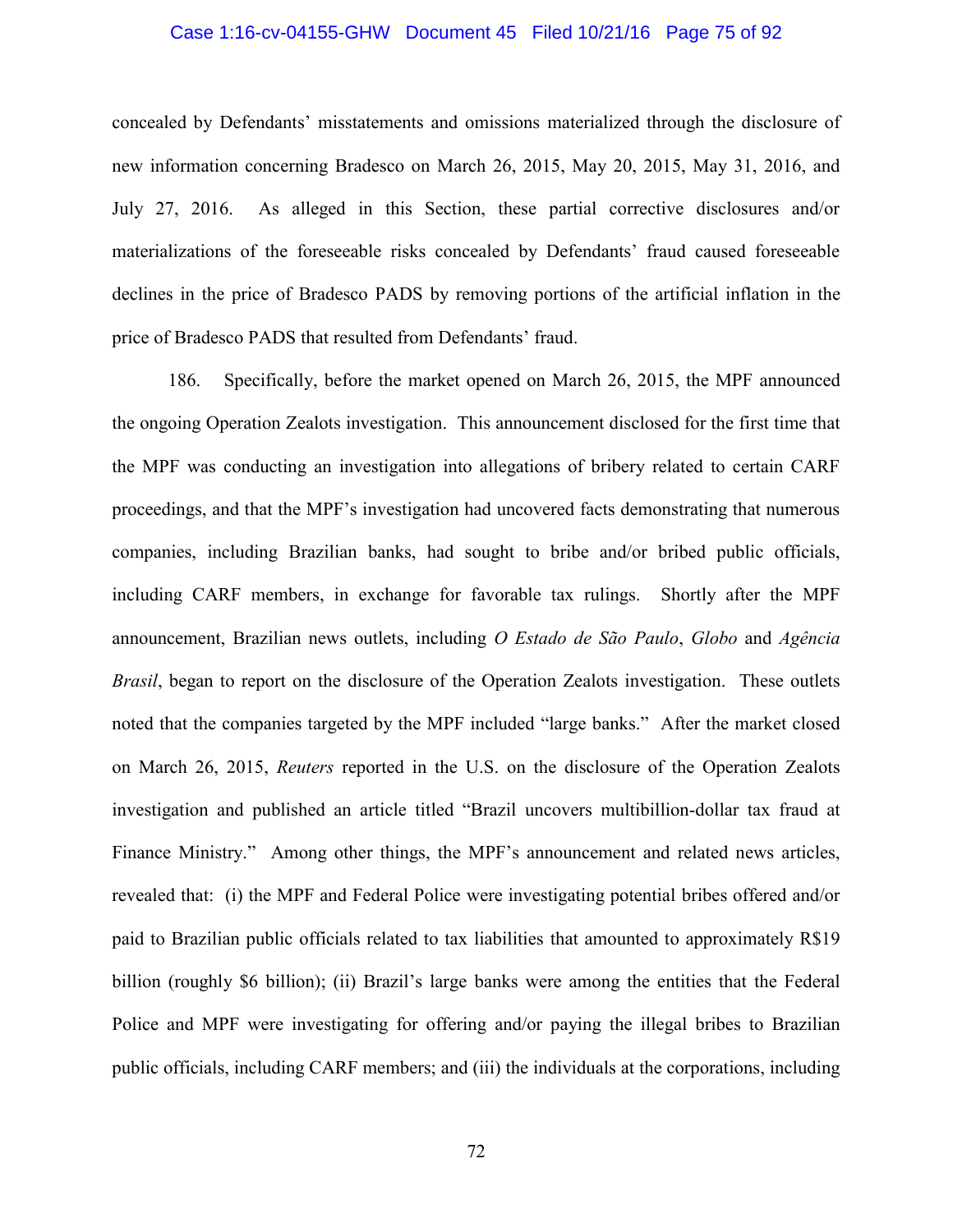#### Case 1:16-cv-04155-GHW Document 45 Filed 10/21/16 Page 75 of 92

concealed by Defendants' misstatements and omissions materialized through the disclosure of new information concerning Bradesco on March 26, 2015, May 20, 2015, May 31, 2016, and July 27, 2016. As alleged in this Section, these partial corrective disclosures and/or materializations of the foreseeable risks concealed by Defendants' fraud caused foreseeable declines in the price of Bradesco PADS by removing portions of the artificial inflation in the price of Bradesco PADS that resulted from Defendants' fraud.

186. Specifically, before the market opened on March 26, 2015, the MPF announced the ongoing Operation Zealots investigation. This announcement disclosed for the first time that the MPF was conducting an investigation into allegations of bribery related to certain CARF proceedings, and that the MPF's investigation had uncovered facts demonstrating that numerous companies, including Brazilian banks, had sought to bribe and/or bribed public officials, including CARF members, in exchange for favorable tax rulings. Shortly after the MPF announcement, Brazilian news outlets, including *O Estado de São Paulo*, *Globo* and *Agência Brasil*, began to report on the disclosure of the Operation Zealots investigation. These outlets noted that the companies targeted by the MPF included "large banks." After the market closed on March 26, 2015, *Reuters* reported in the U.S. on the disclosure of the Operation Zealots investigation and published an article titled "Brazil uncovers multibillion-dollar tax fraud at Finance Ministry." Among other things, the MPF's announcement and related news articles, revealed that: (i) the MPF and Federal Police were investigating potential bribes offered and/or paid to Brazilian public officials related to tax liabilities that amounted to approximately R\$19 billion (roughly \$6 billion); (ii) Brazil's large banks were among the entities that the Federal Police and MPF were investigating for offering and/or paying the illegal bribes to Brazilian public officials, including CARF members; and (iii) the individuals at the corporations, including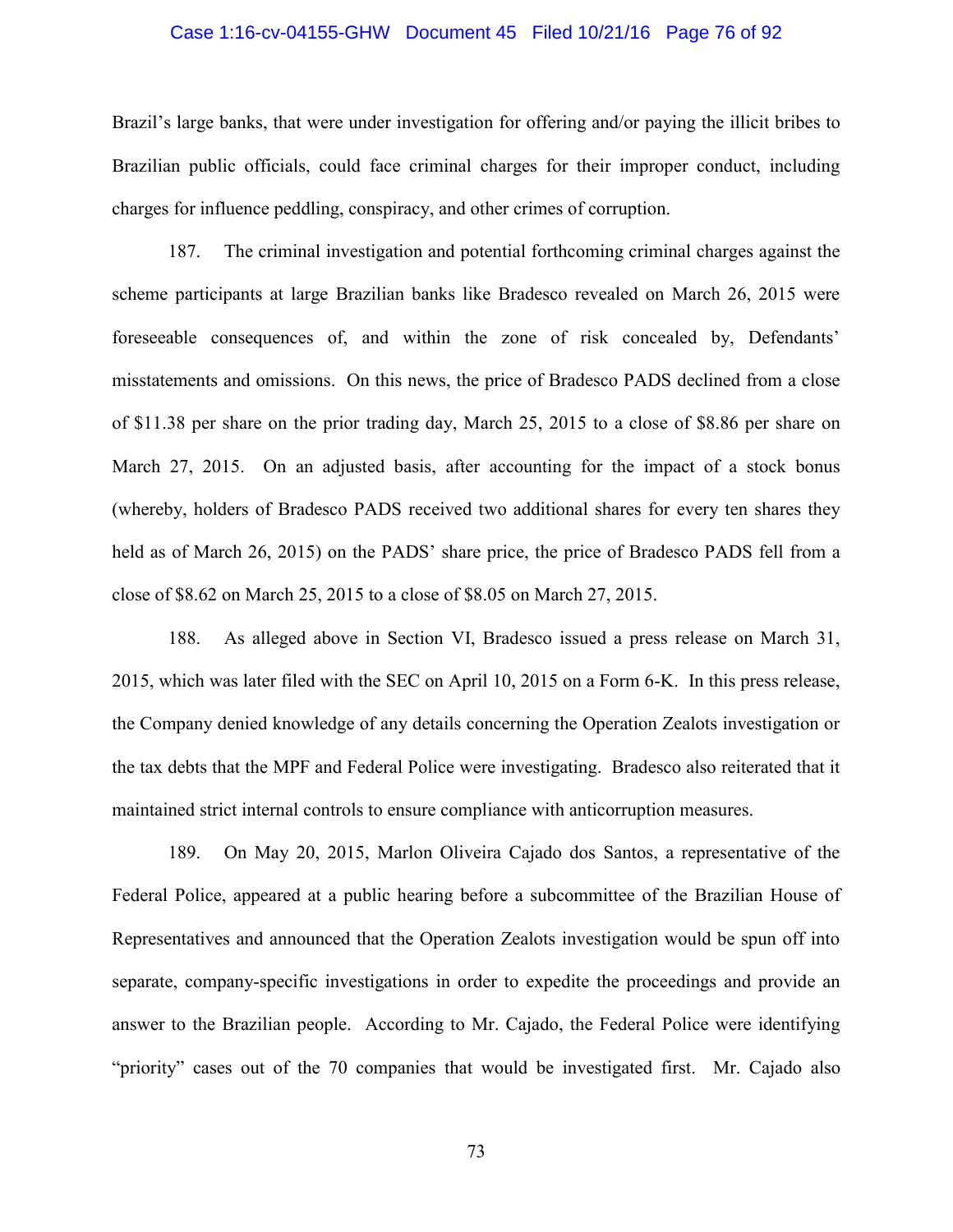#### Case 1:16-cv-04155-GHW Document 45 Filed 10/21/16 Page 76 of 92

Brazil's large banks, that were under investigation for offering and/or paying the illicit bribes to Brazilian public officials, could face criminal charges for their improper conduct, including charges for influence peddling, conspiracy, and other crimes of corruption.

187. The criminal investigation and potential forthcoming criminal charges against the scheme participants at large Brazilian banks like Bradesco revealed on March 26, 2015 were foreseeable consequences of, and within the zone of risk concealed by, Defendants' misstatements and omissions. On this news, the price of Bradesco PADS declined from a close of \$11.38 per share on the prior trading day, March 25, 2015 to a close of \$8.86 per share on March 27, 2015. On an adjusted basis, after accounting for the impact of a stock bonus (whereby, holders of Bradesco PADS received two additional shares for every ten shares they held as of March 26, 2015) on the PADS' share price, the price of Bradesco PADS fell from a close of \$8.62 on March 25, 2015 to a close of \$8.05 on March 27, 2015.

188. As alleged above in Section VI, Bradesco issued a press release on March 31, 2015, which was later filed with the SEC on April 10, 2015 on a Form 6-K. In this press release, the Company denied knowledge of any details concerning the Operation Zealots investigation or the tax debts that the MPF and Federal Police were investigating. Bradesco also reiterated that it maintained strict internal controls to ensure compliance with anticorruption measures.

189. On May 20, 2015, Marlon Oliveira Cajado dos Santos, a representative of the Federal Police, appeared at a public hearing before a subcommittee of the Brazilian House of Representatives and announced that the Operation Zealots investigation would be spun off into separate, company-specific investigations in order to expedite the proceedings and provide an answer to the Brazilian people. According to Mr. Cajado, the Federal Police were identifying "priority" cases out of the 70 companies that would be investigated first. Mr. Cajado also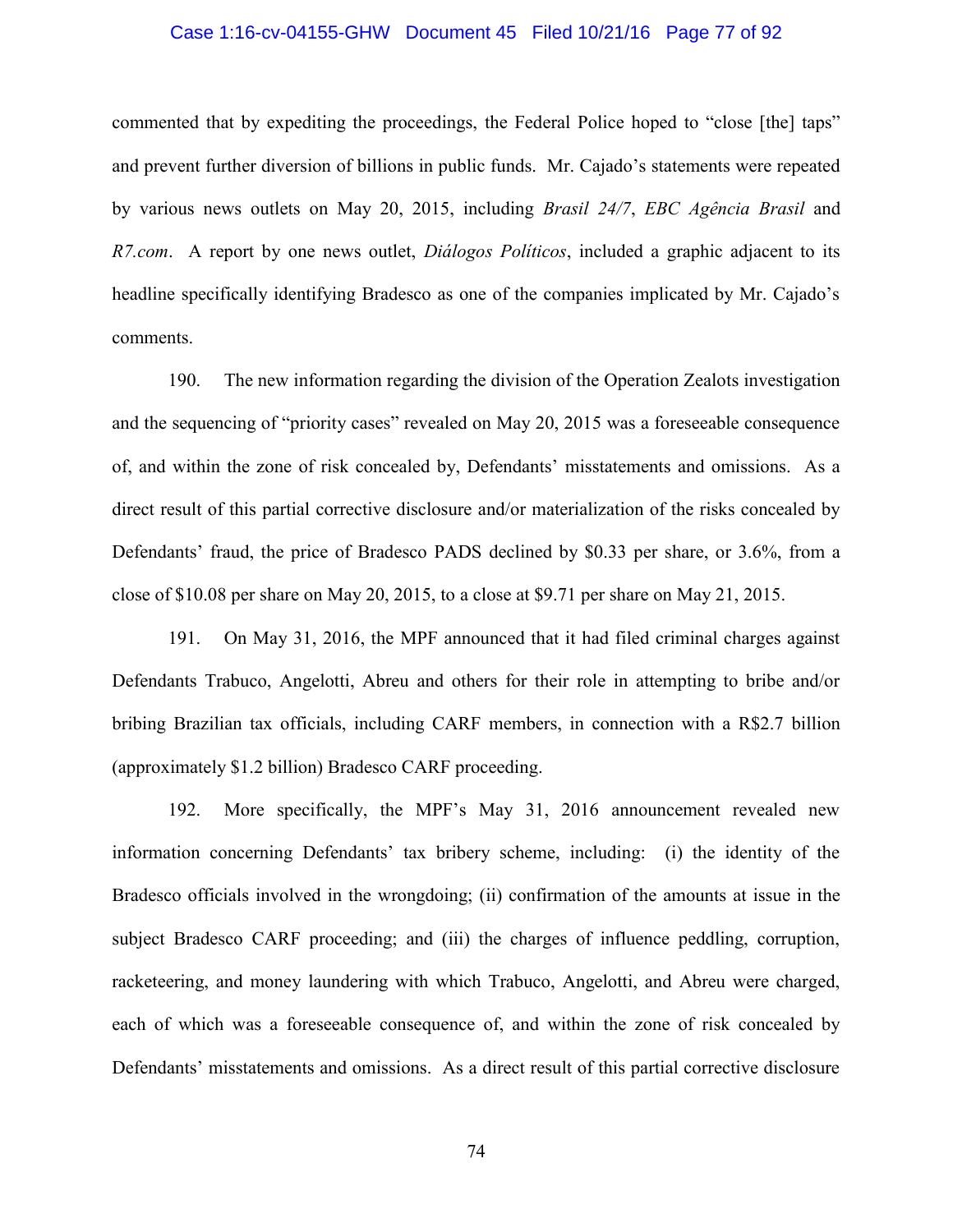#### Case 1:16-cv-04155-GHW Document 45 Filed 10/21/16 Page 77 of 92

commented that by expediting the proceedings, the Federal Police hoped to "close [the] taps" and prevent further diversion of billions in public funds. Mr. Cajado's statements were repeated by various news outlets on May 20, 2015, including *Brasil 24/7*, *EBC Agência Brasil* and *R7.com*. A report by one news outlet, *Diálogos Políticos*, included a graphic adjacent to its headline specifically identifying Bradesco as one of the companies implicated by Mr. Cajado's comments.

190. The new information regarding the division of the Operation Zealots investigation and the sequencing of "priority cases" revealed on May 20, 2015 was a foreseeable consequence of, and within the zone of risk concealed by, Defendants' misstatements and omissions. As a direct result of this partial corrective disclosure and/or materialization of the risks concealed by Defendants' fraud, the price of Bradesco PADS declined by \$0.33 per share, or 3.6%, from a close of \$10.08 per share on May 20, 2015, to a close at \$9.71 per share on May 21, 2015.

191. On May 31, 2016, the MPF announced that it had filed criminal charges against Defendants Trabuco, Angelotti, Abreu and others for their role in attempting to bribe and/or bribing Brazilian tax officials, including CARF members, in connection with a R\$2.7 billion (approximately \$1.2 billion) Bradesco CARF proceeding.

192. More specifically, the MPF's May 31, 2016 announcement revealed new information concerning Defendants' tax bribery scheme, including: (i) the identity of the Bradesco officials involved in the wrongdoing; (ii) confirmation of the amounts at issue in the subject Bradesco CARF proceeding; and (iii) the charges of influence peddling, corruption, racketeering, and money laundering with which Trabuco, Angelotti, and Abreu were charged, each of which was a foreseeable consequence of, and within the zone of risk concealed by Defendants' misstatements and omissions. As a direct result of this partial corrective disclosure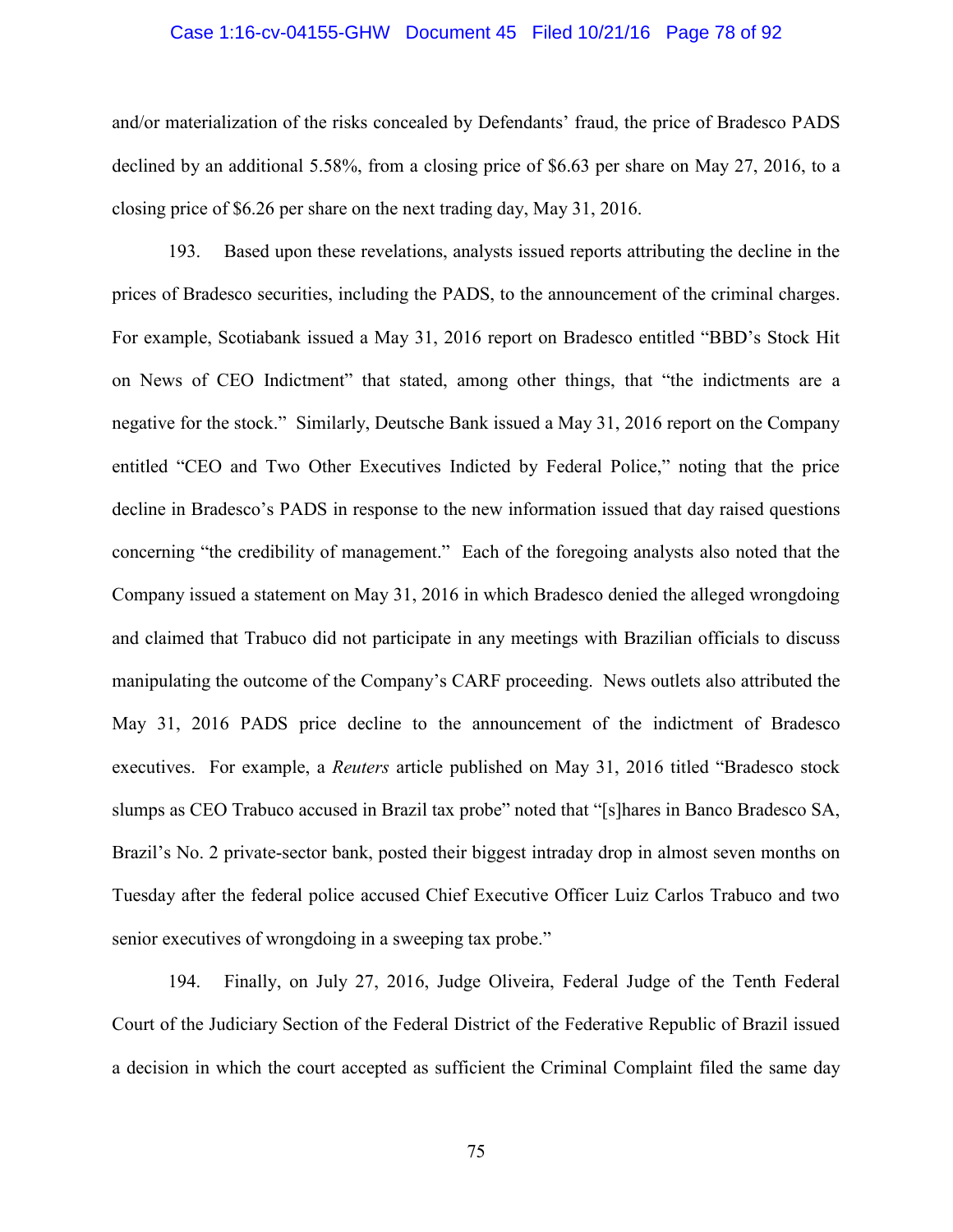#### Case 1:16-cv-04155-GHW Document 45 Filed 10/21/16 Page 78 of 92

and/or materialization of the risks concealed by Defendants' fraud, the price of Bradesco PADS declined by an additional 5.58%, from a closing price of \$6.63 per share on May 27, 2016, to a closing price of \$6.26 per share on the next trading day, May 31, 2016.

193. Based upon these revelations, analysts issued reports attributing the decline in the prices of Bradesco securities, including the PADS, to the announcement of the criminal charges. For example, Scotiabank issued a May 31, 2016 report on Bradesco entitled "BBD's Stock Hit on News of CEO Indictment" that stated, among other things, that "the indictments are a negative for the stock." Similarly, Deutsche Bank issued a May 31, 2016 report on the Company entitled "CEO and Two Other Executives Indicted by Federal Police," noting that the price decline in Bradesco's PADS in response to the new information issued that day raised questions concerning "the credibility of management." Each of the foregoing analysts also noted that the Company issued a statement on May 31, 2016 in which Bradesco denied the alleged wrongdoing and claimed that Trabuco did not participate in any meetings with Brazilian officials to discuss manipulating the outcome of the Company's CARF proceeding. News outlets also attributed the May 31, 2016 PADS price decline to the announcement of the indictment of Bradesco executives. For example, a *Reuters* article published on May 31, 2016 titled "Bradesco stock slumps as CEO Trabuco accused in Brazil tax probe" noted that "[s]hares in Banco Bradesco SA, Brazil's No. 2 private-sector bank, posted their biggest intraday drop in almost seven months on Tuesday after the federal police accused Chief Executive Officer Luiz Carlos Trabuco and two senior executives of wrongdoing in a sweeping tax probe."

194. Finally, on July 27, 2016, Judge Oliveira, Federal Judge of the Tenth Federal Court of the Judiciary Section of the Federal District of the Federative Republic of Brazil issued a decision in which the court accepted as sufficient the Criminal Complaint filed the same day

75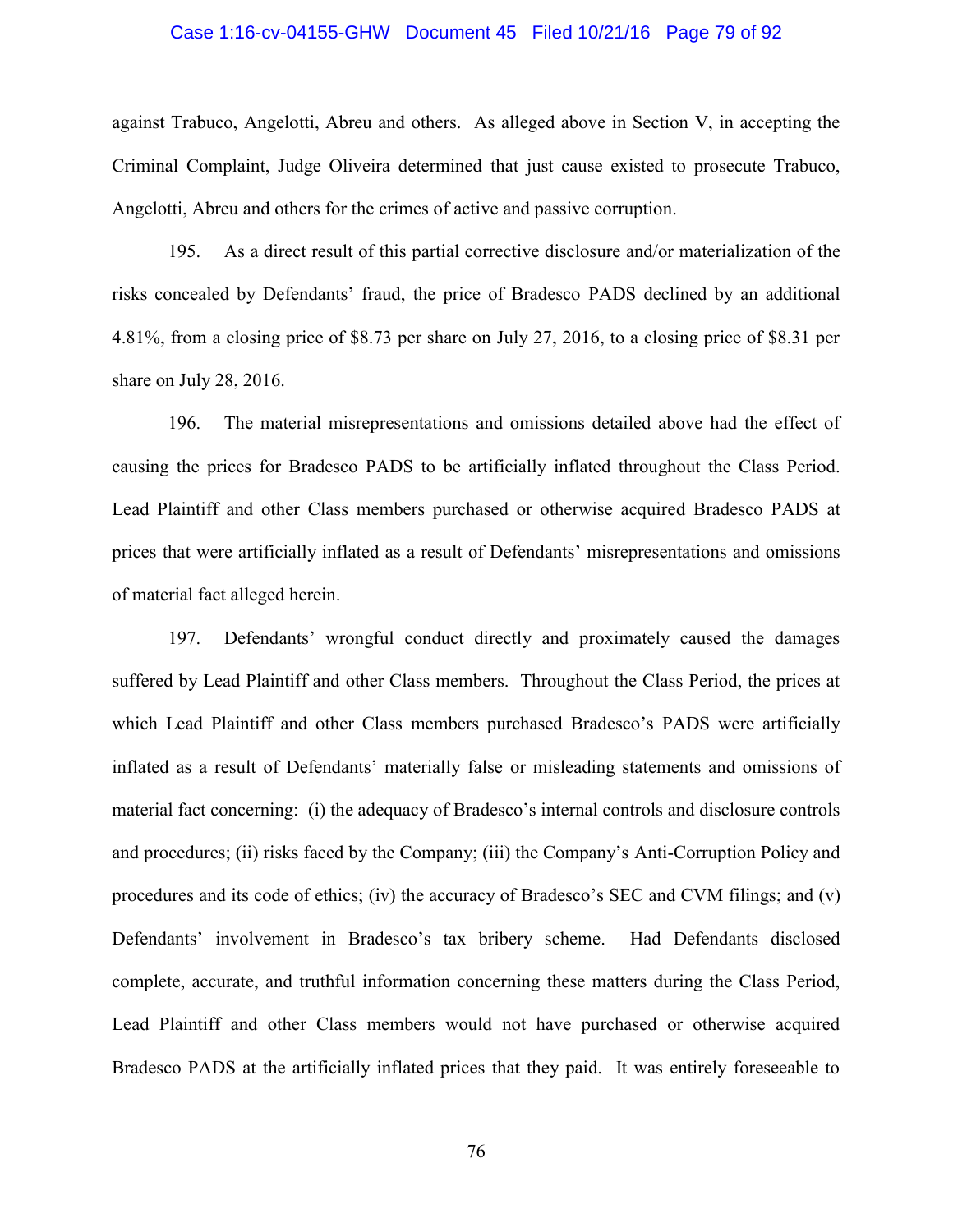#### Case 1:16-cv-04155-GHW Document 45 Filed 10/21/16 Page 79 of 92

against Trabuco, Angelotti, Abreu and others. As alleged above in Section V, in accepting the Criminal Complaint, Judge Oliveira determined that just cause existed to prosecute Trabuco, Angelotti, Abreu and others for the crimes of active and passive corruption.

195. As a direct result of this partial corrective disclosure and/or materialization of the risks concealed by Defendants' fraud, the price of Bradesco PADS declined by an additional 4.81%, from a closing price of \$8.73 per share on July 27, 2016, to a closing price of \$8.31 per share on July 28, 2016.

196. The material misrepresentations and omissions detailed above had the effect of causing the prices for Bradesco PADS to be artificially inflated throughout the Class Period. Lead Plaintiff and other Class members purchased or otherwise acquired Bradesco PADS at prices that were artificially inflated as a result of Defendants' misrepresentations and omissions of material fact alleged herein.

197. Defendants' wrongful conduct directly and proximately caused the damages suffered by Lead Plaintiff and other Class members. Throughout the Class Period, the prices at which Lead Plaintiff and other Class members purchased Bradesco's PADS were artificially inflated as a result of Defendants' materially false or misleading statements and omissions of material fact concerning: (i) the adequacy of Bradesco's internal controls and disclosure controls and procedures; (ii) risks faced by the Company; (iii) the Company's Anti-Corruption Policy and procedures and its code of ethics; (iv) the accuracy of Bradesco's SEC and CVM filings; and (v) Defendants' involvement in Bradesco's tax bribery scheme. Had Defendants disclosed complete, accurate, and truthful information concerning these matters during the Class Period, Lead Plaintiff and other Class members would not have purchased or otherwise acquired Bradesco PADS at the artificially inflated prices that they paid. It was entirely foreseeable to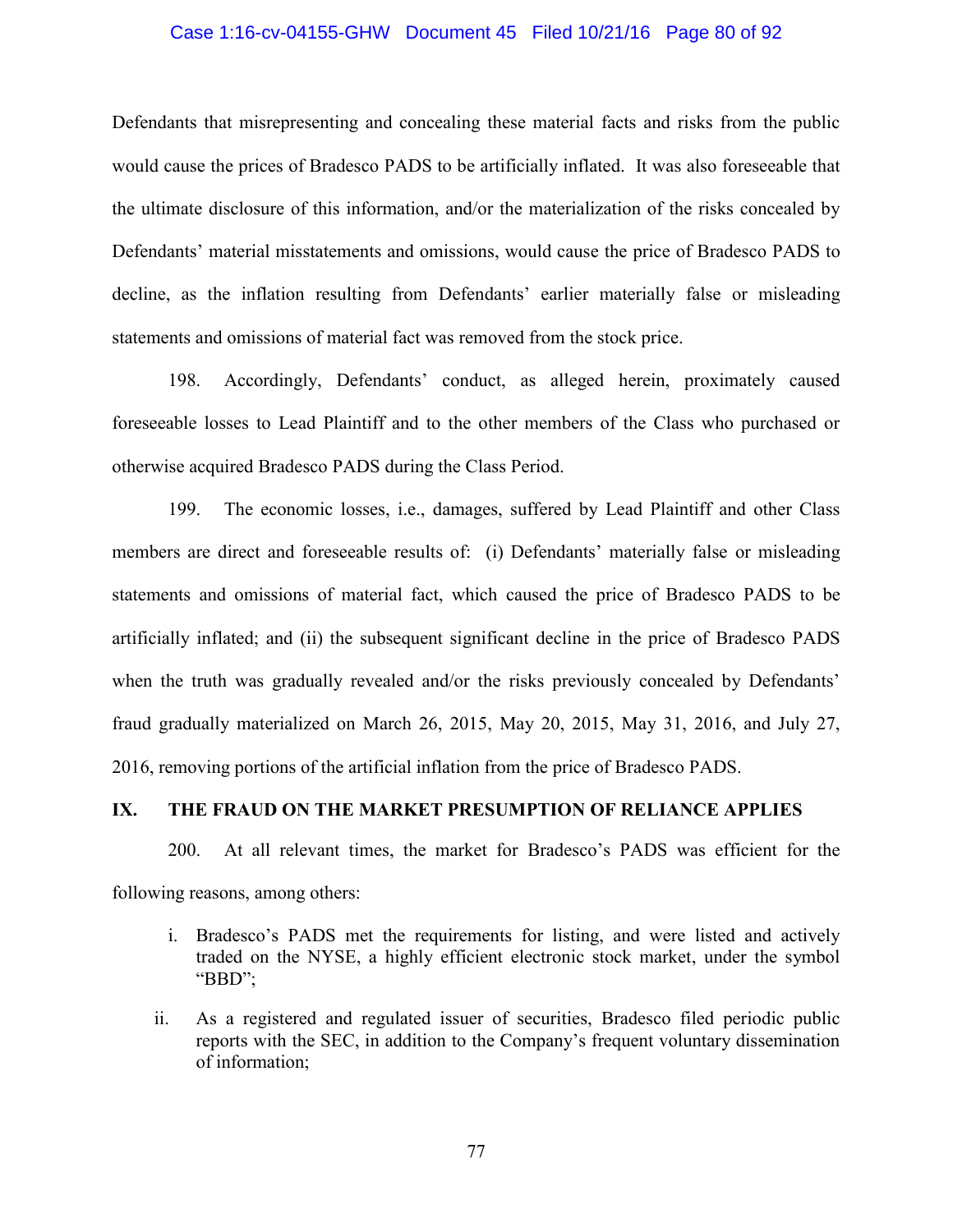#### Case 1:16-cv-04155-GHW Document 45 Filed 10/21/16 Page 80 of 92

Defendants that misrepresenting and concealing these material facts and risks from the public would cause the prices of Bradesco PADS to be artificially inflated. It was also foreseeable that the ultimate disclosure of this information, and/or the materialization of the risks concealed by Defendants' material misstatements and omissions, would cause the price of Bradesco PADS to decline, as the inflation resulting from Defendants' earlier materially false or misleading statements and omissions of material fact was removed from the stock price.

198. Accordingly, Defendants' conduct, as alleged herein, proximately caused foreseeable losses to Lead Plaintiff and to the other members of the Class who purchased or otherwise acquired Bradesco PADS during the Class Period.

199. The economic losses, i.e., damages, suffered by Lead Plaintiff and other Class members are direct and foreseeable results of: (i) Defendants' materially false or misleading statements and omissions of material fact, which caused the price of Bradesco PADS to be artificially inflated; and (ii) the subsequent significant decline in the price of Bradesco PADS when the truth was gradually revealed and/or the risks previously concealed by Defendants' fraud gradually materialized on March 26, 2015, May 20, 2015, May 31, 2016, and July 27, 2016, removing portions of the artificial inflation from the price of Bradesco PADS.

## **IX. THE FRAUD ON THE MARKET PRESUMPTION OF RELIANCE APPLIES**

200. At all relevant times, the market for Bradesco's PADS was efficient for the following reasons, among others:

- i. Bradesco's PADS met the requirements for listing, and were listed and actively traded on the NYSE, a highly efficient electronic stock market, under the symbol "BBD";
- ii. As a registered and regulated issuer of securities, Bradesco filed periodic public reports with the SEC, in addition to the Company's frequent voluntary dissemination of information;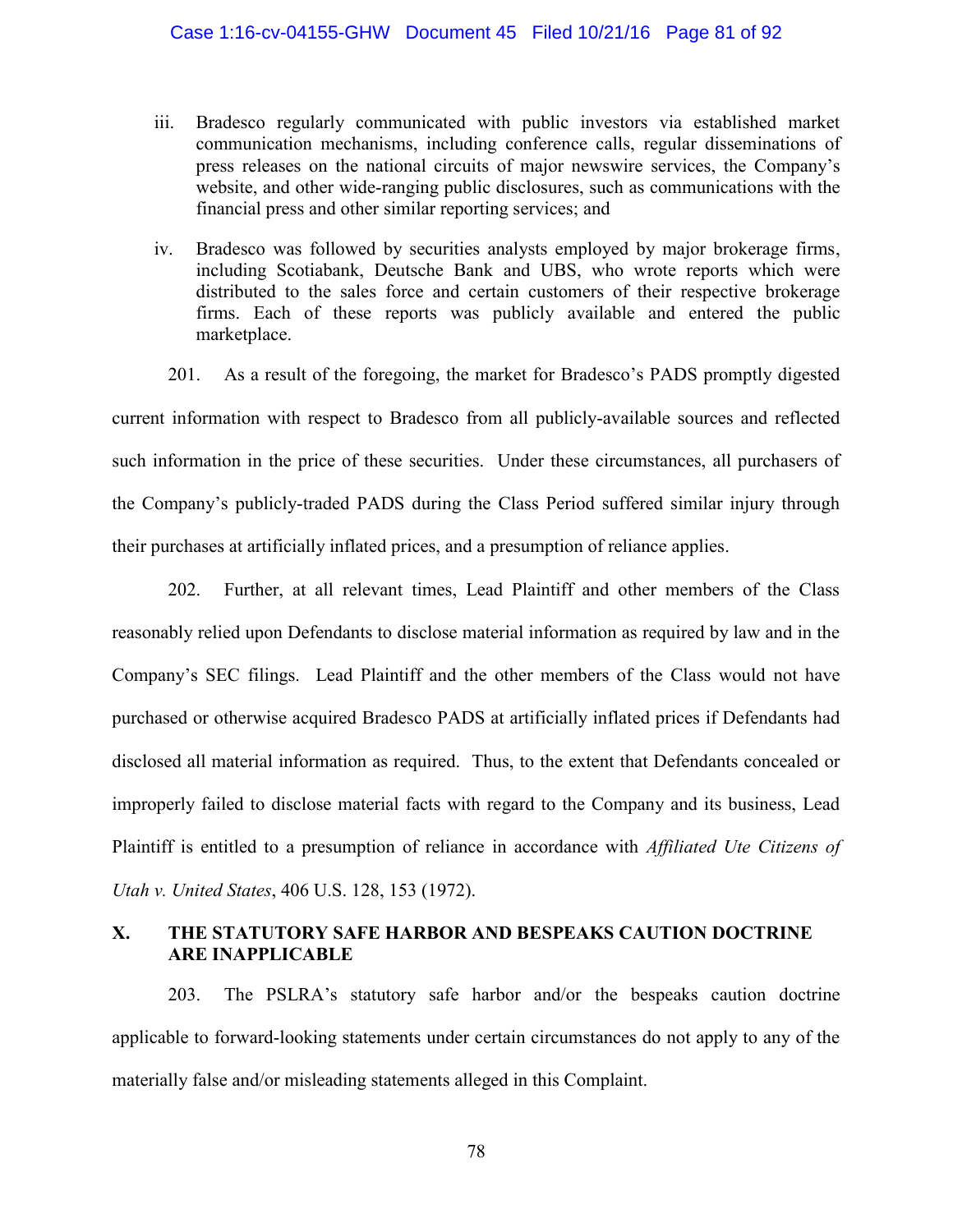#### Case 1:16-cv-04155-GHW Document 45 Filed 10/21/16 Page 81 of 92

- iii. Bradesco regularly communicated with public investors via established market communication mechanisms, including conference calls, regular disseminations of press releases on the national circuits of major newswire services, the Company's website, and other wide-ranging public disclosures, such as communications with the financial press and other similar reporting services; and
- iv. Bradesco was followed by securities analysts employed by major brokerage firms, including Scotiabank, Deutsche Bank and UBS, who wrote reports which were distributed to the sales force and certain customers of their respective brokerage firms. Each of these reports was publicly available and entered the public marketplace.

201. As a result of the foregoing, the market for Bradesco's PADS promptly digested current information with respect to Bradesco from all publicly-available sources and reflected such information in the price of these securities. Under these circumstances, all purchasers of the Company's publicly-traded PADS during the Class Period suffered similar injury through their purchases at artificially inflated prices, and a presumption of reliance applies.

202. Further, at all relevant times, Lead Plaintiff and other members of the Class reasonably relied upon Defendants to disclose material information as required by law and in the Company's SEC filings. Lead Plaintiff and the other members of the Class would not have purchased or otherwise acquired Bradesco PADS at artificially inflated prices if Defendants had disclosed all material information as required. Thus, to the extent that Defendants concealed or improperly failed to disclose material facts with regard to the Company and its business, Lead Plaintiff is entitled to a presumption of reliance in accordance with *Affiliated Ute Citizens of Utah v. United States*, 406 U.S. 128, 153 (1972).

## **X. THE STATUTORY SAFE HARBOR AND BESPEAKS CAUTION DOCTRINE ARE INAPPLICABLE**

203. The PSLRA's statutory safe harbor and/or the bespeaks caution doctrine applicable to forward-looking statements under certain circumstances do not apply to any of the materially false and/or misleading statements alleged in this Complaint.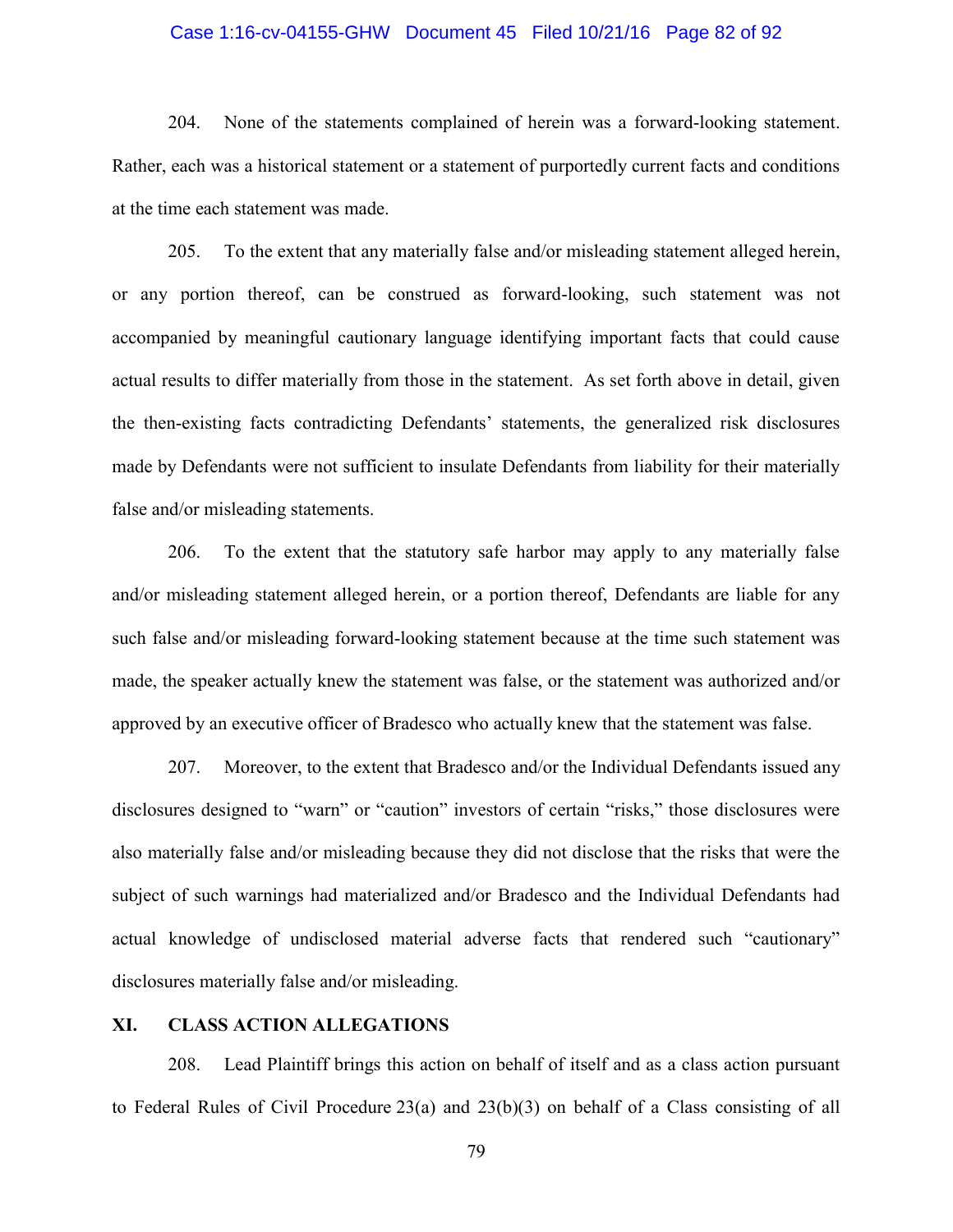#### Case 1:16-cv-04155-GHW Document 45 Filed 10/21/16 Page 82 of 92

204. None of the statements complained of herein was a forward-looking statement. Rather, each was a historical statement or a statement of purportedly current facts and conditions at the time each statement was made.

205. To the extent that any materially false and/or misleading statement alleged herein, or any portion thereof, can be construed as forward-looking, such statement was not accompanied by meaningful cautionary language identifying important facts that could cause actual results to differ materially from those in the statement. As set forth above in detail, given the then-existing facts contradicting Defendants' statements, the generalized risk disclosures made by Defendants were not sufficient to insulate Defendants from liability for their materially false and/or misleading statements.

206. To the extent that the statutory safe harbor may apply to any materially false and/or misleading statement alleged herein, or a portion thereof, Defendants are liable for any such false and/or misleading forward-looking statement because at the time such statement was made, the speaker actually knew the statement was false, or the statement was authorized and/or approved by an executive officer of Bradesco who actually knew that the statement was false.

207. Moreover, to the extent that Bradesco and/or the Individual Defendants issued any disclosures designed to "warn" or "caution" investors of certain "risks," those disclosures were also materially false and/or misleading because they did not disclose that the risks that were the subject of such warnings had materialized and/or Bradesco and the Individual Defendants had actual knowledge of undisclosed material adverse facts that rendered such "cautionary" disclosures materially false and/or misleading.

### **XI. CLASS ACTION ALLEGATIONS**

208. Lead Plaintiff brings this action on behalf of itself and as a class action pursuant to Federal Rules of Civil Procedure  $23(a)$  and  $23(b)(3)$  on behalf of a Class consisting of all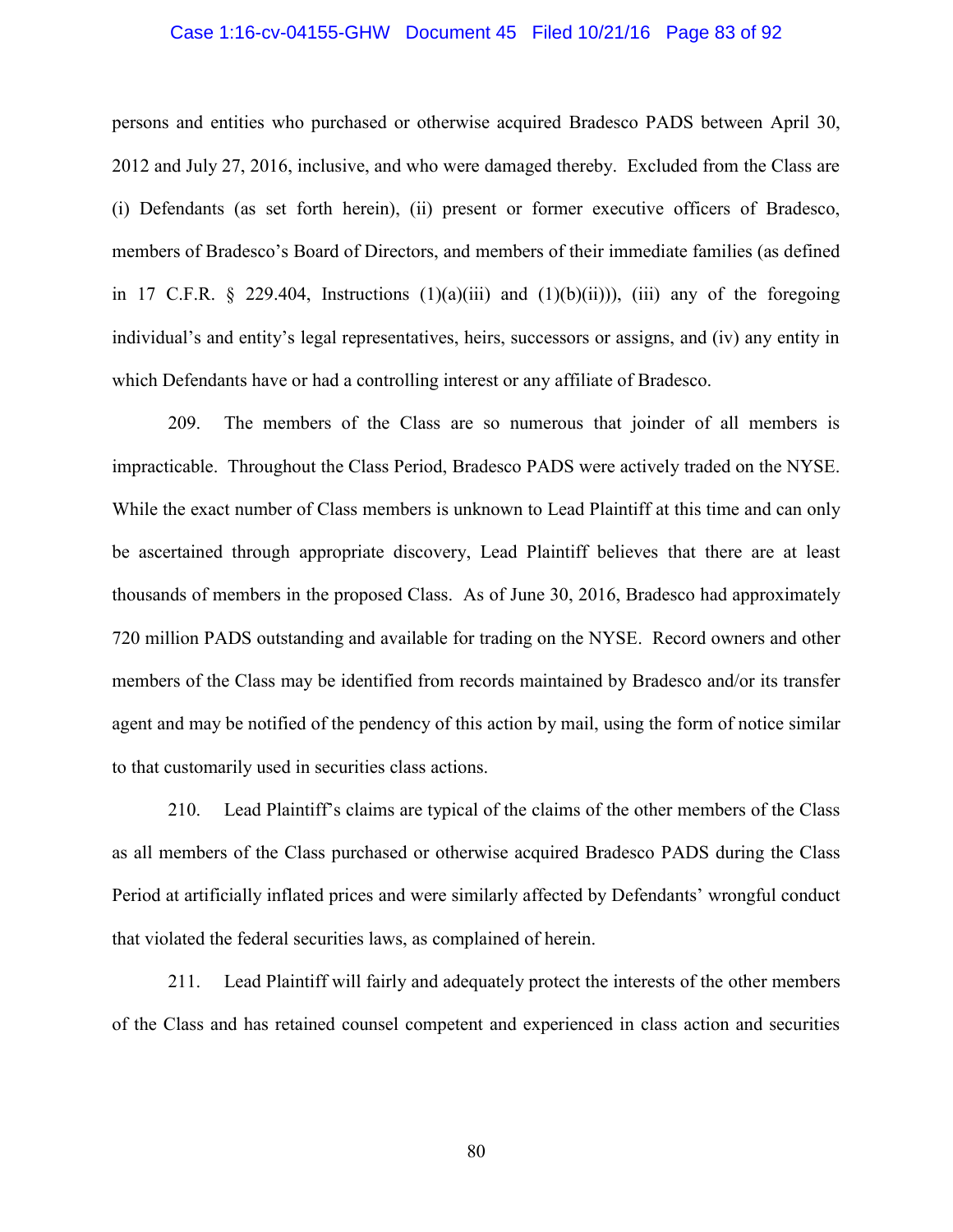#### Case 1:16-cv-04155-GHW Document 45 Filed 10/21/16 Page 83 of 92

persons and entities who purchased or otherwise acquired Bradesco PADS between April 30, 2012 and July 27, 2016, inclusive, and who were damaged thereby. Excluded from the Class are (i) Defendants (as set forth herein), (ii) present or former executive officers of Bradesco, members of Bradesco's Board of Directors, and members of their immediate families (as defined in 17 C.F.R. § 229.404, Instructions  $(1)(a)(iii)$  and  $(1)(b)(ii))$ ,  $(iii)$  any of the foregoing individual's and entity's legal representatives, heirs, successors or assigns, and (iv) any entity in which Defendants have or had a controlling interest or any affiliate of Bradesco.

209. The members of the Class are so numerous that joinder of all members is impracticable. Throughout the Class Period, Bradesco PADS were actively traded on the NYSE. While the exact number of Class members is unknown to Lead Plaintiff at this time and can only be ascertained through appropriate discovery, Lead Plaintiff believes that there are at least thousands of members in the proposed Class. As of June 30, 2016, Bradesco had approximately 720 million PADS outstanding and available for trading on the NYSE. Record owners and other members of the Class may be identified from records maintained by Bradesco and/or its transfer agent and may be notified of the pendency of this action by mail, using the form of notice similar to that customarily used in securities class actions.

210. Lead Plaintiff's claims are typical of the claims of the other members of the Class as all members of the Class purchased or otherwise acquired Bradesco PADS during the Class Period at artificially inflated prices and were similarly affected by Defendants' wrongful conduct that violated the federal securities laws, as complained of herein.

211. Lead Plaintiff will fairly and adequately protect the interests of the other members of the Class and has retained counsel competent and experienced in class action and securities

80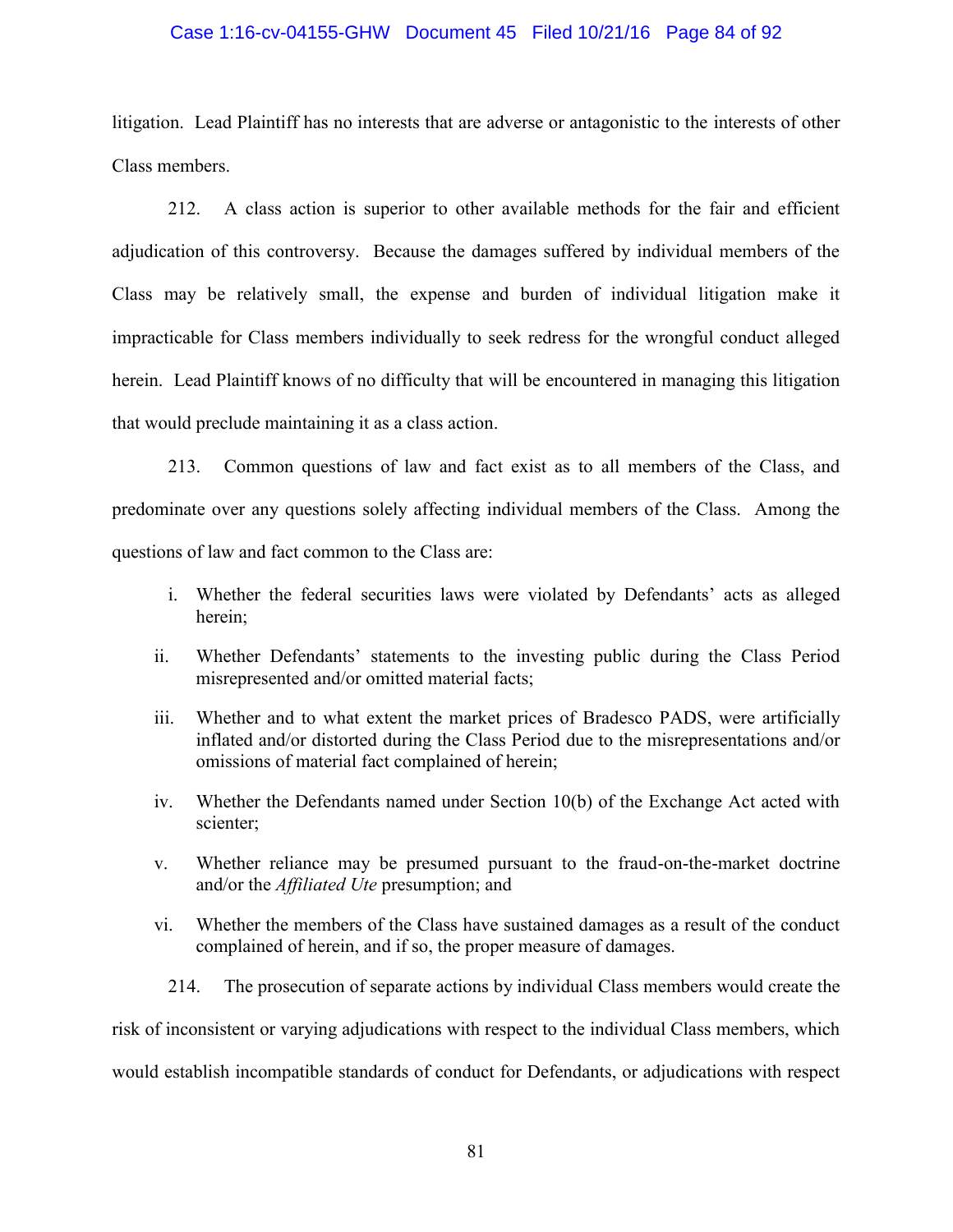#### Case 1:16-cv-04155-GHW Document 45 Filed 10/21/16 Page 84 of 92

litigation. Lead Plaintiff has no interests that are adverse or antagonistic to the interests of other Class members.

212. A class action is superior to other available methods for the fair and efficient adjudication of this controversy. Because the damages suffered by individual members of the Class may be relatively small, the expense and burden of individual litigation make it impracticable for Class members individually to seek redress for the wrongful conduct alleged herein. Lead Plaintiff knows of no difficulty that will be encountered in managing this litigation that would preclude maintaining it as a class action.

213. Common questions of law and fact exist as to all members of the Class, and predominate over any questions solely affecting individual members of the Class. Among the questions of law and fact common to the Class are:

- i. Whether the federal securities laws were violated by Defendants' acts as alleged herein;
- ii. Whether Defendants' statements to the investing public during the Class Period misrepresented and/or omitted material facts;
- iii. Whether and to what extent the market prices of Bradesco PADS, were artificially inflated and/or distorted during the Class Period due to the misrepresentations and/or omissions of material fact complained of herein;
- iv. Whether the Defendants named under Section 10(b) of the Exchange Act acted with scienter;
- v. Whether reliance may be presumed pursuant to the fraud-on-the-market doctrine and/or the *Affiliated Ute* presumption; and
- vi. Whether the members of the Class have sustained damages as a result of the conduct complained of herein, and if so, the proper measure of damages.
- 214. The prosecution of separate actions by individual Class members would create the

risk of inconsistent or varying adjudications with respect to the individual Class members, which

would establish incompatible standards of conduct for Defendants, or adjudications with respect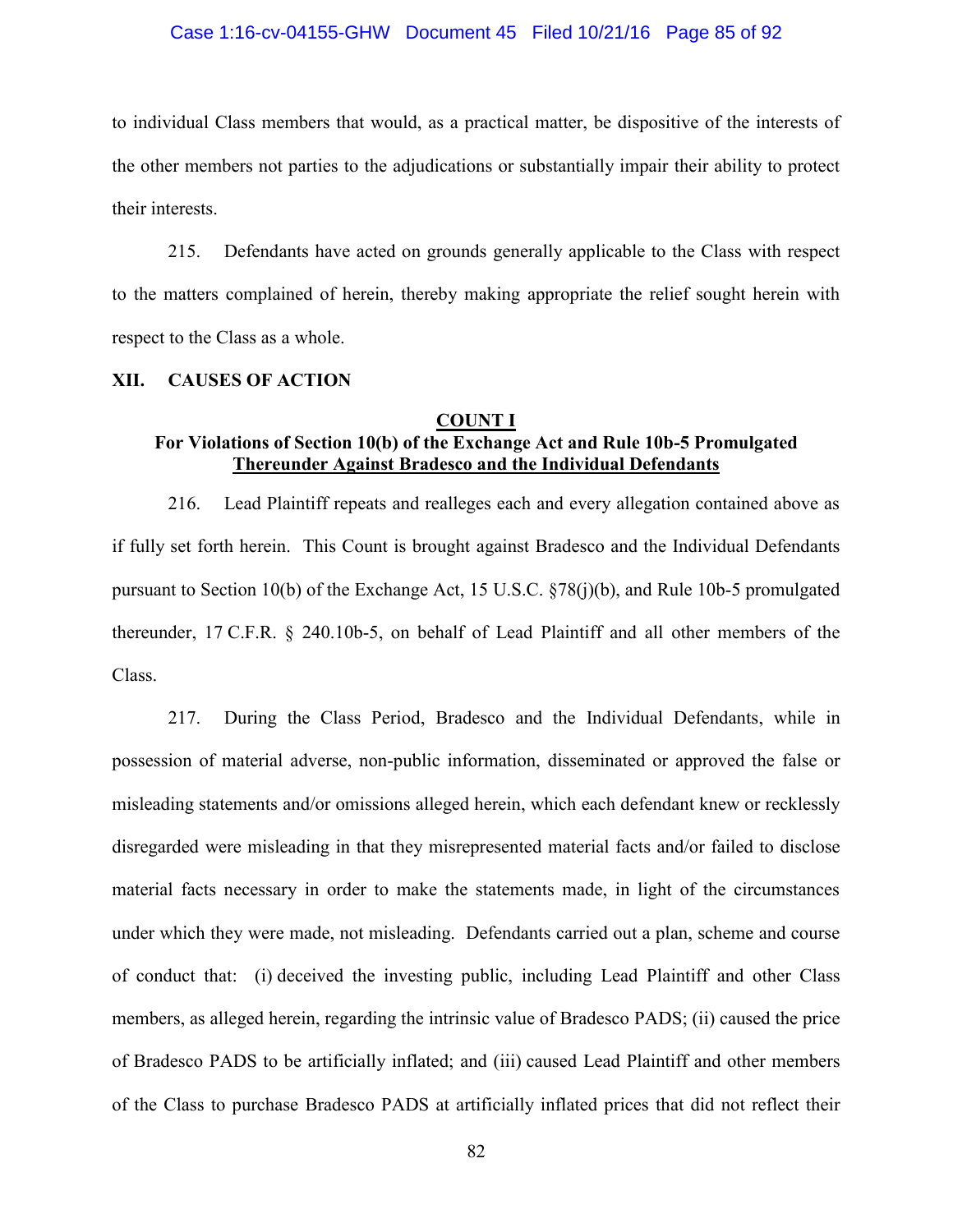#### Case 1:16-cv-04155-GHW Document 45 Filed 10/21/16 Page 85 of 92

to individual Class members that would, as a practical matter, be dispositive of the interests of the other members not parties to the adjudications or substantially impair their ability to protect their interests.

215. Defendants have acted on grounds generally applicable to the Class with respect to the matters complained of herein, thereby making appropriate the relief sought herein with respect to the Class as a whole.

### **XII. CAUSES OF ACTION**

#### **COUNT I**

## **For Violations of Section 10(b) of the Exchange Act and Rule 10b-5 Promulgated Thereunder Against Bradesco and the Individual Defendants**

216. Lead Plaintiff repeats and realleges each and every allegation contained above as if fully set forth herein. This Count is brought against Bradesco and the Individual Defendants pursuant to Section 10(b) of the Exchange Act, 15 U.S.C. §78(j)(b), and Rule 10b-5 promulgated thereunder, 17 C.F.R. § 240.10b-5, on behalf of Lead Plaintiff and all other members of the Class.

217. During the Class Period, Bradesco and the Individual Defendants, while in possession of material adverse, non-public information, disseminated or approved the false or misleading statements and/or omissions alleged herein, which each defendant knew or recklessly disregarded were misleading in that they misrepresented material facts and/or failed to disclose material facts necessary in order to make the statements made, in light of the circumstances under which they were made, not misleading. Defendants carried out a plan, scheme and course of conduct that: (i) deceived the investing public, including Lead Plaintiff and other Class members, as alleged herein, regarding the intrinsic value of Bradesco PADS; (ii) caused the price of Bradesco PADS to be artificially inflated; and (iii) caused Lead Plaintiff and other members of the Class to purchase Bradesco PADS at artificially inflated prices that did not reflect their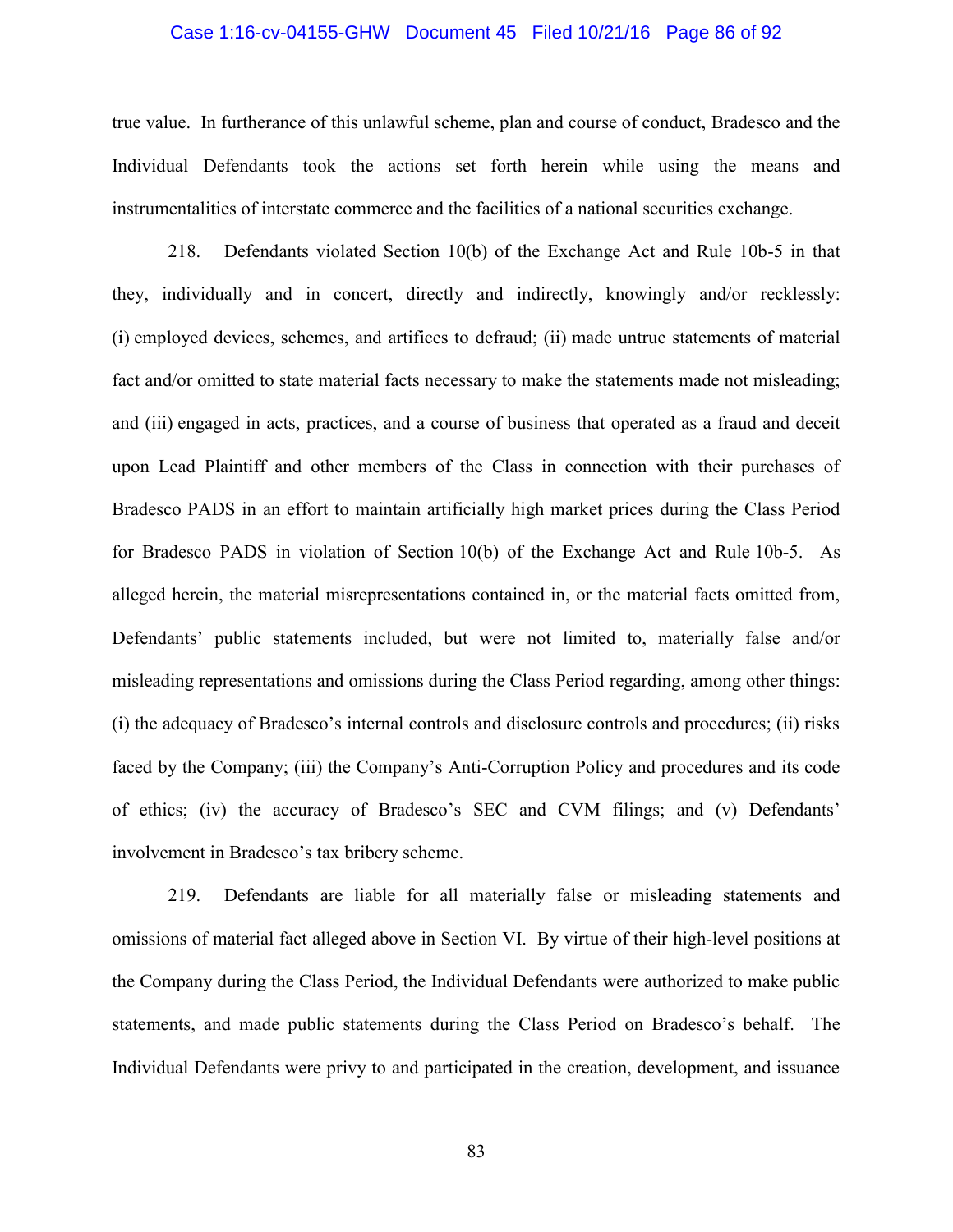#### Case 1:16-cv-04155-GHW Document 45 Filed 10/21/16 Page 86 of 92

true value. In furtherance of this unlawful scheme, plan and course of conduct, Bradesco and the Individual Defendants took the actions set forth herein while using the means and instrumentalities of interstate commerce and the facilities of a national securities exchange.

218. Defendants violated Section 10(b) of the Exchange Act and Rule 10b-5 in that they, individually and in concert, directly and indirectly, knowingly and/or recklessly: (i) employed devices, schemes, and artifices to defraud; (ii) made untrue statements of material fact and/or omitted to state material facts necessary to make the statements made not misleading; and (iii) engaged in acts, practices, and a course of business that operated as a fraud and deceit upon Lead Plaintiff and other members of the Class in connection with their purchases of Bradesco PADS in an effort to maintain artificially high market prices during the Class Period for Bradesco PADS in violation of Section 10(b) of the Exchange Act and Rule 10b-5. As alleged herein, the material misrepresentations contained in, or the material facts omitted from, Defendants' public statements included, but were not limited to, materially false and/or misleading representations and omissions during the Class Period regarding, among other things: (i) the adequacy of Bradesco's internal controls and disclosure controls and procedures; (ii) risks faced by the Company; (iii) the Company's Anti-Corruption Policy and procedures and its code of ethics; (iv) the accuracy of Bradesco's SEC and CVM filings; and (v) Defendants' involvement in Bradesco's tax bribery scheme.

219. Defendants are liable for all materially false or misleading statements and omissions of material fact alleged above in Section VI. By virtue of their high-level positions at the Company during the Class Period, the Individual Defendants were authorized to make public statements, and made public statements during the Class Period on Bradesco's behalf. The Individual Defendants were privy to and participated in the creation, development, and issuance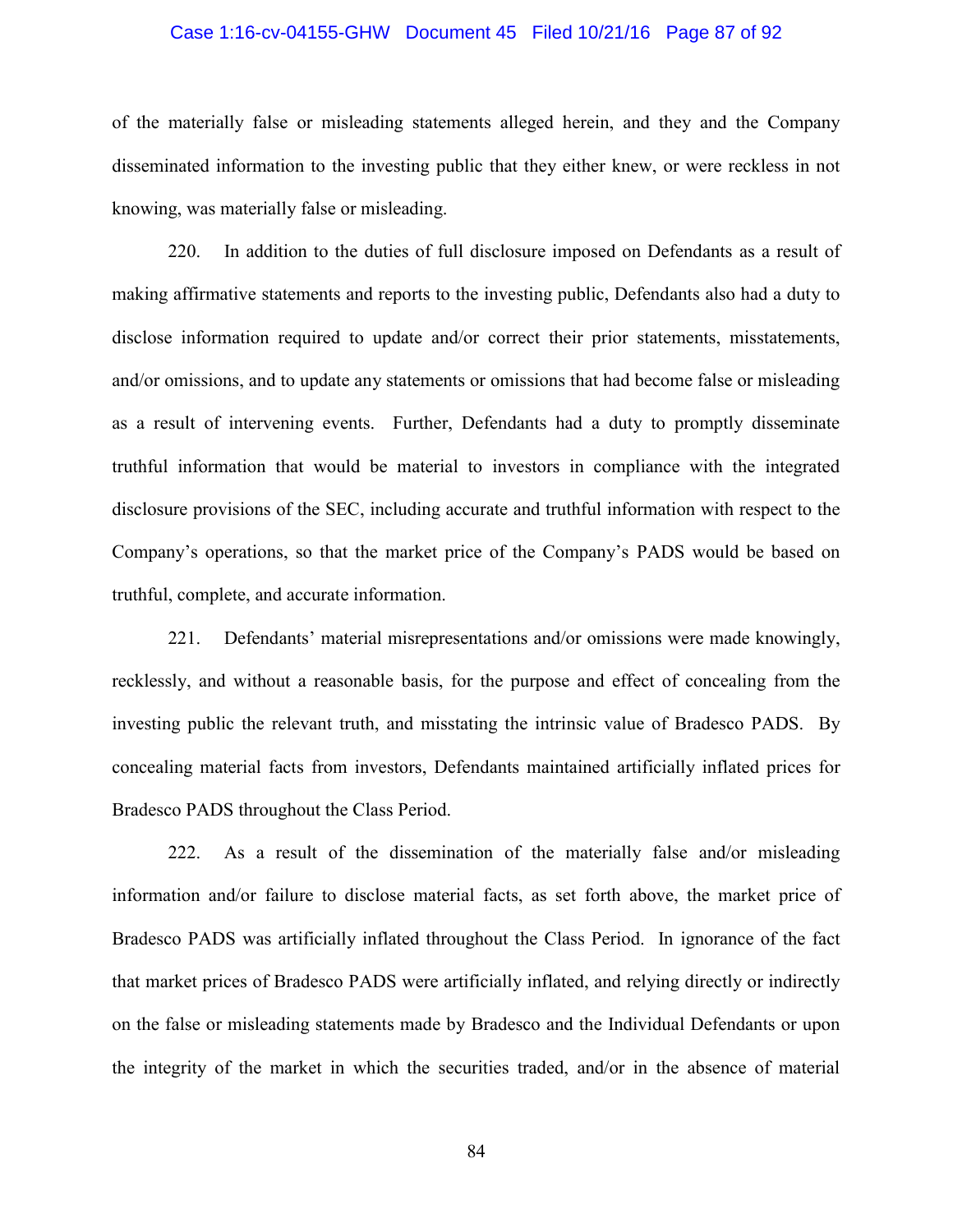#### Case 1:16-cv-04155-GHW Document 45 Filed 10/21/16 Page 87 of 92

of the materially false or misleading statements alleged herein, and they and the Company disseminated information to the investing public that they either knew, or were reckless in not knowing, was materially false or misleading.

220. In addition to the duties of full disclosure imposed on Defendants as a result of making affirmative statements and reports to the investing public, Defendants also had a duty to disclose information required to update and/or correct their prior statements, misstatements, and/or omissions, and to update any statements or omissions that had become false or misleading as a result of intervening events. Further, Defendants had a duty to promptly disseminate truthful information that would be material to investors in compliance with the integrated disclosure provisions of the SEC, including accurate and truthful information with respect to the Company's operations, so that the market price of the Company's PADS would be based on truthful, complete, and accurate information.

221. Defendants' material misrepresentations and/or omissions were made knowingly, recklessly, and without a reasonable basis, for the purpose and effect of concealing from the investing public the relevant truth, and misstating the intrinsic value of Bradesco PADS. By concealing material facts from investors, Defendants maintained artificially inflated prices for Bradesco PADS throughout the Class Period.

222. As a result of the dissemination of the materially false and/or misleading information and/or failure to disclose material facts, as set forth above, the market price of Bradesco PADS was artificially inflated throughout the Class Period. In ignorance of the fact that market prices of Bradesco PADS were artificially inflated, and relying directly or indirectly on the false or misleading statements made by Bradesco and the Individual Defendants or upon the integrity of the market in which the securities traded, and/or in the absence of material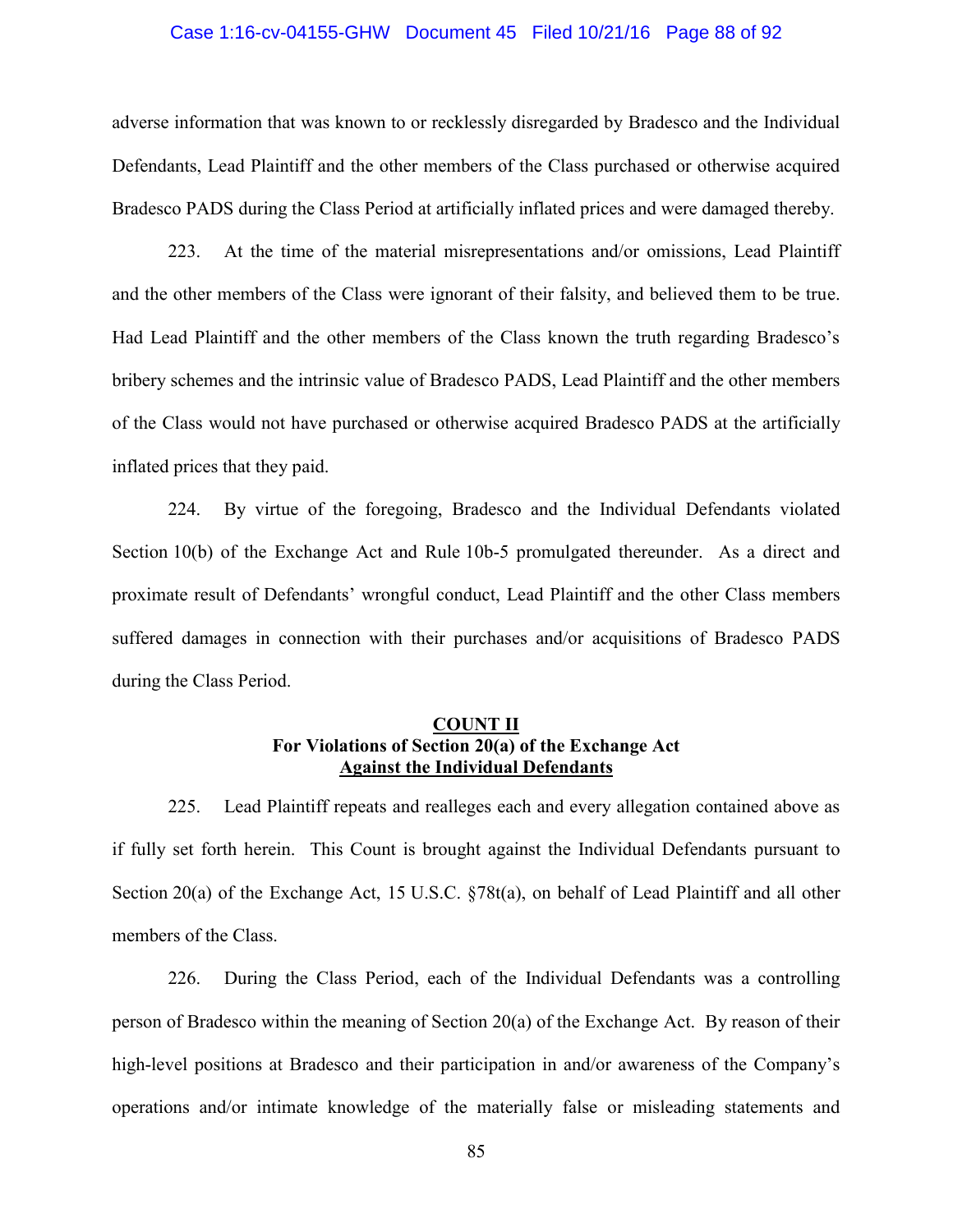#### Case 1:16-cv-04155-GHW Document 45 Filed 10/21/16 Page 88 of 92

adverse information that was known to or recklessly disregarded by Bradesco and the Individual Defendants, Lead Plaintiff and the other members of the Class purchased or otherwise acquired Bradesco PADS during the Class Period at artificially inflated prices and were damaged thereby.

223. At the time of the material misrepresentations and/or omissions, Lead Plaintiff and the other members of the Class were ignorant of their falsity, and believed them to be true. Had Lead Plaintiff and the other members of the Class known the truth regarding Bradesco's bribery schemes and the intrinsic value of Bradesco PADS, Lead Plaintiff and the other members of the Class would not have purchased or otherwise acquired Bradesco PADS at the artificially inflated prices that they paid.

224. By virtue of the foregoing, Bradesco and the Individual Defendants violated Section 10(b) of the Exchange Act and Rule 10b-5 promulgated thereunder. As a direct and proximate result of Defendants' wrongful conduct, Lead Plaintiff and the other Class members suffered damages in connection with their purchases and/or acquisitions of Bradesco PADS during the Class Period.

## **COUNT II For Violations of Section 20(a) of the Exchange Act Against the Individual Defendants**

225. Lead Plaintiff repeats and realleges each and every allegation contained above as if fully set forth herein. This Count is brought against the Individual Defendants pursuant to Section 20(a) of the Exchange Act, 15 U.S.C. §78t(a), on behalf of Lead Plaintiff and all other members of the Class.

226. During the Class Period, each of the Individual Defendants was a controlling person of Bradesco within the meaning of Section 20(a) of the Exchange Act. By reason of their high-level positions at Bradesco and their participation in and/or awareness of the Company's operations and/or intimate knowledge of the materially false or misleading statements and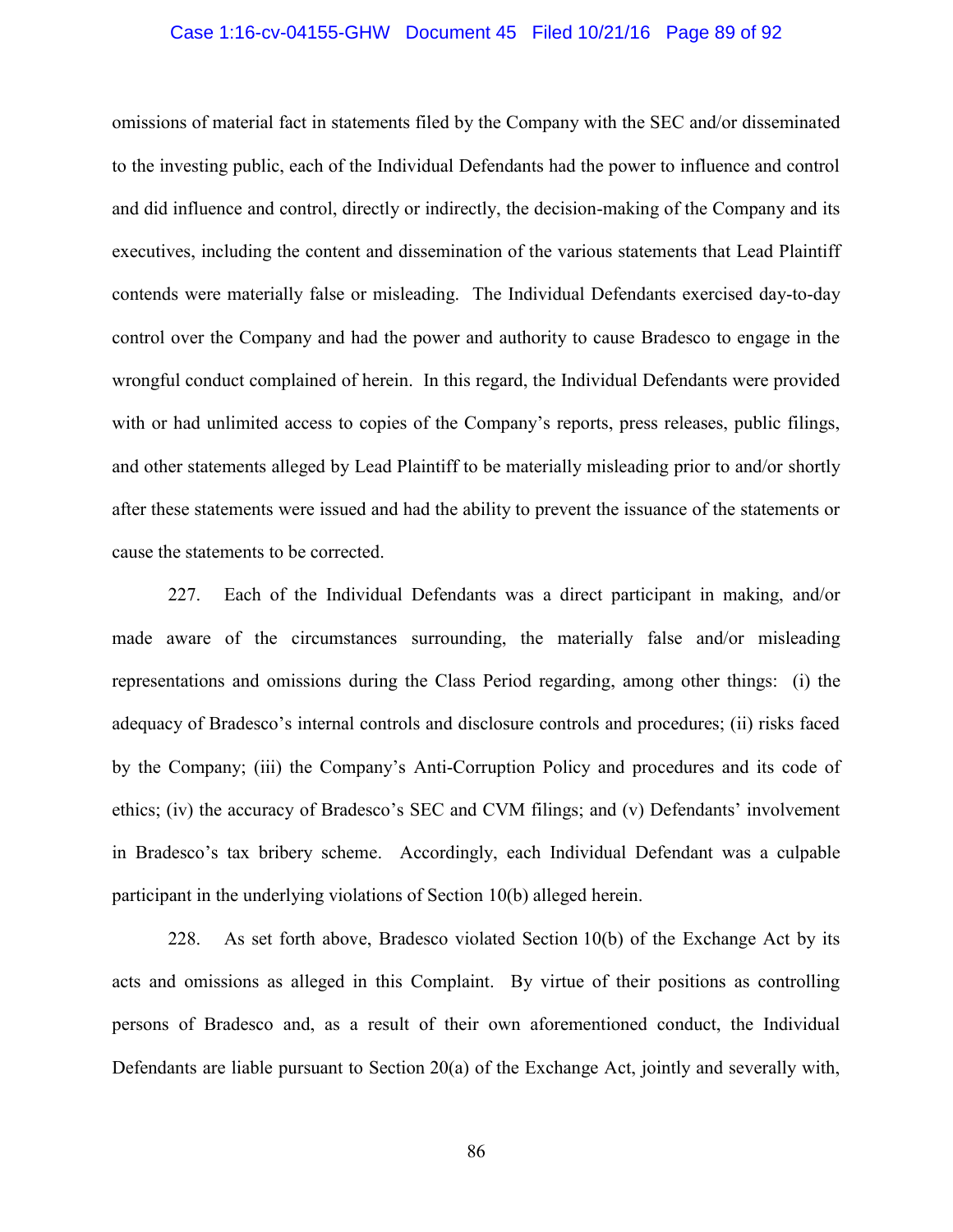#### Case 1:16-cv-04155-GHW Document 45 Filed 10/21/16 Page 89 of 92

omissions of material fact in statements filed by the Company with the SEC and/or disseminated to the investing public, each of the Individual Defendants had the power to influence and control and did influence and control, directly or indirectly, the decision-making of the Company and its executives, including the content and dissemination of the various statements that Lead Plaintiff contends were materially false or misleading. The Individual Defendants exercised day-to-day control over the Company and had the power and authority to cause Bradesco to engage in the wrongful conduct complained of herein. In this regard, the Individual Defendants were provided with or had unlimited access to copies of the Company's reports, press releases, public filings, and other statements alleged by Lead Plaintiff to be materially misleading prior to and/or shortly after these statements were issued and had the ability to prevent the issuance of the statements or cause the statements to be corrected.

227. Each of the Individual Defendants was a direct participant in making, and/or made aware of the circumstances surrounding, the materially false and/or misleading representations and omissions during the Class Period regarding, among other things: (i) the adequacy of Bradesco's internal controls and disclosure controls and procedures; (ii) risks faced by the Company; (iii) the Company's Anti-Corruption Policy and procedures and its code of ethics; (iv) the accuracy of Bradesco's SEC and CVM filings; and (v) Defendants' involvement in Bradesco's tax bribery scheme. Accordingly, each Individual Defendant was a culpable participant in the underlying violations of Section 10(b) alleged herein.

228. As set forth above, Bradesco violated Section 10(b) of the Exchange Act by its acts and omissions as alleged in this Complaint. By virtue of their positions as controlling persons of Bradesco and, as a result of their own aforementioned conduct, the Individual Defendants are liable pursuant to Section 20(a) of the Exchange Act, jointly and severally with,

86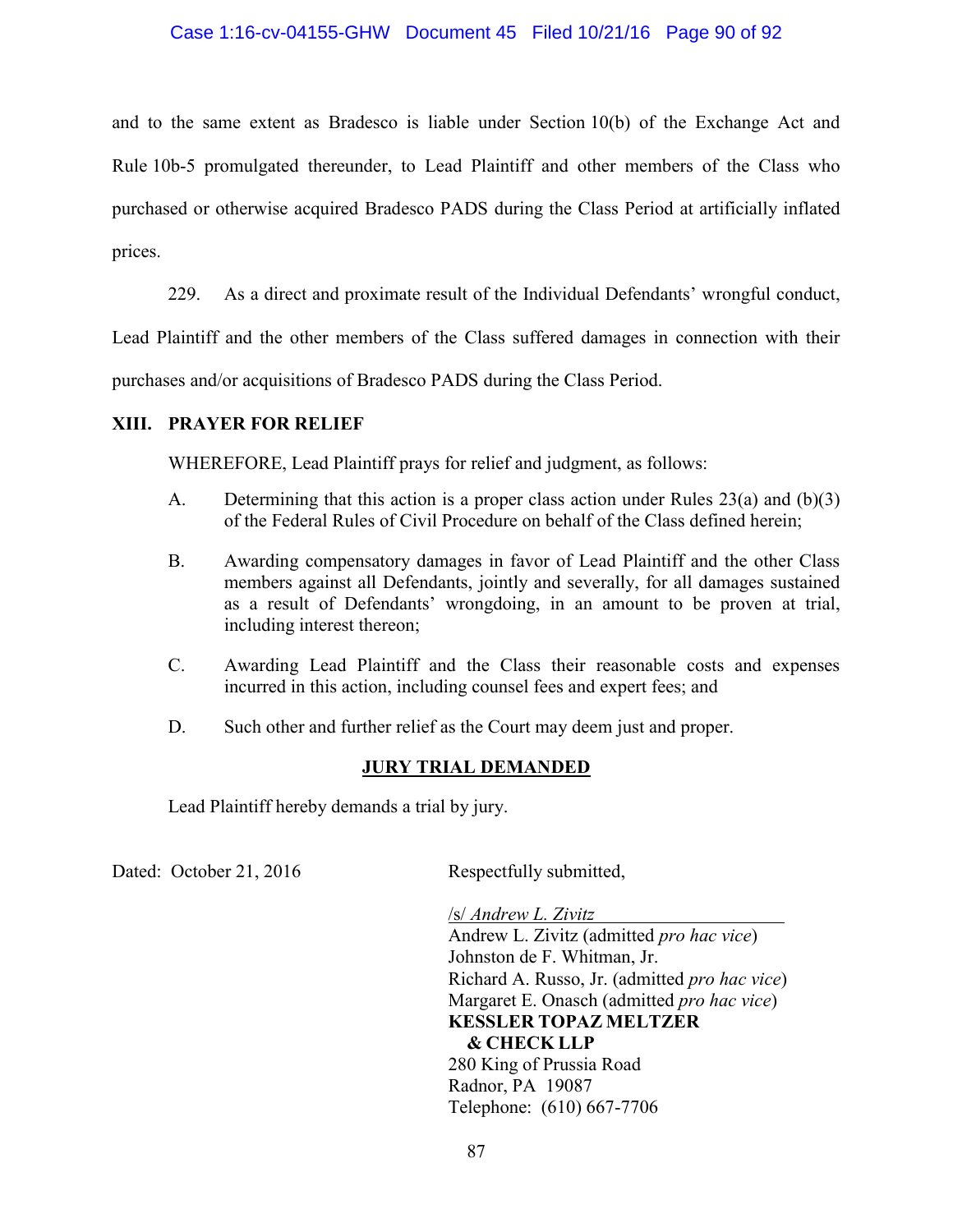## Case 1:16-cv-04155-GHW Document 45 Filed 10/21/16 Page 90 of 92

and to the same extent as Bradesco is liable under Section 10(b) of the Exchange Act and Rule 10b-5 promulgated thereunder, to Lead Plaintiff and other members of the Class who purchased or otherwise acquired Bradesco PADS during the Class Period at artificially inflated prices.

229. As a direct and proximate result of the Individual Defendants' wrongful conduct,

Lead Plaintiff and the other members of the Class suffered damages in connection with their

purchases and/or acquisitions of Bradesco PADS during the Class Period.

## **XIII. PRAYER FOR RELIEF**

WHEREFORE, Lead Plaintiff prays for relief and judgment, as follows:

- A. Determining that this action is a proper class action under Rules 23(a) and (b)(3) of the Federal Rules of Civil Procedure on behalf of the Class defined herein;
- B. Awarding compensatory damages in favor of Lead Plaintiff and the other Class members against all Defendants, jointly and severally, for all damages sustained as a result of Defendants' wrongdoing, in an amount to be proven at trial, including interest thereon;
- C. Awarding Lead Plaintiff and the Class their reasonable costs and expenses incurred in this action, including counsel fees and expert fees; and
- D. Such other and further relief as the Court may deem just and proper.

## **JURY TRIAL DEMANDED**

Lead Plaintiff hereby demands a trial by jury.

Dated: October 21, 2016 Respectfully submitted,

/s/ *Andrew L. Zivitz* Andrew L. Zivitz (admitted *pro hac vice*) Johnston de F. Whitman, Jr. Richard A. Russo, Jr. (admitted *pro hac vice*) Margaret E. Onasch (admitted *pro hac vice*) **KESSLER TOPAZ MELTZER & CHECK LLP** 280 King of Prussia Road Radnor, PA 19087 Telephone: (610) 667-7706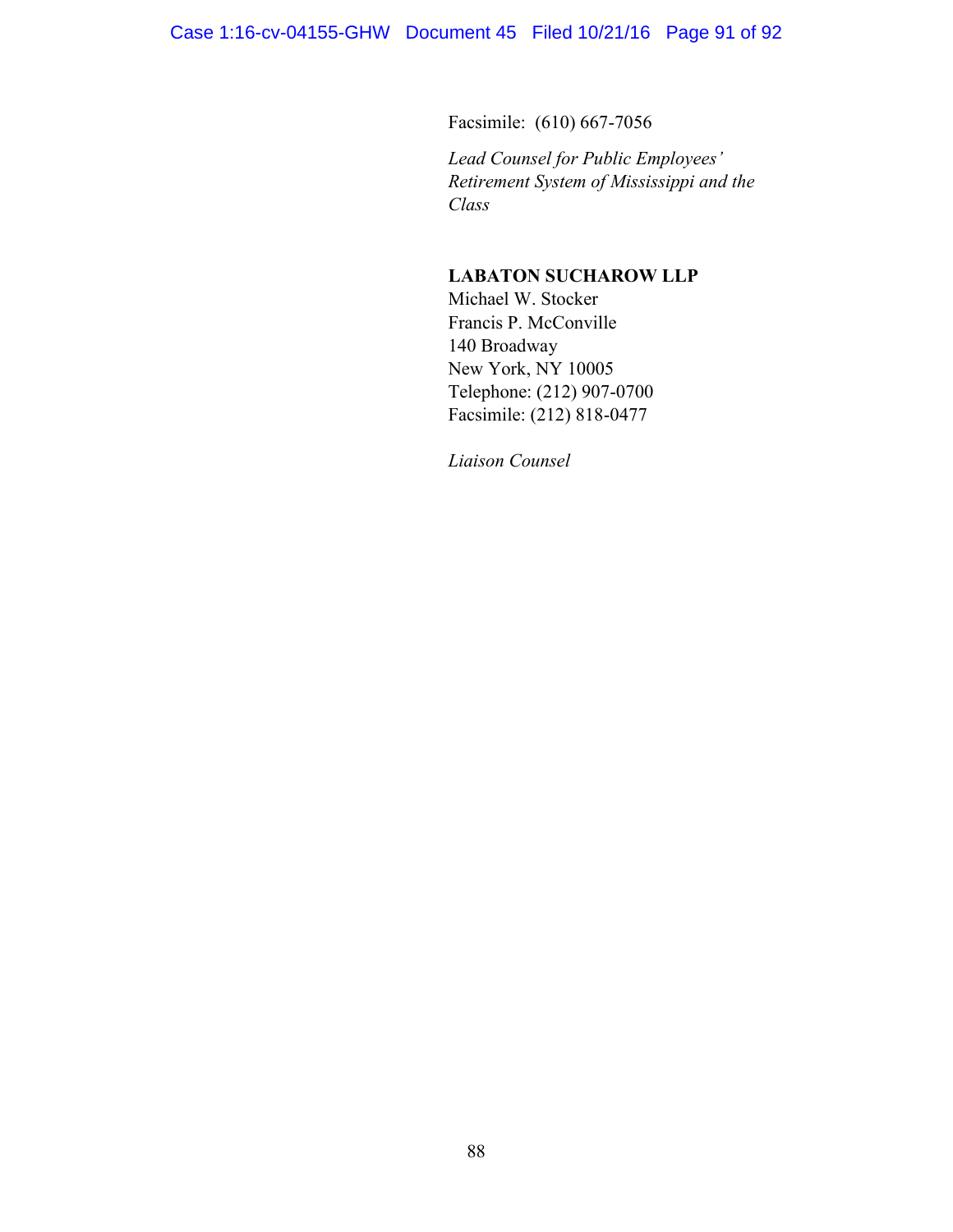Case 1:16-cv-04155-GHW Document 45 Filed 10/21/16 Page 91 of 92

Facsimile: (610) 667-7056

*Lead Counsel for Public Employees' Retirement System of Mississippi and the Class*

## **LABATON SUCHAROW LLP**

Michael W. Stocker Francis P. McConville 140 Broadway New York, NY 10005 Telephone: (212) 907-0700 Facsimile: (212) 818-0477

*Liaison Counsel*